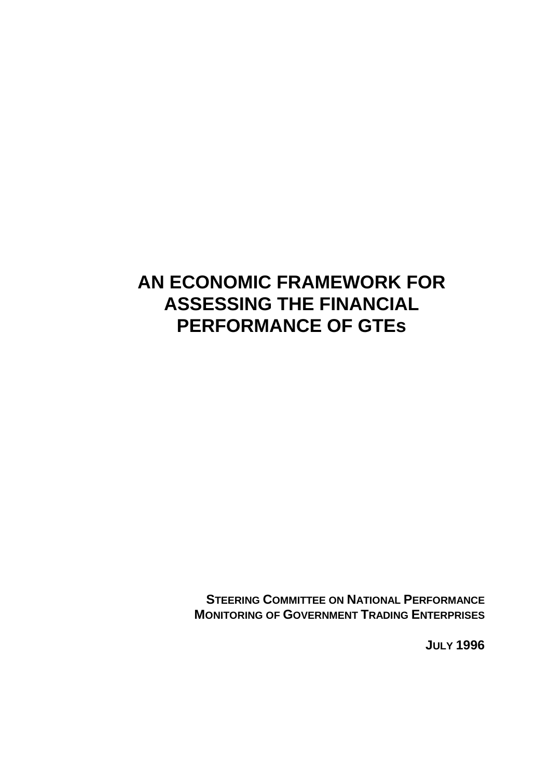# **AN ECONOMIC FRAMEWORK FOR ASSESSING THE FINANCIAL PERFORMANCE OF GTEs**

**STEERING COMMITTEE ON NATIONAL PERFORMANCE MONITORING OF GOVERNMENT TRADING ENTERPRISES**

**JULY 1996**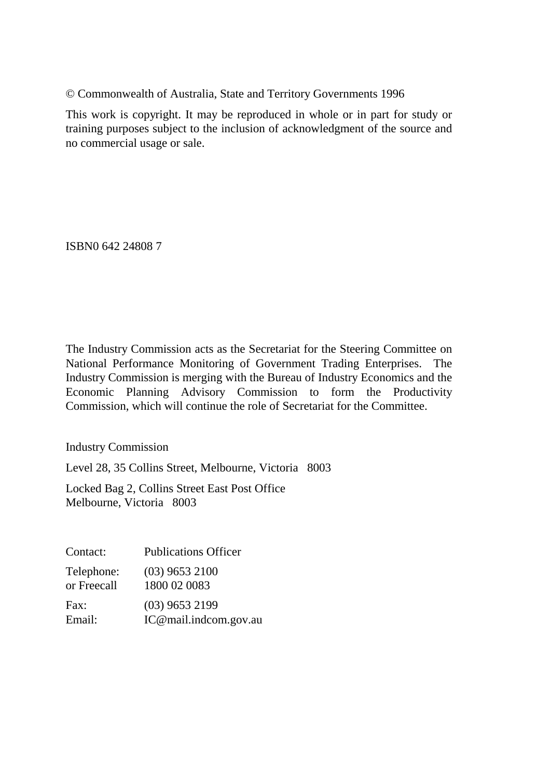© Commonwealth of Australia, State and Territory Governments 1996

This work is copyright. It may be reproduced in whole or in part for study or training purposes subject to the inclusion of acknowledgment of the source and no commercial usage or sale.

ISBN0 642 24808 7

The Industry Commission acts as the Secretariat for the Steering Committee on National Performance Monitoring of Government Trading Enterprises. The Industry Commission is merging with the Bureau of Industry Economics and the Economic Planning Advisory Commission to form the Productivity Commission, which will continue the role of Secretariat for the Committee.

Industry Commission

Level 28, 35 Collins Street, Melbourne, Victoria 8003

Locked Bag 2, Collins Street East Post Office Melbourne, Victoria 8003

| Contact:    | <b>Publications Officer</b> |
|-------------|-----------------------------|
| Telephone:  | $(03)$ 9653 2100            |
| or Freecall | 1800 02 0083                |
| Fax:        | $(03)$ 9653 2199            |
| Email:      | IC@mail.indcom.gov.au       |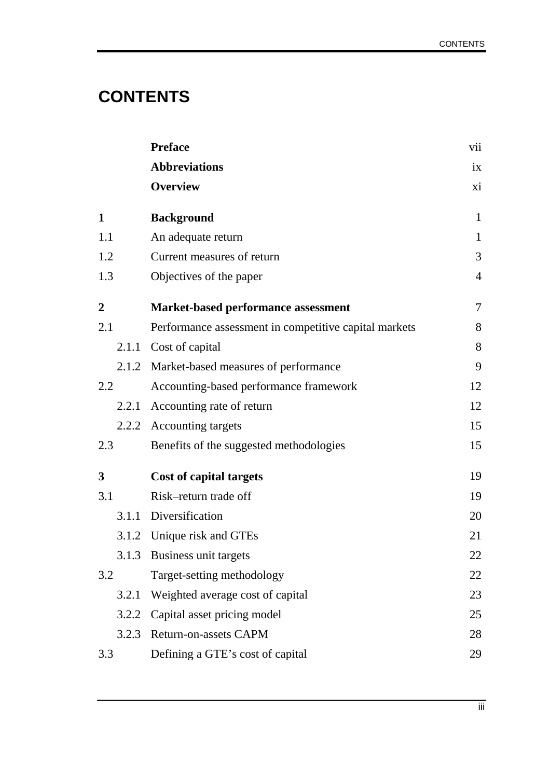# **CONTENTS**

|                  | <b>Preface</b>                                        | vii            |
|------------------|-------------------------------------------------------|----------------|
|                  | <b>Abbreviations</b>                                  | ix             |
|                  | <b>Overview</b>                                       | xi             |
| $\mathbf{1}$     | <b>Background</b>                                     | $\mathbf{1}$   |
| 1.1              | An adequate return                                    | $\mathbf{1}$   |
| 1.2              | Current measures of return                            | 3              |
| 1.3              | Objectives of the paper                               | $\overline{4}$ |
| $\boldsymbol{2}$ | <b>Market-based performance assessment</b>            | 7              |
| 2.1              | Performance assessment in competitive capital markets | 8              |
| 2.1.1            | Cost of capital                                       | 8              |
|                  | 2.1.2 Market-based measures of performance            | 9              |
| 2.2              | Accounting-based performance framework                | 12             |
|                  | 2.2.1 Accounting rate of return                       | 12             |
|                  | 2.2.2 Accounting targets                              | 15             |
| 2.3              | Benefits of the suggested methodologies               | 15             |
| 3                | <b>Cost of capital targets</b>                        | 19             |
| 3.1              | Risk-return trade off                                 | 19             |
|                  | 3.1.1 Diversification                                 | 20             |
|                  | 3.1.2 Unique risk and GTEs                            | 21             |
|                  | 3.1.3 Business unit targets                           | 22             |
| 3.2              | Target-setting methodology                            | 22             |
| 3.2.1            | Weighted average cost of capital                      | 23             |
| 3.2.2            | Capital asset pricing model                           | 25             |
| 3.2.3            | Return-on-assets CAPM                                 | 28             |
| 3.3              | Defining a GTE's cost of capital                      | 29             |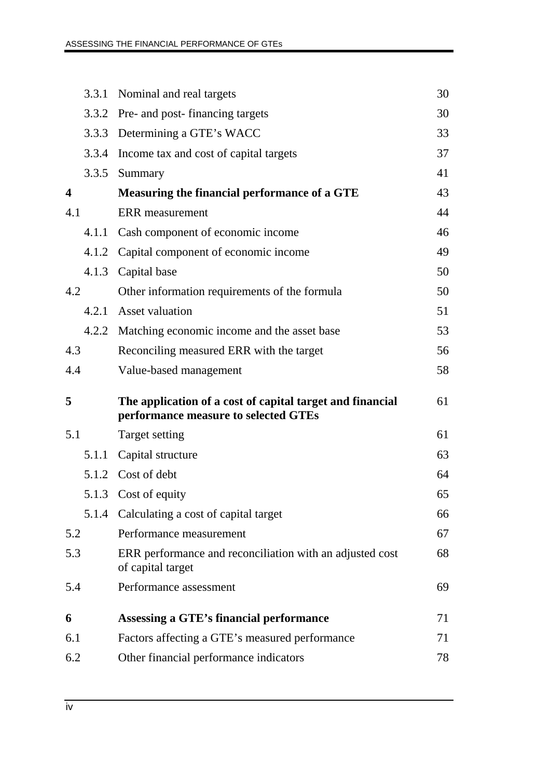|                         | 3.3.1 | Nominal and real targets                                                                          | 30 |
|-------------------------|-------|---------------------------------------------------------------------------------------------------|----|
|                         | 3.3.2 | Pre- and post- financing targets                                                                  | 30 |
|                         | 3.3.3 | Determining a GTE's WACC                                                                          | 33 |
|                         | 3.3.4 | Income tax and cost of capital targets                                                            | 37 |
|                         | 3.3.5 | Summary                                                                                           | 41 |
| $\overline{\mathbf{4}}$ |       | Measuring the financial performance of a GTE                                                      | 43 |
| 4.1                     |       | <b>ERR</b> measurement                                                                            | 44 |
|                         | 4.1.1 | Cash component of economic income                                                                 | 46 |
|                         | 4.1.2 | Capital component of economic income                                                              | 49 |
|                         | 4.1.3 | Capital base                                                                                      | 50 |
| 4.2                     |       | Other information requirements of the formula                                                     | 50 |
|                         | 4.2.1 | <b>Asset valuation</b>                                                                            | 51 |
|                         |       | 4.2.2 Matching economic income and the asset base                                                 | 53 |
| 4.3                     |       | Reconciling measured ERR with the target                                                          | 56 |
| 4.4                     |       | Value-based management                                                                            | 58 |
|                         |       |                                                                                                   |    |
| 5                       |       | The application of a cost of capital target and financial<br>performance measure to selected GTEs | 61 |
| 5.1                     |       | Target setting                                                                                    | 61 |
|                         | 5.1.1 | Capital structure                                                                                 | 63 |
|                         |       | 5.1.2 Cost of debt                                                                                | 64 |
|                         | 5.1.3 | Cost of equity                                                                                    | 65 |
|                         | 5.1.4 | Calculating a cost of capital target                                                              | 66 |
| 5.2                     |       | Performance measurement                                                                           | 67 |
| 5.3                     |       | ERR performance and reconciliation with an adjusted cost<br>of capital target                     | 68 |
| 5.4                     |       | Performance assessment                                                                            | 69 |
| 6                       |       | Assessing a GTE's financial performance                                                           | 71 |
| 6.1                     |       | Factors affecting a GTE's measured performance                                                    | 71 |
| 6.2                     |       | Other financial performance indicators                                                            | 78 |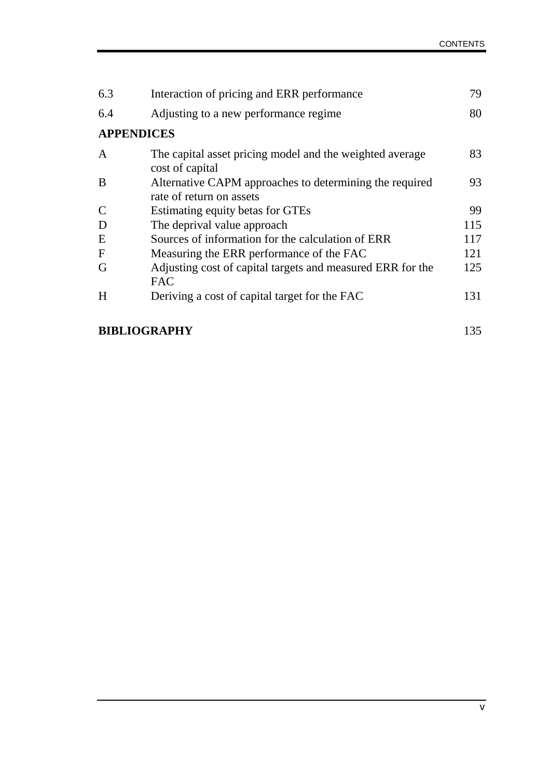| 6.3               | Interaction of pricing and ERR performance                                          | 79  |
|-------------------|-------------------------------------------------------------------------------------|-----|
| 6.4               | Adjusting to a new performance regime.                                              | 80  |
| <b>APPENDICES</b> |                                                                                     |     |
| A                 | The capital asset pricing model and the weighted average<br>cost of capital         | 83  |
| B                 | Alternative CAPM approaches to determining the required<br>rate of return on assets | 93  |
|                   | Estimating equity betas for GTEs                                                    | 99  |
| D                 | The deprival value approach                                                         | 115 |
| E                 | Sources of information for the calculation of ERR                                   | 117 |
| $\mathbf F$       | Measuring the ERR performance of the FAC                                            | 121 |
| G                 | Adjusting cost of capital targets and measured ERR for the<br><b>FAC</b>            | 125 |
| H                 | Deriving a cost of capital target for the FAC                                       | 131 |

### **BIBLIOGRAPHY** 135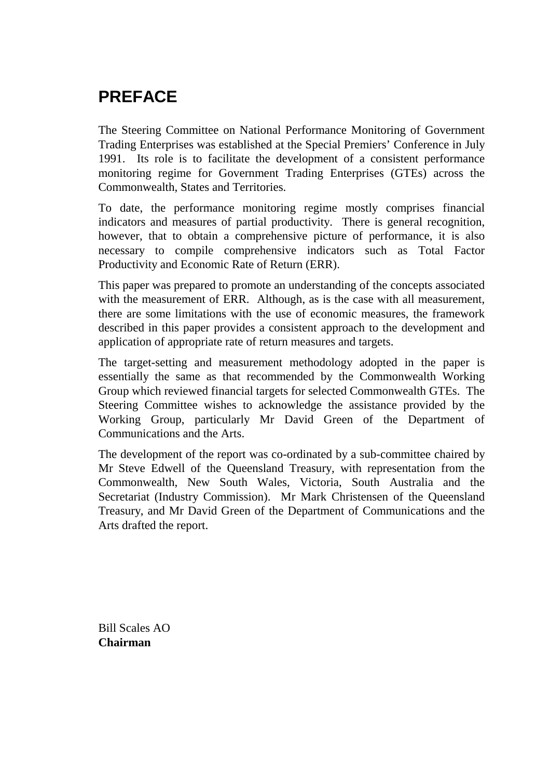# **PREFACE**

The Steering Committee on National Performance Monitoring of Government Trading Enterprises was established at the Special Premiers' Conference in July 1991. Its role is to facilitate the development of a consistent performance monitoring regime for Government Trading Enterprises (GTEs) across the Commonwealth, States and Territories.

To date, the performance monitoring regime mostly comprises financial indicators and measures of partial productivity. There is general recognition, however, that to obtain a comprehensive picture of performance, it is also necessary to compile comprehensive indicators such as Total Factor Productivity and Economic Rate of Return (ERR).

This paper was prepared to promote an understanding of the concepts associated with the measurement of ERR. Although, as is the case with all measurement, there are some limitations with the use of economic measures, the framework described in this paper provides a consistent approach to the development and application of appropriate rate of return measures and targets.

The target-setting and measurement methodology adopted in the paper is essentially the same as that recommended by the Commonwealth Working Group which reviewed financial targets for selected Commonwealth GTEs. The Steering Committee wishes to acknowledge the assistance provided by the Working Group, particularly Mr David Green of the Department of Communications and the Arts.

The development of the report was co-ordinated by a sub-committee chaired by Mr Steve Edwell of the Queensland Treasury, with representation from the Commonwealth, New South Wales, Victoria, South Australia and the Secretariat (Industry Commission). Mr Mark Christensen of the Queensland Treasury, and Mr David Green of the Department of Communications and the Arts drafted the report.

Bill Scales AO **Chairman**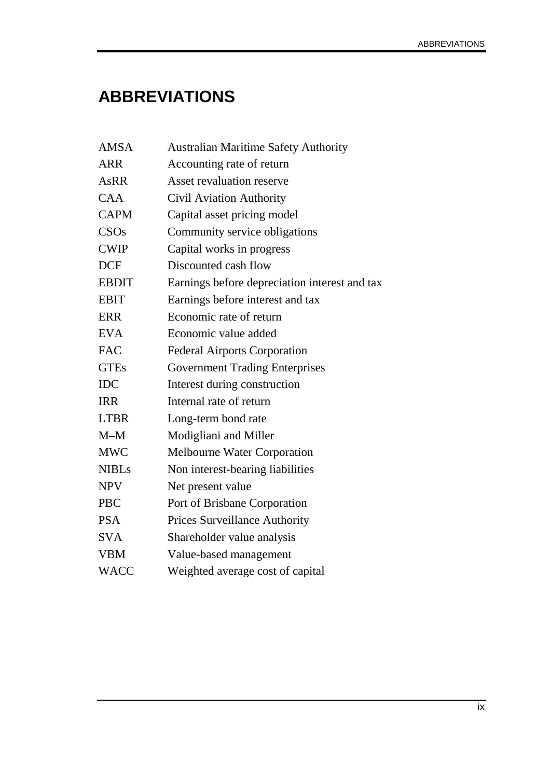# **ABBREVIATIONS**

| <b>AMSA</b>  | <b>Australian Maritime Safety Authority</b>   |
|--------------|-----------------------------------------------|
| <b>ARR</b>   | Accounting rate of return                     |
| <b>AsRR</b>  | <b>Asset revaluation reserve</b>              |
| <b>CAA</b>   | Civil Aviation Authority                      |
| <b>CAPM</b>  | Capital asset pricing model                   |
| CSOs         | Community service obligations                 |
| <b>CWIP</b>  | Capital works in progress                     |
| <b>DCF</b>   | Discounted cash flow                          |
| <b>EBDIT</b> | Earnings before depreciation interest and tax |
| <b>EBIT</b>  | Earnings before interest and tax              |
| <b>ERR</b>   | Economic rate of return                       |
| <b>EVA</b>   | Economic value added                          |
| <b>FAC</b>   | <b>Federal Airports Corporation</b>           |
| <b>GTEs</b>  | <b>Government Trading Enterprises</b>         |
| <b>IDC</b>   | Interest during construction                  |
| <b>IRR</b>   | Internal rate of return                       |
| <b>LTBR</b>  | Long-term bond rate                           |
| $M-M$        | Modigliani and Miller                         |
| <b>MWC</b>   | <b>Melbourne Water Corporation</b>            |
| <b>NIBLs</b> | Non interest-bearing liabilities              |
| <b>NPV</b>   | Net present value                             |
| <b>PBC</b>   | Port of Brisbane Corporation                  |
| <b>PSA</b>   | <b>Prices Surveillance Authority</b>          |
| <b>SVA</b>   | Shareholder value analysis                    |
| <b>VBM</b>   | Value-based management                        |
| <b>WACC</b>  | Weighted average cost of capital              |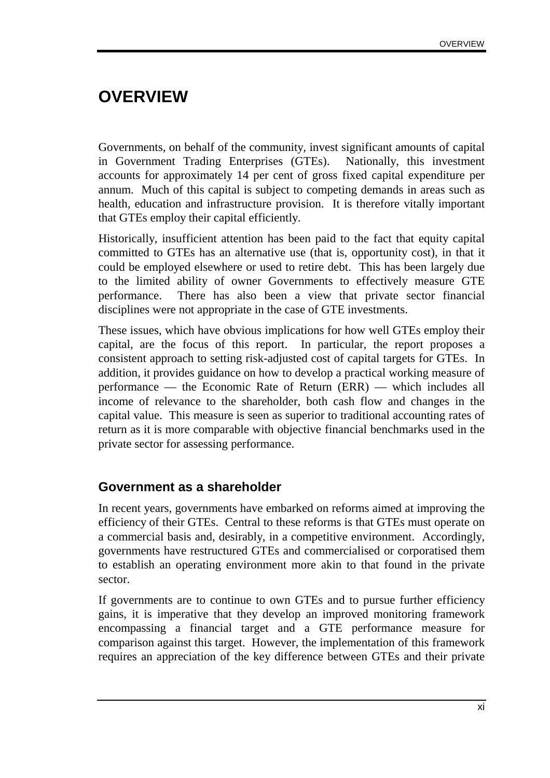# **OVERVIEW**

Governments, on behalf of the community, invest significant amounts of capital in Government Trading Enterprises (GTEs). Nationally, this investment accounts for approximately 14 per cent of gross fixed capital expenditure per annum. Much of this capital is subject to competing demands in areas such as health, education and infrastructure provision. It is therefore vitally important that GTEs employ their capital efficiently.

Historically, insufficient attention has been paid to the fact that equity capital committed to GTEs has an alternative use (that is, opportunity cost), in that it could be employed elsewhere or used to retire debt. This has been largely due to the limited ability of owner Governments to effectively measure GTE performance. There has also been a view that private sector financial disciplines were not appropriate in the case of GTE investments.

These issues, which have obvious implications for how well GTEs employ their capital, are the focus of this report. In particular, the report proposes a consistent approach to setting risk-adjusted cost of capital targets for GTEs. In addition, it provides guidance on how to develop a practical working measure of performance — the Economic Rate of Return (ERR) — which includes all income of relevance to the shareholder, both cash flow and changes in the capital value. This measure is seen as superior to traditional accounting rates of return as it is more comparable with objective financial benchmarks used in the private sector for assessing performance.

### **Government as a shareholder**

In recent years, governments have embarked on reforms aimed at improving the efficiency of their GTEs. Central to these reforms is that GTEs must operate on a commercial basis and, desirably, in a competitive environment. Accordingly, governments have restructured GTEs and commercialised or corporatised them to establish an operating environment more akin to that found in the private sector.

If governments are to continue to own GTEs and to pursue further efficiency gains, it is imperative that they develop an improved monitoring framework encompassing a financial target and a GTE performance measure for comparison against this target. However, the implementation of this framework requires an appreciation of the key difference between GTEs and their private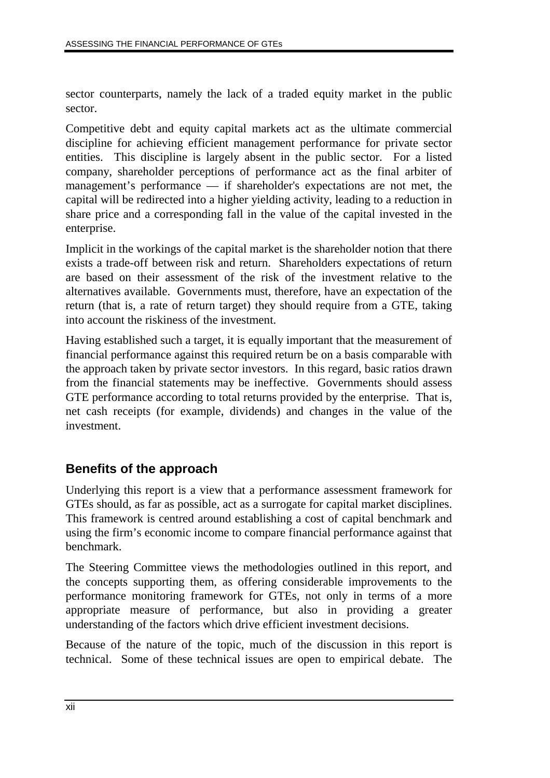sector counterparts, namely the lack of a traded equity market in the public sector.

Competitive debt and equity capital markets act as the ultimate commercial discipline for achieving efficient management performance for private sector entities. This discipline is largely absent in the public sector. For a listed company, shareholder perceptions of performance act as the final arbiter of management's performance — if shareholder's expectations are not met, the capital will be redirected into a higher yielding activity, leading to a reduction in share price and a corresponding fall in the value of the capital invested in the enterprise.

Implicit in the workings of the capital market is the shareholder notion that there exists a trade-off between risk and return. Shareholders expectations of return are based on their assessment of the risk of the investment relative to the alternatives available. Governments must, therefore, have an expectation of the return (that is, a rate of return target) they should require from a GTE, taking into account the riskiness of the investment.

Having established such a target, it is equally important that the measurement of financial performance against this required return be on a basis comparable with the approach taken by private sector investors. In this regard, basic ratios drawn from the financial statements may be ineffective. Governments should assess GTE performance according to total returns provided by the enterprise. That is, net cash receipts (for example, dividends) and changes in the value of the investment.

## **Benefits of the approach**

Underlying this report is a view that a performance assessment framework for GTEs should, as far as possible, act as a surrogate for capital market disciplines. This framework is centred around establishing a cost of capital benchmark and using the firm's economic income to compare financial performance against that benchmark.

The Steering Committee views the methodologies outlined in this report, and the concepts supporting them, as offering considerable improvements to the performance monitoring framework for GTEs, not only in terms of a more appropriate measure of performance, but also in providing a greater understanding of the factors which drive efficient investment decisions.

Because of the nature of the topic, much of the discussion in this report is technical. Some of these technical issues are open to empirical debate. The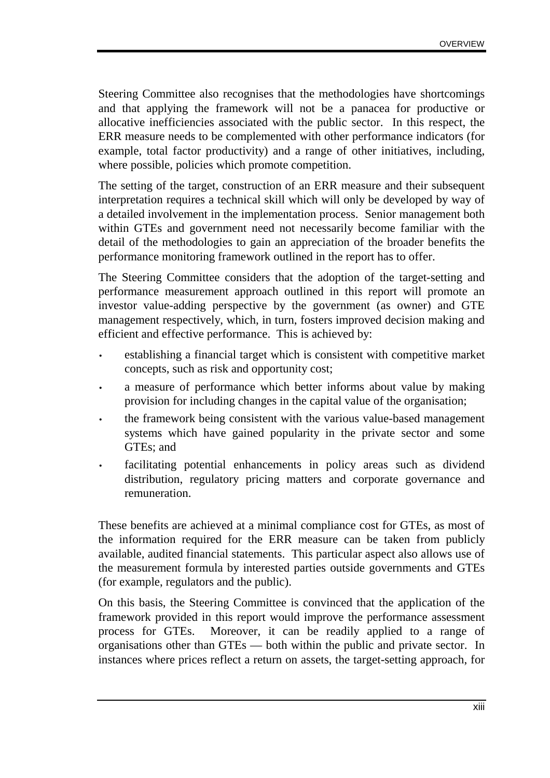Steering Committee also recognises that the methodologies have shortcomings and that applying the framework will not be a panacea for productive or allocative inefficiencies associated with the public sector. In this respect, the ERR measure needs to be complemented with other performance indicators (for example, total factor productivity) and a range of other initiatives, including, where possible, policies which promote competition.

The setting of the target, construction of an ERR measure and their subsequent interpretation requires a technical skill which will only be developed by way of a detailed involvement in the implementation process. Senior management both within GTEs and government need not necessarily become familiar with the detail of the methodologies to gain an appreciation of the broader benefits the performance monitoring framework outlined in the report has to offer.

The Steering Committee considers that the adoption of the target-setting and performance measurement approach outlined in this report will promote an investor value-adding perspective by the government (as owner) and GTE management respectively, which, in turn, fosters improved decision making and efficient and effective performance. This is achieved by:

- establishing a financial target which is consistent with competitive market concepts, such as risk and opportunity cost;
- a measure of performance which better informs about value by making provision for including changes in the capital value of the organisation;
- the framework being consistent with the various value-based management systems which have gained popularity in the private sector and some GTEs; and
- facilitating potential enhancements in policy areas such as dividend distribution, regulatory pricing matters and corporate governance and remuneration.

These benefits are achieved at a minimal compliance cost for GTEs, as most of the information required for the ERR measure can be taken from publicly available, audited financial statements. This particular aspect also allows use of the measurement formula by interested parties outside governments and GTEs (for example, regulators and the public).

On this basis, the Steering Committee is convinced that the application of the framework provided in this report would improve the performance assessment process for GTEs. Moreover, it can be readily applied to a range of organisations other than GTEs — both within the public and private sector. In instances where prices reflect a return on assets, the target-setting approach, for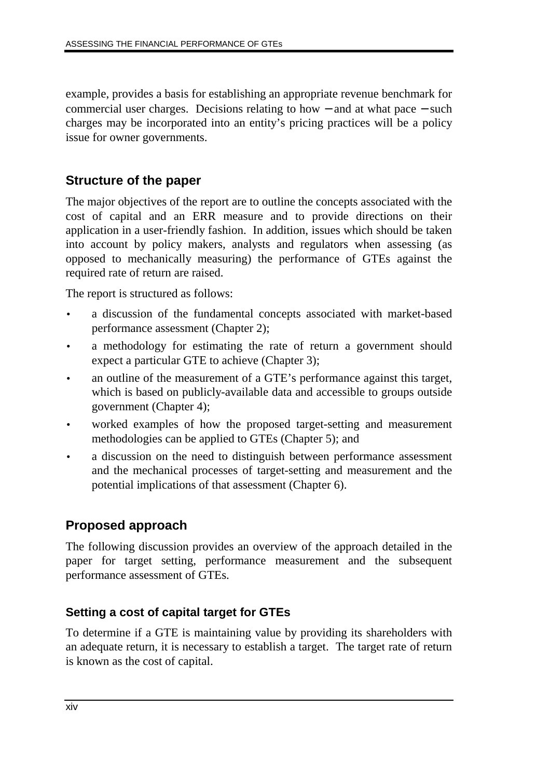example, provides a basis for establishing an appropriate revenue benchmark for commercial user charges. Decisions relating to how − and at what pace − such charges may be incorporated into an entity's pricing practices will be a policy issue for owner governments.

## **Structure of the paper**

The major objectives of the report are to outline the concepts associated with the cost of capital and an ERR measure and to provide directions on their application in a user-friendly fashion. In addition, issues which should be taken into account by policy makers, analysts and regulators when assessing (as opposed to mechanically measuring) the performance of GTEs against the required rate of return are raised.

The report is structured as follows:

- a discussion of the fundamental concepts associated with market-based performance assessment (Chapter 2);
- a methodology for estimating the rate of return a government should expect a particular GTE to achieve (Chapter 3);
- an outline of the measurement of a GTE's performance against this target, which is based on publicly-available data and accessible to groups outside government (Chapter 4);
- worked examples of how the proposed target-setting and measurement methodologies can be applied to GTEs (Chapter 5); and
- a discussion on the need to distinguish between performance assessment and the mechanical processes of target-setting and measurement and the potential implications of that assessment (Chapter 6).

## **Proposed approach**

The following discussion provides an overview of the approach detailed in the paper for target setting, performance measurement and the subsequent performance assessment of GTEs.

### **Setting a cost of capital target for GTEs**

To determine if a GTE is maintaining value by providing its shareholders with an adequate return, it is necessary to establish a target. The target rate of return is known as the cost of capital.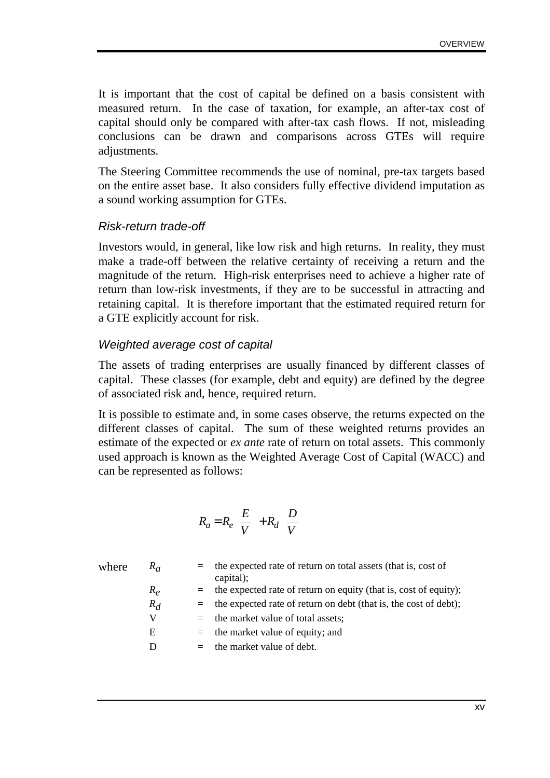It is important that the cost of capital be defined on a basis consistent with measured return. In the case of taxation, for example, an after-tax cost of capital should only be compared with after-tax cash flows. If not, misleading conclusions can be drawn and comparisons across GTEs will require adjustments.

The Steering Committee recommends the use of nominal, pre-tax targets based on the entire asset base. It also considers fully effective dividend imputation as a sound working assumption for GTEs.

#### Risk-return trade-off

Investors would, in general, like low risk and high returns. In reality, they must make a trade-off between the relative certainty of receiving a return and the magnitude of the return. High-risk enterprises need to achieve a higher rate of return than low-risk investments, if they are to be successful in attracting and retaining capital. It is therefore important that the estimated required return for a GTE explicitly account for risk.

#### Weighted average cost of capital

The assets of trading enterprises are usually financed by different classes of capital. These classes (for example, debt and equity) are defined by the degree of associated risk and, hence, required return.

It is possible to estimate and, in some cases observe, the returns expected on the different classes of capital. The sum of these weighted returns provides an estimate of the expected or *ex ante* rate of return on total assets. This commonly used approach is known as the Weighted Average Cost of Capital (WACC) and can be represented as follows:

$$
R_a = R_e \left(\frac{E}{V}\right) + R_d \left(\frac{D}{V}\right)
$$

| where | $R_a$ | $=$ the expected rate of return on total assets (that is, cost of<br>capital); |
|-------|-------|--------------------------------------------------------------------------------|
|       | $R_e$ | $=$ the expected rate of return on equity (that is, cost of equity);           |
|       | $R_d$ | $=$ the expected rate of return on debt (that is, the cost of debt);           |
|       | V     | $=$ the market value of total assets;                                          |
|       | Ε     | $=$ the market value of equity; and                                            |
|       |       | $=$ the market value of debt.                                                  |
|       |       |                                                                                |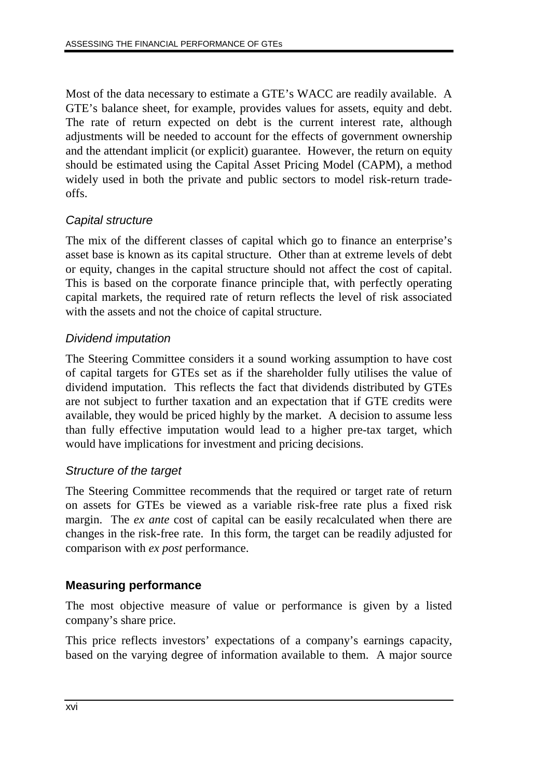Most of the data necessary to estimate a GTE's WACC are readily available. A GTE's balance sheet, for example, provides values for assets, equity and debt. The rate of return expected on debt is the current interest rate, although adjustments will be needed to account for the effects of government ownership and the attendant implicit (or explicit) guarantee. However, the return on equity should be estimated using the Capital Asset Pricing Model (CAPM), a method widely used in both the private and public sectors to model risk-return tradeoffs.

### Capital structure

The mix of the different classes of capital which go to finance an enterprise's asset base is known as its capital structure. Other than at extreme levels of debt or equity, changes in the capital structure should not affect the cost of capital. This is based on the corporate finance principle that, with perfectly operating capital markets, the required rate of return reflects the level of risk associated with the assets and not the choice of capital structure.

### Dividend imputation

The Steering Committee considers it a sound working assumption to have cost of capital targets for GTEs set as if the shareholder fully utilises the value of dividend imputation. This reflects the fact that dividends distributed by GTEs are not subject to further taxation and an expectation that if GTE credits were available, they would be priced highly by the market. A decision to assume less than fully effective imputation would lead to a higher pre-tax target, which would have implications for investment and pricing decisions.

### Structure of the target

The Steering Committee recommends that the required or target rate of return on assets for GTEs be viewed as a variable risk-free rate plus a fixed risk margin. The *ex ante* cost of capital can be easily recalculated when there are changes in the risk-free rate. In this form, the target can be readily adjusted for comparison with *ex post* performance.

### **Measuring performance**

The most objective measure of value or performance is given by a listed company's share price.

This price reflects investors' expectations of a company's earnings capacity, based on the varying degree of information available to them. A major source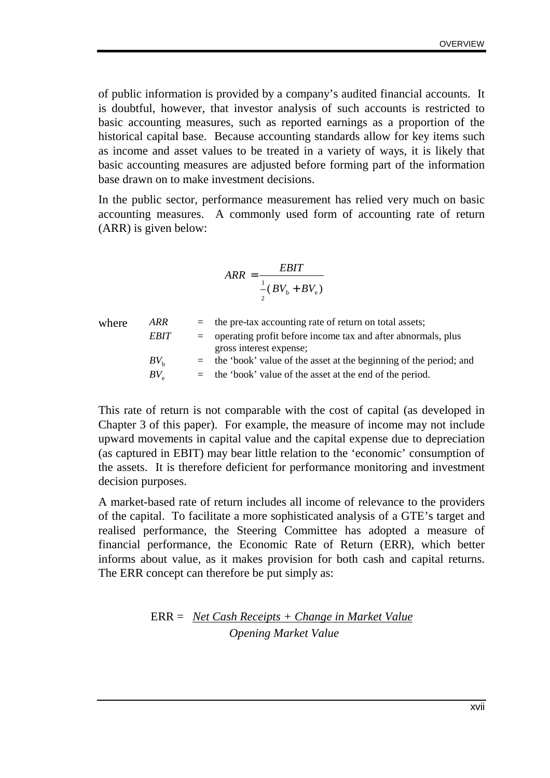of public information is provided by a company's audited financial accounts. It is doubtful, however, that investor analysis of such accounts is restricted to basic accounting measures, such as reported earnings as a proportion of the historical capital base. Because accounting standards allow for key items such as income and asset values to be treated in a variety of ways, it is likely that basic accounting measures are adjusted before forming part of the information base drawn on to make investment decisions.

In the public sector, performance measurement has relied very much on basic accounting measures. A commonly used form of accounting rate of return (ARR) is given below:

$$
ARR = \frac{EBIT}{\frac{1}{2}(BV_b + BV_e)}
$$

|             |                    | $=$ the pre-tax accounting rate of return on total assets;            |
|-------------|--------------------|-----------------------------------------------------------------------|
|             |                    | $=$ operating profit before income tax and after abnormals, plus      |
|             |                    | gross interest expense;                                               |
| $BV_{h}$    |                    | $=$ the 'book' value of the asset at the beginning of the period; and |
| $BV_{\sim}$ |                    | $=$ the 'book' value of the asset at the end of the period.           |
|             | ARR<br><b>EBIT</b> |                                                                       |

This rate of return is not comparable with the cost of capital (as developed in Chapter 3 of this paper). For example, the measure of income may not include upward movements in capital value and the capital expense due to depreciation (as captured in EBIT) may bear little relation to the 'economic' consumption of the assets. It is therefore deficient for performance monitoring and investment decision purposes.

A market-based rate of return includes all income of relevance to the providers of the capital. To facilitate a more sophisticated analysis of a GTE's target and realised performance, the Steering Committee has adopted a measure of financial performance, the Economic Rate of Return (ERR), which better informs about value, as it makes provision for both cash and capital returns. The ERR concept can therefore be put simply as:

ERR = *Net Cash Receipts + Change in Market Value Opening Market Value*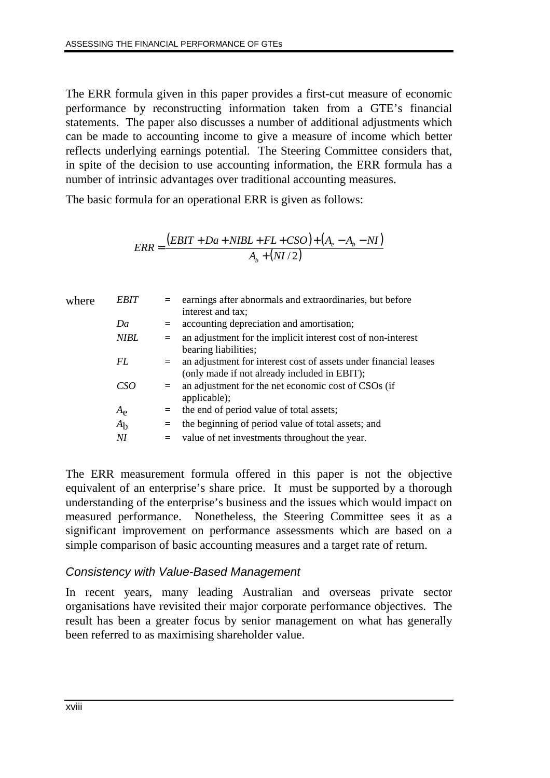The ERR formula given in this paper provides a first-cut measure of economic performance by reconstructing information taken from a GTE's financial statements. The paper also discusses a number of additional adjustments which can be made to accounting income to give a measure of income which better reflects underlying earnings potential. The Steering Committee considers that, in spite of the decision to use accounting information, the ERR formula has a number of intrinsic advantages over traditional accounting measures.

The basic formula for an operational ERR is given as follows:

$$
ERR = \frac{(EBIT + Da + NIBL + FL + CSO) + (A_e - A_b - NI)}{A_b + (NI/2)}
$$

| where | <b>EBIT</b>    | $=$ | earnings after abnormals and extraordinaries, but before<br>interest and tax;                                    |
|-------|----------------|-----|------------------------------------------------------------------------------------------------------------------|
|       | Da             | $=$ | accounting depreciation and amortisation;                                                                        |
|       | NIBL           | $=$ | an adjustment for the implicit interest cost of non-interest<br>bearing liabilities;                             |
|       | FL             | $=$ | an adjustment for interest cost of assets under financial leases<br>(only made if not already included in EBIT); |
|       | CSO            | $=$ | an adjustment for the net economic cost of CSOs (if<br>applicable);                                              |
|       | $A_{\rm e}$    | $=$ | the end of period value of total assets;                                                                         |
|       | A <sub>b</sub> | $=$ | the beginning of period value of total assets; and                                                               |
|       | NI             |     | value of net investments throughout the year.                                                                    |
|       |                |     |                                                                                                                  |

The ERR measurement formula offered in this paper is not the objective equivalent of an enterprise's share price. It must be supported by a thorough understanding of the enterprise's business and the issues which would impact on measured performance. Nonetheless, the Steering Committee sees it as a significant improvement on performance assessments which are based on a simple comparison of basic accounting measures and a target rate of return.

#### Consistency with Value-Based Management

In recent years, many leading Australian and overseas private sector organisations have revisited their major corporate performance objectives. The result has been a greater focus by senior management on what has generally been referred to as maximising shareholder value.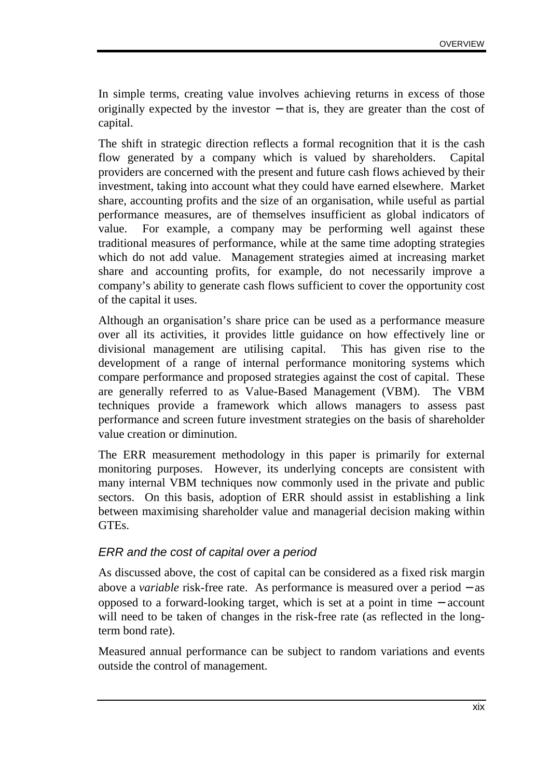In simple terms, creating value involves achieving returns in excess of those originally expected by the investor − that is, they are greater than the cost of capital.

The shift in strategic direction reflects a formal recognition that it is the cash flow generated by a company which is valued by shareholders. Capital providers are concerned with the present and future cash flows achieved by their investment, taking into account what they could have earned elsewhere. Market share, accounting profits and the size of an organisation, while useful as partial performance measures, are of themselves insufficient as global indicators of value. For example, a company may be performing well against these traditional measures of performance, while at the same time adopting strategies which do not add value. Management strategies aimed at increasing market share and accounting profits, for example, do not necessarily improve a company's ability to generate cash flows sufficient to cover the opportunity cost of the capital it uses.

Although an organisation's share price can be used as a performance measure over all its activities, it provides little guidance on how effectively line or divisional management are utilising capital. This has given rise to the development of a range of internal performance monitoring systems which compare performance and proposed strategies against the cost of capital. These are generally referred to as Value-Based Management (VBM). The VBM techniques provide a framework which allows managers to assess past performance and screen future investment strategies on the basis of shareholder value creation or diminution.

The ERR measurement methodology in this paper is primarily for external monitoring purposes. However, its underlying concepts are consistent with many internal VBM techniques now commonly used in the private and public sectors. On this basis, adoption of ERR should assist in establishing a link between maximising shareholder value and managerial decision making within GTEs.

#### ERR and the cost of capital over a period

As discussed above, the cost of capital can be considered as a fixed risk margin above a *variable* risk-free rate. As performance is measured over a period − as opposed to a forward-looking target, which is set at a point in time − account will need to be taken of changes in the risk-free rate (as reflected in the longterm bond rate).

Measured annual performance can be subject to random variations and events outside the control of management.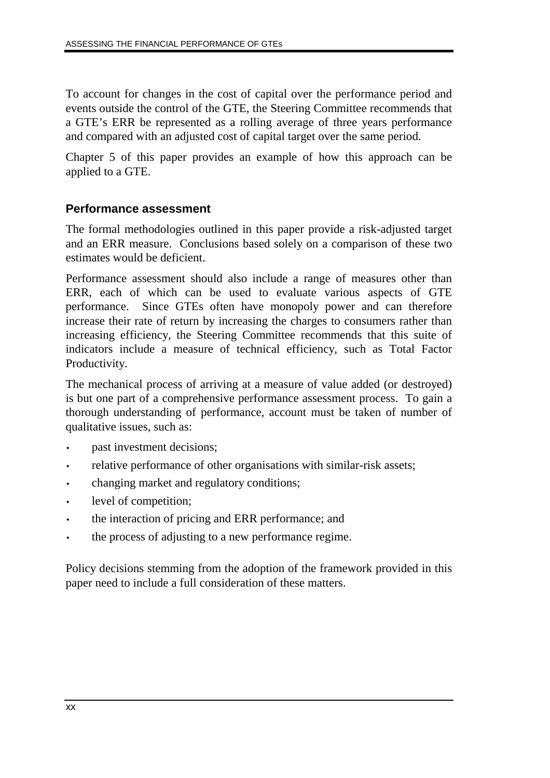To account for changes in the cost of capital over the performance period and events outside the control of the GTE, the Steering Committee recommends that a GTE's ERR be represented as a rolling average of three years performance and compared with an adjusted cost of capital target over the same period.

Chapter 5 of this paper provides an example of how this approach can be applied to a GTE.

### **Performance assessment**

The formal methodologies outlined in this paper provide a risk-adjusted target and an ERR measure. Conclusions based solely on a comparison of these two estimates would be deficient.

Performance assessment should also include a range of measures other than ERR, each of which can be used to evaluate various aspects of GTE performance. Since GTEs often have monopoly power and can therefore increase their rate of return by increasing the charges to consumers rather than increasing efficiency, the Steering Committee recommends that this suite of indicators include a measure of technical efficiency, such as Total Factor Productivity.

The mechanical process of arriving at a measure of value added (or destroyed) is but one part of a comprehensive performance assessment process. To gain a thorough understanding of performance, account must be taken of number of qualitative issues, such as:

- past investment decisions;
- relative performance of other organisations with similar-risk assets;
- changing market and regulatory conditions;
- level of competition;
- the interaction of pricing and ERR performance; and
- the process of adjusting to a new performance regime.

Policy decisions stemming from the adoption of the framework provided in this paper need to include a full consideration of these matters.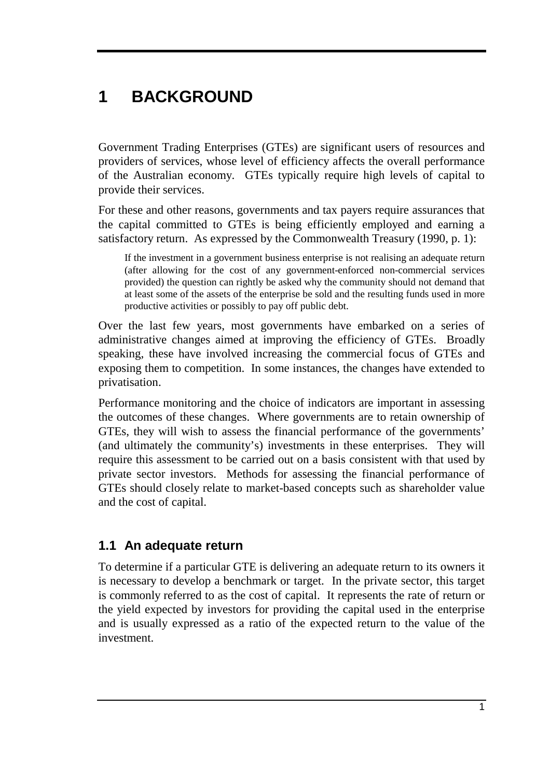# **1 BACKGROUND**

Government Trading Enterprises (GTEs) are significant users of resources and providers of services, whose level of efficiency affects the overall performance of the Australian economy. GTEs typically require high levels of capital to provide their services.

For these and other reasons, governments and tax payers require assurances that the capital committed to GTEs is being efficiently employed and earning a satisfactory return. As expressed by the Commonwealth Treasury (1990, p. 1):

If the investment in a government business enterprise is not realising an adequate return (after allowing for the cost of any government-enforced non-commercial services provided) the question can rightly be asked why the community should not demand that at least some of the assets of the enterprise be sold and the resulting funds used in more productive activities or possibly to pay off public debt.

Over the last few years, most governments have embarked on a series of administrative changes aimed at improving the efficiency of GTEs. Broadly speaking, these have involved increasing the commercial focus of GTEs and exposing them to competition. In some instances, the changes have extended to privatisation.

Performance monitoring and the choice of indicators are important in assessing the outcomes of these changes. Where governments are to retain ownership of GTEs, they will wish to assess the financial performance of the governments' (and ultimately the community's) investments in these enterprises. They will require this assessment to be carried out on a basis consistent with that used by private sector investors. Methods for assessing the financial performance of GTEs should closely relate to market-based concepts such as shareholder value and the cost of capital.

## **1.1 An adequate return**

To determine if a particular GTE is delivering an adequate return to its owners it is necessary to develop a benchmark or target. In the private sector, this target is commonly referred to as the cost of capital. It represents the rate of return or the yield expected by investors for providing the capital used in the enterprise and is usually expressed as a ratio of the expected return to the value of the investment.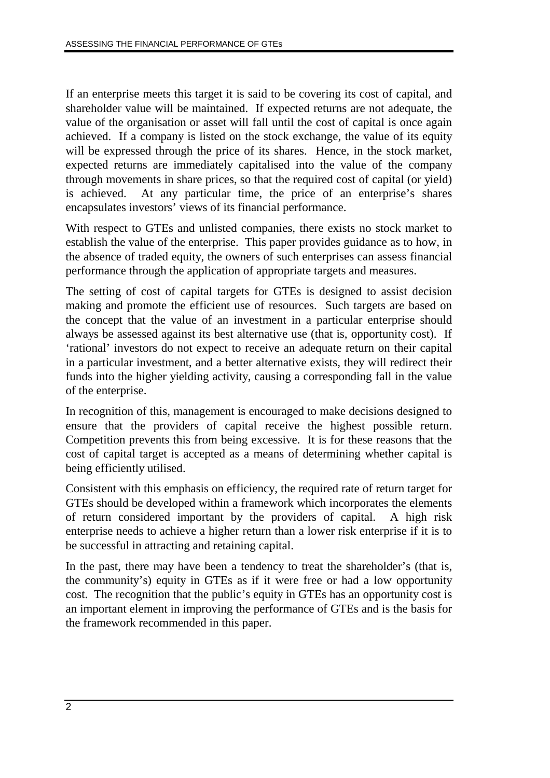If an enterprise meets this target it is said to be covering its cost of capital, and shareholder value will be maintained. If expected returns are not adequate, the value of the organisation or asset will fall until the cost of capital is once again achieved. If a company is listed on the stock exchange, the value of its equity will be expressed through the price of its shares. Hence, in the stock market, expected returns are immediately capitalised into the value of the company through movements in share prices, so that the required cost of capital (or yield) is achieved. At any particular time, the price of an enterprise's shares encapsulates investors' views of its financial performance.

With respect to GTEs and unlisted companies, there exists no stock market to establish the value of the enterprise. This paper provides guidance as to how, in the absence of traded equity, the owners of such enterprises can assess financial performance through the application of appropriate targets and measures.

The setting of cost of capital targets for GTEs is designed to assist decision making and promote the efficient use of resources. Such targets are based on the concept that the value of an investment in a particular enterprise should always be assessed against its best alternative use (that is, opportunity cost). If 'rational' investors do not expect to receive an adequate return on their capital in a particular investment, and a better alternative exists, they will redirect their funds into the higher yielding activity, causing a corresponding fall in the value of the enterprise.

In recognition of this, management is encouraged to make decisions designed to ensure that the providers of capital receive the highest possible return. Competition prevents this from being excessive. It is for these reasons that the cost of capital target is accepted as a means of determining whether capital is being efficiently utilised.

Consistent with this emphasis on efficiency, the required rate of return target for GTEs should be developed within a framework which incorporates the elements of return considered important by the providers of capital. A high risk enterprise needs to achieve a higher return than a lower risk enterprise if it is to be successful in attracting and retaining capital.

In the past, there may have been a tendency to treat the shareholder's (that is, the community's) equity in GTEs as if it were free or had a low opportunity cost. The recognition that the public's equity in GTEs has an opportunity cost is an important element in improving the performance of GTEs and is the basis for the framework recommended in this paper.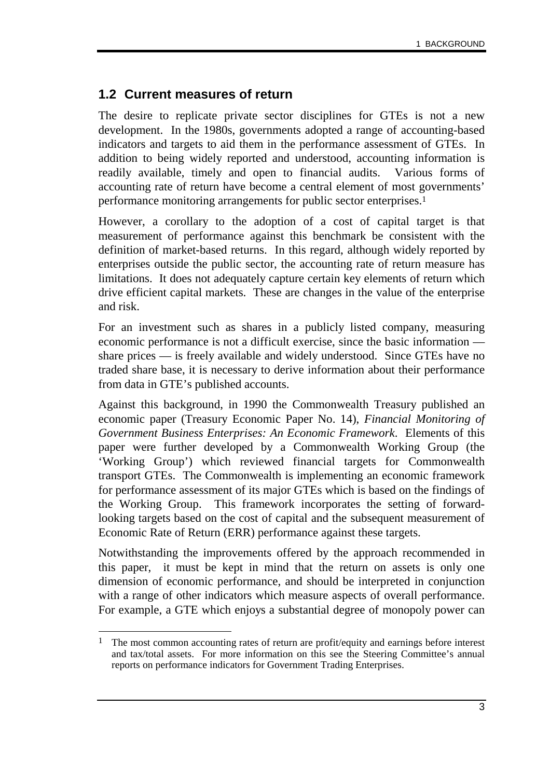### **1.2 Current measures of return**

The desire to replicate private sector disciplines for GTEs is not a new development. In the 1980s, governments adopted a range of accounting-based indicators and targets to aid them in the performance assessment of GTEs. In addition to being widely reported and understood, accounting information is readily available, timely and open to financial audits. Various forms of accounting rate of return have become a central element of most governments' performance monitoring arrangements for public sector enterprises.1

However, a corollary to the adoption of a cost of capital target is that measurement of performance against this benchmark be consistent with the definition of market-based returns. In this regard, although widely reported by enterprises outside the public sector, the accounting rate of return measure has limitations. It does not adequately capture certain key elements of return which drive efficient capital markets. These are changes in the value of the enterprise and risk.

For an investment such as shares in a publicly listed company, measuring economic performance is not a difficult exercise, since the basic information share prices — is freely available and widely understood. Since GTEs have no traded share base, it is necessary to derive information about their performance from data in GTE's published accounts.

Against this background, in 1990 the Commonwealth Treasury published an economic paper (Treasury Economic Paper No. 14), *Financial Monitoring of Government Business Enterprises: An Economic Framework*. Elements of this paper were further developed by a Commonwealth Working Group (the 'Working Group') which reviewed financial targets for Commonwealth transport GTEs. The Commonwealth is implementing an economic framework for performance assessment of its major GTEs which is based on the findings of the Working Group. This framework incorporates the setting of forwardlooking targets based on the cost of capital and the subsequent measurement of Economic Rate of Return (ERR) performance against these targets.

Notwithstanding the improvements offered by the approach recommended in this paper, it must be kept in mind that the return on assets is only one dimension of economic performance, and should be interpreted in conjunction with a range of other indicators which measure aspects of overall performance. For example, a GTE which enjoys a substantial degree of monopoly power can

<sup>-</sup><sup>1</sup> The most common accounting rates of return are profit/equity and earnings before interest and tax/total assets. For more information on this see the Steering Committee's annual reports on performance indicators for Government Trading Enterprises.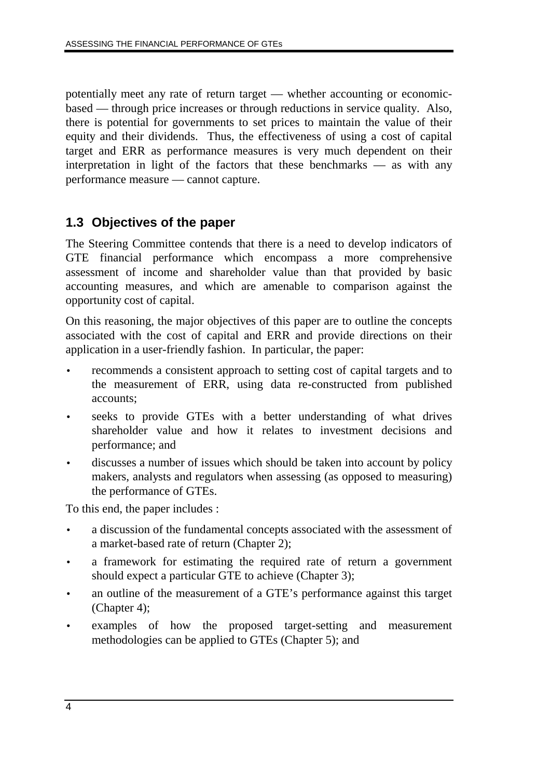potentially meet any rate of return target — whether accounting or economicbased — through price increases or through reductions in service quality. Also, there is potential for governments to set prices to maintain the value of their equity and their dividends. Thus, the effectiveness of using a cost of capital target and ERR as performance measures is very much dependent on their interpretation in light of the factors that these benchmarks — as with any performance measure — cannot capture.

### **1.3 Objectives of the paper**

The Steering Committee contends that there is a need to develop indicators of GTE financial performance which encompass a more comprehensive assessment of income and shareholder value than that provided by basic accounting measures, and which are amenable to comparison against the opportunity cost of capital.

On this reasoning, the major objectives of this paper are to outline the concepts associated with the cost of capital and ERR and provide directions on their application in a user-friendly fashion. In particular, the paper:

- recommends a consistent approach to setting cost of capital targets and to the measurement of ERR, using data re-constructed from published accounts;
- seeks to provide GTEs with a better understanding of what drives shareholder value and how it relates to investment decisions and performance; and
- discusses a number of issues which should be taken into account by policy makers, analysts and regulators when assessing (as opposed to measuring) the performance of GTEs.

To this end, the paper includes :

- a discussion of the fundamental concepts associated with the assessment of a market-based rate of return (Chapter 2);
- a framework for estimating the required rate of return a government should expect a particular GTE to achieve (Chapter 3);
- an outline of the measurement of a GTE's performance against this target (Chapter 4);
- examples of how the proposed target-setting and measurement methodologies can be applied to GTEs (Chapter 5); and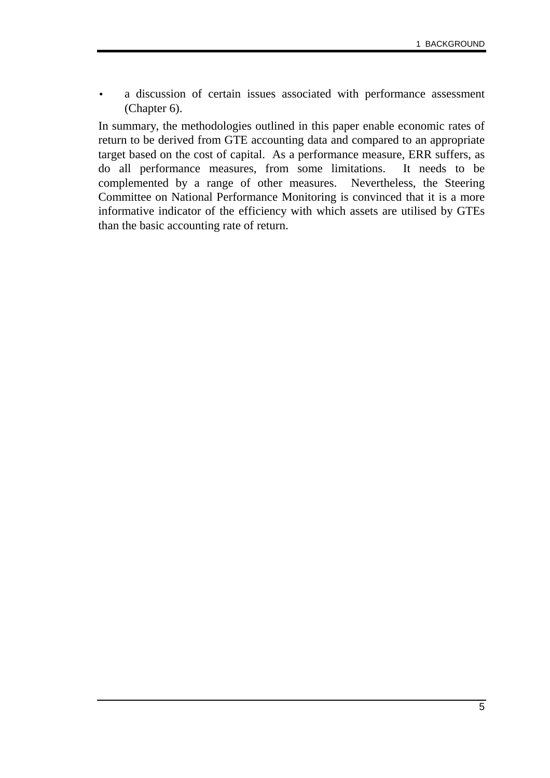a discussion of certain issues associated with performance assessment (Chapter 6).

In summary, the methodologies outlined in this paper enable economic rates of return to be derived from GTE accounting data and compared to an appropriate target based on the cost of capital. As a performance measure, ERR suffers, as do all performance measures, from some limitations. It needs to be complemented by a range of other measures. Nevertheless, the Steering Committee on National Performance Monitoring is convinced that it is a more informative indicator of the efficiency with which assets are utilised by GTEs than the basic accounting rate of return.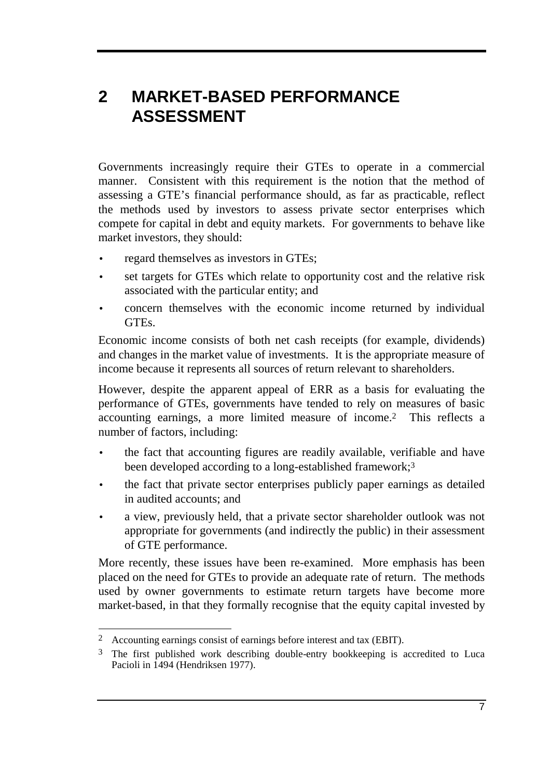# **2 MARKET-BASED PERFORMANCE ASSESSMENT**

Governments increasingly require their GTEs to operate in a commercial manner. Consistent with this requirement is the notion that the method of assessing a GTE's financial performance should, as far as practicable, reflect the methods used by investors to assess private sector enterprises which compete for capital in debt and equity markets. For governments to behave like market investors, they should:

- regard themselves as investors in GTEs;
- set targets for GTEs which relate to opportunity cost and the relative risk associated with the particular entity; and
- concern themselves with the economic income returned by individual GTEs.

Economic income consists of both net cash receipts (for example, dividends) and changes in the market value of investments. It is the appropriate measure of income because it represents all sources of return relevant to shareholders.

However, despite the apparent appeal of ERR as a basis for evaluating the performance of GTEs, governments have tended to rely on measures of basic accounting earnings, a more limited measure of income.2 This reflects a number of factors, including:

- the fact that accounting figures are readily available, verifiable and have been developed according to a long-established framework;<sup>3</sup>
- the fact that private sector enterprises publicly paper earnings as detailed in audited accounts; and
- a view, previously held, that a private sector shareholder outlook was not appropriate for governments (and indirectly the public) in their assessment of GTE performance.

More recently, these issues have been re-examined. More emphasis has been placed on the need for GTEs to provide an adequate rate of return. The methods used by owner governments to estimate return targets have become more market-based, in that they formally recognise that the equity capital invested by

-

<sup>2</sup> Accounting earnings consist of earnings before interest and tax (EBIT).

<sup>&</sup>lt;sup>3</sup> The first published work describing double-entry bookkeeping is accredited to Luca Pacioli in 1494 (Hendriksen 1977).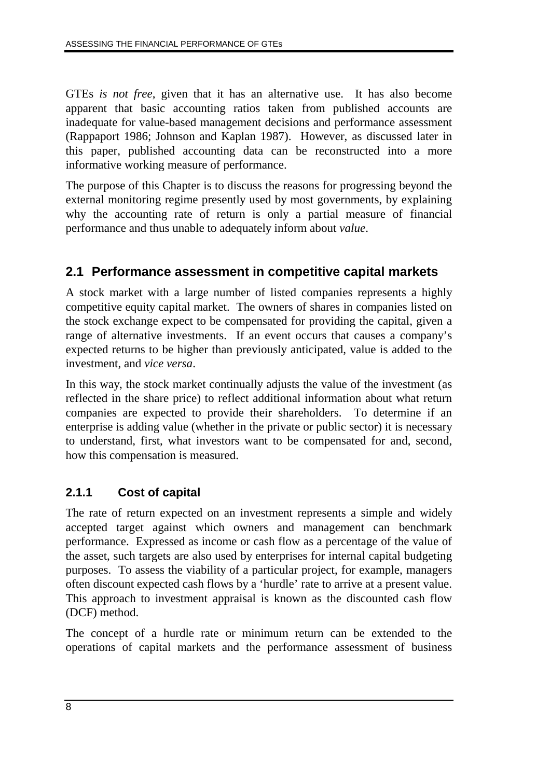GTEs *is not free*, given that it has an alternative use. It has also become apparent that basic accounting ratios taken from published accounts are inadequate for value-based management decisions and performance assessment (Rappaport 1986; Johnson and Kaplan 1987). However, as discussed later in this paper, published accounting data can be reconstructed into a more informative working measure of performance.

The purpose of this Chapter is to discuss the reasons for progressing beyond the external monitoring regime presently used by most governments, by explaining why the accounting rate of return is only a partial measure of financial performance and thus unable to adequately inform about *value*.

## **2.1 Performance assessment in competitive capital markets**

A stock market with a large number of listed companies represents a highly competitive equity capital market. The owners of shares in companies listed on the stock exchange expect to be compensated for providing the capital, given a range of alternative investments. If an event occurs that causes a company's expected returns to be higher than previously anticipated, value is added to the investment, and *vice versa*.

In this way, the stock market continually adjusts the value of the investment (as reflected in the share price) to reflect additional information about what return companies are expected to provide their shareholders. To determine if an enterprise is adding value (whether in the private or public sector) it is necessary to understand, first, what investors want to be compensated for and, second, how this compensation is measured.

### **2.1.1 Cost of capital**

The rate of return expected on an investment represents a simple and widely accepted target against which owners and management can benchmark performance. Expressed as income or cash flow as a percentage of the value of the asset, such targets are also used by enterprises for internal capital budgeting purposes. To assess the viability of a particular project, for example, managers often discount expected cash flows by a 'hurdle' rate to arrive at a present value. This approach to investment appraisal is known as the discounted cash flow (DCF) method.

The concept of a hurdle rate or minimum return can be extended to the operations of capital markets and the performance assessment of business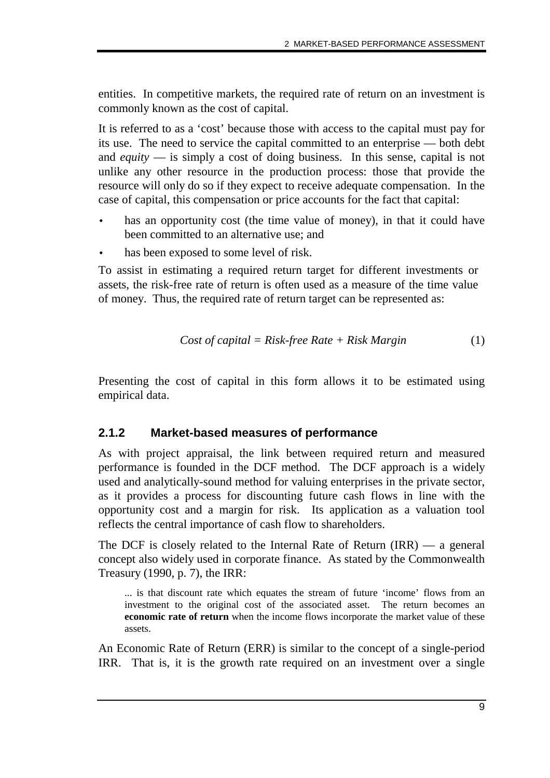entities. In competitive markets, the required rate of return on an investment is commonly known as the cost of capital.

It is referred to as a 'cost' because those with access to the capital must pay for its use. The need to service the capital committed to an enterprise — both debt and *equity* — is simply a cost of doing business. In this sense, capital is not unlike any other resource in the production process: those that provide the resource will only do so if they expect to receive adequate compensation. In the case of capital, this compensation or price accounts for the fact that capital:

- has an opportunity cost (the time value of money), in that it could have been committed to an alternative use; and
- has been exposed to some level of risk.

To assist in estimating a required return target for different investments or assets, the risk-free rate of return is often used as a measure of the time value of money. Thus, the required rate of return target can be represented as:

$$
Cost of capital = Risk-free Rate + Risk Margin
$$
 (1)

Presenting the cost of capital in this form allows it to be estimated using empirical data.

### **2.1.2 Market-based measures of performance**

As with project appraisal, the link between required return and measured performance is founded in the DCF method. The DCF approach is a widely used and analytically-sound method for valuing enterprises in the private sector, as it provides a process for discounting future cash flows in line with the opportunity cost and a margin for risk. Its application as a valuation tool reflects the central importance of cash flow to shareholders.

The DCF is closely related to the Internal Rate of Return (IRR) — a general concept also widely used in corporate finance. As stated by the Commonwealth Treasury (1990, p. 7), the IRR:

... is that discount rate which equates the stream of future 'income' flows from an investment to the original cost of the associated asset. The return becomes an **economic rate of return** when the income flows incorporate the market value of these assets.

An Economic Rate of Return (ERR) is similar to the concept of a single-period IRR. That is, it is the growth rate required on an investment over a single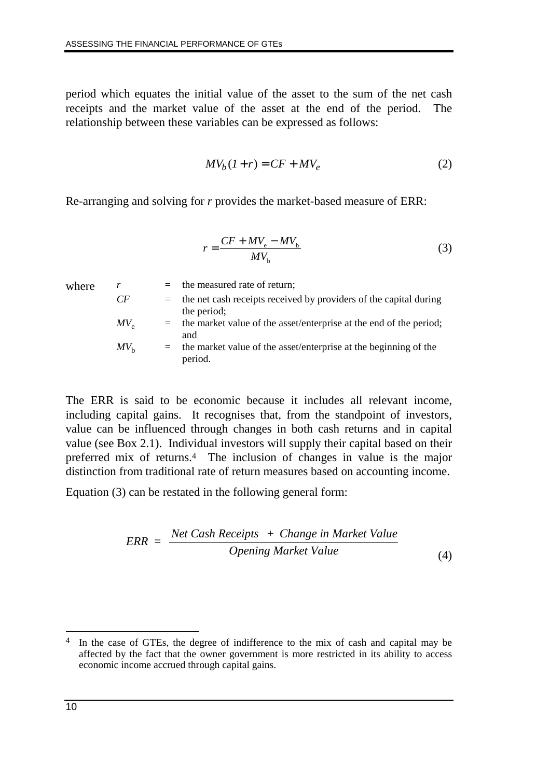period which equates the initial value of the asset to the sum of the net cash receipts and the market value of the asset at the end of the period. The relationship between these variables can be expressed as follows:

$$
MV_b(1+r) = CF + MV_e \tag{2}
$$

Re-arranging and solving for *r* provides the market-based measure of ERR:

$$
r = \frac{CF + MV_e - MV_b}{MV_b} \tag{3}
$$

| where | r               | $=$ | the measured rate of return;                                       |
|-------|-----------------|-----|--------------------------------------------------------------------|
|       | CF              | $=$ | the net cash receipts received by providers of the capital during  |
|       |                 |     | the period;                                                        |
|       | $MV_{\alpha}$   | $=$ | the market value of the asset/enterprise at the end of the period; |
|       |                 |     | and                                                                |
|       | MV <sub>h</sub> | $=$ | the market value of the asset/enterprise at the beginning of the   |
|       |                 |     | period.                                                            |

The ERR is said to be economic because it includes all relevant income, including capital gains. It recognises that, from the standpoint of investors, value can be influenced through changes in both cash returns and in capital value (see Box 2.1). Individual investors will supply their capital based on their preferred mix of returns.4 The inclusion of changes in value is the major distinction from traditional rate of return measures based on accounting income.

Equation (3) can be restated in the following general form:

$$
ERR = \frac{Net Cash \text{Receipts } + Change \text{ in Market Value}}{Opening \text{ Market Value}}
$$
\n(4)

 $\overline{a}$ 

<sup>&</sup>lt;sup>4</sup> In the case of GTEs, the degree of indifference to the mix of cash and capital may be affected by the fact that the owner government is more restricted in its ability to access economic income accrued through capital gains.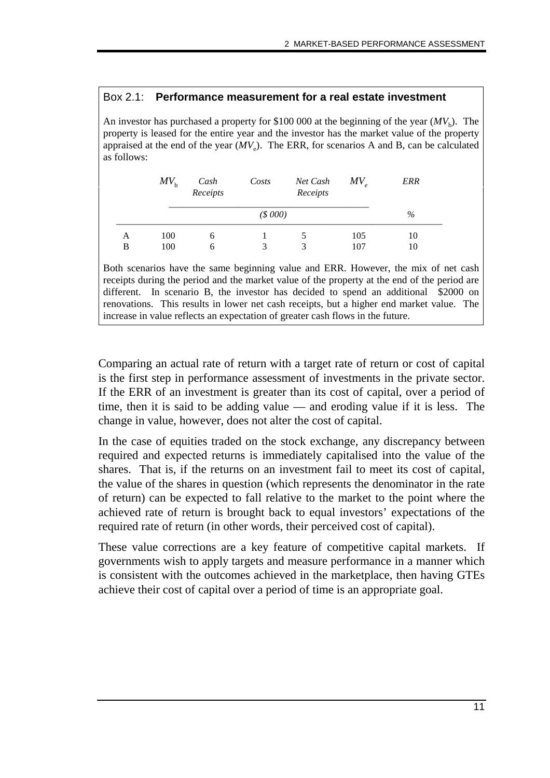#### Box 2.1: **Performance measurement for a real estate investment**

An investor has purchased a property for \$100 000 at the beginning of the year  $(MV<sub>b</sub>)$ . The property is leased for the entire year and the investor has the market value of the property appraised at the end of the year  $(MV_e)$ . The ERR, for scenarios A and B, can be calculated as follows:

|   | $MV_{h}$ | $MV_{\alpha}$<br>Net Cash<br>Cash<br>Costs<br>Receipts<br>Receipts |         |  | ERR |      |
|---|----------|--------------------------------------------------------------------|---------|--|-----|------|
|   |          |                                                                    | (S 000) |  |     | $\%$ |
| А | 100      | <sub>(</sub>                                                       |         |  | 105 | 10   |
| В | 100      | O                                                                  | 3       |  | 107 | 10   |

Both scenarios have the same beginning value and ERR. However, the mix of net cash receipts during the period and the market value of the property at the end of the period are different. In scenario B, the investor has decided to spend an additional \$2000 on renovations. This results in lower net cash receipts, but a higher end market value. The increase in value reflects an expectation of greater cash flows in the future.

Comparing an actual rate of return with a target rate of return or cost of capital is the first step in performance assessment of investments in the private sector. If the ERR of an investment is greater than its cost of capital, over a period of time, then it is said to be adding value — and eroding value if it is less. The change in value, however, does not alter the cost of capital.

In the case of equities traded on the stock exchange, any discrepancy between required and expected returns is immediately capitalised into the value of the shares. That is, if the returns on an investment fail to meet its cost of capital, the value of the shares in question (which represents the denominator in the rate of return) can be expected to fall relative to the market to the point where the achieved rate of return is brought back to equal investors' expectations of the required rate of return (in other words, their perceived cost of capital).

These value corrections are a key feature of competitive capital markets. If governments wish to apply targets and measure performance in a manner which is consistent with the outcomes achieved in the marketplace, then having GTEs achieve their cost of capital over a period of time is an appropriate goal.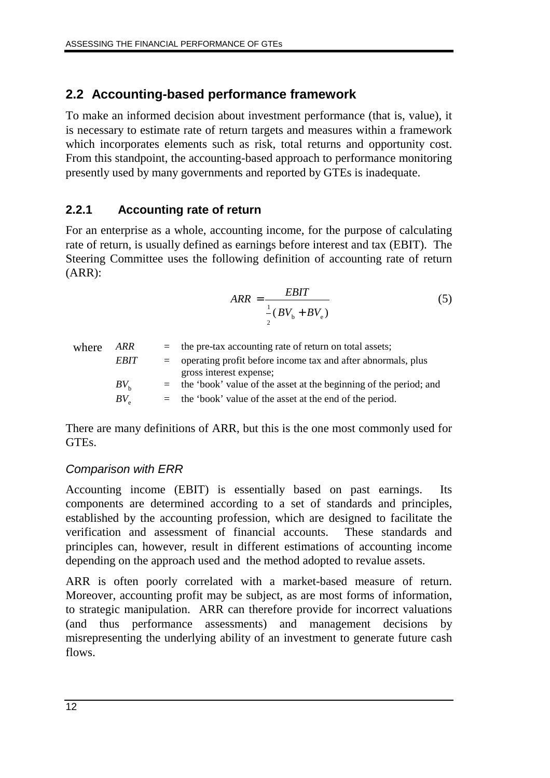## **2.2 Accounting-based performance framework**

To make an informed decision about investment performance (that is, value), it is necessary to estimate rate of return targets and measures within a framework which incorporates elements such as risk, total returns and opportunity cost. From this standpoint, the accounting-based approach to performance monitoring presently used by many governments and reported by GTEs is inadequate.

### **2.2.1 Accounting rate of return**

For an enterprise as a whole, accounting income, for the purpose of calculating rate of return, is usually defined as earnings before interest and tax (EBIT). The Steering Committee uses the following definition of accounting rate of return (ARR):

$$
ARR = \frac{EBIT}{\frac{1}{2}(BV_b + BV_e)}
$$
(5)

| where | ARR                               | $=$ the pre-tax accounting rate of return on total assets;            |
|-------|-----------------------------------|-----------------------------------------------------------------------|
|       | <b>EBIT</b>                       | $=$ operating profit before income tax and after abnormals, plus      |
|       |                                   | gross interest expense;                                               |
|       | $BV_{h}$                          | $=$ the 'book' value of the asset at the beginning of the period; and |
|       | $BV_{\scriptscriptstyle{\alpha}}$ | $=$ the 'book' value of the asset at the end of the period.           |

There are many definitions of ARR, but this is the one most commonly used for GTEs.

### Comparison with ERR

Accounting income (EBIT) is essentially based on past earnings. Its components are determined according to a set of standards and principles, established by the accounting profession, which are designed to facilitate the verification and assessment of financial accounts. These standards and principles can, however, result in different estimations of accounting income depending on the approach used and the method adopted to revalue assets.

ARR is often poorly correlated with a market-based measure of return. Moreover, accounting profit may be subject, as are most forms of information, to strategic manipulation. ARR can therefore provide for incorrect valuations (and thus performance assessments) and management decisions by misrepresenting the underlying ability of an investment to generate future cash flows.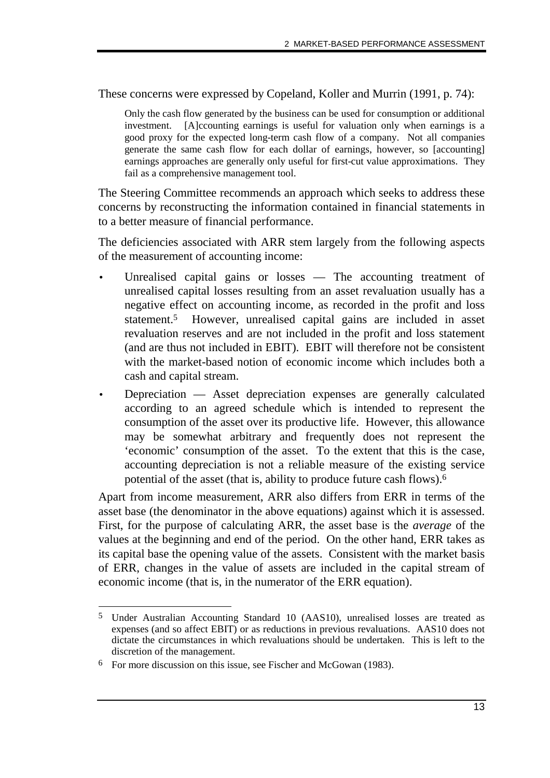These concerns were expressed by Copeland, Koller and Murrin (1991, p. 74):

Only the cash flow generated by the business can be used for consumption or additional investment. [A]ccounting earnings is useful for valuation only when earnings is a good proxy for the expected long-term cash flow of a company. Not all companies generate the same cash flow for each dollar of earnings, however, so [accounting] earnings approaches are generally only useful for first-cut value approximations. They fail as a comprehensive management tool.

The Steering Committee recommends an approach which seeks to address these concerns by reconstructing the information contained in financial statements in to a better measure of financial performance.

The deficiencies associated with ARR stem largely from the following aspects of the measurement of accounting income:

- Unrealised capital gains or losses The accounting treatment of unrealised capital losses resulting from an asset revaluation usually has a negative effect on accounting income, as recorded in the profit and loss statement.5 However, unrealised capital gains are included in asset revaluation reserves and are not included in the profit and loss statement (and are thus not included in EBIT). EBIT will therefore not be consistent with the market-based notion of economic income which includes both a cash and capital stream.
- Depreciation Asset depreciation expenses are generally calculated according to an agreed schedule which is intended to represent the consumption of the asset over its productive life. However, this allowance may be somewhat arbitrary and frequently does not represent the 'economic' consumption of the asset. To the extent that this is the case, accounting depreciation is not a reliable measure of the existing service potential of the asset (that is, ability to produce future cash flows).6

Apart from income measurement, ARR also differs from ERR in terms of the asset base (the denominator in the above equations) against which it is assessed. First, for the purpose of calculating ARR, the asset base is the *average* of the values at the beginning and end of the period. On the other hand, ERR takes as its capital base the opening value of the assets. Consistent with the market basis of ERR, changes in the value of assets are included in the capital stream of economic income (that is, in the numerator of the ERR equation).

<sup>-</sup>5 Under Australian Accounting Standard 10 (AAS10), unrealised losses are treated as expenses (and so affect EBIT) or as reductions in previous revaluations. AAS10 does not dictate the circumstances in which revaluations should be undertaken. This is left to the discretion of the management.

<sup>6</sup> For more discussion on this issue, see Fischer and McGowan (1983).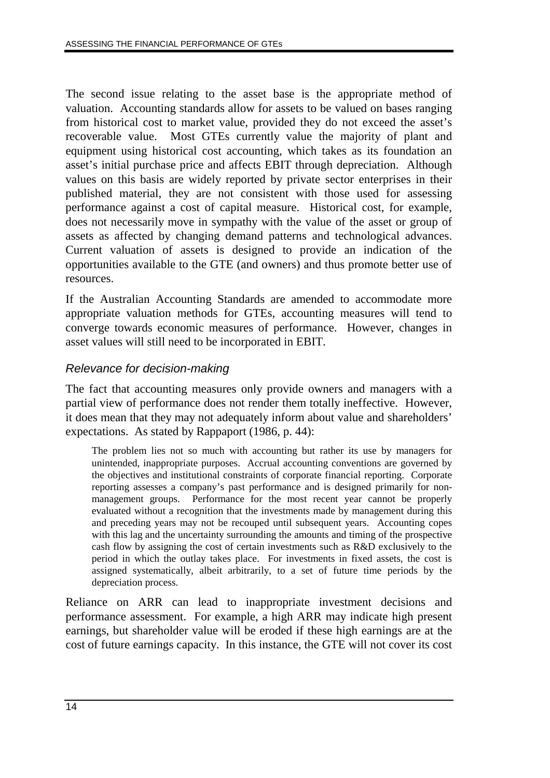The second issue relating to the asset base is the appropriate method of valuation. Accounting standards allow for assets to be valued on bases ranging from historical cost to market value, provided they do not exceed the asset's recoverable value. Most GTEs currently value the majority of plant and equipment using historical cost accounting, which takes as its foundation an asset's initial purchase price and affects EBIT through depreciation. Although values on this basis are widely reported by private sector enterprises in their published material, they are not consistent with those used for assessing performance against a cost of capital measure. Historical cost, for example, does not necessarily move in sympathy with the value of the asset or group of assets as affected by changing demand patterns and technological advances. Current valuation of assets is designed to provide an indication of the opportunities available to the GTE (and owners) and thus promote better use of resources.

If the Australian Accounting Standards are amended to accommodate more appropriate valuation methods for GTEs, accounting measures will tend to converge towards economic measures of performance. However, changes in asset values will still need to be incorporated in EBIT.

### Relevance for decision-making

The fact that accounting measures only provide owners and managers with a partial view of performance does not render them totally ineffective. However, it does mean that they may not adequately inform about value and shareholders' expectations. As stated by Rappaport (1986, p. 44):

The problem lies not so much with accounting but rather its use by managers for unintended, inappropriate purposes. Accrual accounting conventions are governed by the objectives and institutional constraints of corporate financial reporting. Corporate reporting assesses a company's past performance and is designed primarily for nonmanagement groups. Performance for the most recent year cannot be properly evaluated without a recognition that the investments made by management during this and preceding years may not be recouped until subsequent years. Accounting copes with this lag and the uncertainty surrounding the amounts and timing of the prospective cash flow by assigning the cost of certain investments such as R&D exclusively to the period in which the outlay takes place. For investments in fixed assets, the cost is assigned systematically, albeit arbitrarily, to a set of future time periods by the depreciation process.

Reliance on ARR can lead to inappropriate investment decisions and performance assessment. For example, a high ARR may indicate high present earnings, but shareholder value will be eroded if these high earnings are at the cost of future earnings capacity. In this instance, the GTE will not cover its cost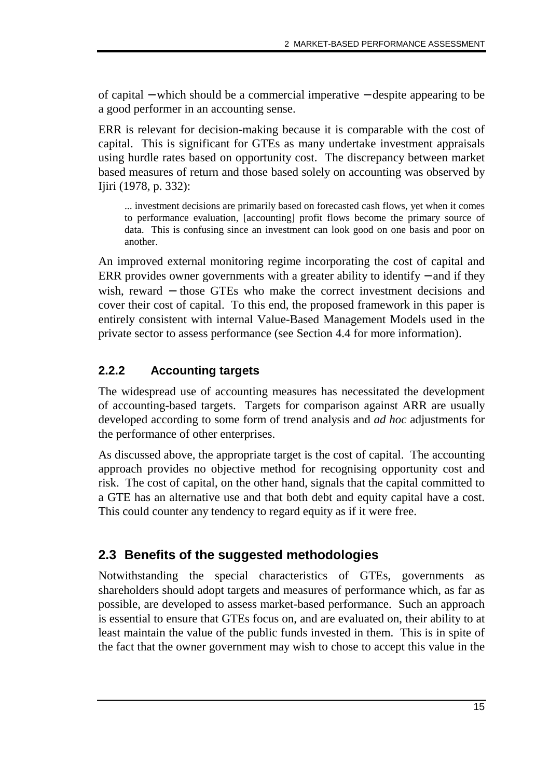of capital − which should be a commercial imperative − despite appearing to be a good performer in an accounting sense.

ERR is relevant for decision-making because it is comparable with the cost of capital. This is significant for GTEs as many undertake investment appraisals using hurdle rates based on opportunity cost. The discrepancy between market based measures of return and those based solely on accounting was observed by Ijiri (1978, p. 332):

... investment decisions are primarily based on forecasted cash flows, yet when it comes to performance evaluation, [accounting] profit flows become the primary source of data. This is confusing since an investment can look good on one basis and poor on another.

An improved external monitoring regime incorporating the cost of capital and ERR provides owner governments with a greater ability to identify – and if they wish, reward – those GTEs who make the correct investment decisions and cover their cost of capital. To this end, the proposed framework in this paper is entirely consistent with internal Value-Based Management Models used in the private sector to assess performance (see Section 4.4 for more information).

### **2.2.2 Accounting targets**

The widespread use of accounting measures has necessitated the development of accounting-based targets. Targets for comparison against ARR are usually developed according to some form of trend analysis and *ad hoc* adjustments for the performance of other enterprises.

As discussed above, the appropriate target is the cost of capital. The accounting approach provides no objective method for recognising opportunity cost and risk. The cost of capital, on the other hand, signals that the capital committed to a GTE has an alternative use and that both debt and equity capital have a cost. This could counter any tendency to regard equity as if it were free.

## **2.3 Benefits of the suggested methodologies**

Notwithstanding the special characteristics of GTEs, governments as shareholders should adopt targets and measures of performance which, as far as possible, are developed to assess market-based performance. Such an approach is essential to ensure that GTEs focus on, and are evaluated on, their ability to at least maintain the value of the public funds invested in them. This is in spite of the fact that the owner government may wish to chose to accept this value in the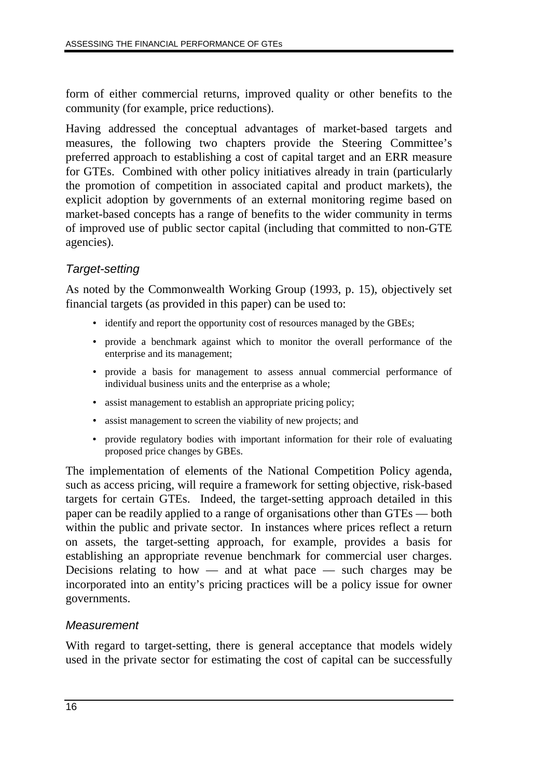form of either commercial returns, improved quality or other benefits to the community (for example, price reductions).

Having addressed the conceptual advantages of market-based targets and measures, the following two chapters provide the Steering Committee's preferred approach to establishing a cost of capital target and an ERR measure for GTEs. Combined with other policy initiatives already in train (particularly the promotion of competition in associated capital and product markets), the explicit adoption by governments of an external monitoring regime based on market-based concepts has a range of benefits to the wider community in terms of improved use of public sector capital (including that committed to non-GTE agencies).

### Target-setting

As noted by the Commonwealth Working Group (1993, p. 15), objectively set financial targets (as provided in this paper) can be used to:

- identify and report the opportunity cost of resources managed by the GBEs;
- provide a benchmark against which to monitor the overall performance of the enterprise and its management;
- provide a basis for management to assess annual commercial performance of individual business units and the enterprise as a whole;
- assist management to establish an appropriate pricing policy;
- assist management to screen the viability of new projects; and
- provide regulatory bodies with important information for their role of evaluating proposed price changes by GBEs.

The implementation of elements of the National Competition Policy agenda, such as access pricing, will require a framework for setting objective, risk-based targets for certain GTEs. Indeed, the target-setting approach detailed in this paper can be readily applied to a range of organisations other than GTEs — both within the public and private sector. In instances where prices reflect a return on assets, the target-setting approach, for example, provides a basis for establishing an appropriate revenue benchmark for commercial user charges. Decisions relating to how  $-$  and at what pace  $-$  such charges may be incorporated into an entity's pricing practices will be a policy issue for owner governments.

#### **Measurement**

With regard to target-setting, there is general acceptance that models widely used in the private sector for estimating the cost of capital can be successfully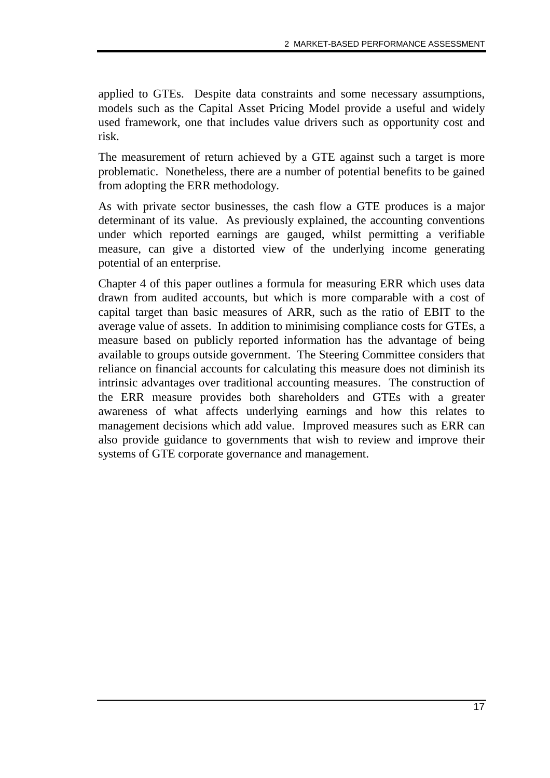applied to GTEs. Despite data constraints and some necessary assumptions, models such as the Capital Asset Pricing Model provide a useful and widely used framework, one that includes value drivers such as opportunity cost and risk.

The measurement of return achieved by a GTE against such a target is more problematic. Nonetheless, there are a number of potential benefits to be gained from adopting the ERR methodology.

As with private sector businesses, the cash flow a GTE produces is a major determinant of its value. As previously explained, the accounting conventions under which reported earnings are gauged, whilst permitting a verifiable measure, can give a distorted view of the underlying income generating potential of an enterprise.

Chapter 4 of this paper outlines a formula for measuring ERR which uses data drawn from audited accounts, but which is more comparable with a cost of capital target than basic measures of ARR, such as the ratio of EBIT to the average value of assets. In addition to minimising compliance costs for GTEs, a measure based on publicly reported information has the advantage of being available to groups outside government. The Steering Committee considers that reliance on financial accounts for calculating this measure does not diminish its intrinsic advantages over traditional accounting measures. The construction of the ERR measure provides both shareholders and GTEs with a greater awareness of what affects underlying earnings and how this relates to management decisions which add value. Improved measures such as ERR can also provide guidance to governments that wish to review and improve their systems of GTE corporate governance and management.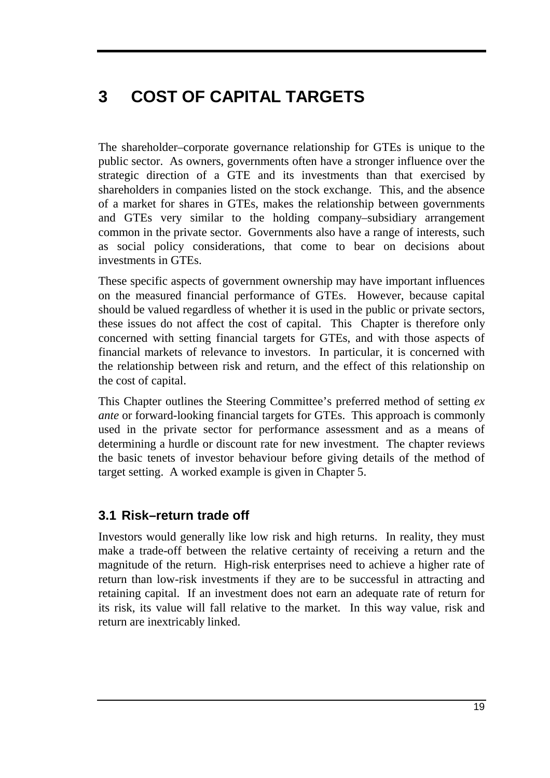# **3 COST OF CAPITAL TARGETS**

The shareholder–corporate governance relationship for GTEs is unique to the public sector. As owners, governments often have a stronger influence over the strategic direction of a GTE and its investments than that exercised by shareholders in companies listed on the stock exchange. This, and the absence of a market for shares in GTEs, makes the relationship between governments and GTEs very similar to the holding company–subsidiary arrangement common in the private sector. Governments also have a range of interests, such as social policy considerations, that come to bear on decisions about investments in GTEs.

These specific aspects of government ownership may have important influences on the measured financial performance of GTEs. However, because capital should be valued regardless of whether it is used in the public or private sectors, these issues do not affect the cost of capital. This Chapter is therefore only concerned with setting financial targets for GTEs, and with those aspects of financial markets of relevance to investors. In particular, it is concerned with the relationship between risk and return, and the effect of this relationship on the cost of capital.

This Chapter outlines the Steering Committee's preferred method of setting *ex ante* or forward-looking financial targets for GTEs. This approach is commonly used in the private sector for performance assessment and as a means of determining a hurdle or discount rate for new investment. The chapter reviews the basic tenets of investor behaviour before giving details of the method of target setting. A worked example is given in Chapter 5.

# **3.1 Risk–return trade off**

Investors would generally like low risk and high returns. In reality, they must make a trade-off between the relative certainty of receiving a return and the magnitude of the return. High-risk enterprises need to achieve a higher rate of return than low-risk investments if they are to be successful in attracting and retaining capital. If an investment does not earn an adequate rate of return for its risk, its value will fall relative to the market. In this way value, risk and return are inextricably linked.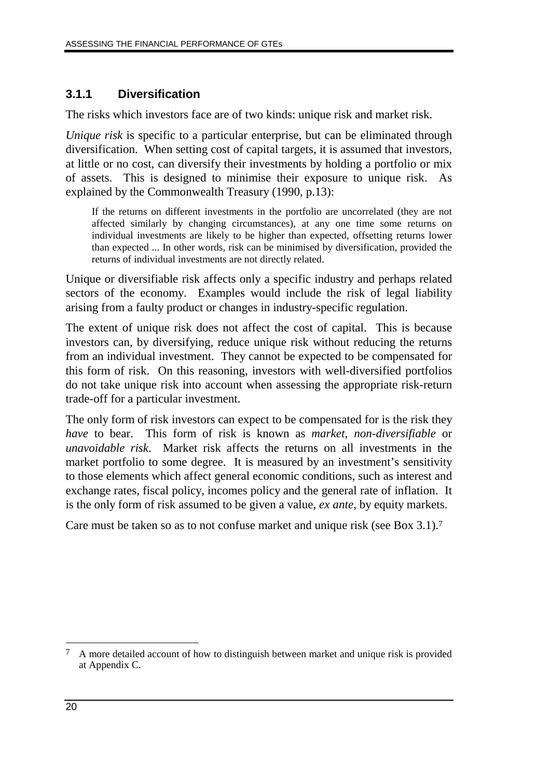## **3.1.1 Diversification**

The risks which investors face are of two kinds: unique risk and market risk.

*Unique risk* is specific to a particular enterprise, but can be eliminated through diversification. When setting cost of capital targets, it is assumed that investors, at little or no cost, can diversify their investments by holding a portfolio or mix of assets. This is designed to minimise their exposure to unique risk. As explained by the Commonwealth Treasury (1990, p.13):

If the returns on different investments in the portfolio are uncorrelated (they are not affected similarly by changing circumstances), at any one time some returns on individual investments are likely to be higher than expected, offsetting returns lower than expected ... In other words, risk can be minimised by diversification, provided the returns of individual investments are not directly related.

Unique or diversifiable risk affects only a specific industry and perhaps related sectors of the economy. Examples would include the risk of legal liability arising from a faulty product or changes in industry-specific regulation.

The extent of unique risk does not affect the cost of capital. This is because investors can, by diversifying, reduce unique risk without reducing the returns from an individual investment. They cannot be expected to be compensated for this form of risk. On this reasoning, investors with well-diversified portfolios do not take unique risk into account when assessing the appropriate risk-return trade-off for a particular investment.

The only form of risk investors can expect to be compensated for is the risk they *have* to bear. This form of risk is known as *market, non-diversifiable* or *unavoidable risk*. Market risk affects the returns on all investments in the market portfolio to some degree. It is measured by an investment's sensitivity to those elements which affect general economic conditions, such as interest and exchange rates, fiscal policy, incomes policy and the general rate of inflation. It is the only form of risk assumed to be given a value, *ex ante*, by equity markets.

Care must be taken so as to not confuse market and unique risk (see Box 3.1).7

 $\overline{a}$ 7 A more detailed account of how to distinguish between market and unique risk is provided at Appendix C.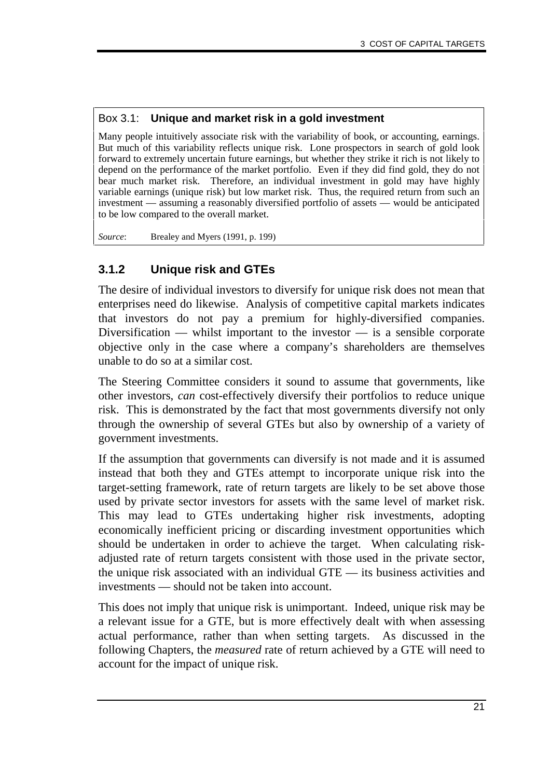#### Box 3.1: **Unique and market risk in a gold investment**

Many people intuitively associate risk with the variability of book, or accounting, earnings. But much of this variability reflects unique risk. Lone prospectors in search of gold look forward to extremely uncertain future earnings, but whether they strike it rich is not likely to depend on the performance of the market portfolio. Even if they did find gold, they do not bear much market risk. Therefore, an individual investment in gold may have highly variable earnings (unique risk) but low market risk. Thus, the required return from such an investment — assuming a reasonably diversified portfolio of assets — would be anticipated to be low compared to the overall market.

*Source*: Brealey and Myers (1991, p. 199)

#### **3.1.2 Unique risk and GTEs**

The desire of individual investors to diversify for unique risk does not mean that enterprises need do likewise. Analysis of competitive capital markets indicates that investors do not pay a premium for highly-diversified companies. Diversification — whilst important to the investor — is a sensible corporate objective only in the case where a company's shareholders are themselves unable to do so at a similar cost.

The Steering Committee considers it sound to assume that governments, like other investors, *can* cost-effectively diversify their portfolios to reduce unique risk. This is demonstrated by the fact that most governments diversify not only through the ownership of several GTEs but also by ownership of a variety of government investments.

If the assumption that governments can diversify is not made and it is assumed instead that both they and GTEs attempt to incorporate unique risk into the target-setting framework, rate of return targets are likely to be set above those used by private sector investors for assets with the same level of market risk. This may lead to GTEs undertaking higher risk investments, adopting economically inefficient pricing or discarding investment opportunities which should be undertaken in order to achieve the target. When calculating riskadjusted rate of return targets consistent with those used in the private sector, the unique risk associated with an individual GTE — its business activities and investments — should not be taken into account.

This does not imply that unique risk is unimportant. Indeed, unique risk may be a relevant issue for a GTE, but is more effectively dealt with when assessing actual performance, rather than when setting targets. As discussed in the following Chapters, the *measured* rate of return achieved by a GTE will need to account for the impact of unique risk.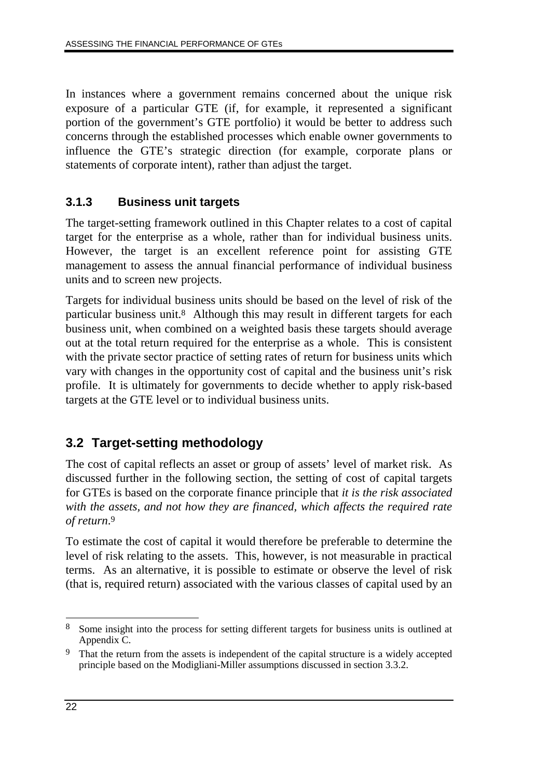In instances where a government remains concerned about the unique risk exposure of a particular GTE (if, for example, it represented a significant portion of the government's GTE portfolio) it would be better to address such concerns through the established processes which enable owner governments to influence the GTE's strategic direction (for example, corporate plans or statements of corporate intent), rather than adjust the target.

## **3.1.3 Business unit targets**

The target-setting framework outlined in this Chapter relates to a cost of capital target for the enterprise as a whole, rather than for individual business units. However, the target is an excellent reference point for assisting GTE management to assess the annual financial performance of individual business units and to screen new projects.

Targets for individual business units should be based on the level of risk of the particular business unit.8 Although this may result in different targets for each business unit, when combined on a weighted basis these targets should average out at the total return required for the enterprise as a whole. This is consistent with the private sector practice of setting rates of return for business units which vary with changes in the opportunity cost of capital and the business unit's risk profile. It is ultimately for governments to decide whether to apply risk-based targets at the GTE level or to individual business units.

# **3.2 Target-setting methodology**

The cost of capital reflects an asset or group of assets' level of market risk. As discussed further in the following section, the setting of cost of capital targets for GTEs is based on the corporate finance principle that *it is the risk associated with the assets, and not how they are financed, which affects the required rate of return*.9

To estimate the cost of capital it would therefore be preferable to determine the level of risk relating to the assets. This, however, is not measurable in practical terms. As an alternative, it is possible to estimate or observe the level of risk (that is, required return) associated with the various classes of capital used by an

 $\overline{a}$ 8 Some insight into the process for setting different targets for business units is outlined at Appendix C.

<sup>&</sup>lt;sup>9</sup> That the return from the assets is independent of the capital structure is a widely accepted principle based on the Modigliani-Miller assumptions discussed in section 3.3.2.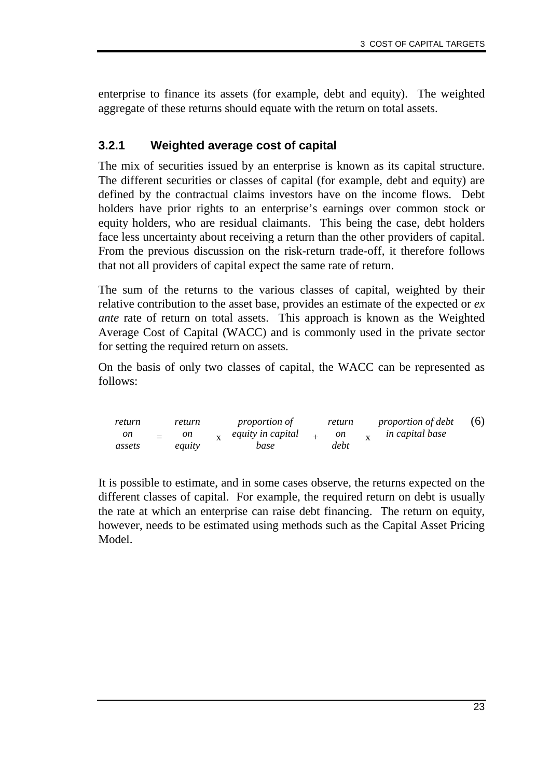enterprise to finance its assets (for example, debt and equity). The weighted aggregate of these returns should equate with the return on total assets.

### **3.2.1 Weighted average cost of capital**

The mix of securities issued by an enterprise is known as its capital structure. The different securities or classes of capital (for example, debt and equity) are defined by the contractual claims investors have on the income flows. Debt holders have prior rights to an enterprise's earnings over common stock or equity holders, who are residual claimants. This being the case, debt holders face less uncertainty about receiving a return than the other providers of capital. From the previous discussion on the risk-return trade-off, it therefore follows that not all providers of capital expect the same rate of return.

The sum of the returns to the various classes of capital, weighted by their relative contribution to the asset base, provides an estimate of the expected or *ex ante* rate of return on total assets. This approach is known as the Weighted Average Cost of Capital (WACC) and is commonly used in the private sector for setting the required return on assets.

On the basis of only two classes of capital, the WACC can be represented as follows:

| return       |     | return       | <i>proportion of</i>      | return     | <i>proportion of debt</i> | (6) |
|--------------|-----|--------------|---------------------------|------------|---------------------------|-----|
| on<br>assets | $=$ | on<br>equity | equity in capital<br>base | on<br>debt | <i>in capital base</i>    |     |
|              |     |              |                           |            |                           |     |

It is possible to estimate, and in some cases observe, the returns expected on the different classes of capital. For example, the required return on debt is usually the rate at which an enterprise can raise debt financing. The return on equity, however, needs to be estimated using methods such as the Capital Asset Pricing Model.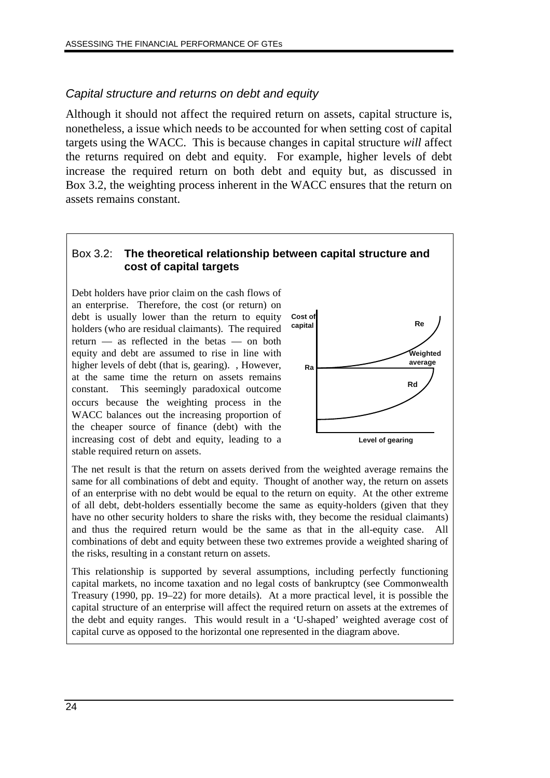### Capital structure and returns on debt and equity

Although it should not affect the required return on assets, capital structure is, nonetheless, a issue which needs to be accounted for when setting cost of capital targets using the WACC. This is because changes in capital structure *will* affect the returns required on debt and equity. For example, higher levels of debt increase the required return on both debt and equity but, as discussed in Box 3.2, the weighting process inherent in the WACC ensures that the return on assets remains constant.

#### Box 3.2: **The theoretical relationship between capital structure and cost of capital targets**

Debt holders have prior claim on the cash flows of an enterprise. Therefore, the cost (or return) on debt is usually lower than the return to equity holders (who are residual claimants). The required return — as reflected in the betas — on both equity and debt are assumed to rise in line with higher levels of debt (that is, gearing). However, at the same time the return on assets remains constant. This seemingly paradoxical outcome occurs because the weighting process in the WACC balances out the increasing proportion of the cheaper source of finance (debt) with the increasing cost of debt and equity, leading to a stable required return on assets.



The net result is that the return on assets derived from the weighted average remains the same for all combinations of debt and equity. Thought of another way, the return on assets of an enterprise with no debt would be equal to the return on equity. At the other extreme of all debt, debt-holders essentially become the same as equity-holders (given that they have no other security holders to share the risks with, they become the residual claimants) and thus the required return would be the same as that in the all-equity case. All combinations of debt and equity between these two extremes provide a weighted sharing of the risks, resulting in a constant return on assets.

This relationship is supported by several assumptions, including perfectly functioning capital markets, no income taxation and no legal costs of bankruptcy (see Commonwealth Treasury (1990, pp. 19–22) for more details). At a more practical level, it is possible the capital structure of an enterprise will affect the required return on assets at the extremes of the debt and equity ranges. This would result in a 'U-shaped' weighted average cost of capital curve as opposed to the horizontal one represented in the diagram above.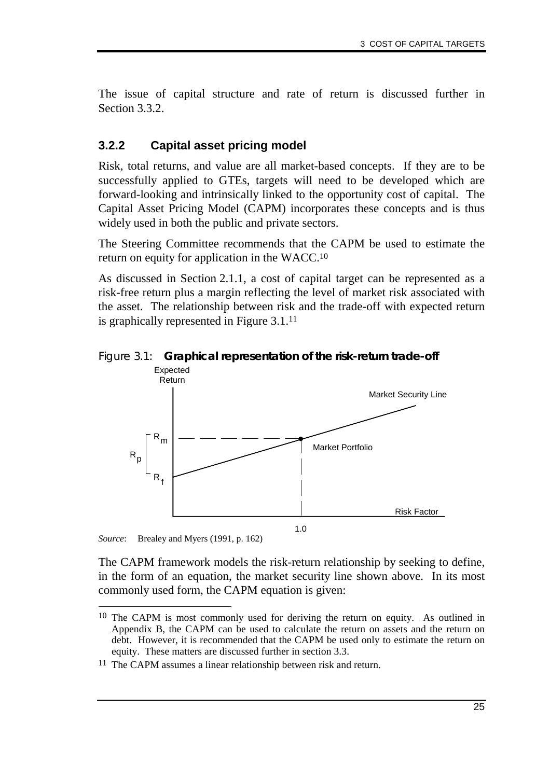The issue of capital structure and rate of return is discussed further in Section 3.3.2.

#### **3.2.2 Capital asset pricing model**

Risk, total returns, and value are all market-based concepts. If they are to be successfully applied to GTEs, targets will need to be developed which are forward-looking and intrinsically linked to the opportunity cost of capital. The Capital Asset Pricing Model (CAPM) incorporates these concepts and is thus widely used in both the public and private sectors.

The Steering Committee recommends that the CAPM be used to estimate the return on equity for application in the WACC.10

As discussed in Section 2.1.1, a cost of capital target can be represented as a risk-free return plus a margin reflecting the level of market risk associated with the asset. The relationship between risk and the trade-off with expected return is graphically represented in Figure 3.1.11





*Source*: Brealey and Myers (1991, p. 162)

-

The CAPM framework models the risk-return relationship by seeking to define, in the form of an equation, the market security line shown above. In its most commonly used form, the CAPM equation is given:

<sup>&</sup>lt;sup>10</sup> The CAPM is most commonly used for deriving the return on equity. As outlined in Appendix B, the CAPM can be used to calculate the return on assets and the return on debt. However, it is recommended that the CAPM be used only to estimate the return on equity. These matters are discussed further in section 3.3.

<sup>11</sup> The CAPM assumes a linear relationship between risk and return.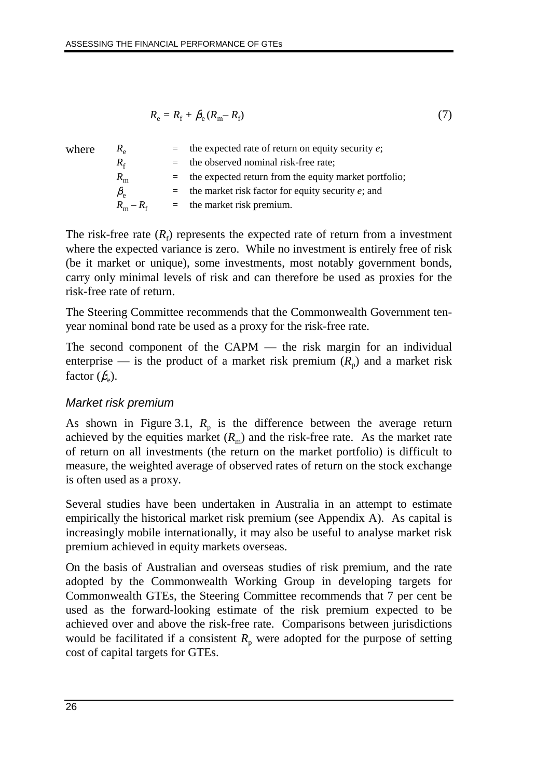$$
R_{\rm e} = R_{\rm f} + \beta_{\rm e} (R_{\rm m} - R_{\rm f}) \tag{7}
$$

| where | $R_{\rm e}$           | $=$ the expected rate of return on equity security e;     |
|-------|-----------------------|-----------------------------------------------------------|
|       | $R_{\epsilon}$        | $=$ the observed nominal risk-free rate;                  |
|       | $R_{\rm m}$           | $=$ the expected return from the equity market portfolio; |
|       | $\beta_{\rm e}$       | $=$ the market risk factor for equity security e; and     |
|       | $R_{\rm m}-R_{\rm f}$ | $=$ the market risk premium.                              |
|       |                       |                                                           |

The risk-free rate  $(R_f)$  represents the expected rate of return from a investment where the expected variance is zero. While no investment is entirely free of risk (be it market or unique), some investments, most notably government bonds, carry only minimal levels of risk and can therefore be used as proxies for the risk-free rate of return.

The Steering Committee recommends that the Commonwealth Government tenyear nominal bond rate be used as a proxy for the risk-free rate.

The second component of the CAPM — the risk margin for an individual enterprise — is the product of a market risk premium  $(R_n)$  and a market risk factor  $(\beta_e)$ .

## Market risk premium

As shown in Figure 3.1,  $R_p$  is the difference between the average return achieved by the equities market  $(R_m)$  and the risk-free rate. As the market rate of return on all investments (the return on the market portfolio) is difficult to measure, the weighted average of observed rates of return on the stock exchange is often used as a proxy.

Several studies have been undertaken in Australia in an attempt to estimate empirically the historical market risk premium (see Appendix A). As capital is increasingly mobile internationally, it may also be useful to analyse market risk premium achieved in equity markets overseas.

On the basis of Australian and overseas studies of risk premium, and the rate adopted by the Commonwealth Working Group in developing targets for Commonwealth GTEs, the Steering Committee recommends that 7 per cent be used as the forward-looking estimate of the risk premium expected to be achieved over and above the risk-free rate. Comparisons between jurisdictions would be facilitated if a consistent  $R_p$  were adopted for the purpose of setting cost of capital targets for GTEs.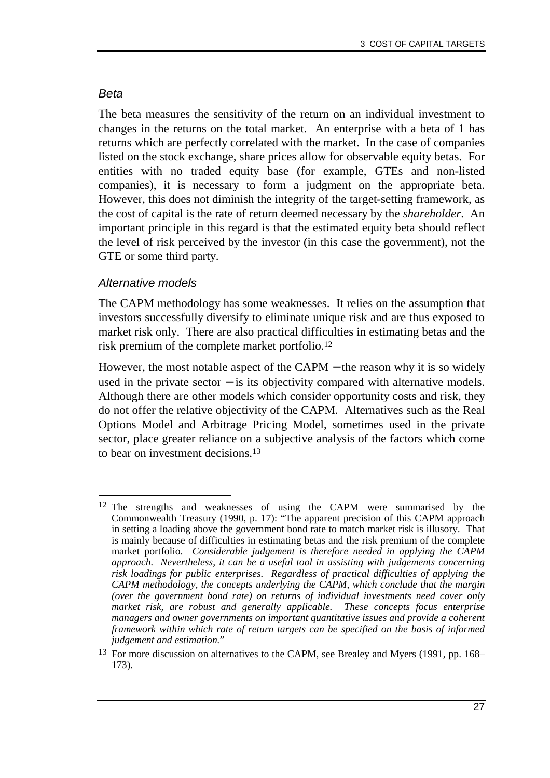#### Beta

The beta measures the sensitivity of the return on an individual investment to changes in the returns on the total market. An enterprise with a beta of 1 has returns which are perfectly correlated with the market. In the case of companies listed on the stock exchange, share prices allow for observable equity betas. For entities with no traded equity base (for example, GTEs and non-listed companies), it is necessary to form a judgment on the appropriate beta. However, this does not diminish the integrity of the target-setting framework, as the cost of capital is the rate of return deemed necessary by the *shareholder*. An important principle in this regard is that the estimated equity beta should reflect the level of risk perceived by the investor (in this case the government), not the GTE or some third party.

#### Alternative models

The CAPM methodology has some weaknesses. It relies on the assumption that investors successfully diversify to eliminate unique risk and are thus exposed to market risk only. There are also practical difficulties in estimating betas and the risk premium of the complete market portfolio.12

However, the most notable aspect of the CAPM – the reason why it is so widely used in the private sector  $-$  is its objectivity compared with alternative models. Although there are other models which consider opportunity costs and risk, they do not offer the relative objectivity of the CAPM. Alternatives such as the Real Options Model and Arbitrage Pricing Model, sometimes used in the private sector, place greater reliance on a subjective analysis of the factors which come to bear on investment decisions.13

<sup>-</sup>12 The strengths and weaknesses of using the CAPM were summarised by the Commonwealth Treasury (1990, p. 17): "The apparent precision of this CAPM approach in setting a loading above the government bond rate to match market risk is illusory. That is mainly because of difficulties in estimating betas and the risk premium of the complete market portfolio. *Considerable judgement is therefore needed in applying the CAPM approach. Nevertheless, it can be a useful tool in assisting with judgements concerning risk loadings for public enterprises. Regardless of practical difficulties of applying the CAPM methodology, the concepts underlying the CAPM, which conclude that the margin (over the government bond rate) on returns of individual investments need cover only market risk, are robust and generally applicable. These concepts focus enterprise managers and owner governments on important quantitative issues and provide a coherent framework within which rate of return targets can be specified on the basis of informed judgement and estimation.*"

<sup>13</sup> For more discussion on alternatives to the CAPM, see Brealey and Myers (1991, pp. 168– 173).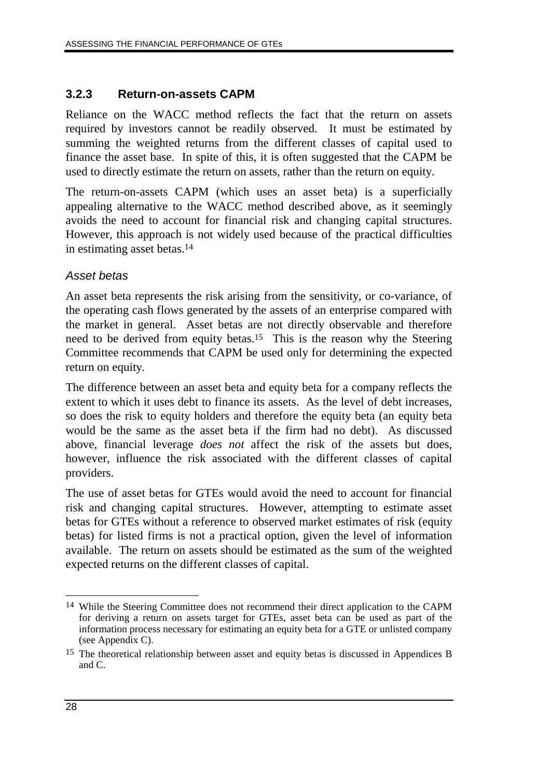## **3.2.3 Return-on-assets CAPM**

Reliance on the WACC method reflects the fact that the return on assets required by investors cannot be readily observed. It must be estimated by summing the weighted returns from the different classes of capital used to finance the asset base. In spite of this, it is often suggested that the CAPM be used to directly estimate the return on assets, rather than the return on equity.

The return-on-assets CAPM (which uses an asset beta) is a superficially appealing alternative to the WACC method described above, as it seemingly avoids the need to account for financial risk and changing capital structures. However, this approach is not widely used because of the practical difficulties in estimating asset betas.14

#### Asset betas

An asset beta represents the risk arising from the sensitivity, or co-variance, of the operating cash flows generated by the assets of an enterprise compared with the market in general. Asset betas are not directly observable and therefore need to be derived from equity betas.15 This is the reason why the Steering Committee recommends that CAPM be used only for determining the expected return on equity.

The difference between an asset beta and equity beta for a company reflects the extent to which it uses debt to finance its assets. As the level of debt increases, so does the risk to equity holders and therefore the equity beta (an equity beta would be the same as the asset beta if the firm had no debt). As discussed above, financial leverage *does not* affect the risk of the assets but does, however, influence the risk associated with the different classes of capital providers.

The use of asset betas for GTEs would avoid the need to account for financial risk and changing capital structures. However, attempting to estimate asset betas for GTEs without a reference to observed market estimates of risk (equity betas) for listed firms is not a practical option, given the level of information available. The return on assets should be estimated as the sum of the weighted expected returns on the different classes of capital.

 $\overline{a}$ 14 While the Steering Committee does not recommend their direct application to the CAPM for deriving a return on assets target for GTEs, asset beta can be used as part of the information process necessary for estimating an equity beta for a GTE or unlisted company (see Appendix C).

<sup>15</sup> The theoretical relationship between asset and equity betas is discussed in Appendices B and C.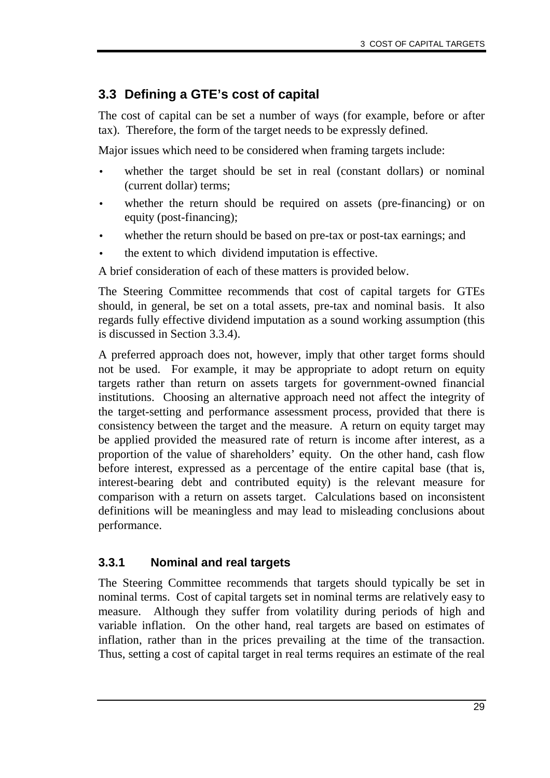# **3.3 Defining a GTE's cost of capital**

The cost of capital can be set a number of ways (for example, before or after tax). Therefore, the form of the target needs to be expressly defined.

Major issues which need to be considered when framing targets include:

- whether the target should be set in real (constant dollars) or nominal (current dollar) terms;
- whether the return should be required on assets (pre-financing) or on equity (post-financing);
- whether the return should be based on pre-tax or post-tax earnings; and
- the extent to which dividend imputation is effective.

A brief consideration of each of these matters is provided below.

The Steering Committee recommends that cost of capital targets for GTEs should, in general, be set on a total assets, pre-tax and nominal basis. It also regards fully effective dividend imputation as a sound working assumption (this is discussed in Section 3.3.4).

A preferred approach does not, however, imply that other target forms should not be used. For example, it may be appropriate to adopt return on equity targets rather than return on assets targets for government-owned financial institutions. Choosing an alternative approach need not affect the integrity of the target-setting and performance assessment process, provided that there is consistency between the target and the measure. A return on equity target may be applied provided the measured rate of return is income after interest, as a proportion of the value of shareholders' equity. On the other hand, cash flow before interest, expressed as a percentage of the entire capital base (that is, interest-bearing debt and contributed equity) is the relevant measure for comparison with a return on assets target. Calculations based on inconsistent definitions will be meaningless and may lead to misleading conclusions about performance.

## **3.3.1 Nominal and real targets**

The Steering Committee recommends that targets should typically be set in nominal terms. Cost of capital targets set in nominal terms are relatively easy to measure. Although they suffer from volatility during periods of high and variable inflation. On the other hand, real targets are based on estimates of inflation, rather than in the prices prevailing at the time of the transaction. Thus, setting a cost of capital target in real terms requires an estimate of the real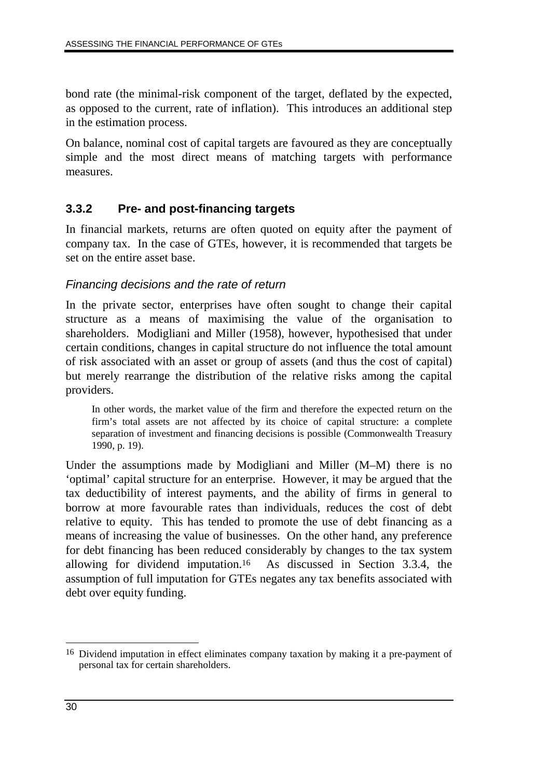bond rate (the minimal-risk component of the target, deflated by the expected, as opposed to the current, rate of inflation). This introduces an additional step in the estimation process.

On balance, nominal cost of capital targets are favoured as they are conceptually simple and the most direct means of matching targets with performance measures.

## **3.3.2 Pre- and post-financing targets**

In financial markets, returns are often quoted on equity after the payment of company tax. In the case of GTEs, however, it is recommended that targets be set on the entire asset base.

#### Financing decisions and the rate of return

In the private sector, enterprises have often sought to change their capital structure as a means of maximising the value of the organisation to shareholders. Modigliani and Miller (1958), however, hypothesised that under certain conditions, changes in capital structure do not influence the total amount of risk associated with an asset or group of assets (and thus the cost of capital) but merely rearrange the distribution of the relative risks among the capital providers.

In other words, the market value of the firm and therefore the expected return on the firm's total assets are not affected by its choice of capital structure: a complete separation of investment and financing decisions is possible (Commonwealth Treasury 1990, p. 19).

Under the assumptions made by Modigliani and Miller (M–M) there is no 'optimal' capital structure for an enterprise. However, it may be argued that the tax deductibility of interest payments, and the ability of firms in general to borrow at more favourable rates than individuals, reduces the cost of debt relative to equity. This has tended to promote the use of debt financing as a means of increasing the value of businesses. On the other hand, any preference for debt financing has been reduced considerably by changes to the tax system allowing for dividend imputation.16 As discussed in Section 3.3.4, the assumption of full imputation for GTEs negates any tax benefits associated with debt over equity funding.

 $\overline{a}$ 16 Dividend imputation in effect eliminates company taxation by making it a pre-payment of personal tax for certain shareholders.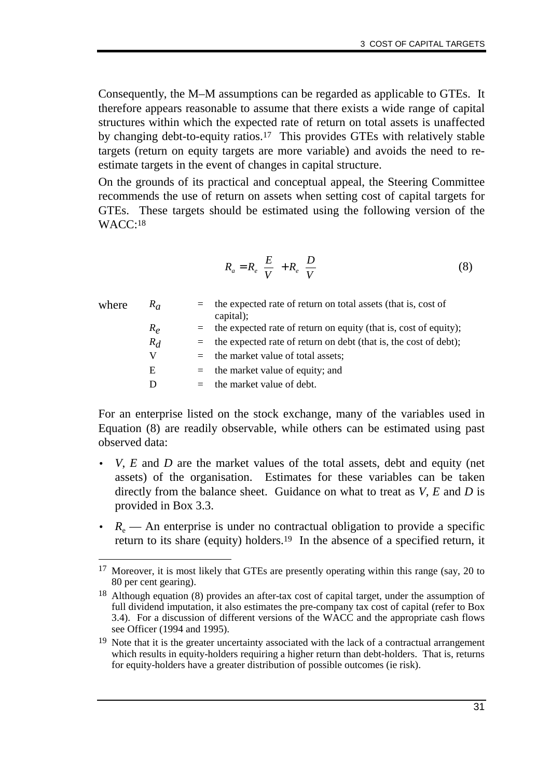Consequently, the M–M assumptions can be regarded as applicable to GTEs. It therefore appears reasonable to assume that there exists a wide range of capital structures within which the expected rate of return on total assets is unaffected by changing debt-to-equity ratios.17 This provides GTEs with relatively stable targets (return on equity targets are more variable) and avoids the need to reestimate targets in the event of changes in capital structure.

On the grounds of its practical and conceptual appeal, the Steering Committee recommends the use of return on assets when setting cost of capital targets for GTEs. These targets should be estimated using the following version of the WACC:18

$$
R_a = R_e \left(\frac{E}{V}\right) + R_e \left(\frac{D}{V}\right) \tag{8}
$$

| where | $R_{\alpha}$ | $=$ | the expected rate of return on total assets (that is, cost of<br>capital); |
|-------|--------------|-----|----------------------------------------------------------------------------|
|       | $R_e$        |     | $=$ the expected rate of return on equity (that is, cost of equity);       |
|       | $R_d$        |     | $=$ the expected rate of return on debt (that is, the cost of debt);       |
|       | V            |     | $=$ the market value of total assets;                                      |
|       | E            |     | $=$ the market value of equity; and                                        |
|       | D            |     | the market value of debt.                                                  |
|       |              |     |                                                                            |

For an enterprise listed on the stock exchange, many of the variables used in Equation (8) are readily observable, while others can be estimated using past observed data:

- *V*, *E* and *D* are the market values of the total assets, debt and equity (net assets) of the organisation. Estimates for these variables can be taken directly from the balance sheet. Guidance on what to treat as *V, E* and *D* is provided in Box 3.3.
- $R_{\rm e}$  An enterprise is under no contractual obligation to provide a specific return to its share (equity) holders.19 In the absence of a specified return, it

<sup>-</sup><sup>17</sup> Moreover, it is most likely that GTEs are presently operating within this range (say, 20 to 80 per cent gearing).

<sup>&</sup>lt;sup>18</sup> Although equation (8) provides an after-tax cost of capital target, under the assumption of full dividend imputation, it also estimates the pre-company tax cost of capital (refer to Box 3.4). For a discussion of different versions of the WACC and the appropriate cash flows see Officer (1994 and 1995).

<sup>&</sup>lt;sup>19</sup> Note that it is the greater uncertainty associated with the lack of a contractual arrangement which results in equity-holders requiring a higher return than debt-holders. That is, returns for equity-holders have a greater distribution of possible outcomes (ie risk).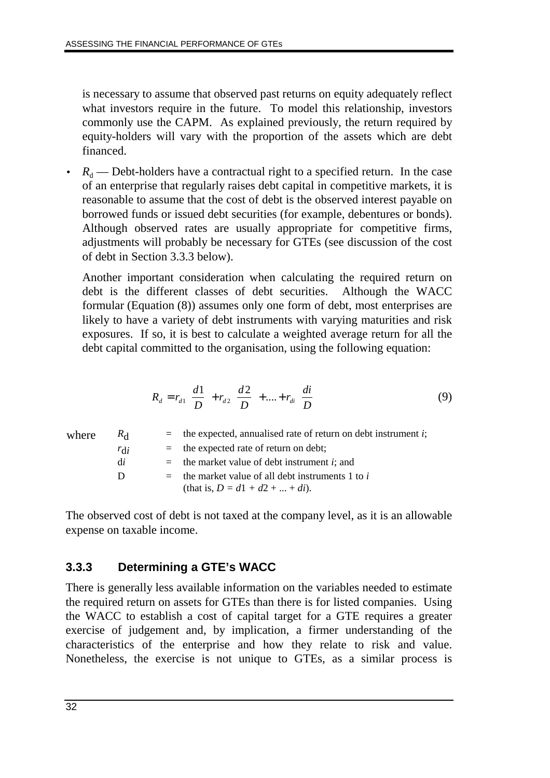is necessary to assume that observed past returns on equity adequately reflect what investors require in the future. To model this relationship, investors commonly use the CAPM. As explained previously, the return required by equity-holders will vary with the proportion of the assets which are debt financed.

 $R_d$  — Debt-holders have a contractual right to a specified return. In the case of an enterprise that regularly raises debt capital in competitive markets, it is reasonable to assume that the cost of debt is the observed interest payable on borrowed funds or issued debt securities (for example, debentures or bonds). Although observed rates are usually appropriate for competitive firms, adjustments will probably be necessary for GTEs (see discussion of the cost of debt in Section 3.3.3 below).

Another important consideration when calculating the required return on debt is the different classes of debt securities. Although the WACC formular (Equation (8)) assumes only one form of debt, most enterprises are likely to have a variety of debt instruments with varying maturities and risk exposures. If so, it is best to calculate a weighted average return for all the debt capital committed to the organisation, using the following equation:

$$
R_d = r_{d1}\left(\frac{d1}{D}\right) + r_{d2}\left(\frac{d2}{D}\right) + \dots + r_{di}\left(\frac{di}{D}\right) \tag{9}
$$

| where | $R_{\rm d}$ |     | $\equiv$ the expected, annualised rate of return on debt instrument <i>i</i> ; |
|-------|-------------|-----|--------------------------------------------------------------------------------|
|       | $r_{di}$    |     | $=$ the expected rate of return on debt;                                       |
|       | di          |     | $=$ the market value of debt instrument <i>i</i> ; and                         |
|       | D           | $=$ | the market value of all debt instruments 1 to i                                |
|       |             |     | (that is, $D = d_1 + d_2 +  + di$ ).                                           |

The observed cost of debt is not taxed at the company level, as it is an allowable expense on taxable income.

# **3.3.3 Determining a GTE's WACC**

There is generally less available information on the variables needed to estimate the required return on assets for GTEs than there is for listed companies. Using the WACC to establish a cost of capital target for a GTE requires a greater exercise of judgement and, by implication, a firmer understanding of the characteristics of the enterprise and how they relate to risk and value. Nonetheless, the exercise is not unique to GTEs, as a similar process is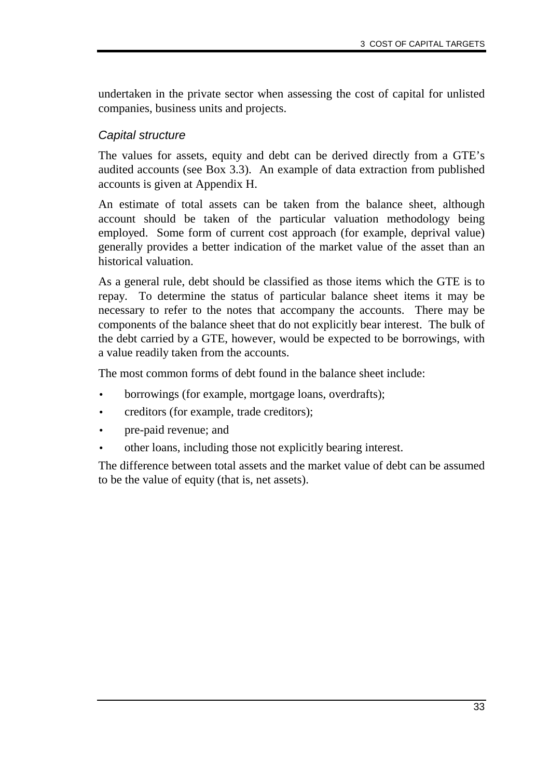undertaken in the private sector when assessing the cost of capital for unlisted companies, business units and projects.

#### Capital structure

The values for assets, equity and debt can be derived directly from a GTE's audited accounts (see Box 3.3). An example of data extraction from published accounts is given at Appendix H.

An estimate of total assets can be taken from the balance sheet, although account should be taken of the particular valuation methodology being employed. Some form of current cost approach (for example, deprival value) generally provides a better indication of the market value of the asset than an historical valuation.

As a general rule, debt should be classified as those items which the GTE is to repay. To determine the status of particular balance sheet items it may be necessary to refer to the notes that accompany the accounts. There may be components of the balance sheet that do not explicitly bear interest. The bulk of the debt carried by a GTE, however, would be expected to be borrowings, with a value readily taken from the accounts.

The most common forms of debt found in the balance sheet include:

- borrowings (for example, mortgage loans, overdrafts);
- creditors (for example, trade creditors);
- pre-paid revenue; and
- other loans, including those not explicitly bearing interest.

The difference between total assets and the market value of debt can be assumed to be the value of equity (that is, net assets).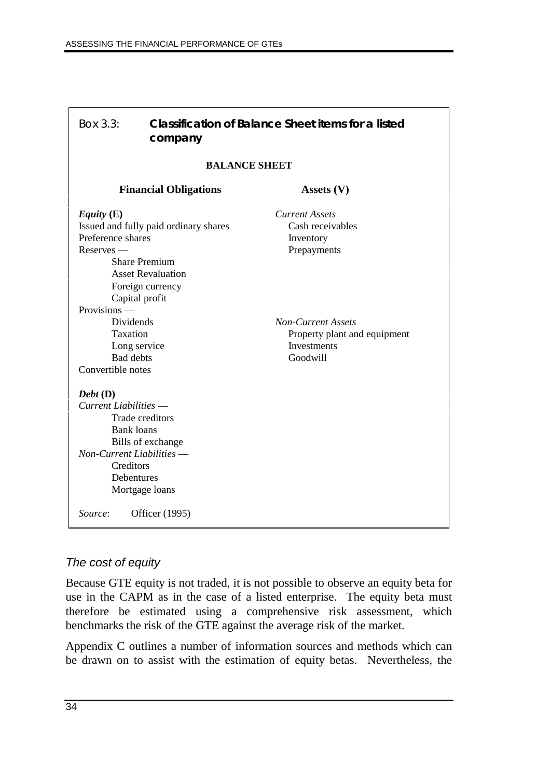| Box 3.3:                                                                                                                       | company                                                                                                                                         | <b>Classification of Balance Sheet items for a listed</b>                                                                                         |  |  |  |
|--------------------------------------------------------------------------------------------------------------------------------|-------------------------------------------------------------------------------------------------------------------------------------------------|---------------------------------------------------------------------------------------------------------------------------------------------------|--|--|--|
|                                                                                                                                | <b>BALANCE SHEET</b>                                                                                                                            |                                                                                                                                                   |  |  |  |
|                                                                                                                                | <b>Financial Obligations</b>                                                                                                                    | Assets $(V)$                                                                                                                                      |  |  |  |
| Equity $(E)$<br>Preference shares<br>$Reserves -$<br>Provisions —<br>Dividends<br>Taxation                                     | Issued and fully paid ordinary shares<br><b>Share Premium</b><br><b>Asset Revaluation</b><br>Foreign currency<br>Capital profit<br>Long service | <b>Current Assets</b><br>Cash receivables<br>Inventory<br>Prepayments<br><b>Non-Current Assets</b><br>Property plant and equipment<br>Investments |  |  |  |
| <b>Bad</b> debts<br>Convertible notes<br>$Debt$ (D)<br>Current Liabilities —<br><b>Bank</b> loans<br>Non-Current Liabilities - | <b>Trade</b> creditors<br>Bills of exchange                                                                                                     | Goodwill                                                                                                                                          |  |  |  |
| Creditors<br>Debentures<br>Mortgage loans<br>Source:<br>Officer (1995)                                                         |                                                                                                                                                 |                                                                                                                                                   |  |  |  |

## The cost of equity

Because GTE equity is not traded, it is not possible to observe an equity beta for use in the CAPM as in the case of a listed enterprise. The equity beta must therefore be estimated using a comprehensive risk assessment, which benchmarks the risk of the GTE against the average risk of the market.

Appendix C outlines a number of information sources and methods which can be drawn on to assist with the estimation of equity betas. Nevertheless, the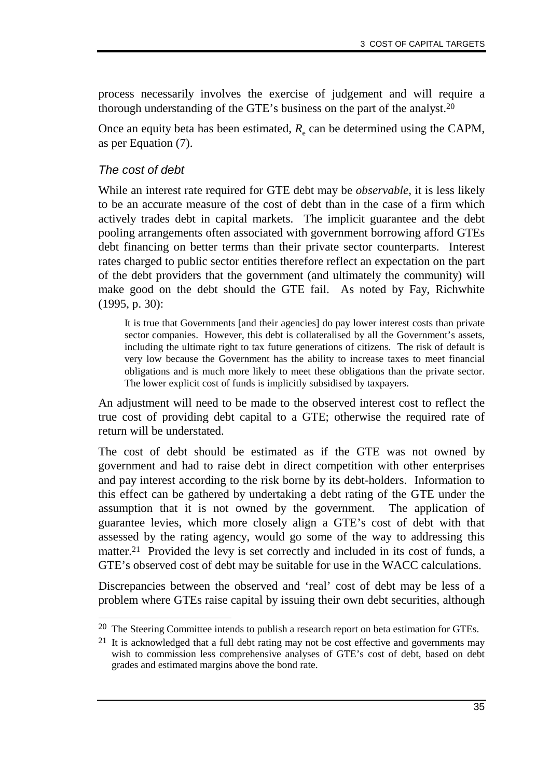process necessarily involves the exercise of judgement and will require a thorough understanding of the GTE's business on the part of the analyst.20

Once an equity beta has been estimated,  $R_e$  can be determined using the CAPM, as per Equation (7).

#### The cost of debt

-

While an interest rate required for GTE debt may be *observable*, it is less likely to be an accurate measure of the cost of debt than in the case of a firm which actively trades debt in capital markets. The implicit guarantee and the debt pooling arrangements often associated with government borrowing afford GTEs debt financing on better terms than their private sector counterparts. Interest rates charged to public sector entities therefore reflect an expectation on the part of the debt providers that the government (and ultimately the community) will make good on the debt should the GTE fail. As noted by Fay, Richwhite (1995, p. 30):

It is true that Governments [and their agencies] do pay lower interest costs than private sector companies. However, this debt is collateralised by all the Government's assets, including the ultimate right to tax future generations of citizens. The risk of default is very low because the Government has the ability to increase taxes to meet financial obligations and is much more likely to meet these obligations than the private sector. The lower explicit cost of funds is implicitly subsidised by taxpayers.

An adjustment will need to be made to the observed interest cost to reflect the true cost of providing debt capital to a GTE; otherwise the required rate of return will be understated.

The cost of debt should be estimated as if the GTE was not owned by government and had to raise debt in direct competition with other enterprises and pay interest according to the risk borne by its debt-holders. Information to this effect can be gathered by undertaking a debt rating of the GTE under the assumption that it is not owned by the government. The application of guarantee levies, which more closely align a GTE's cost of debt with that assessed by the rating agency, would go some of the way to addressing this matter.21 Provided the levy is set correctly and included in its cost of funds, a GTE's observed cost of debt may be suitable for use in the WACC calculations.

Discrepancies between the observed and 'real' cost of debt may be less of a problem where GTEs raise capital by issuing their own debt securities, although

<sup>&</sup>lt;sup>20</sup> The Steering Committee intends to publish a research report on beta estimation for GTEs.

<sup>21</sup> It is acknowledged that a full debt rating may not be cost effective and governments may wish to commission less comprehensive analyses of GTE's cost of debt, based on debt grades and estimated margins above the bond rate.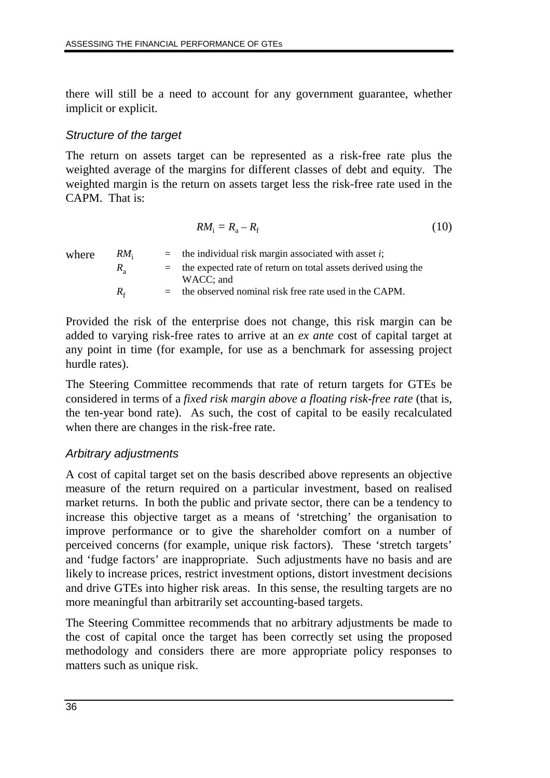there will still be a need to account for any government guarantee, whether implicit or explicit.

#### Structure of the target

The return on assets target can be represented as a risk-free rate plus the weighted average of the margins for different classes of debt and equity. The weighted margin is the return on assets target less the risk-free rate used in the CAPM. That is:

$$
RM_{\rm i}=R_{\rm a}-R_{\rm f} \tag{10}
$$

| where | RM <sub>i</sub> | $=$ the individual risk margin associated with asset <i>i</i> ;        |
|-------|-----------------|------------------------------------------------------------------------|
|       | $R_{\circ}$     | $=$ the expected rate of return on total assets derived using the      |
|       | $R_{\epsilon}$  | WACC; and<br>$=$ the observed nominal risk free rate used in the CAPM. |

Provided the risk of the enterprise does not change, this risk margin can be added to varying risk-free rates to arrive at an *ex ante* cost of capital target at any point in time (for example, for use as a benchmark for assessing project hurdle rates).

The Steering Committee recommends that rate of return targets for GTEs be considered in terms of a *fixed risk margin above a floating risk-free rate* (that is, the ten-year bond rate). As such, the cost of capital to be easily recalculated when there are changes in the risk-free rate.

## Arbitrary adjustments

A cost of capital target set on the basis described above represents an objective measure of the return required on a particular investment, based on realised market returns. In both the public and private sector, there can be a tendency to increase this objective target as a means of 'stretching' the organisation to improve performance or to give the shareholder comfort on a number of perceived concerns (for example, unique risk factors). These 'stretch targets' and 'fudge factors' are inappropriate. Such adjustments have no basis and are likely to increase prices, restrict investment options, distort investment decisions and drive GTEs into higher risk areas. In this sense, the resulting targets are no more meaningful than arbitrarily set accounting-based targets.

The Steering Committee recommends that no arbitrary adjustments be made to the cost of capital once the target has been correctly set using the proposed methodology and considers there are more appropriate policy responses to matters such as unique risk.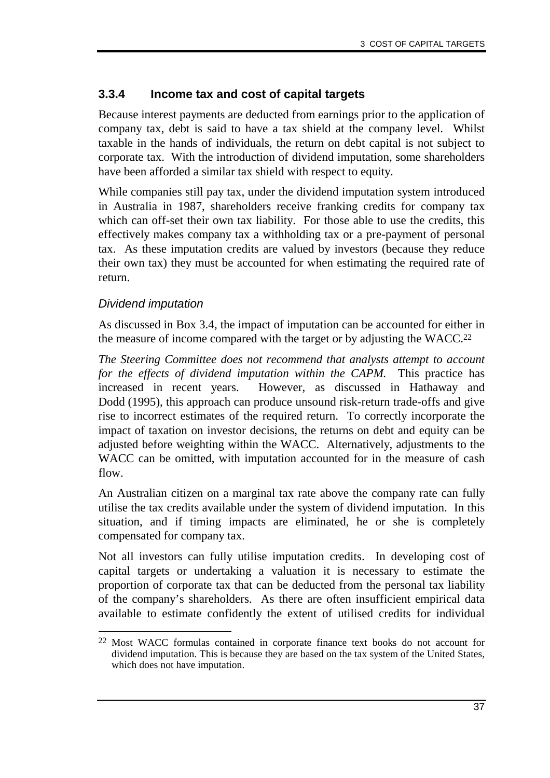#### **3.3.4 Income tax and cost of capital targets**

Because interest payments are deducted from earnings prior to the application of company tax, debt is said to have a tax shield at the company level. Whilst taxable in the hands of individuals, the return on debt capital is not subject to corporate tax. With the introduction of dividend imputation, some shareholders have been afforded a similar tax shield with respect to equity.

While companies still pay tax, under the dividend imputation system introduced in Australia in 1987, shareholders receive franking credits for company tax which can off-set their own tax liability. For those able to use the credits, this effectively makes company tax a withholding tax or a pre-payment of personal tax. As these imputation credits are valued by investors (because they reduce their own tax) they must be accounted for when estimating the required rate of return.

#### Dividend imputation

As discussed in Box 3.4, the impact of imputation can be accounted for either in the measure of income compared with the target or by adjusting the WACC.22

*The Steering Committee does not recommend that analysts attempt to account for the effects of dividend imputation within the CAPM.* This practice has increased in recent years. However, as discussed in Hathaway and Dodd (1995), this approach can produce unsound risk-return trade-offs and give rise to incorrect estimates of the required return. To correctly incorporate the impact of taxation on investor decisions, the returns on debt and equity can be adjusted before weighting within the WACC. Alternatively, adjustments to the WACC can be omitted, with imputation accounted for in the measure of cash flow.

An Australian citizen on a marginal tax rate above the company rate can fully utilise the tax credits available under the system of dividend imputation. In this situation, and if timing impacts are eliminated, he or she is completely compensated for company tax.

Not all investors can fully utilise imputation credits. In developing cost of capital targets or undertaking a valuation it is necessary to estimate the proportion of corporate tax that can be deducted from the personal tax liability of the company's shareholders. As there are often insufficient empirical data available to estimate confidently the extent of utilised credits for individual

<sup>-</sup>22 Most WACC formulas contained in corporate finance text books do not account for dividend imputation. This is because they are based on the tax system of the United States, which does not have imputation.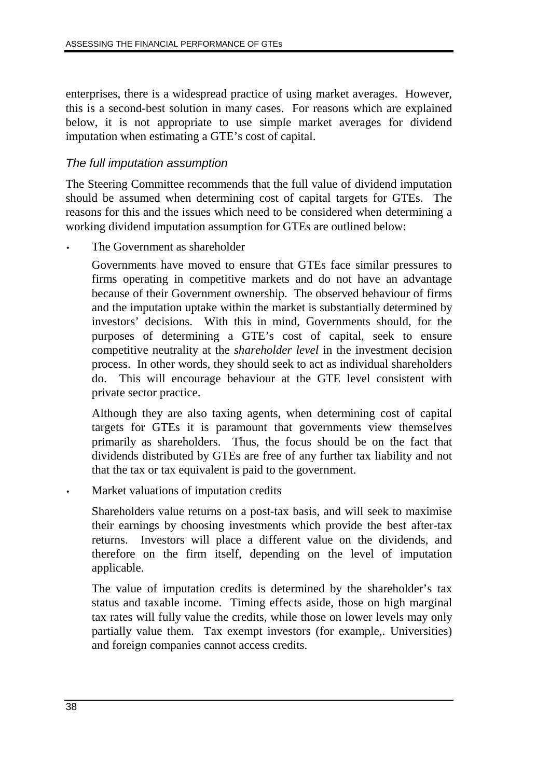enterprises, there is a widespread practice of using market averages. However, this is a second-best solution in many cases. For reasons which are explained below, it is not appropriate to use simple market averages for dividend imputation when estimating a GTE's cost of capital.

## The full imputation assumption

The Steering Committee recommends that the full value of dividend imputation should be assumed when determining cost of capital targets for GTEs. The reasons for this and the issues which need to be considered when determining a working dividend imputation assumption for GTEs are outlined below:

The Government as shareholder

Governments have moved to ensure that GTEs face similar pressures to firms operating in competitive markets and do not have an advantage because of their Government ownership. The observed behaviour of firms and the imputation uptake within the market is substantially determined by investors' decisions. With this in mind, Governments should, for the purposes of determining a GTE's cost of capital, seek to ensure competitive neutrality at the *shareholder level* in the investment decision process. In other words, they should seek to act as individual shareholders do. This will encourage behaviour at the GTE level consistent with private sector practice.

Although they are also taxing agents, when determining cost of capital targets for GTEs it is paramount that governments view themselves primarily as shareholders. Thus, the focus should be on the fact that dividends distributed by GTEs are free of any further tax liability and not that the tax or tax equivalent is paid to the government.

Market valuations of imputation credits

Shareholders value returns on a post-tax basis, and will seek to maximise their earnings by choosing investments which provide the best after-tax returns. Investors will place a different value on the dividends, and therefore on the firm itself, depending on the level of imputation applicable.

The value of imputation credits is determined by the shareholder's tax status and taxable income. Timing effects aside, those on high marginal tax rates will fully value the credits, while those on lower levels may only partially value them. Tax exempt investors (for example,. Universities) and foreign companies cannot access credits.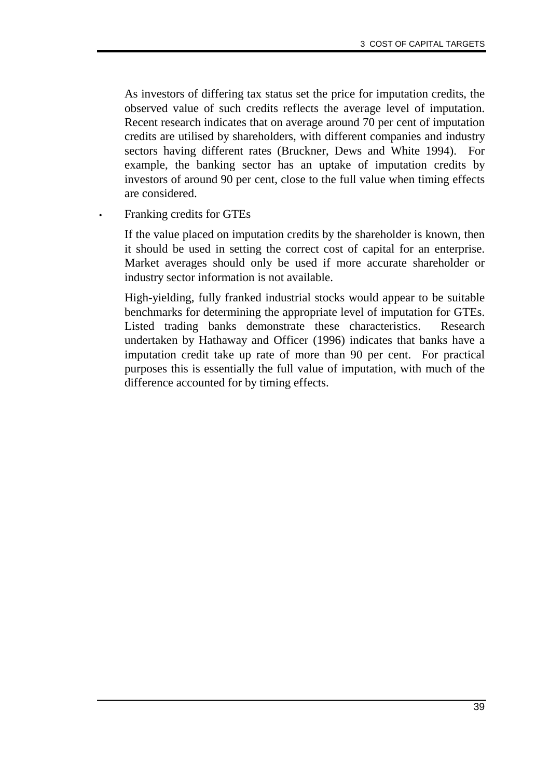As investors of differing tax status set the price for imputation credits, the observed value of such credits reflects the average level of imputation. Recent research indicates that on average around 70 per cent of imputation credits are utilised by shareholders, with different companies and industry sectors having different rates (Bruckner, Dews and White 1994). For example, the banking sector has an uptake of imputation credits by investors of around 90 per cent, close to the full value when timing effects are considered.

• Franking credits for GTEs

If the value placed on imputation credits by the shareholder is known, then it should be used in setting the correct cost of capital for an enterprise. Market averages should only be used if more accurate shareholder or industry sector information is not available.

High-yielding, fully franked industrial stocks would appear to be suitable benchmarks for determining the appropriate level of imputation for GTEs. Listed trading banks demonstrate these characteristics. Research undertaken by Hathaway and Officer (1996) indicates that banks have a imputation credit take up rate of more than 90 per cent. For practical purposes this is essentially the full value of imputation, with much of the difference accounted for by timing effects.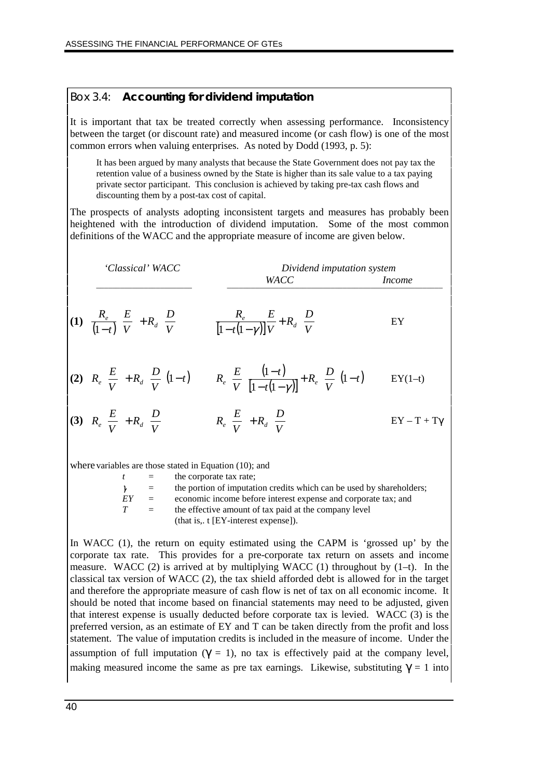#### Box 3.4: **Accounting for dividend imputation**

It is important that tax be treated correctly when assessing performance. Inconsistency between the target (or discount rate) and measured income (or cash flow) is one of the most common errors when valuing enterprises. As noted by Dodd (1993, p. 5):

It has been argued by many analysts that because the State Government does not pay tax the retention value of a business owned by the State is higher than its sale value to a tax paying private sector participant. This conclusion is achieved by taking pre-tax cash flows and discounting them by a post-tax cost of capital.

The prospects of analysts adopting inconsistent targets and measures has probably been heightened with the introduction of dividend imputation. Some of the most common definitions of the WACC and the appropriate measure of income are given below.



where variables are those stated in Equation (10); and

| $\mathbf{t}$ | $=$      | the corporate tax rate;                                              |
|--------------|----------|----------------------------------------------------------------------|
| $\gamma$     | $\equiv$ | the portion of imputation credits which can be used by shareholders; |
| EY           | $\equiv$ | economic income before interest expense and corporate tax; and       |
| T            | $=$      | the effective amount of tax paid at the company level                |
|              |          | (that is, $t$ [EY-interest expense]).                                |

In WACC (1), the return on equity estimated using the CAPM is 'grossed up' by the corporate tax rate. This provides for a pre-corporate tax return on assets and income measure. WACC (2) is arrived at by multiplying WACC (1) throughout by  $(1-t)$ . In the classical tax version of WACC (2), the tax shield afforded debt is allowed for in the target and therefore the appropriate measure of cash flow is net of tax on all economic income. It should be noted that income based on financial statements may need to be adjusted, given that interest expense is usually deducted before corporate tax is levied. WACC (3) is the preferred version, as an estimate of EY and T can be taken directly from the profit and loss statement. The value of imputation credits is included in the measure of income. Under the assumption of full imputation ( $\gamma = 1$ ), no tax is effectively paid at the company level, making measured income the same as pre tax earnings. Likewise, substituting  $\gamma = 1$  into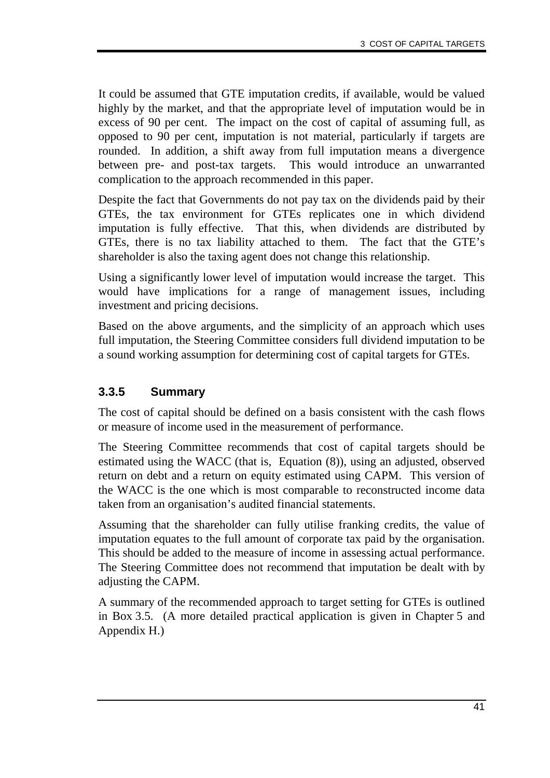It could be assumed that GTE imputation credits, if available, would be valued highly by the market, and that the appropriate level of imputation would be in excess of 90 per cent. The impact on the cost of capital of assuming full, as opposed to 90 per cent, imputation is not material, particularly if targets are rounded. In addition, a shift away from full imputation means a divergence between pre- and post-tax targets. This would introduce an unwarranted complication to the approach recommended in this paper.

Despite the fact that Governments do not pay tax on the dividends paid by their GTEs, the tax environment for GTEs replicates one in which dividend imputation is fully effective. That this, when dividends are distributed by GTEs, there is no tax liability attached to them. The fact that the GTE's shareholder is also the taxing agent does not change this relationship.

Using a significantly lower level of imputation would increase the target. This would have implications for a range of management issues, including investment and pricing decisions.

Based on the above arguments, and the simplicity of an approach which uses full imputation, the Steering Committee considers full dividend imputation to be a sound working assumption for determining cost of capital targets for GTEs.

## **3.3.5 Summary**

The cost of capital should be defined on a basis consistent with the cash flows or measure of income used in the measurement of performance.

The Steering Committee recommends that cost of capital targets should be estimated using the WACC (that is, Equation (8)), using an adjusted, observed return on debt and a return on equity estimated using CAPM. This version of the WACC is the one which is most comparable to reconstructed income data taken from an organisation's audited financial statements.

Assuming that the shareholder can fully utilise franking credits, the value of imputation equates to the full amount of corporate tax paid by the organisation. This should be added to the measure of income in assessing actual performance. The Steering Committee does not recommend that imputation be dealt with by adjusting the CAPM.

A summary of the recommended approach to target setting for GTEs is outlined in Box 3.5. (A more detailed practical application is given in Chapter 5 and Appendix H.)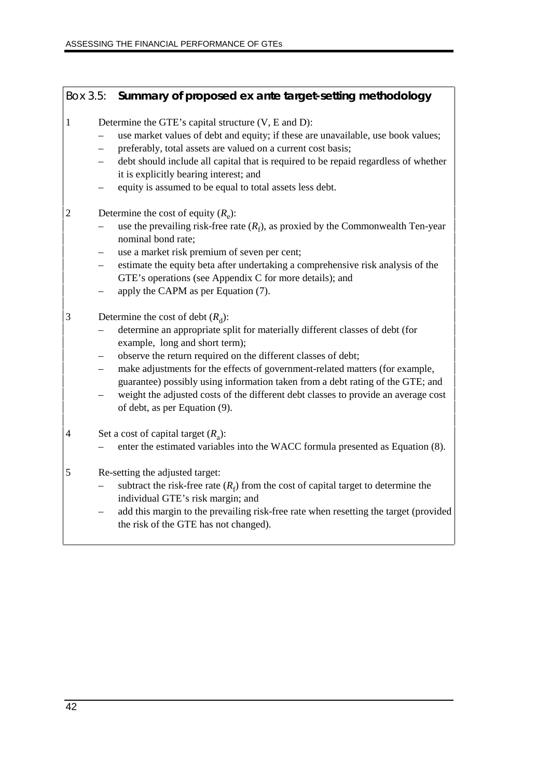#### Box 3.5: **Summary of proposed** *ex ante* **target-setting methodology**

- 1 Determine the GTE's capital structure  $(V, E \text{ and } D)$ :
	- use market values of debt and equity; if these are unavailable, use book values;
	- preferably, total assets are valued on a current cost basis;
	- debt should include all capital that is required to be repaid regardless of whether it is explicitly bearing interest; and
	- equity is assumed to be equal to total assets less debt.
- 2 Determine the cost of equity  $(R_e)$ :
	- $-$  use the prevailing risk-free rate  $(R_f)$ , as proxied by the Commonwealth Ten-year nominal bond rate;
	- use a market risk premium of seven per cent;
	- estimate the equity beta after undertaking a comprehensive risk analysis of the GTE's operations (see Appendix C for more details); and
	- apply the CAPM as per Equation (7).
- 3 Determine the cost of debt  $(R_d)$ :
	- determine an appropriate split for materially different classes of debt (for example, long and short term);
	- observe the return required on the different classes of debt;
	- make adjustments for the effects of government-related matters (for example, guarantee) possibly using information taken from a debt rating of the GTE; and
	- weight the adjusted costs of the different debt classes to provide an average cost of debt, as per Equation (9).
- 4 Set a cost of capital target  $(R<sub>a</sub>)$ :
	- enter the estimated variables into the WACC formula presented as Equation (8).
- 5 Re-setting the adjusted target:
	- $-$  subtract the risk-free rate  $(R_f)$  from the cost of capital target to determine the individual GTE's risk margin; and
	- add this margin to the prevailing risk-free rate when resetting the target (provided the risk of the GTE has not changed).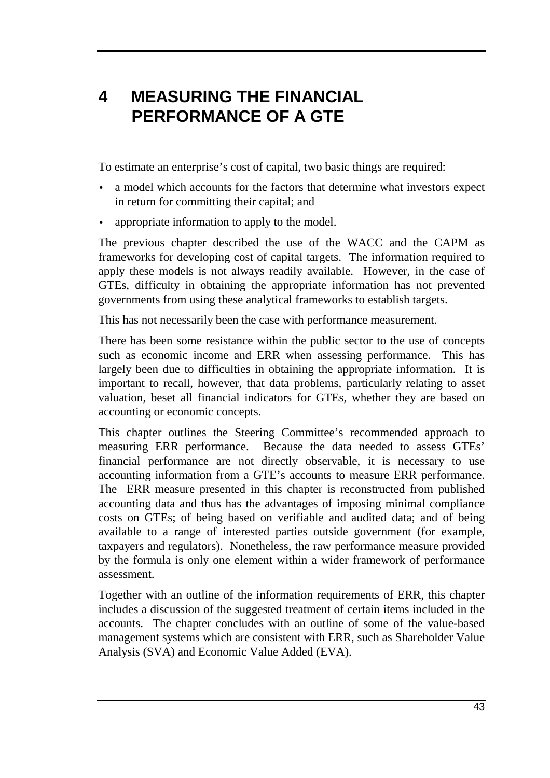# **4 MEASURING THE FINANCIAL PERFORMANCE OF A GTE**

To estimate an enterprise's cost of capital, two basic things are required:

- a model which accounts for the factors that determine what investors expect in return for committing their capital; and
- appropriate information to apply to the model.

The previous chapter described the use of the WACC and the CAPM as frameworks for developing cost of capital targets. The information required to apply these models is not always readily available. However, in the case of GTEs, difficulty in obtaining the appropriate information has not prevented governments from using these analytical frameworks to establish targets.

This has not necessarily been the case with performance measurement.

There has been some resistance within the public sector to the use of concepts such as economic income and ERR when assessing performance. This has largely been due to difficulties in obtaining the appropriate information. It is important to recall, however, that data problems, particularly relating to asset valuation, beset all financial indicators for GTEs, whether they are based on accounting or economic concepts.

This chapter outlines the Steering Committee's recommended approach to measuring ERR performance. Because the data needed to assess GTEs' financial performance are not directly observable, it is necessary to use accounting information from a GTE's accounts to measure ERR performance. The ERR measure presented in this chapter is reconstructed from published accounting data and thus has the advantages of imposing minimal compliance costs on GTEs; of being based on verifiable and audited data; and of being available to a range of interested parties outside government (for example, taxpayers and regulators). Nonetheless, the raw performance measure provided by the formula is only one element within a wider framework of performance assessment.

Together with an outline of the information requirements of ERR, this chapter includes a discussion of the suggested treatment of certain items included in the accounts. The chapter concludes with an outline of some of the value-based management systems which are consistent with ERR, such as Shareholder Value Analysis (SVA) and Economic Value Added (EVA).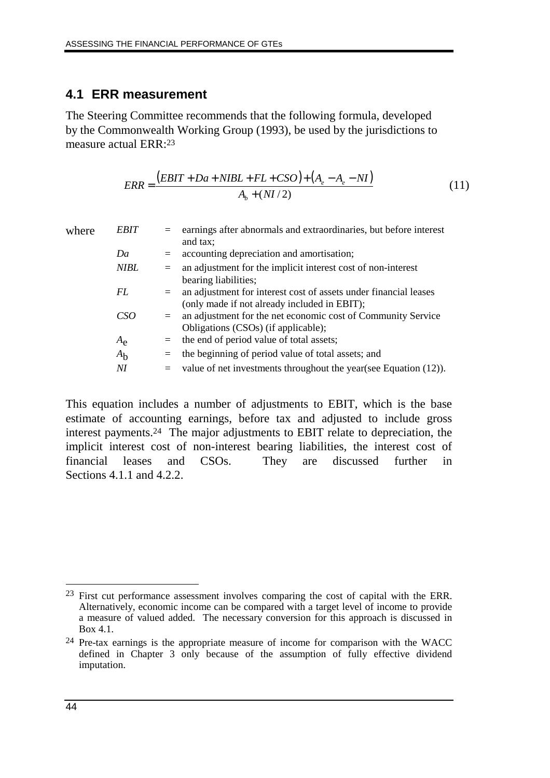#### **4.1 ERR measurement**

The Steering Committee recommends that the following formula, developed by the Commonwealth Working Group (1993), be used by the jurisdictions to measure actual ERR:23

$$
ERR = \frac{(EBIT + Da + NIBL + FL + CSO) + (A_e - A_e - NI)}{A_b + (NI/2)}
$$
(11)

| where | <b>EBIT</b>    | $=$ | earnings after abnormals and extraordinaries, but before interest |
|-------|----------------|-----|-------------------------------------------------------------------|
|       |                |     | and tax;                                                          |
|       | Da             | $=$ | accounting depreciation and amortisation;                         |
|       | <b>NIBL</b>    | $=$ | an adjustment for the implicit interest cost of non-interest      |
|       |                |     | bearing liabilities;                                              |
|       | FL             | $=$ | an adjustment for interest cost of assets under financial leases  |
|       |                |     | (only made if not already included in EBIT);                      |
|       | CSO            | $=$ | an adjustment for the net economic cost of Community Service      |
|       |                |     | Obligations (CSOs) (if applicable);                               |
|       | $A_{\rm e}$    | $=$ | the end of period value of total assets;                          |
|       | A <sub>b</sub> | $=$ | the beginning of period value of total assets; and                |
|       | NI             | $=$ | value of net investments throughout the year (see Equation (12)). |

This equation includes a number of adjustments to EBIT, which is the base estimate of accounting earnings, before tax and adjusted to include gross interest payments.24 The major adjustments to EBIT relate to depreciation, the implicit interest cost of non-interest bearing liabilities, the interest cost of financial leases and CSOs. They are discussed further in Sections  $4.1.1$  and  $4.2.2$ .

 $\overline{a}$ <sup>23</sup> First cut performance assessment involves comparing the cost of capital with the ERR. Alternatively, economic income can be compared with a target level of income to provide a measure of valued added. The necessary conversion for this approach is discussed in Box 4.1.

<sup>24</sup> Pre-tax earnings is the appropriate measure of income for comparison with the WACC defined in Chapter 3 only because of the assumption of fully effective dividend imputation.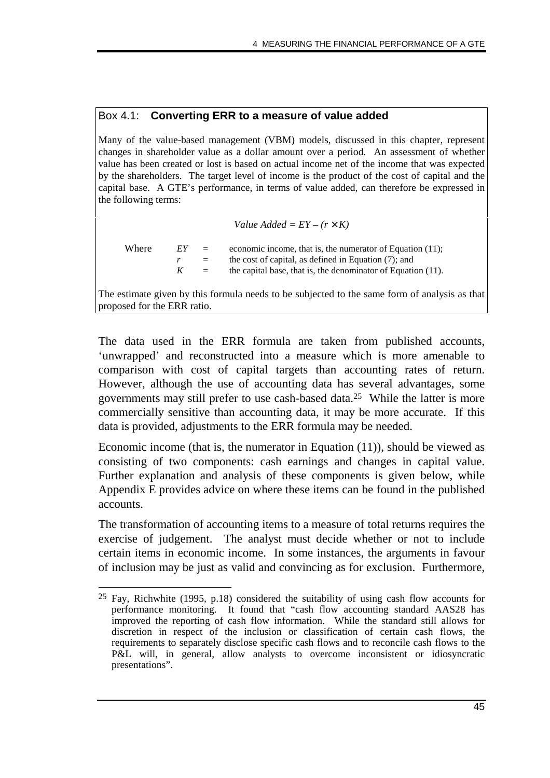#### Box 4.1: **Converting ERR to a measure of value added**

Many of the value-based management (VBM) models, discussed in this chapter, represent changes in shareholder value as a dollar amount over a period. An assessment of whether value has been created or lost is based on actual income net of the income that was expected by the shareholders. The target level of income is the product of the cost of capital and the capital base. A GTE's performance, in terms of value added, can therefore be expressed in the following terms:

Value added = 
$$
EY - (r \times K)
$$

Where  $EY =$  economic income, that is, the numerator of Equation (11);  $r =$  the cost of capital, as defined in Equation (7); and  $K =$  the capital base, that is, the denominator of Equation (11).

The estimate given by this formula needs to be subjected to the same form of analysis as that proposed for the ERR ratio.

The data used in the ERR formula are taken from published accounts, 'unwrapped' and reconstructed into a measure which is more amenable to comparison with cost of capital targets than accounting rates of return. However, although the use of accounting data has several advantages, some governments may still prefer to use cash-based data.25 While the latter is more commercially sensitive than accounting data, it may be more accurate. If this data is provided, adjustments to the ERR formula may be needed.

Economic income (that is, the numerator in Equation (11)), should be viewed as consisting of two components: cash earnings and changes in capital value. Further explanation and analysis of these components is given below, while Appendix E provides advice on where these items can be found in the published accounts.

The transformation of accounting items to a measure of total returns requires the exercise of judgement. The analyst must decide whether or not to include certain items in economic income. In some instances, the arguments in favour of inclusion may be just as valid and convincing as for exclusion. Furthermore,

<sup>-</sup>25 Fay, Richwhite (1995, p.18) considered the suitability of using cash flow accounts for performance monitoring. It found that "cash flow accounting standard AAS28 has improved the reporting of cash flow information. While the standard still allows for discretion in respect of the inclusion or classification of certain cash flows, the requirements to separately disclose specific cash flows and to reconcile cash flows to the P&L will, in general, allow analysts to overcome inconsistent or idiosyncratic presentations".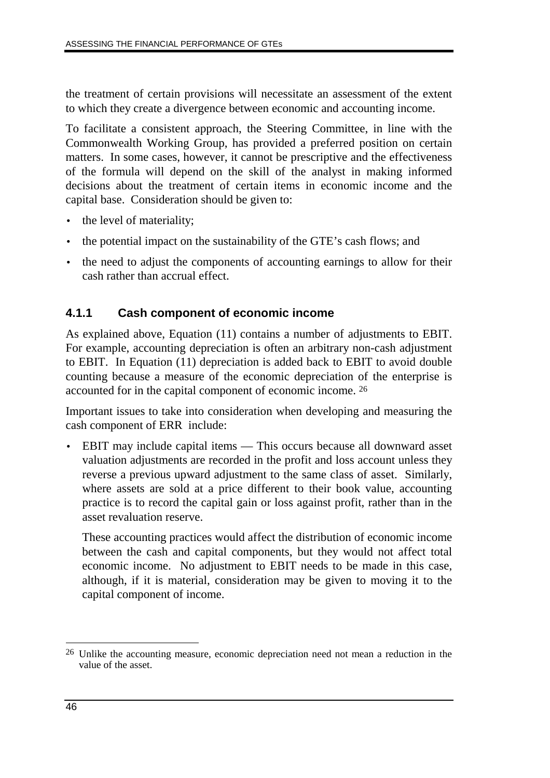the treatment of certain provisions will necessitate an assessment of the extent to which they create a divergence between economic and accounting income.

To facilitate a consistent approach, the Steering Committee, in line with the Commonwealth Working Group, has provided a preferred position on certain matters. In some cases, however, it cannot be prescriptive and the effectiveness of the formula will depend on the skill of the analyst in making informed decisions about the treatment of certain items in economic income and the capital base. Consideration should be given to:

- the level of materiality;
- the potential impact on the sustainability of the GTE's cash flows; and
- the need to adjust the components of accounting earnings to allow for their cash rather than accrual effect.

## **4.1.1 Cash component of economic income**

As explained above, Equation (11) contains a number of adjustments to EBIT. For example, accounting depreciation is often an arbitrary non-cash adjustment to EBIT. In Equation (11) depreciation is added back to EBIT to avoid double counting because a measure of the economic depreciation of the enterprise is accounted for in the capital component of economic income. 26

Important issues to take into consideration when developing and measuring the cash component of ERR include:

• EBIT may include capital items — This occurs because all downward asset valuation adjustments are recorded in the profit and loss account unless they reverse a previous upward adjustment to the same class of asset. Similarly, where assets are sold at a price different to their book value, accounting practice is to record the capital gain or loss against profit, rather than in the asset revaluation reserve.

These accounting practices would affect the distribution of economic income between the cash and capital components, but they would not affect total economic income. No adjustment to EBIT needs to be made in this case, although, if it is material, consideration may be given to moving it to the capital component of income.

 $\overline{a}$ 26 Unlike the accounting measure, economic depreciation need not mean a reduction in the value of the asset.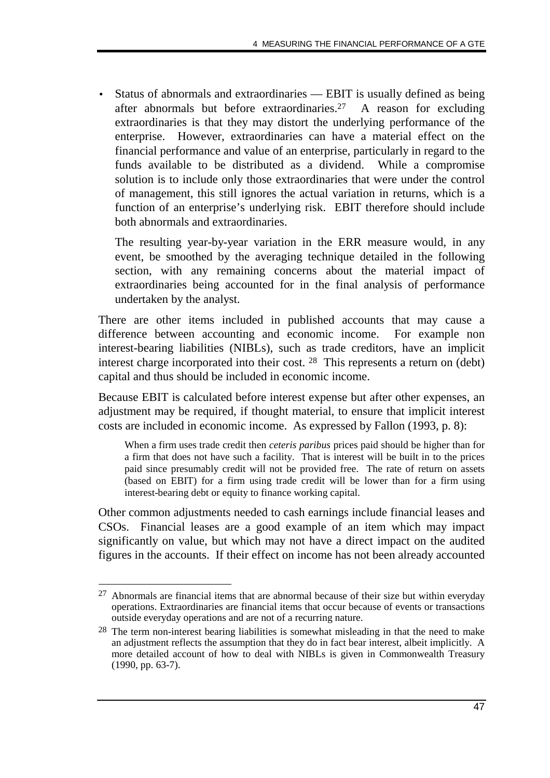• Status of abnormals and extraordinaries — EBIT is usually defined as being after abnormals but before extraordinaries.27 A reason for excluding extraordinaries is that they may distort the underlying performance of the enterprise. However, extraordinaries can have a material effect on the financial performance and value of an enterprise, particularly in regard to the funds available to be distributed as a dividend. While a compromise solution is to include only those extraordinaries that were under the control of management, this still ignores the actual variation in returns, which is a function of an enterprise's underlying risk. EBIT therefore should include both abnormals and extraordinaries.

The resulting year-by-year variation in the ERR measure would, in any event, be smoothed by the averaging technique detailed in the following section, with any remaining concerns about the material impact of extraordinaries being accounted for in the final analysis of performance undertaken by the analyst.

There are other items included in published accounts that may cause a difference between accounting and economic income. For example non interest-bearing liabilities (NIBLs), such as trade creditors, have an implicit interest charge incorporated into their cost. 28 This represents a return on (debt) capital and thus should be included in economic income.

Because EBIT is calculated before interest expense but after other expenses, an adjustment may be required, if thought material, to ensure that implicit interest costs are included in economic income. As expressed by Fallon (1993, p. 8):

When a firm uses trade credit then *ceteris paribus* prices paid should be higher than for a firm that does not have such a facility. That is interest will be built in to the prices paid since presumably credit will not be provided free. The rate of return on assets (based on EBIT) for a firm using trade credit will be lower than for a firm using interest-bearing debt or equity to finance working capital.

Other common adjustments needed to cash earnings include financial leases and CSOs. Financial leases are a good example of an item which may impact significantly on value, but which may not have a direct impact on the audited figures in the accounts. If their effect on income has not been already accounted

<sup>-</sup> $27$  Abnormals are financial items that are abnormal because of their size but within everyday operations. Extraordinaries are financial items that occur because of events or transactions outside everyday operations and are not of a recurring nature.

<sup>28</sup> The term non-interest bearing liabilities is somewhat misleading in that the need to make an adjustment reflects the assumption that they do in fact bear interest, albeit implicitly. A more detailed account of how to deal with NIBLs is given in Commonwealth Treasury (1990, pp. 63-7).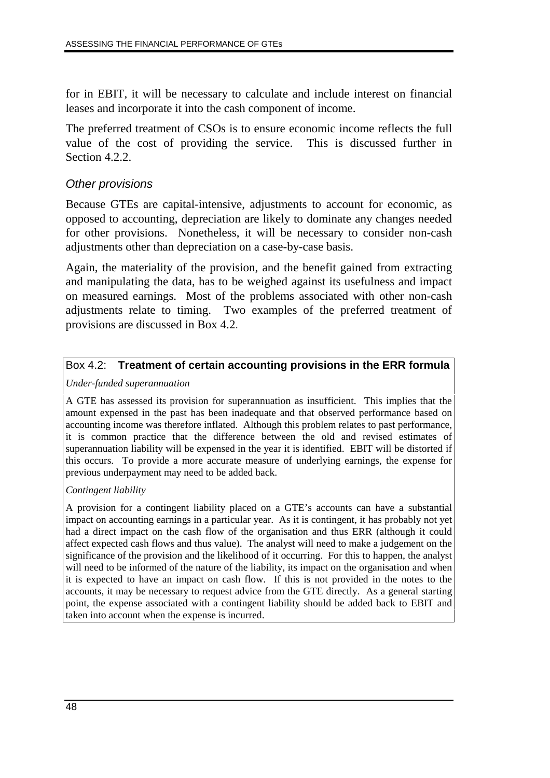for in EBIT, it will be necessary to calculate and include interest on financial leases and incorporate it into the cash component of income.

The preferred treatment of CSOs is to ensure economic income reflects the full value of the cost of providing the service. This is discussed further in Section 4.2.2.

### Other provisions

Because GTEs are capital-intensive, adjustments to account for economic, as opposed to accounting, depreciation are likely to dominate any changes needed for other provisions. Nonetheless, it will be necessary to consider non-cash adjustments other than depreciation on a case-by-case basis.

Again, the materiality of the provision, and the benefit gained from extracting and manipulating the data, has to be weighed against its usefulness and impact on measured earnings. Most of the problems associated with other non-cash adjustments relate to timing. Two examples of the preferred treatment of provisions are discussed in Box 4.2.

#### Box 4.2: **Treatment of certain accounting provisions in the ERR formula**

#### *Under-funded superannuation*

A GTE has assessed its provision for superannuation as insufficient. This implies that the amount expensed in the past has been inadequate and that observed performance based on accounting income was therefore inflated. Although this problem relates to past performance, it is common practice that the difference between the old and revised estimates of superannuation liability will be expensed in the year it is identified. EBIT will be distorted if this occurs. To provide a more accurate measure of underlying earnings, the expense for previous underpayment may need to be added back.

#### *Contingent liability*

A provision for a contingent liability placed on a GTE's accounts can have a substantial impact on accounting earnings in a particular year. As it is contingent, it has probably not yet had a direct impact on the cash flow of the organisation and thus ERR (although it could affect expected cash flows and thus value). The analyst will need to make a judgement on the significance of the provision and the likelihood of it occurring. For this to happen, the analyst will need to be informed of the nature of the liability, its impact on the organisation and when it is expected to have an impact on cash flow. If this is not provided in the notes to the accounts, it may be necessary to request advice from the GTE directly. As a general starting point, the expense associated with a contingent liability should be added back to EBIT and taken into account when the expense is incurred.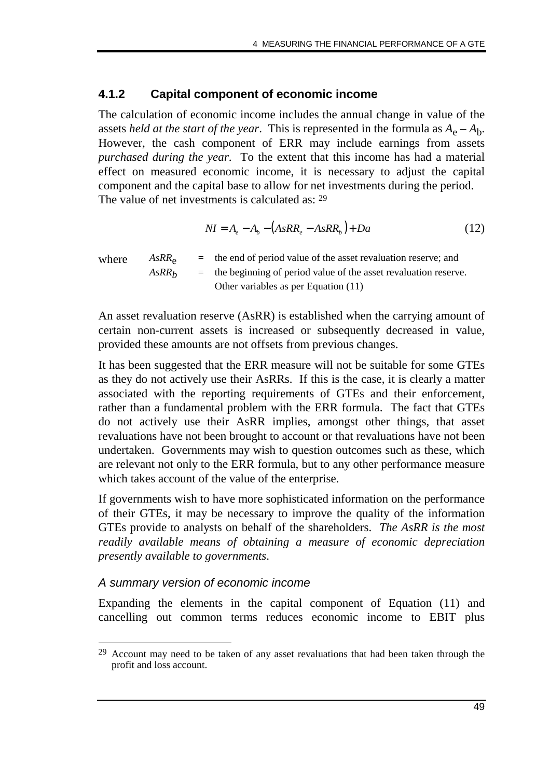#### **4.1.2 Capital component of economic income**

The calculation of economic income includes the annual change in value of the assets *held at the start of the year*. This is represented in the formula as  $A_e - A_b$ . However, the cash component of ERR may include earnings from assets *purchased during the year*. To the extent that this income has had a material effect on measured economic income, it is necessary to adjust the capital component and the capital base to allow for net investments during the period. The value of net investments is calculated as: 29

$$
NI = A_e - A_b - (AsRR_e - AsRR_b) + Da \tag{12}
$$

where  $AsRR<sub>e</sub>$  = the end of period value of the asset revaluation reserve; and  $AsRR<sub>b</sub>$  = the beginning of period value of the asset revaluation reserve. Other variables as per Equation (11)

An asset revaluation reserve (AsRR) is established when the carrying amount of certain non-current assets is increased or subsequently decreased in value, provided these amounts are not offsets from previous changes.

It has been suggested that the ERR measure will not be suitable for some GTEs as they do not actively use their AsRRs. If this is the case, it is clearly a matter associated with the reporting requirements of GTEs and their enforcement, rather than a fundamental problem with the ERR formula. The fact that GTEs do not actively use their AsRR implies, amongst other things, that asset revaluations have not been brought to account or that revaluations have not been undertaken. Governments may wish to question outcomes such as these, which are relevant not only to the ERR formula, but to any other performance measure which takes account of the value of the enterprise.

If governments wish to have more sophisticated information on the performance of their GTEs, it may be necessary to improve the quality of the information GTEs provide to analysts on behalf of the shareholders. *The AsRR is the most readily available means of obtaining a measure of economic depreciation presently available to governments*.

## A summary version of economic income

Expanding the elements in the capital component of Equation (11) and cancelling out common terms reduces economic income to EBIT plus

<sup>-</sup><sup>29</sup> Account may need to be taken of any asset revaluations that had been taken through the profit and loss account.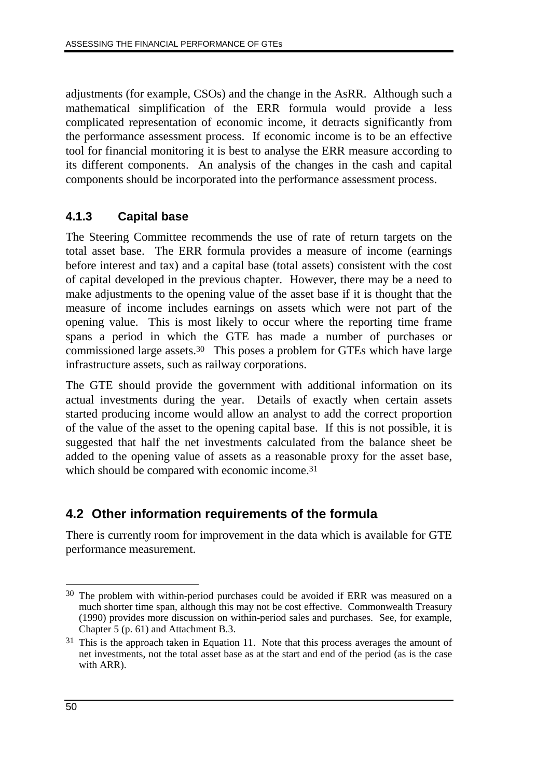adjustments (for example, CSOs) and the change in the AsRR. Although such a mathematical simplification of the ERR formula would provide a less complicated representation of economic income, it detracts significantly from the performance assessment process. If economic income is to be an effective tool for financial monitoring it is best to analyse the ERR measure according to its different components. An analysis of the changes in the cash and capital components should be incorporated into the performance assessment process.

## **4.1.3 Capital base**

The Steering Committee recommends the use of rate of return targets on the total asset base. The ERR formula provides a measure of income (earnings before interest and tax) and a capital base (total assets) consistent with the cost of capital developed in the previous chapter. However, there may be a need to make adjustments to the opening value of the asset base if it is thought that the measure of income includes earnings on assets which were not part of the opening value. This is most likely to occur where the reporting time frame spans a period in which the GTE has made a number of purchases or commissioned large assets.30 This poses a problem for GTEs which have large infrastructure assets, such as railway corporations.

The GTE should provide the government with additional information on its actual investments during the year. Details of exactly when certain assets started producing income would allow an analyst to add the correct proportion of the value of the asset to the opening capital base. If this is not possible, it is suggested that half the net investments calculated from the balance sheet be added to the opening value of assets as a reasonable proxy for the asset base, which should be compared with economic income.<sup>31</sup>

# **4.2 Other information requirements of the formula**

There is currently room for improvement in the data which is available for GTE performance measurement.

 $\overline{a}$ 30 The problem with within-period purchases could be avoided if ERR was measured on a much shorter time span, although this may not be cost effective. Commonwealth Treasury (1990) provides more discussion on within-period sales and purchases. See, for example, Chapter 5 (p. 61) and Attachment B.3.

<sup>&</sup>lt;sup>31</sup> This is the approach taken in Equation 11. Note that this process averages the amount of net investments, not the total asset base as at the start and end of the period (as is the case with ARR).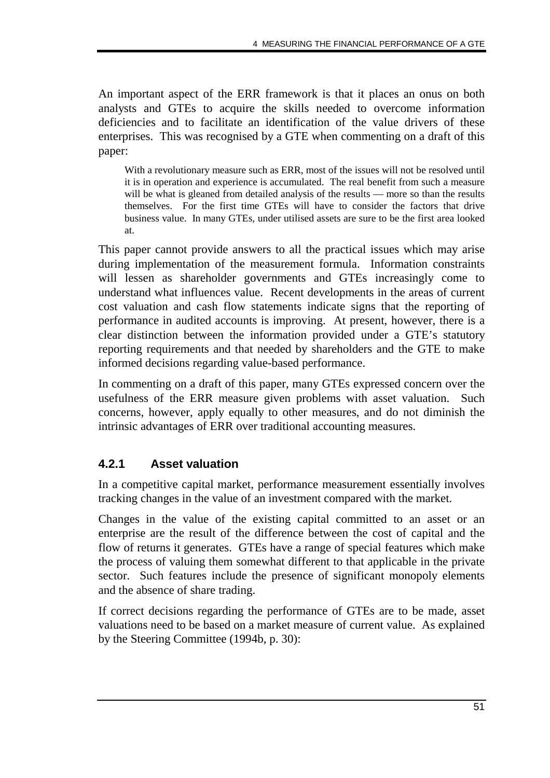An important aspect of the ERR framework is that it places an onus on both analysts and GTEs to acquire the skills needed to overcome information deficiencies and to facilitate an identification of the value drivers of these enterprises. This was recognised by a GTE when commenting on a draft of this paper:

With a revolutionary measure such as ERR, most of the issues will not be resolved until it is in operation and experience is accumulated. The real benefit from such a measure will be what is gleaned from detailed analysis of the results — more so than the results themselves. For the first time GTEs will have to consider the factors that drive business value. In many GTEs, under utilised assets are sure to be the first area looked at.

This paper cannot provide answers to all the practical issues which may arise during implementation of the measurement formula. Information constraints will lessen as shareholder governments and GTEs increasingly come to understand what influences value. Recent developments in the areas of current cost valuation and cash flow statements indicate signs that the reporting of performance in audited accounts is improving. At present, however, there is a clear distinction between the information provided under a GTE's statutory reporting requirements and that needed by shareholders and the GTE to make informed decisions regarding value-based performance.

In commenting on a draft of this paper, many GTEs expressed concern over the usefulness of the ERR measure given problems with asset valuation. Such concerns, however, apply equally to other measures, and do not diminish the intrinsic advantages of ERR over traditional accounting measures.

# **4.2.1 Asset valuation**

In a competitive capital market, performance measurement essentially involves tracking changes in the value of an investment compared with the market.

Changes in the value of the existing capital committed to an asset or an enterprise are the result of the difference between the cost of capital and the flow of returns it generates. GTEs have a range of special features which make the process of valuing them somewhat different to that applicable in the private sector. Such features include the presence of significant monopoly elements and the absence of share trading.

If correct decisions regarding the performance of GTEs are to be made, asset valuations need to be based on a market measure of current value. As explained by the Steering Committee (1994b, p. 30):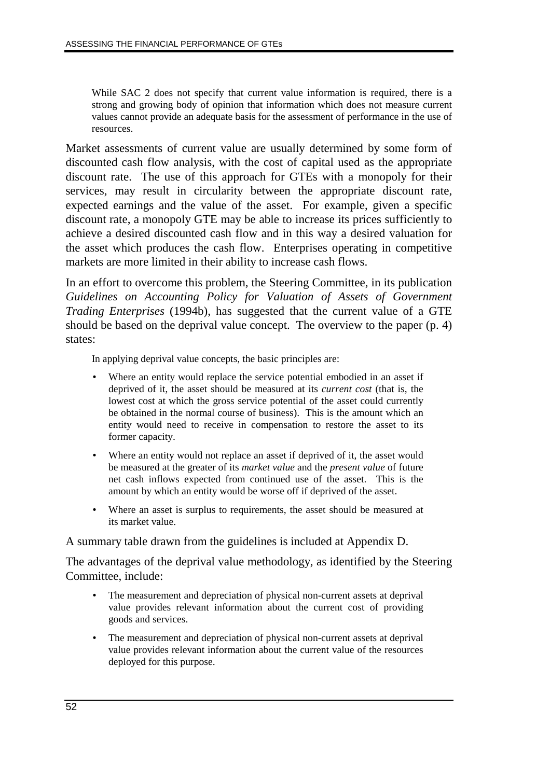While SAC 2 does not specify that current value information is required, there is a strong and growing body of opinion that information which does not measure current values cannot provide an adequate basis for the assessment of performance in the use of resources.

Market assessments of current value are usually determined by some form of discounted cash flow analysis, with the cost of capital used as the appropriate discount rate. The use of this approach for GTEs with a monopoly for their services, may result in circularity between the appropriate discount rate, expected earnings and the value of the asset. For example, given a specific discount rate, a monopoly GTE may be able to increase its prices sufficiently to achieve a desired discounted cash flow and in this way a desired valuation for the asset which produces the cash flow. Enterprises operating in competitive markets are more limited in their ability to increase cash flows.

In an effort to overcome this problem, the Steering Committee, in its publication *Guidelines on Accounting Policy for Valuation of Assets of Government Trading Enterprises* (1994b), has suggested that the current value of a GTE should be based on the deprival value concept. The overview to the paper (p. 4) states:

In applying deprival value concepts, the basic principles are:

- Where an entity would replace the service potential embodied in an asset if deprived of it, the asset should be measured at its *current cost* (that is, the lowest cost at which the gross service potential of the asset could currently be obtained in the normal course of business). This is the amount which an entity would need to receive in compensation to restore the asset to its former capacity.
- Where an entity would not replace an asset if deprived of it, the asset would be measured at the greater of its *market value* and the *present value* of future net cash inflows expected from continued use of the asset. This is the amount by which an entity would be worse off if deprived of the asset.
- Where an asset is surplus to requirements, the asset should be measured at its market value.

A summary table drawn from the guidelines is included at Appendix D.

The advantages of the deprival value methodology, as identified by the Steering Committee, include:

- The measurement and depreciation of physical non-current assets at deprival value provides relevant information about the current cost of providing goods and services.
- The measurement and depreciation of physical non-current assets at deprival value provides relevant information about the current value of the resources deployed for this purpose.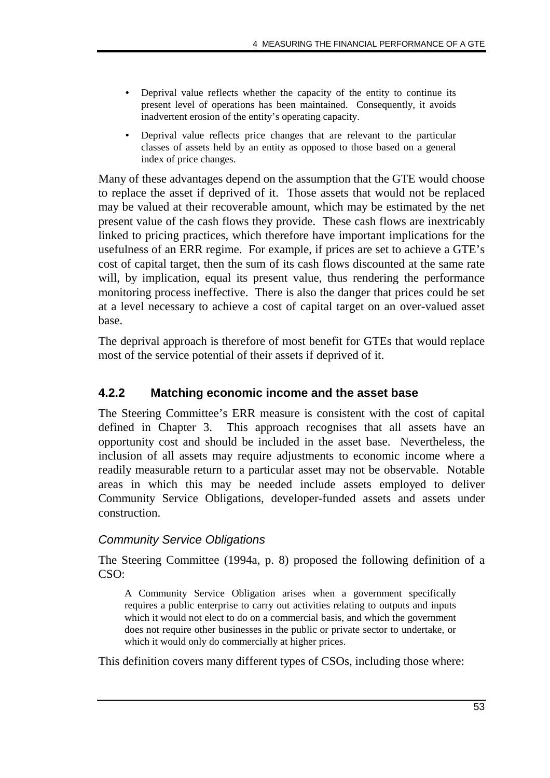- Deprival value reflects whether the capacity of the entity to continue its present level of operations has been maintained. Consequently, it avoids inadvertent erosion of the entity's operating capacity.
- Deprival value reflects price changes that are relevant to the particular classes of assets held by an entity as opposed to those based on a general index of price changes.

Many of these advantages depend on the assumption that the GTE would choose to replace the asset if deprived of it. Those assets that would not be replaced may be valued at their recoverable amount, which may be estimated by the net present value of the cash flows they provide. These cash flows are inextricably linked to pricing practices, which therefore have important implications for the usefulness of an ERR regime. For example, if prices are set to achieve a GTE's cost of capital target, then the sum of its cash flows discounted at the same rate will, by implication, equal its present value, thus rendering the performance monitoring process ineffective. There is also the danger that prices could be set at a level necessary to achieve a cost of capital target on an over-valued asset base.

The deprival approach is therefore of most benefit for GTEs that would replace most of the service potential of their assets if deprived of it.

# **4.2.2 Matching economic income and the asset base**

The Steering Committee's ERR measure is consistent with the cost of capital defined in Chapter 3. This approach recognises that all assets have an opportunity cost and should be included in the asset base. Nevertheless, the inclusion of all assets may require adjustments to economic income where a readily measurable return to a particular asset may not be observable. Notable areas in which this may be needed include assets employed to deliver Community Service Obligations, developer-funded assets and assets under construction.

#### Community Service Obligations

The Steering Committee (1994a, p. 8) proposed the following definition of a  $CSO<sup>2</sup>$ 

A Community Service Obligation arises when a government specifically requires a public enterprise to carry out activities relating to outputs and inputs which it would not elect to do on a commercial basis, and which the government does not require other businesses in the public or private sector to undertake, or which it would only do commercially at higher prices.

This definition covers many different types of CSOs, including those where: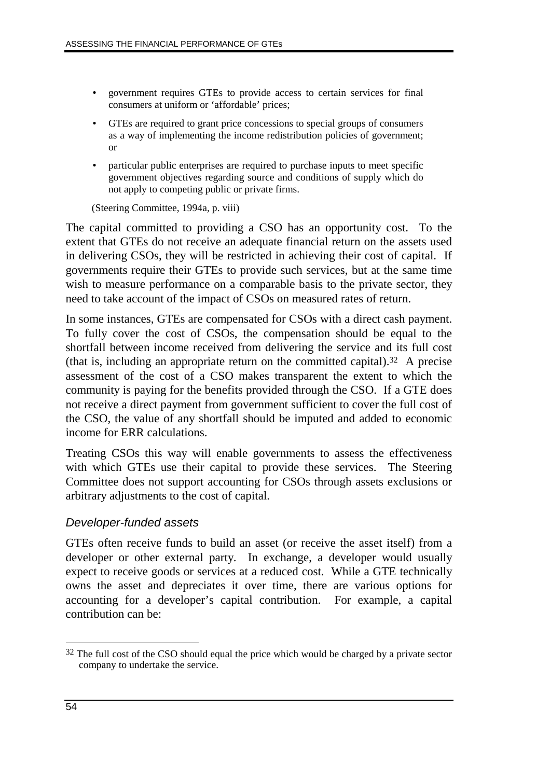- government requires GTEs to provide access to certain services for final consumers at uniform or 'affordable' prices;
- GTEs are required to grant price concessions to special groups of consumers as a way of implementing the income redistribution policies of government; or
- particular public enterprises are required to purchase inputs to meet specific government objectives regarding source and conditions of supply which do not apply to competing public or private firms.

(Steering Committee, 1994a, p. viii)

The capital committed to providing a CSO has an opportunity cost. To the extent that GTEs do not receive an adequate financial return on the assets used in delivering CSOs, they will be restricted in achieving their cost of capital. If governments require their GTEs to provide such services, but at the same time wish to measure performance on a comparable basis to the private sector, they need to take account of the impact of CSOs on measured rates of return.

In some instances, GTEs are compensated for CSOs with a direct cash payment. To fully cover the cost of CSOs, the compensation should be equal to the shortfall between income received from delivering the service and its full cost (that is, including an appropriate return on the committed capital).32 A precise assessment of the cost of a CSO makes transparent the extent to which the community is paying for the benefits provided through the CSO. If a GTE does not receive a direct payment from government sufficient to cover the full cost of the CSO, the value of any shortfall should be imputed and added to economic income for ERR calculations.

Treating CSOs this way will enable governments to assess the effectiveness with which GTEs use their capital to provide these services. The Steering Committee does not support accounting for CSOs through assets exclusions or arbitrary adjustments to the cost of capital.

#### Developer-funded assets

GTEs often receive funds to build an asset (or receive the asset itself) from a developer or other external party. In exchange, a developer would usually expect to receive goods or services at a reduced cost. While a GTE technically owns the asset and depreciates it over time, there are various options for accounting for a developer's capital contribution. For example, a capital contribution can be:

 $\overline{a}$  $32$  The full cost of the CSO should equal the price which would be charged by a private sector company to undertake the service.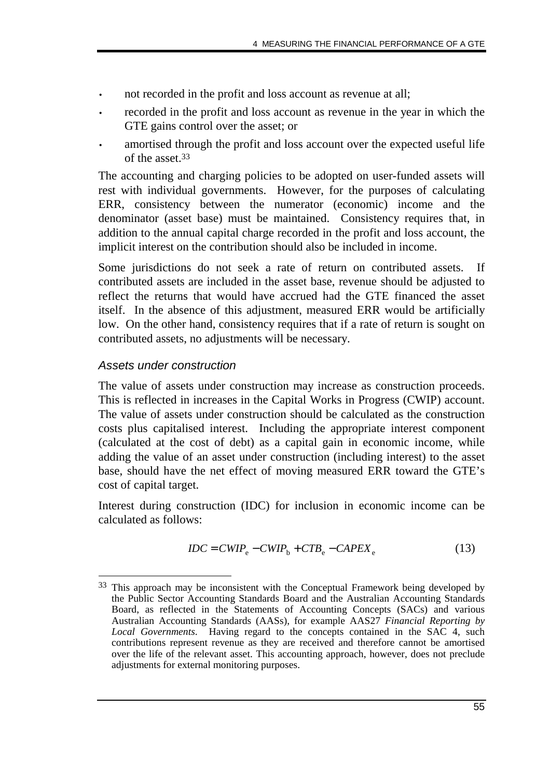- not recorded in the profit and loss account as revenue at all;
- recorded in the profit and loss account as revenue in the year in which the GTE gains control over the asset; or
- amortised through the profit and loss account over the expected useful life of the asset.33

The accounting and charging policies to be adopted on user-funded assets will rest with individual governments. However, for the purposes of calculating ERR, consistency between the numerator (economic) income and the denominator (asset base) must be maintained. Consistency requires that, in addition to the annual capital charge recorded in the profit and loss account, the implicit interest on the contribution should also be included in income.

Some jurisdictions do not seek a rate of return on contributed assets. If contributed assets are included in the asset base, revenue should be adjusted to reflect the returns that would have accrued had the GTE financed the asset itself. In the absence of this adjustment, measured ERR would be artificially low. On the other hand, consistency requires that if a rate of return is sought on contributed assets, no adjustments will be necessary.

### Assets under construction

-

The value of assets under construction may increase as construction proceeds. This is reflected in increases in the Capital Works in Progress (CWIP) account. The value of assets under construction should be calculated as the construction costs plus capitalised interest. Including the appropriate interest component (calculated at the cost of debt) as a capital gain in economic income, while adding the value of an asset under construction (including interest) to the asset base, should have the net effect of moving measured ERR toward the GTE's cost of capital target.

Interest during construction (IDC) for inclusion in economic income can be calculated as follows:

$$
IDC = CWIP_e - CWIP_b + CTB_e - CAPEX_e
$$
\n(13)

<sup>33</sup> This approach may be inconsistent with the Conceptual Framework being developed by the Public Sector Accounting Standards Board and the Australian Accounting Standards Board, as reflected in the Statements of Accounting Concepts (SACs) and various Australian Accounting Standards (AASs), for example AAS27 *Financial Reporting by Local Governments*. Having regard to the concepts contained in the SAC 4, such contributions represent revenue as they are received and therefore cannot be amortised over the life of the relevant asset. This accounting approach, however, does not preclude adjustments for external monitoring purposes.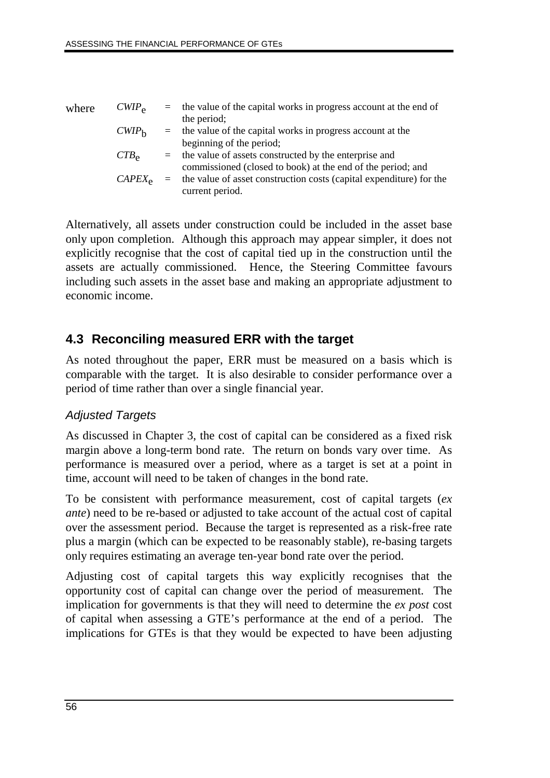| where | $CWIP_{\rm e}$    | $=$      | the value of the capital works in progress account at the end of    |
|-------|-------------------|----------|---------------------------------------------------------------------|
|       |                   |          | the period;                                                         |
|       | CWIP <sub>h</sub> | $=$      | the value of the capital works in progress account at the           |
|       |                   |          | beginning of the period;                                            |
|       | $CTB_{\rm e}$     | $=$      | the value of assets constructed by the enterprise and               |
|       |                   |          | commissioned (closed to book) at the end of the period; and         |
|       | $CAPEX_{\alpha}$  | $\equiv$ | the value of asset construction costs (capital expenditure) for the |
|       |                   |          | current period.                                                     |

Alternatively, all assets under construction could be included in the asset base only upon completion. Although this approach may appear simpler, it does not explicitly recognise that the cost of capital tied up in the construction until the assets are actually commissioned. Hence, the Steering Committee favours including such assets in the asset base and making an appropriate adjustment to economic income.

# **4.3 Reconciling measured ERR with the target**

As noted throughout the paper, ERR must be measured on a basis which is comparable with the target. It is also desirable to consider performance over a period of time rather than over a single financial year.

# Adjusted Targets

As discussed in Chapter 3, the cost of capital can be considered as a fixed risk margin above a long-term bond rate. The return on bonds vary over time. As performance is measured over a period, where as a target is set at a point in time, account will need to be taken of changes in the bond rate.

To be consistent with performance measurement, cost of capital targets (*ex ante*) need to be re-based or adjusted to take account of the actual cost of capital over the assessment period. Because the target is represented as a risk-free rate plus a margin (which can be expected to be reasonably stable), re-basing targets only requires estimating an average ten-year bond rate over the period.

Adjusting cost of capital targets this way explicitly recognises that the opportunity cost of capital can change over the period of measurement. The implication for governments is that they will need to determine the *ex post* cost of capital when assessing a GTE's performance at the end of a period. The implications for GTEs is that they would be expected to have been adjusting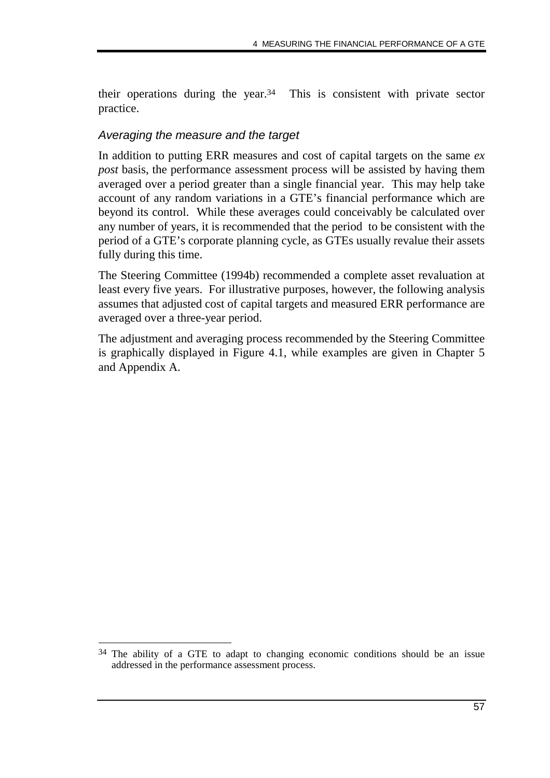their operations during the year.34 This is consistent with private sector practice.

### Averaging the measure and the target

In addition to putting ERR measures and cost of capital targets on the same *ex post* basis, the performance assessment process will be assisted by having them averaged over a period greater than a single financial year. This may help take account of any random variations in a GTE's financial performance which are beyond its control. While these averages could conceivably be calculated over any number of years, it is recommended that the period to be consistent with the period of a GTE's corporate planning cycle, as GTEs usually revalue their assets fully during this time.

The Steering Committee (1994b) recommended a complete asset revaluation at least every five years. For illustrative purposes, however, the following analysis assumes that adjusted cost of capital targets and measured ERR performance are averaged over a three-year period.

The adjustment and averaging process recommended by the Steering Committee is graphically displayed in Figure 4.1, while examples are given in Chapter 5 and Appendix A.

<sup>-</sup>34 The ability of a GTE to adapt to changing economic conditions should be an issue addressed in the performance assessment process.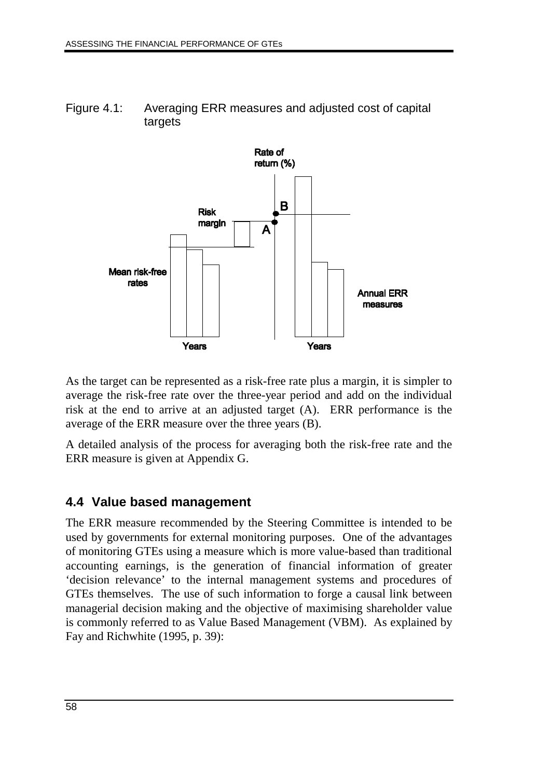Figure 4.1: Averaging ERR measures and adjusted cost of capital targets



As the target can be represented as a risk-free rate plus a margin, it is simpler to average the risk-free rate over the three-year period and add on the individual risk at the end to arrive at an adjusted target (A). ERR performance is the average of the ERR measure over the three years (B).

A detailed analysis of the process for averaging both the risk-free rate and the ERR measure is given at Appendix G.

# **4.4 Value based management**

The ERR measure recommended by the Steering Committee is intended to be used by governments for external monitoring purposes. One of the advantages of monitoring GTEs using a measure which is more value-based than traditional accounting earnings, is the generation of financial information of greater 'decision relevance' to the internal management systems and procedures of GTEs themselves. The use of such information to forge a causal link between managerial decision making and the objective of maximising shareholder value is commonly referred to as Value Based Management (VBM). As explained by Fay and Richwhite (1995, p. 39):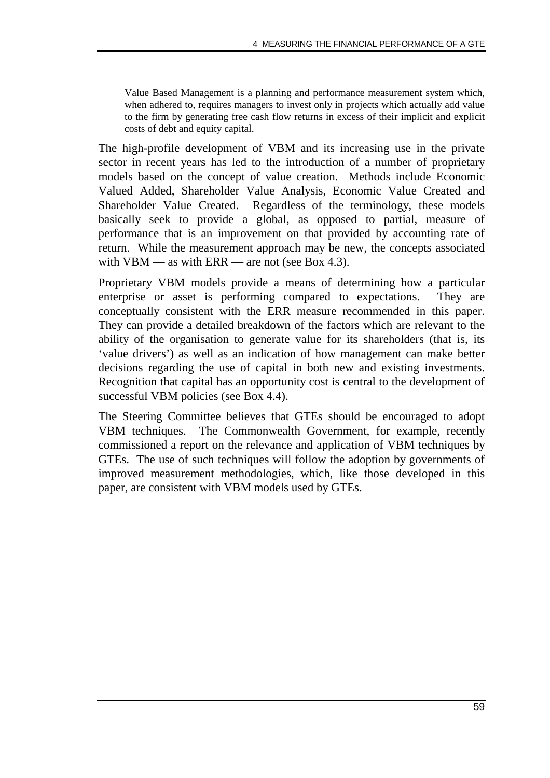Value Based Management is a planning and performance measurement system which, when adhered to, requires managers to invest only in projects which actually add value to the firm by generating free cash flow returns in excess of their implicit and explicit costs of debt and equity capital.

The high-profile development of VBM and its increasing use in the private sector in recent years has led to the introduction of a number of proprietary models based on the concept of value creation. Methods include Economic Valued Added, Shareholder Value Analysis, Economic Value Created and Shareholder Value Created. Regardless of the terminology, these models basically seek to provide a global, as opposed to partial, measure of performance that is an improvement on that provided by accounting rate of return. While the measurement approach may be new, the concepts associated with VBM — as with  $ERR$  — are not (see Box 4.3).

Proprietary VBM models provide a means of determining how a particular enterprise or asset is performing compared to expectations. They are conceptually consistent with the ERR measure recommended in this paper. They can provide a detailed breakdown of the factors which are relevant to the ability of the organisation to generate value for its shareholders (that is, its 'value drivers') as well as an indication of how management can make better decisions regarding the use of capital in both new and existing investments. Recognition that capital has an opportunity cost is central to the development of successful VBM policies (see Box 4.4).

The Steering Committee believes that GTEs should be encouraged to adopt VBM techniques. The Commonwealth Government, for example, recently commissioned a report on the relevance and application of VBM techniques by GTEs. The use of such techniques will follow the adoption by governments of improved measurement methodologies, which, like those developed in this paper, are consistent with VBM models used by GTEs.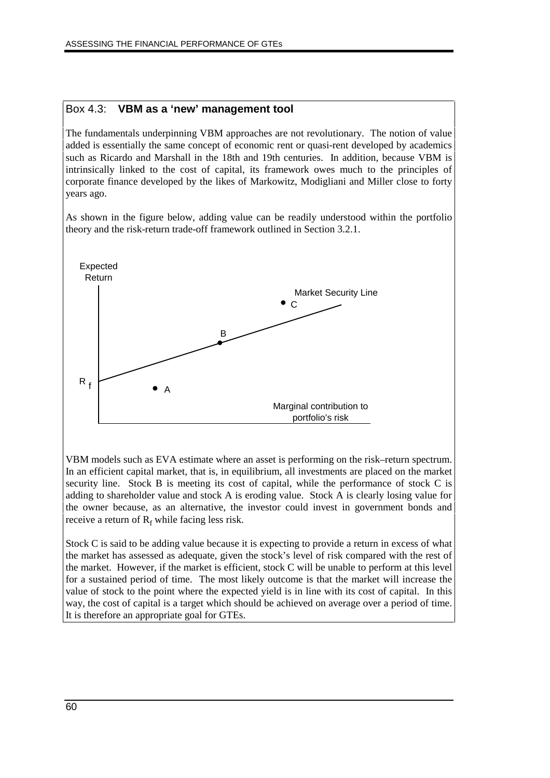#### Box 4.3: **VBM as a 'new' management tool**

The fundamentals underpinning VBM approaches are not revolutionary. The notion of value added is essentially the same concept of economic rent or quasi-rent developed by academics such as Ricardo and Marshall in the 18th and 19th centuries. In addition, because VBM is intrinsically linked to the cost of capital, its framework owes much to the principles of corporate finance developed by the likes of Markowitz, Modigliani and Miller close to forty years ago.

As shown in the figure below, adding value can be readily understood within the portfolio theory and the risk-return trade-off framework outlined in Section 3.2.1.



VBM models such as EVA estimate where an asset is performing on the risk–return spectrum. In an efficient capital market, that is, in equilibrium, all investments are placed on the market security line. Stock B is meeting its cost of capital, while the performance of stock C is adding to shareholder value and stock A is eroding value. Stock A is clearly losing value for the owner because, as an alternative, the investor could invest in government bonds and receive a return of  $R_f$  while facing less risk.

Stock C is said to be adding value because it is expecting to provide a return in excess of what the market has assessed as adequate, given the stock's level of risk compared with the rest of the market. However, if the market is efficient, stock C will be unable to perform at this level for a sustained period of time. The most likely outcome is that the market will increase the value of stock to the point where the expected yield is in line with its cost of capital. In this way, the cost of capital is a target which should be achieved on average over a period of time. It is therefore an appropriate goal for GTEs.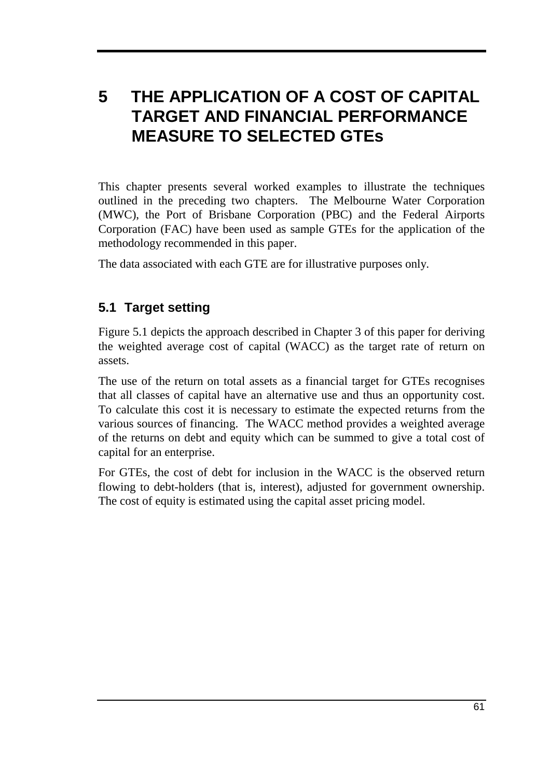# **5 THE APPLICATION OF A COST OF CAPITAL TARGET AND FINANCIAL PERFORMANCE MEASURE TO SELECTED GTEs**

This chapter presents several worked examples to illustrate the techniques outlined in the preceding two chapters. The Melbourne Water Corporation (MWC), the Port of Brisbane Corporation (PBC) and the Federal Airports Corporation (FAC) have been used as sample GTEs for the application of the methodology recommended in this paper.

The data associated with each GTE are for illustrative purposes only.

# **5.1 Target setting**

Figure 5.1 depicts the approach described in Chapter 3 of this paper for deriving the weighted average cost of capital (WACC) as the target rate of return on assets.

The use of the return on total assets as a financial target for GTEs recognises that all classes of capital have an alternative use and thus an opportunity cost. To calculate this cost it is necessary to estimate the expected returns from the various sources of financing. The WACC method provides a weighted average of the returns on debt and equity which can be summed to give a total cost of capital for an enterprise.

For GTEs, the cost of debt for inclusion in the WACC is the observed return flowing to debt-holders (that is, interest), adjusted for government ownership. The cost of equity is estimated using the capital asset pricing model.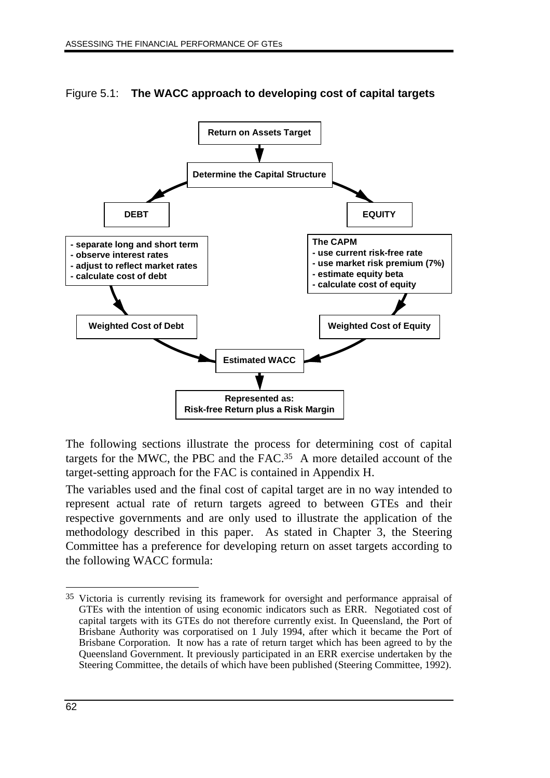

Figure 5.1: **The WACC approach to developing cost of capital targets**

The following sections illustrate the process for determining cost of capital targets for the MWC, the PBC and the FAC.35 A more detailed account of the target-setting approach for the FAC is contained in Appendix H.

The variables used and the final cost of capital target are in no way intended to represent actual rate of return targets agreed to between GTEs and their respective governments and are only used to illustrate the application of the methodology described in this paper. As stated in Chapter 3, the Steering Committee has a preference for developing return on asset targets according to the following WACC formula:

 $\overline{a}$ 

<sup>35</sup> Victoria is currently revising its framework for oversight and performance appraisal of GTEs with the intention of using economic indicators such as ERR. Negotiated cost of capital targets with its GTEs do not therefore currently exist. In Queensland, the Port of Brisbane Authority was corporatised on 1 July 1994, after which it became the Port of Brisbane Corporation. It now has a rate of return target which has been agreed to by the Queensland Government. It previously participated in an ERR exercise undertaken by the Steering Committee, the details of which have been published (Steering Committee, 1992).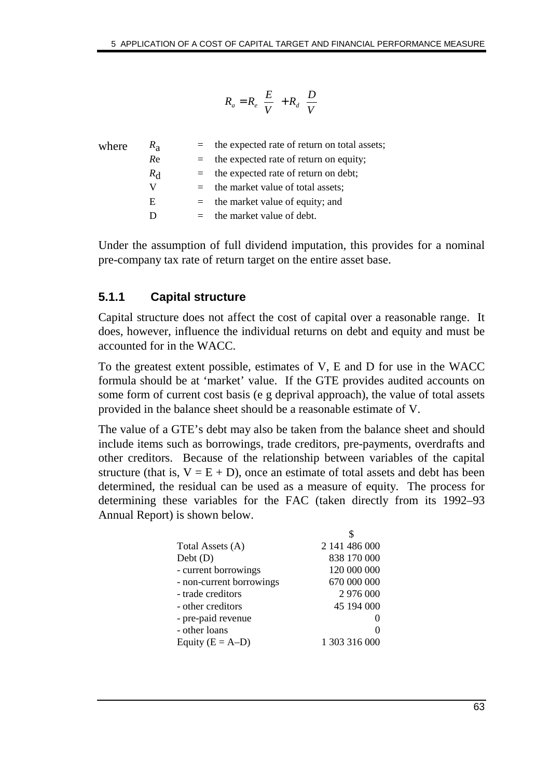#### I  $\overline{\phantom{a}}$  $\left(\frac{D}{U}\right)$ l  $+ R_d$  $\overline{1}$  $\left(\frac{E}{V}\right)^{2}$  $= R_e \left(\frac{E}{V}\right) + R_d \left(\frac{D}{V}\right)$  $R_a = R_e \left(\frac{E}{V}\right) + R_d$

| where | $R_{\rm a}$ |     | $=$ the expected rate of return on total assets; |
|-------|-------------|-----|--------------------------------------------------|
|       | Re          |     | $=$ the expected rate of return on equity;       |
|       | $R_{\rm d}$ |     | $=$ the expected rate of return on debt;         |
|       | V           |     | $=$ the market value of total assets;            |
|       | E           | $=$ | the market value of equity; and                  |
|       |             |     | $=$ the market value of debt.                    |
|       |             |     |                                                  |

Under the assumption of full dividend imputation, this provides for a nominal pre-company tax rate of return target on the entire asset base.

# **5.1.1 Capital structure**

Capital structure does not affect the cost of capital over a reasonable range. It does, however, influence the individual returns on debt and equity and must be accounted for in the WACC.

To the greatest extent possible, estimates of V, E and D for use in the WACC formula should be at 'market' value. If the GTE provides audited accounts on some form of current cost basis (e g deprival approach), the value of total assets provided in the balance sheet should be a reasonable estimate of V.

The value of a GTE's debt may also be taken from the balance sheet and should include items such as borrowings, trade creditors, pre-payments, overdrafts and other creditors. Because of the relationship between variables of the capital structure (that is,  $V = E + D$ ), once an estimate of total assets and debt has been determined, the residual can be used as a measure of equity. The process for determining these variables for the FAC (taken directly from its 1992–93 Annual Report) is shown below.

| Total Assets (A)         | 2 141 486 000 |
|--------------------------|---------------|
| Debt(D)                  | 838 170 000   |
| - current borrowings     | 120 000 000   |
| - non-current borrowings | 670 000 000   |
| - trade creditors        | 2 976 000     |
| - other creditors        | 45 194 000    |
| - pre-paid revenue       | 0             |
| - other loans            | 0             |
| Equity $(E = A-D)$       | 1 303 316 000 |
|                          |               |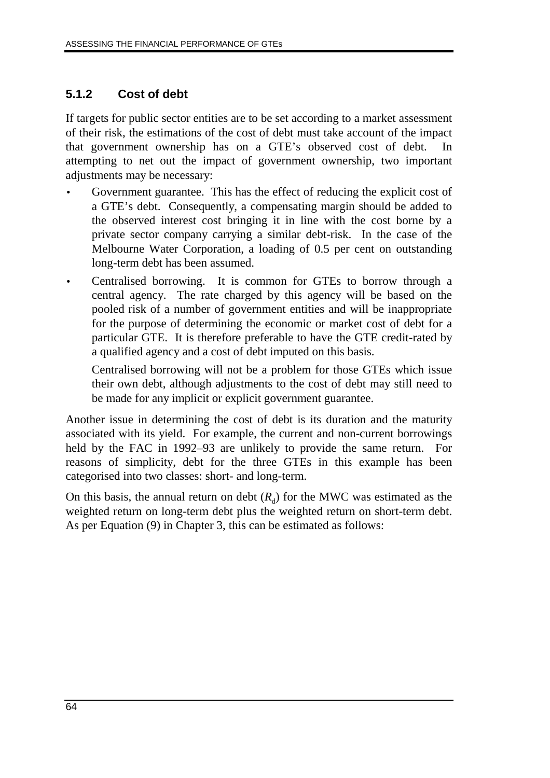# **5.1.2 Cost of debt**

If targets for public sector entities are to be set according to a market assessment of their risk, the estimations of the cost of debt must take account of the impact that government ownership has on a GTE's observed cost of debt. In attempting to net out the impact of government ownership, two important adjustments may be necessary:

- Government guarantee. This has the effect of reducing the explicit cost of a GTE's debt. Consequently, a compensating margin should be added to the observed interest cost bringing it in line with the cost borne by a private sector company carrying a similar debt-risk. In the case of the Melbourne Water Corporation, a loading of 0.5 per cent on outstanding long-term debt has been assumed.
- Centralised borrowing. It is common for GTEs to borrow through a central agency. The rate charged by this agency will be based on the pooled risk of a number of government entities and will be inappropriate for the purpose of determining the economic or market cost of debt for a particular GTE. It is therefore preferable to have the GTE credit-rated by a qualified agency and a cost of debt imputed on this basis.

Centralised borrowing will not be a problem for those GTEs which issue their own debt, although adjustments to the cost of debt may still need to be made for any implicit or explicit government guarantee.

Another issue in determining the cost of debt is its duration and the maturity associated with its yield. For example, the current and non-current borrowings held by the FAC in 1992–93 are unlikely to provide the same return. For reasons of simplicity, debt for the three GTEs in this example has been categorised into two classes: short- and long-term.

On this basis, the annual return on debt  $(R_d)$  for the MWC was estimated as the weighted return on long-term debt plus the weighted return on short-term debt. As per Equation (9) in Chapter 3, this can be estimated as follows: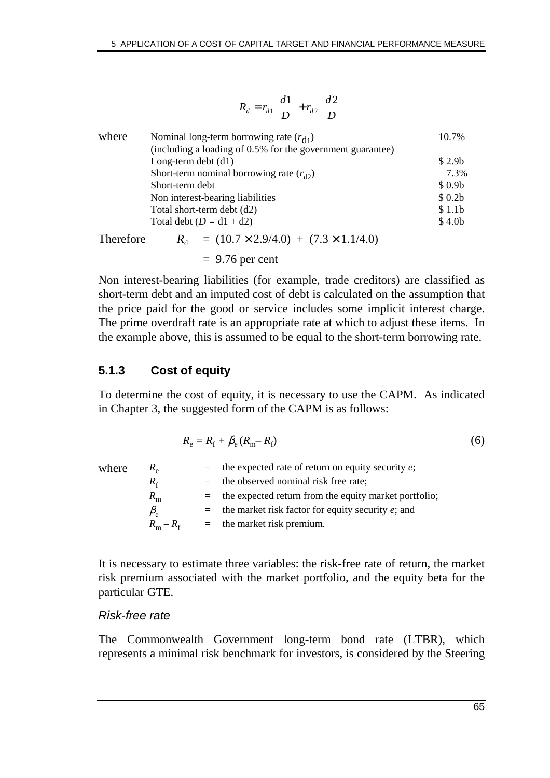|           | $R_d = r_{d1}\left(\frac{d1}{D}\right) + r_{d2}\left(\frac{d2}{D}\right)$ |                    |
|-----------|---------------------------------------------------------------------------|--------------------|
| where     | Nominal long-term borrowing rate $(r_{d_1})$                              | 10.7%              |
|           | (including a loading of 0.5% for the government guarantee)                |                    |
|           | Long-term debt $(d1)$                                                     | \$2.9 <sub>b</sub> |
|           | Short-term nominal borrowing rate $(r_{d2})$                              | 7.3%               |
|           | Short-term debt                                                           | \$0.9 <sub>b</sub> |
|           | Non interest-bearing liabilities                                          | \$0.2 <sub>b</sub> |
|           | Total short-term debt (d2)                                                | \$1.1 <sub>b</sub> |
|           | Total debt $(D = d1 + d2)$                                                | \$4.0 <sub>b</sub> |
| Therefore | $R_{\rm d}$ = (10.7 × 2.9/4.0) + (7.3 × 1.1/4.0)                          |                    |

 $= 9.76$  per cent

Non interest-bearing liabilities (for example, trade creditors) are classified as short-term debt and an imputed cost of debt is calculated on the assumption that the price paid for the good or service includes some implicit interest charge. The prime overdraft rate is an appropriate rate at which to adjust these items. In the example above, this is assumed to be equal to the short-term borrowing rate.

# **5.1.3 Cost of equity**

To determine the cost of equity, it is necessary to use the CAPM. As indicated in Chapter 3, the suggested form of the CAPM is as follows:

$$
R_{\rm e} = R_{\rm f} + \beta_{\rm e} (R_{\rm m} - R_{\rm f}) \tag{6}
$$

| where | $R_{\rm e}$           | $=$ the expected rate of return on equity security e;     |
|-------|-----------------------|-----------------------------------------------------------|
|       | $R_{\rm f}$           | $=$ the observed nominal risk free rate;                  |
|       | $R_{\rm m}$           | $=$ the expected return from the equity market portfolio; |
|       | $\beta_{\rm e}$       | $=$ the market risk factor for equity security e; and     |
|       | $R_{\rm m}-R_{\rm f}$ | $=$ the market risk premium.                              |
|       |                       |                                                           |

It is necessary to estimate three variables: the risk-free rate of return, the market risk premium associated with the market portfolio, and the equity beta for the particular GTE.

#### Risk-free rate

The Commonwealth Government long-term bond rate (LTBR), which represents a minimal risk benchmark for investors, is considered by the Steering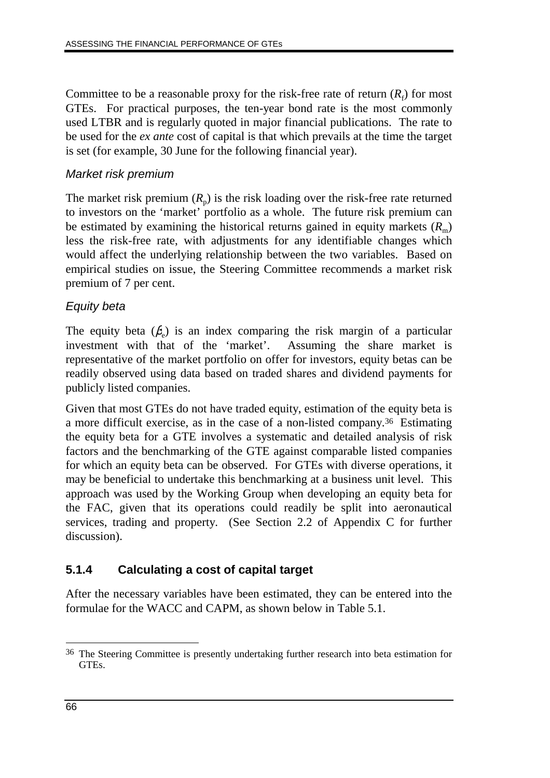Committee to be a reasonable proxy for the risk-free rate of return  $(R_f)$  for most GTEs. For practical purposes, the ten-year bond rate is the most commonly used LTBR and is regularly quoted in major financial publications. The rate to be used for the *ex ante* cost of capital is that which prevails at the time the target is set (for example, 30 June for the following financial year).

#### Market risk premium

The market risk premium  $(R_p)$  is the risk loading over the risk-free rate returned to investors on the 'market' portfolio as a whole. The future risk premium can be estimated by examining the historical returns gained in equity markets  $(R<sub>m</sub>)$ less the risk-free rate, with adjustments for any identifiable changes which would affect the underlying relationship between the two variables. Based on empirical studies on issue, the Steering Committee recommends a market risk premium of 7 per cent.

### Equity beta

The equity beta  $(\beta_e)$  is an index comparing the risk margin of a particular investment with that of the 'market'. Assuming the share market is representative of the market portfolio on offer for investors, equity betas can be readily observed using data based on traded shares and dividend payments for publicly listed companies.

Given that most GTEs do not have traded equity, estimation of the equity beta is a more difficult exercise, as in the case of a non-listed company.36 Estimating the equity beta for a GTE involves a systematic and detailed analysis of risk factors and the benchmarking of the GTE against comparable listed companies for which an equity beta can be observed. For GTEs with diverse operations, it may be beneficial to undertake this benchmarking at a business unit level. This approach was used by the Working Group when developing an equity beta for the FAC, given that its operations could readily be split into aeronautical services, trading and property. (See Section 2.2 of Appendix C for further discussion).

# **5.1.4 Calculating a cost of capital target**

After the necessary variables have been estimated, they can be entered into the formulae for the WACC and CAPM, as shown below in Table 5.1.

 $\overline{a}$ 36 The Steering Committee is presently undertaking further research into beta estimation for GTEs.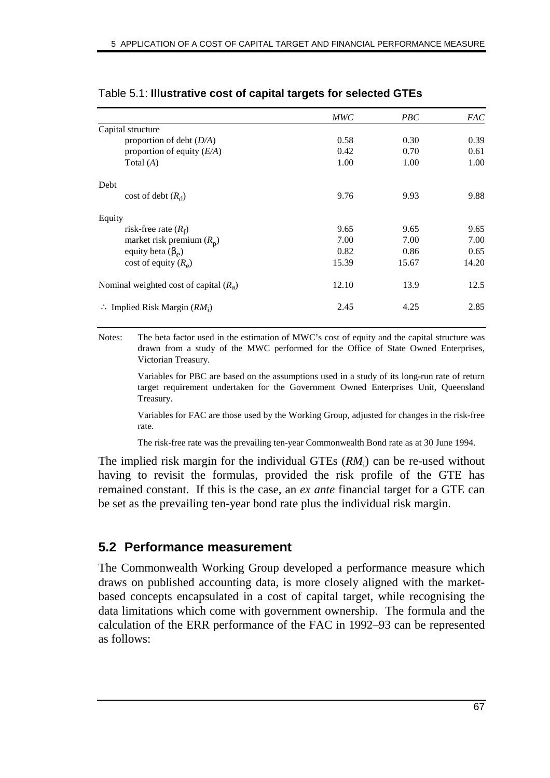| <b>MWC</b> | PBC   | <i>FAC</i> |
|------------|-------|------------|
|            |       |            |
| 0.58       | 0.30  | 0.39       |
| 0.42       | 0.70  | 0.61       |
| 1.00       | 1.00  | 1.00       |
|            |       |            |
| 9.76       | 9.93  | 9.88       |
|            |       |            |
| 9.65       | 9.65  | 9.65       |
| 7.00       | 7.00  | 7.00       |
| 0.82       | 0.86  | 0.65       |
| 15.39      | 15.67 | 14.20      |
| 12.10      | 13.9  | 12.5       |
| 2.45       | 4.25  | 2.85       |
|            |       |            |

#### Table 5.1: **Illustrative cost of capital targets for selected GTEs**

Notes: The beta factor used in the estimation of MWC's cost of equity and the capital structure was drawn from a study of the MWC performed for the Office of State Owned Enterprises, Victorian Treasury.

> Variables for PBC are based on the assumptions used in a study of its long-run rate of return target requirement undertaken for the Government Owned Enterprises Unit, Queensland Treasury.

> Variables for FAC are those used by the Working Group, adjusted for changes in the risk-free rate.

The risk-free rate was the prevailing ten-year Commonwealth Bond rate as at 30 June 1994.

The implied risk margin for the individual GTEs ( $RM$ <sub>i</sub>) can be re-used without having to revisit the formulas, provided the risk profile of the GTE has remained constant. If this is the case, an *ex ante* financial target for a GTE can be set as the prevailing ten-year bond rate plus the individual risk margin.

# **5.2 Performance measurement**

The Commonwealth Working Group developed a performance measure which draws on published accounting data, is more closely aligned with the marketbased concepts encapsulated in a cost of capital target, while recognising the data limitations which come with government ownership. The formula and the calculation of the ERR performance of the FAC in 1992–93 can be represented as follows: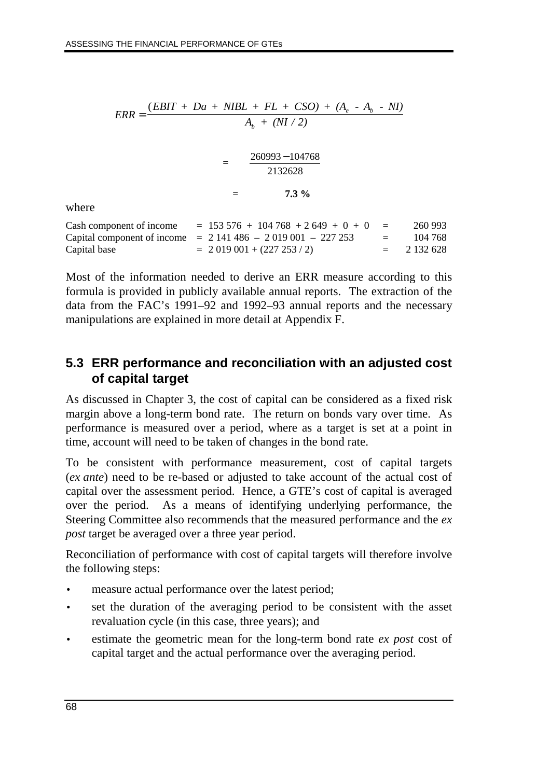$$
ERR = \frac{(EBIT + Da + NIBL + FL + CSO) + (A_e - A_b - NI)}{A_b + (NI / 2)}
$$
  
= 
$$
\frac{260993 - 104768}{2132628}
$$
  
= 7.3 %  
moment of income = 153 576 + 104 768 + 2 649 + 0 + 0 = 260 99

where

| Cash component of income | $= 153\,576 + 104\,768 + 2\,649 + 0 + 0 =$                 |                   | 260 993     |
|--------------------------|------------------------------------------------------------|-------------------|-------------|
|                          | Capital component of income $= 2141486 - 2019001 - 227253$ | $\equiv$ $\equiv$ | 104 768     |
| Capital base             | $= 2019001 + (227253/2)$                                   |                   | $= 2132628$ |

Most of the information needed to derive an ERR measure according to this formula is provided in publicly available annual reports. The extraction of the data from the FAC's 1991–92 and 1992–93 annual reports and the necessary manipulations are explained in more detail at Appendix F.

# **5.3 ERR performance and reconciliation with an adjusted cost of capital target**

As discussed in Chapter 3, the cost of capital can be considered as a fixed risk margin above a long-term bond rate. The return on bonds vary over time. As performance is measured over a period, where as a target is set at a point in time, account will need to be taken of changes in the bond rate.

To be consistent with performance measurement, cost of capital targets (*ex ante*) need to be re-based or adjusted to take account of the actual cost of capital over the assessment period. Hence, a GTE's cost of capital is averaged over the period. As a means of identifying underlying performance, the Steering Committee also recommends that the measured performance and the *ex post* target be averaged over a three year period.

Reconciliation of performance with cost of capital targets will therefore involve the following steps:

- measure actual performance over the latest period;
- set the duration of the averaging period to be consistent with the asset revaluation cycle (in this case, three years); and
- estimate the geometric mean for the long-term bond rate *ex post* cost of capital target and the actual performance over the averaging period.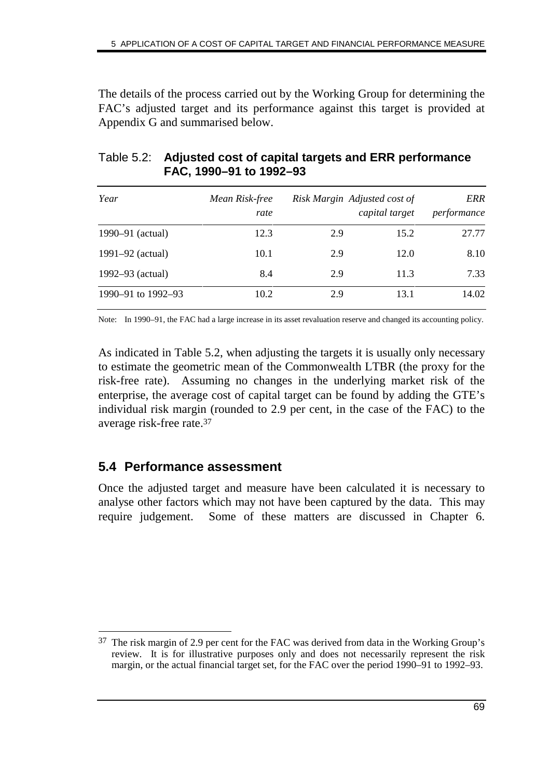The details of the process carried out by the Working Group for determining the FAC's adjusted target and its performance against this target is provided at Appendix G and summarised below.

| Year               | Mean Risk-free<br>rate |     | Risk Margin Adjusted cost of<br>capital target | ERR<br>performance |
|--------------------|------------------------|-----|------------------------------------------------|--------------------|
| 1990–91 (actual)   | 12.3                   | 2.9 | 15.2                                           | 27.77              |
| 1991–92 (actual)   | 10.1                   | 2.9 | 12.0                                           | 8.10               |
| 1992–93 (actual)   | 8.4                    | 2.9 | 11.3                                           | 7.33               |
| 1990-91 to 1992-93 | 10.2                   | 2.9 | 13.1                                           | 14.02              |

### Table 5.2: **Adjusted cost of capital targets and ERR performance FAC, 1990–91 to 1992–93**

Note: In 1990–91, the FAC had a large increase in its asset revaluation reserve and changed its accounting policy.

As indicated in Table 5.2, when adjusting the targets it is usually only necessary to estimate the geometric mean of the Commonwealth LTBR (the proxy for the risk-free rate). Assuming no changes in the underlying market risk of the enterprise, the average cost of capital target can be found by adding the GTE's individual risk margin (rounded to 2.9 per cent, in the case of the FAC) to the average risk-free rate.37

# **5.4 Performance assessment**

Once the adjusted target and measure have been calculated it is necessary to analyse other factors which may not have been captured by the data. This may require judgement. Some of these matters are discussed in Chapter 6.

<sup>-</sup>37 The risk margin of 2.9 per cent for the FAC was derived from data in the Working Group's review. It is for illustrative purposes only and does not necessarily represent the risk margin, or the actual financial target set, for the FAC over the period 1990–91 to 1992–93.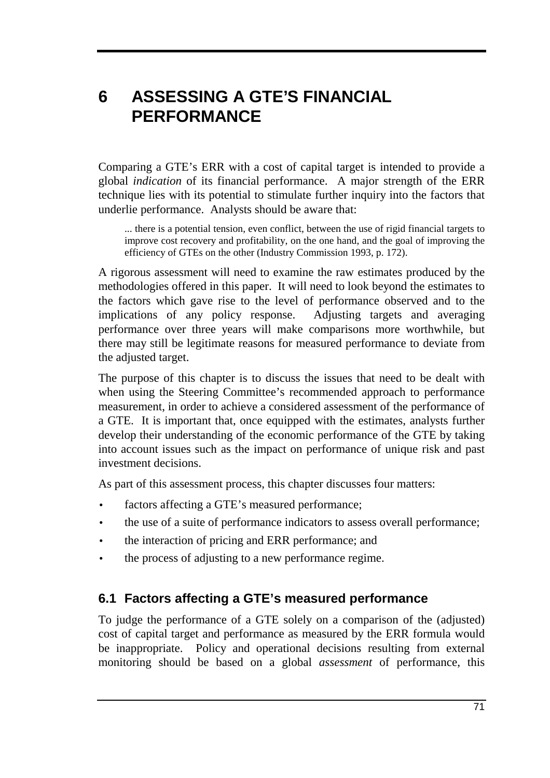# **6 ASSESSING A GTE'S FINANCIAL PERFORMANCE**

Comparing a GTE's ERR with a cost of capital target is intended to provide a global *indication* of its financial performance. A major strength of the ERR technique lies with its potential to stimulate further inquiry into the factors that underlie performance. Analysts should be aware that:

... there is a potential tension, even conflict, between the use of rigid financial targets to improve cost recovery and profitability, on the one hand, and the goal of improving the efficiency of GTEs on the other (Industry Commission 1993, p. 172).

A rigorous assessment will need to examine the raw estimates produced by the methodologies offered in this paper. It will need to look beyond the estimates to the factors which gave rise to the level of performance observed and to the implications of any policy response. Adjusting targets and averaging performance over three years will make comparisons more worthwhile, but there may still be legitimate reasons for measured performance to deviate from the adjusted target.

The purpose of this chapter is to discuss the issues that need to be dealt with when using the Steering Committee's recommended approach to performance measurement, in order to achieve a considered assessment of the performance of a GTE. It is important that, once equipped with the estimates, analysts further develop their understanding of the economic performance of the GTE by taking into account issues such as the impact on performance of unique risk and past investment decisions.

As part of this assessment process, this chapter discusses four matters:

- factors affecting a GTE's measured performance;
- the use of a suite of performance indicators to assess overall performance;
- the interaction of pricing and ERR performance; and
- the process of adjusting to a new performance regime.

# **6.1 Factors affecting a GTE's measured performance**

To judge the performance of a GTE solely on a comparison of the (adjusted) cost of capital target and performance as measured by the ERR formula would be inappropriate. Policy and operational decisions resulting from external monitoring should be based on a global *assessment* of performance, this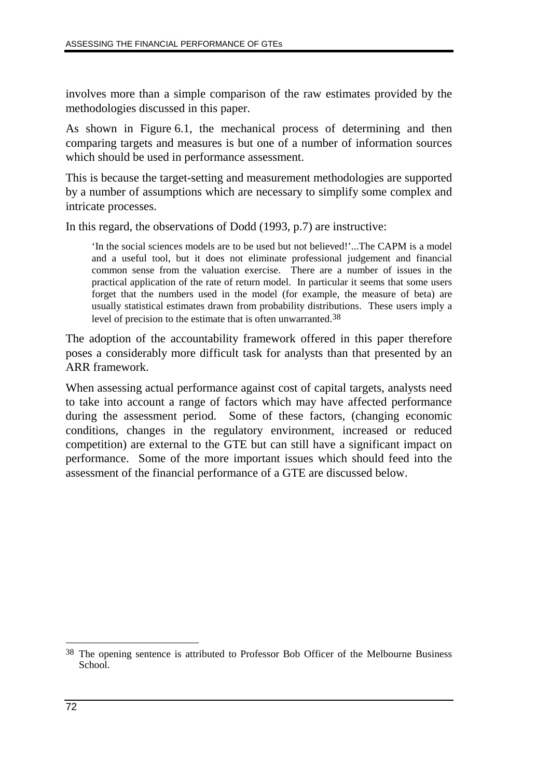involves more than a simple comparison of the raw estimates provided by the methodologies discussed in this paper.

As shown in Figure 6.1, the mechanical process of determining and then comparing targets and measures is but one of a number of information sources which should be used in performance assessment.

This is because the target-setting and measurement methodologies are supported by a number of assumptions which are necessary to simplify some complex and intricate processes.

In this regard, the observations of Dodd (1993, p.7) are instructive:

'In the social sciences models are to be used but not believed!'...The CAPM is a model and a useful tool, but it does not eliminate professional judgement and financial common sense from the valuation exercise. There are a number of issues in the practical application of the rate of return model. In particular it seems that some users forget that the numbers used in the model (for example, the measure of beta) are usually statistical estimates drawn from probability distributions. These users imply a level of precision to the estimate that is often unwarranted.<sup>38</sup>

The adoption of the accountability framework offered in this paper therefore poses a considerably more difficult task for analysts than that presented by an ARR framework.

When assessing actual performance against cost of capital targets, analysts need to take into account a range of factors which may have affected performance during the assessment period. Some of these factors, (changing economic conditions, changes in the regulatory environment, increased or reduced competition) are external to the GTE but can still have a significant impact on performance. Some of the more important issues which should feed into the assessment of the financial performance of a GTE are discussed below.

 $\overline{a}$ 38 The opening sentence is attributed to Professor Bob Officer of the Melbourne Business School.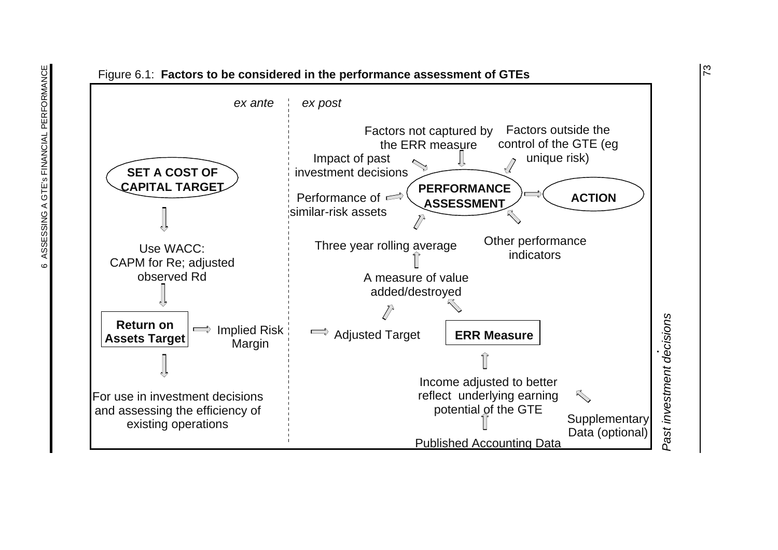

 $\overline{2}$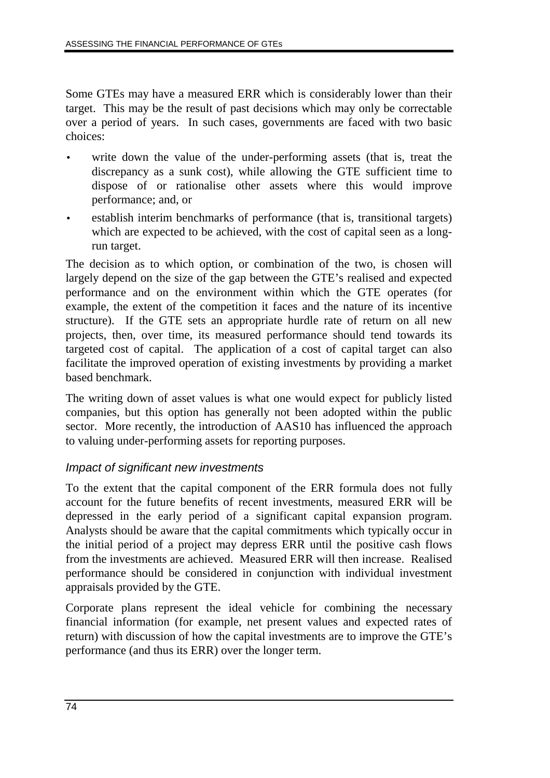Some GTEs may have a measured ERR which is considerably lower than their target. This may be the result of past decisions which may only be correctable over a period of years. In such cases, governments are faced with two basic choices:

- write down the value of the under-performing assets (that is, treat the discrepancy as a sunk cost), while allowing the GTE sufficient time to dispose of or rationalise other assets where this would improve performance; and, or
- establish interim benchmarks of performance (that is, transitional targets) which are expected to be achieved, with the cost of capital seen as a longrun target.

The decision as to which option, or combination of the two, is chosen will largely depend on the size of the gap between the GTE's realised and expected performance and on the environment within which the GTE operates (for example, the extent of the competition it faces and the nature of its incentive structure). If the GTE sets an appropriate hurdle rate of return on all new projects, then, over time, its measured performance should tend towards its targeted cost of capital. The application of a cost of capital target can also facilitate the improved operation of existing investments by providing a market based benchmark.

The writing down of asset values is what one would expect for publicly listed companies, but this option has generally not been adopted within the public sector. More recently, the introduction of AAS10 has influenced the approach to valuing under-performing assets for reporting purposes.

### Impact of significant new investments

To the extent that the capital component of the ERR formula does not fully account for the future benefits of recent investments, measured ERR will be depressed in the early period of a significant capital expansion program. Analysts should be aware that the capital commitments which typically occur in the initial period of a project may depress ERR until the positive cash flows from the investments are achieved. Measured ERR will then increase. Realised performance should be considered in conjunction with individual investment appraisals provided by the GTE.

Corporate plans represent the ideal vehicle for combining the necessary financial information (for example, net present values and expected rates of return) with discussion of how the capital investments are to improve the GTE's performance (and thus its ERR) over the longer term.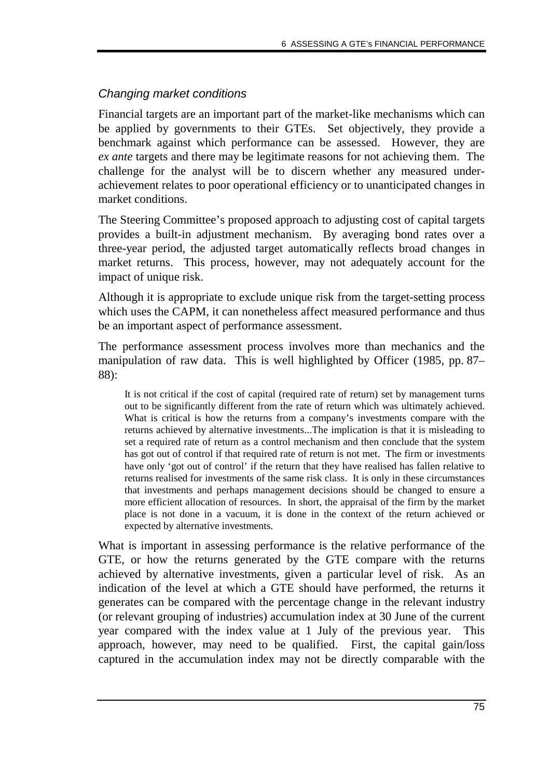# Changing market conditions

Financial targets are an important part of the market-like mechanisms which can be applied by governments to their GTEs. Set objectively, they provide a benchmark against which performance can be assessed. However, they are *ex ante* targets and there may be legitimate reasons for not achieving them. The challenge for the analyst will be to discern whether any measured underachievement relates to poor operational efficiency or to unanticipated changes in market conditions.

The Steering Committee's proposed approach to adjusting cost of capital targets provides a built-in adjustment mechanism. By averaging bond rates over a three-year period, the adjusted target automatically reflects broad changes in market returns. This process, however, may not adequately account for the impact of unique risk.

Although it is appropriate to exclude unique risk from the target-setting process which uses the CAPM, it can nonetheless affect measured performance and thus be an important aspect of performance assessment.

The performance assessment process involves more than mechanics and the manipulation of raw data. This is well highlighted by Officer (1985, pp. 87– 88):

It is not critical if the cost of capital (required rate of return) set by management turns out to be significantly different from the rate of return which was ultimately achieved. What is critical is how the returns from a company's investments compare with the returns achieved by alternative investments...The implication is that it is misleading to set a required rate of return as a control mechanism and then conclude that the system has got out of control if that required rate of return is not met. The firm or investments have only 'got out of control' if the return that they have realised has fallen relative to returns realised for investments of the same risk class. It is only in these circumstances that investments and perhaps management decisions should be changed to ensure a more efficient allocation of resources. In short, the appraisal of the firm by the market place is not done in a vacuum, it is done in the context of the return achieved or expected by alternative investments.

What is important in assessing performance is the relative performance of the GTE, or how the returns generated by the GTE compare with the returns achieved by alternative investments, given a particular level of risk. As an indication of the level at which a GTE should have performed, the returns it generates can be compared with the percentage change in the relevant industry (or relevant grouping of industries) accumulation index at 30 June of the current year compared with the index value at 1 July of the previous year. This approach, however, may need to be qualified. First, the capital gain/loss captured in the accumulation index may not be directly comparable with the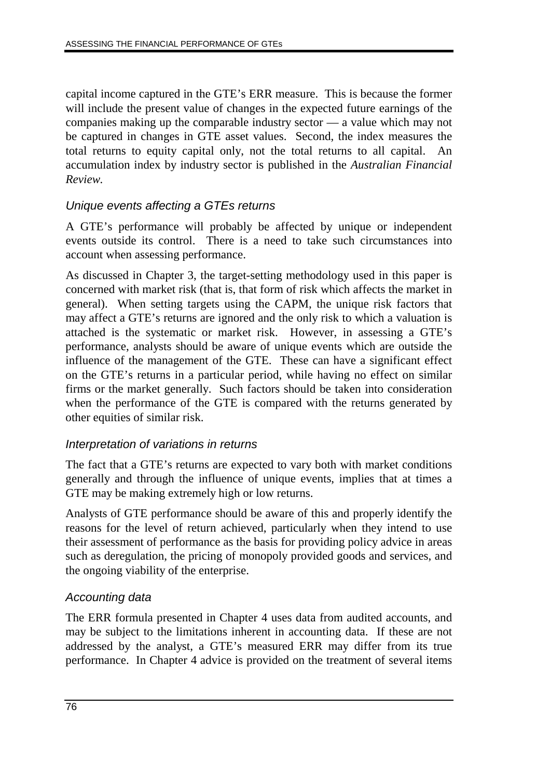capital income captured in the GTE's ERR measure. This is because the former will include the present value of changes in the expected future earnings of the companies making up the comparable industry sector — a value which may not be captured in changes in GTE asset values. Second, the index measures the total returns to equity capital only, not the total returns to all capital. An accumulation index by industry sector is published in the *Australian Financial Review.*

# Unique events affecting a GTEs returns

A GTE's performance will probably be affected by unique or independent events outside its control. There is a need to take such circumstances into account when assessing performance.

As discussed in Chapter 3, the target-setting methodology used in this paper is concerned with market risk (that is, that form of risk which affects the market in general). When setting targets using the CAPM, the unique risk factors that may affect a GTE's returns are ignored and the only risk to which a valuation is attached is the systematic or market risk. However, in assessing a GTE's performance, analysts should be aware of unique events which are outside the influence of the management of the GTE. These can have a significant effect on the GTE's returns in a particular period, while having no effect on similar firms or the market generally. Such factors should be taken into consideration when the performance of the GTE is compared with the returns generated by other equities of similar risk.

### Interpretation of variations in returns

The fact that a GTE's returns are expected to vary both with market conditions generally and through the influence of unique events, implies that at times a GTE may be making extremely high or low returns.

Analysts of GTE performance should be aware of this and properly identify the reasons for the level of return achieved, particularly when they intend to use their assessment of performance as the basis for providing policy advice in areas such as deregulation, the pricing of monopoly provided goods and services, and the ongoing viability of the enterprise.

# Accounting data

The ERR formula presented in Chapter 4 uses data from audited accounts, and may be subject to the limitations inherent in accounting data. If these are not addressed by the analyst, a GTE's measured ERR may differ from its true performance. In Chapter 4 advice is provided on the treatment of several items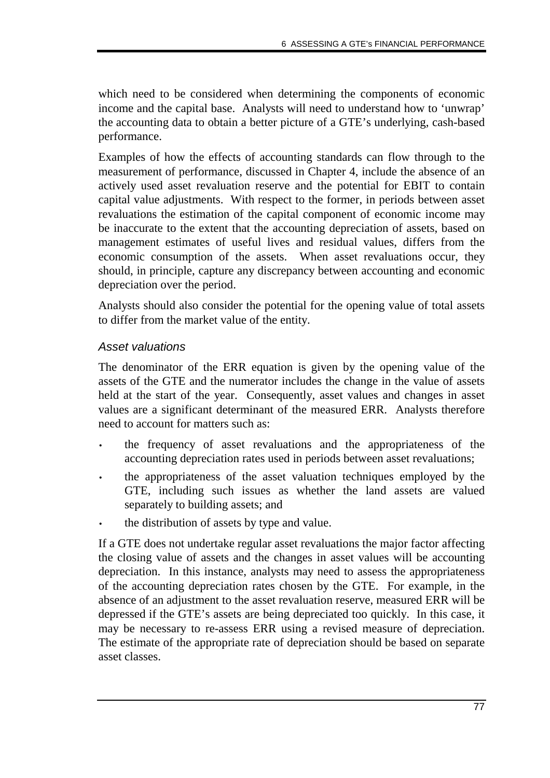which need to be considered when determining the components of economic income and the capital base. Analysts will need to understand how to 'unwrap' the accounting data to obtain a better picture of a GTE's underlying, cash-based performance.

Examples of how the effects of accounting standards can flow through to the measurement of performance, discussed in Chapter 4, include the absence of an actively used asset revaluation reserve and the potential for EBIT to contain capital value adjustments. With respect to the former, in periods between asset revaluations the estimation of the capital component of economic income may be inaccurate to the extent that the accounting depreciation of assets, based on management estimates of useful lives and residual values, differs from the economic consumption of the assets. When asset revaluations occur, they should, in principle, capture any discrepancy between accounting and economic depreciation over the period.

Analysts should also consider the potential for the opening value of total assets to differ from the market value of the entity.

# Asset valuations

The denominator of the ERR equation is given by the opening value of the assets of the GTE and the numerator includes the change in the value of assets held at the start of the year. Consequently, asset values and changes in asset values are a significant determinant of the measured ERR. Analysts therefore need to account for matters such as:

- the frequency of asset revaluations and the appropriateness of the accounting depreciation rates used in periods between asset revaluations;
- the appropriateness of the asset valuation techniques employed by the GTE, including such issues as whether the land assets are valued separately to building assets; and
- the distribution of assets by type and value.

If a GTE does not undertake regular asset revaluations the major factor affecting the closing value of assets and the changes in asset values will be accounting depreciation. In this instance, analysts may need to assess the appropriateness of the accounting depreciation rates chosen by the GTE. For example, in the absence of an adjustment to the asset revaluation reserve, measured ERR will be depressed if the GTE's assets are being depreciated too quickly. In this case, it may be necessary to re-assess ERR using a revised measure of depreciation. The estimate of the appropriate rate of depreciation should be based on separate asset classes.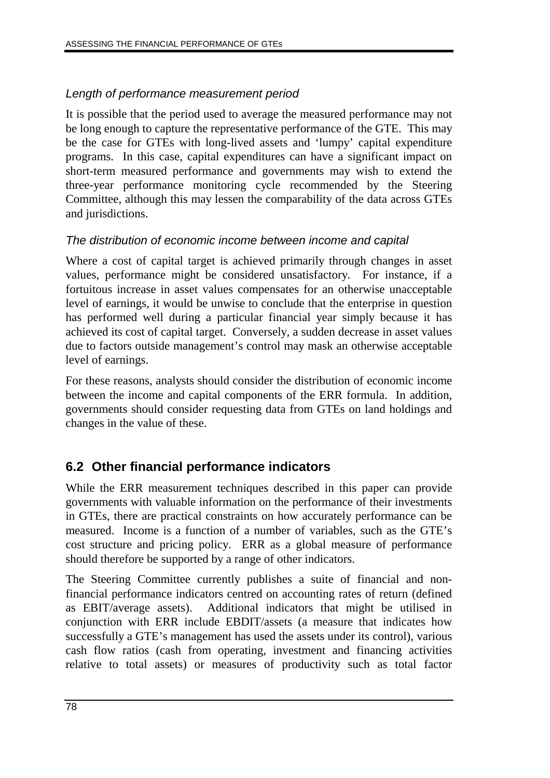# Length of performance measurement period

It is possible that the period used to average the measured performance may not be long enough to capture the representative performance of the GTE. This may be the case for GTEs with long-lived assets and 'lumpy' capital expenditure programs. In this case, capital expenditures can have a significant impact on short-term measured performance and governments may wish to extend the three-year performance monitoring cycle recommended by the Steering Committee, although this may lessen the comparability of the data across GTEs and jurisdictions.

### The distribution of economic income between income and capital

Where a cost of capital target is achieved primarily through changes in asset values, performance might be considered unsatisfactory. For instance, if a fortuitous increase in asset values compensates for an otherwise unacceptable level of earnings, it would be unwise to conclude that the enterprise in question has performed well during a particular financial year simply because it has achieved its cost of capital target. Conversely, a sudden decrease in asset values due to factors outside management's control may mask an otherwise acceptable level of earnings.

For these reasons, analysts should consider the distribution of economic income between the income and capital components of the ERR formula. In addition, governments should consider requesting data from GTEs on land holdings and changes in the value of these.

# **6.2 Other financial performance indicators**

While the ERR measurement techniques described in this paper can provide governments with valuable information on the performance of their investments in GTEs, there are practical constraints on how accurately performance can be measured. Income is a function of a number of variables, such as the GTE's cost structure and pricing policy. ERR as a global measure of performance should therefore be supported by a range of other indicators.

The Steering Committee currently publishes a suite of financial and nonfinancial performance indicators centred on accounting rates of return (defined as EBIT/average assets). Additional indicators that might be utilised in conjunction with ERR include EBDIT/assets (a measure that indicates how successfully a GTE's management has used the assets under its control), various cash flow ratios (cash from operating, investment and financing activities relative to total assets) or measures of productivity such as total factor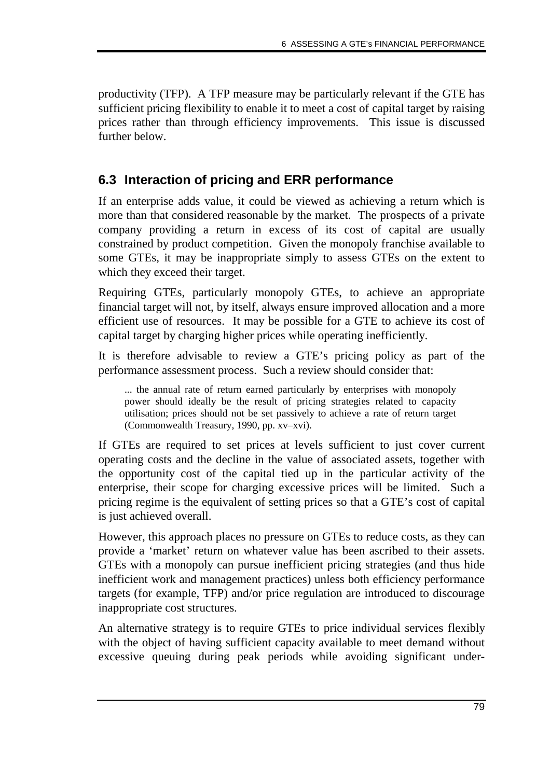productivity (TFP). A TFP measure may be particularly relevant if the GTE has sufficient pricing flexibility to enable it to meet a cost of capital target by raising prices rather than through efficiency improvements. This issue is discussed further below.

# **6.3 Interaction of pricing and ERR performance**

If an enterprise adds value, it could be viewed as achieving a return which is more than that considered reasonable by the market. The prospects of a private company providing a return in excess of its cost of capital are usually constrained by product competition. Given the monopoly franchise available to some GTEs, it may be inappropriate simply to assess GTEs on the extent to which they exceed their target.

Requiring GTEs, particularly monopoly GTEs, to achieve an appropriate financial target will not, by itself, always ensure improved allocation and a more efficient use of resources. It may be possible for a GTE to achieve its cost of capital target by charging higher prices while operating inefficiently.

It is therefore advisable to review a GTE's pricing policy as part of the performance assessment process. Such a review should consider that:

... the annual rate of return earned particularly by enterprises with monopoly power should ideally be the result of pricing strategies related to capacity utilisation; prices should not be set passively to achieve a rate of return target (Commonwealth Treasury, 1990, pp. xv–xvi).

If GTEs are required to set prices at levels sufficient to just cover current operating costs and the decline in the value of associated assets, together with the opportunity cost of the capital tied up in the particular activity of the enterprise, their scope for charging excessive prices will be limited. Such a pricing regime is the equivalent of setting prices so that a GTE's cost of capital is just achieved overall.

However, this approach places no pressure on GTEs to reduce costs, as they can provide a 'market' return on whatever value has been ascribed to their assets. GTEs with a monopoly can pursue inefficient pricing strategies (and thus hide inefficient work and management practices) unless both efficiency performance targets (for example, TFP) and/or price regulation are introduced to discourage inappropriate cost structures.

An alternative strategy is to require GTEs to price individual services flexibly with the object of having sufficient capacity available to meet demand without excessive queuing during peak periods while avoiding significant under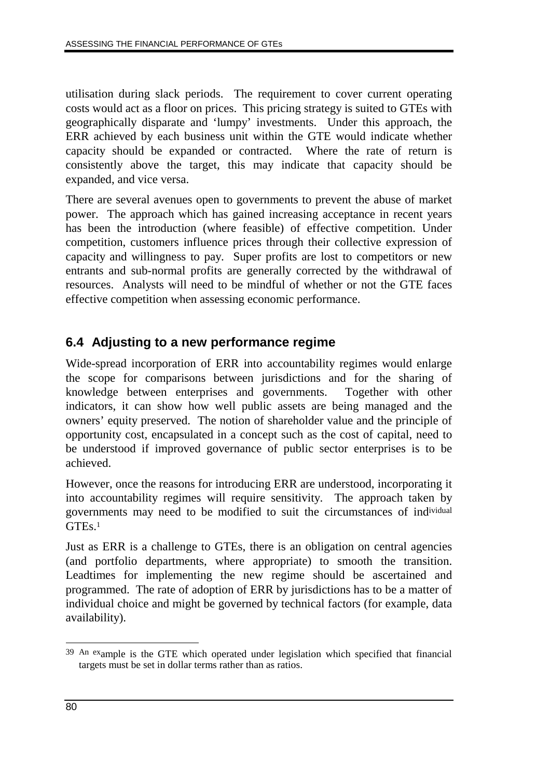utilisation during slack periods. The requirement to cover current operating costs would act as a floor on prices. This pricing strategy is suited to GTEs with geographically disparate and 'lumpy' investments. Under this approach, the ERR achieved by each business unit within the GTE would indicate whether capacity should be expanded or contracted. Where the rate of return is consistently above the target, this may indicate that capacity should be expanded, and vice versa.

There are several avenues open to governments to prevent the abuse of market power. The approach which has gained increasing acceptance in recent years has been the introduction (where feasible) of effective competition. Under competition, customers influence prices through their collective expression of capacity and willingness to pay. Super profits are lost to competitors or new entrants and sub-normal profits are generally corrected by the withdrawal of resources. Analysts will need to be mindful of whether or not the GTE faces effective competition when assessing economic performance.

# **6.4 Adjusting to a new performance regime**

Wide-spread incorporation of ERR into accountability regimes would enlarge the scope for comparisons between jurisdictions and for the sharing of knowledge between enterprises and governments. Together with other indicators, it can show how well public assets are being managed and the owners' equity preserved. The notion of shareholder value and the principle of opportunity cost, encapsulated in a concept such as the cost of capital, need to be understood if improved governance of public sector enterprises is to be achieved.

However, once the reasons for introducing ERR are understood, incorporating it into accountability regimes will require sensitivity. The approach taken by governments may need to be modified to suit the circumstances of individual GTE<sub>s.1</sub>

Just as ERR is a challenge to GTEs, there is an obligation on central agencies (and portfolio departments, where appropriate) to smooth the transition. Leadtimes for implementing the new regime should be ascertained and programmed. The rate of adoption of ERR by jurisdictions has to be a matter of individual choice and might be governed by technical factors (for example, data availability).

 $\overline{a}$ 39 An example is the GTE which operated under legislation which specified that financial targets must be set in dollar terms rather than as ratios.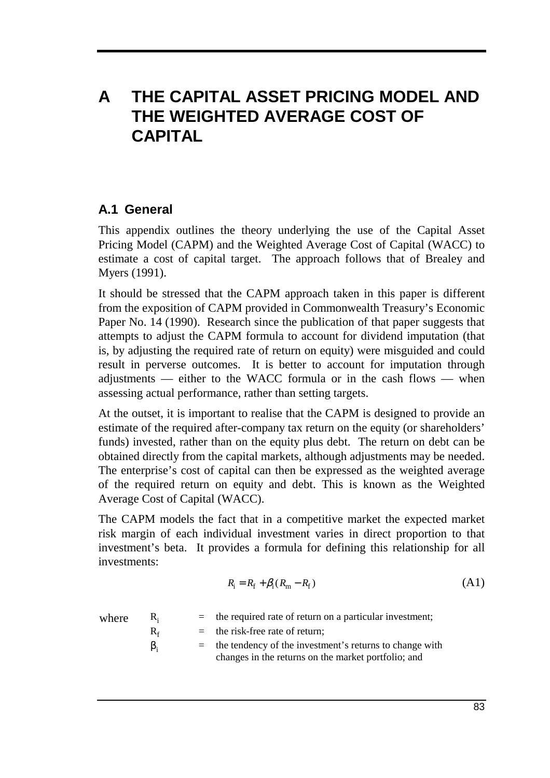# **A THE CAPITAL ASSET PRICING MODEL AND THE WEIGHTED AVERAGE COST OF CAPITAL**

# **A.1 General**

This appendix outlines the theory underlying the use of the Capital Asset Pricing Model (CAPM) and the Weighted Average Cost of Capital (WACC) to estimate a cost of capital target. The approach follows that of Brealey and Myers (1991).

It should be stressed that the CAPM approach taken in this paper is different from the exposition of CAPM provided in Commonwealth Treasury's Economic Paper No. 14 (1990). Research since the publication of that paper suggests that attempts to adjust the CAPM formula to account for dividend imputation (that is, by adjusting the required rate of return on equity) were misguided and could result in perverse outcomes. It is better to account for imputation through adjustments — either to the WACC formula or in the cash flows — when assessing actual performance, rather than setting targets.

At the outset, it is important to realise that the CAPM is designed to provide an estimate of the required after-company tax return on the equity (or shareholders' funds) invested, rather than on the equity plus debt. The return on debt can be obtained directly from the capital markets, although adjustments may be needed. The enterprise's cost of capital can then be expressed as the weighted average of the required return on equity and debt. This is known as the Weighted Average Cost of Capital (WACC).

The CAPM models the fact that in a competitive market the expected market risk margin of each individual investment varies in direct proportion to that investment's beta. It provides a formula for defining this relationship for all investments:

$$
R_{\rm i} = R_{\rm f} + \beta_{\rm i} (R_{\rm m} - R_{\rm f}) \tag{A1}
$$

where  $R_i$  = the required rate of return on a particular investment;

 $R_f$  = the risk-free rate of return;

 $\beta_i$  = the tendency of the investment's returns to change with changes in the returns on the market portfolio; and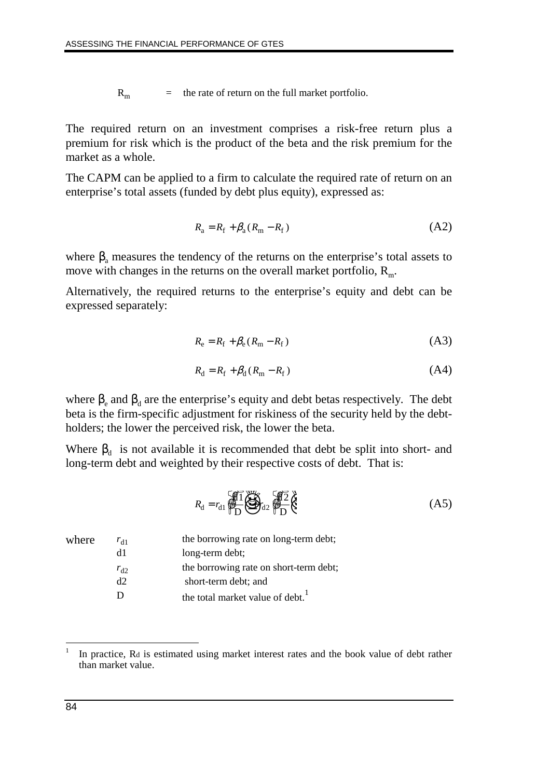$R<sub>m</sub>$  = the rate of return on the full market portfolio.

The required return on an investment comprises a risk-free return plus a premium for risk which is the product of the beta and the risk premium for the market as a whole.

The CAPM can be applied to a firm to calculate the required rate of return on an enterprise's total assets (funded by debt plus equity), expressed as:

$$
R_{\rm a} = R_{\rm f} + \beta_{\rm a} (R_{\rm m} - R_{\rm f}) \tag{A2}
$$

where  $\beta$ <sub>a</sub> measures the tendency of the returns on the enterprise's total assets to move with changes in the returns on the overall market portfolio,  $R<sub>m</sub>$ .

Alternatively, the required returns to the enterprise's equity and debt can be expressed separately:

$$
R_{\rm e} = R_{\rm f} + \beta_{\rm e} (R_{\rm m} - R_{\rm f}) \tag{A3}
$$

$$
R_{\rm d} = R_{\rm f} + \beta_{\rm d} (R_{\rm m} - R_{\rm f}) \tag{A4}
$$

where  $\beta_e$  and  $\beta_d$  are the enterprise's equity and debt betas respectively. The debt beta is the firm-specific adjustment for riskiness of the security held by the debtholders; the lower the perceived risk, the lower the beta.

Where  $\beta_d$  is not available it is recommended that debt be split into short- and long-term debt and weighted by their respective costs of debt. That is:

$$
R_{\rm d} = r_{\rm d1} \underbrace{\sqrt{11}}_{\rm D} \underbrace{\sqrt{12}}_{\rm d2} \underbrace{\sqrt{12}}_{\rm D} \underbrace{\sqrt{12}}_{\rm C} \tag{A5}
$$

| $r_{d1}$ | the borrowing rate on long-term debt;        |
|----------|----------------------------------------------|
| d1       | long-term debt;                              |
| $r_{d2}$ | the borrowing rate on short-term debt;       |
| d2       | short-term debt; and                         |
|          | the total market value of debt. <sup>1</sup> |
|          |                                              |

 $\overline{a}$ 

In practice, Rd is estimated using market interest rates and the book value of debt rather than market value.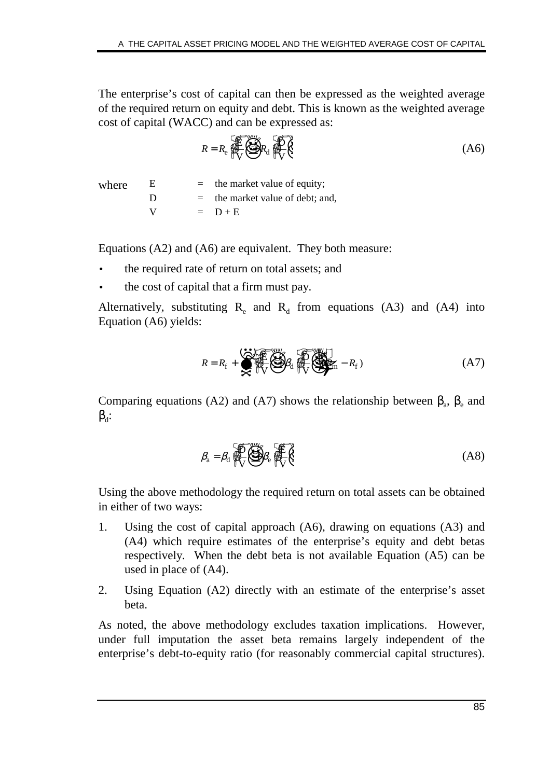The enterprise's cost of capital can then be expressed as the weighted average of the required return on equity and debt. This is known as the weighted average cost of capital (WACC) and can be expressed as:

$$
R = R_e \underbrace{\text{max}}_{\text{V}} R_d \underbrace{\text{max}}_{\text{V}} R_e \tag{A6}
$$

where  $E =$  the market value of equity;  $D =$  the market value of debt; and,  $V = D + E$ 

Equations (A2) and (A6) are equivalent. They both measure:

- the required rate of return on total assets; and
- the cost of capital that a firm must pay.

Alternatively, substituting  $R_e$  and  $R_d$  from equations (A3) and (A4) into Equation (A6) yields:

$$
R = R_{\rm f} + \sum_{\alpha=1}^{N_{\rm f}} \sum_{\gamma=1}^{N_{\rm f}} \sum_{\gamma=1}^{N_{\rm f}} \sum_{\gamma=1}^{N_{\rm f}} \sum_{\gamma=1}^{N_{\rm f}} \sum_{\gamma=1}^{N_{\rm f}} - R_{\rm f} \tag{A7}
$$

Comparing equations (A2) and (A7) shows the relationship between  $\beta_a$ ,  $\beta_e$  and  $\beta_d$ :

$$
\beta_{a} = \beta_{d} \underbrace{\bigoplus_{n=1}^{n} \bigoplus_{k=1}^{n} \beta_{k}}_{\text{UV}} \tag{A8}
$$

Using the above methodology the required return on total assets can be obtained in either of two ways:

- 1. Using the cost of capital approach (A6), drawing on equations (A3) and (A4) which require estimates of the enterprise's equity and debt betas respectively. When the debt beta is not available Equation (A5) can be used in place of (A4).
- 2. Using Equation (A2) directly with an estimate of the enterprise's asset beta.

As noted, the above methodology excludes taxation implications. However, under full imputation the asset beta remains largely independent of the enterprise's debt-to-equity ratio (for reasonably commercial capital structures).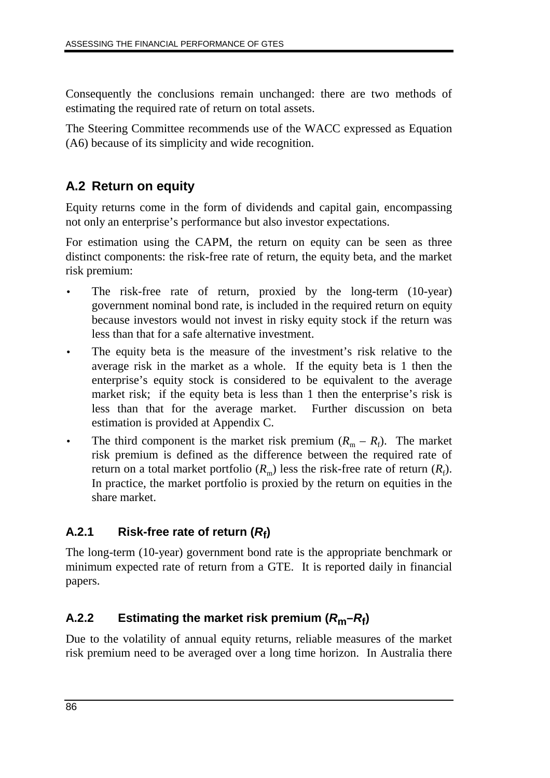Consequently the conclusions remain unchanged: there are two methods of estimating the required rate of return on total assets.

The Steering Committee recommends use of the WACC expressed as Equation (A6) because of its simplicity and wide recognition.

# **A.2 Return on equity**

Equity returns come in the form of dividends and capital gain, encompassing not only an enterprise's performance but also investor expectations.

For estimation using the CAPM, the return on equity can be seen as three distinct components: the risk-free rate of return, the equity beta, and the market risk premium:

- The risk-free rate of return, proxied by the long-term (10-year) government nominal bond rate, is included in the required return on equity because investors would not invest in risky equity stock if the return was less than that for a safe alternative investment.
- The equity beta is the measure of the investment's risk relative to the average risk in the market as a whole. If the equity beta is 1 then the enterprise's equity stock is considered to be equivalent to the average market risk; if the equity beta is less than 1 then the enterprise's risk is less than that for the average market. Further discussion on beta estimation is provided at Appendix C.
- The third component is the market risk premium  $(R_m R_f)$ . The market risk premium is defined as the difference between the required rate of return on a total market portfolio  $(R_{\rm m})$  less the risk-free rate of return  $(R_{\rm f})$ . In practice, the market portfolio is proxied by the return on equities in the share market.

# **A.2.1 Risk-free rate of return (Rf)**

The long-term (10-year) government bond rate is the appropriate benchmark or minimum expected rate of return from a GTE. It is reported daily in financial papers.

# **A.2.2 Estimating the market risk premium (Rm–Rf)**

Due to the volatility of annual equity returns, reliable measures of the market risk premium need to be averaged over a long time horizon. In Australia there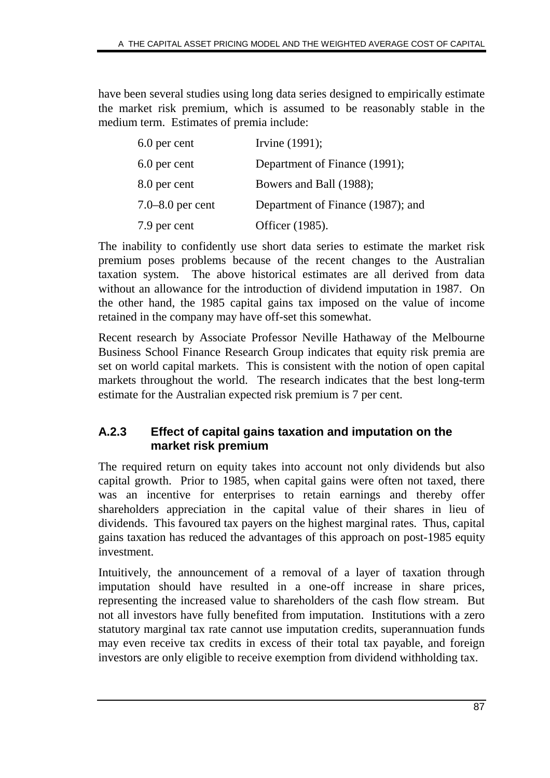have been several studies using long data series designed to empirically estimate the market risk premium, which is assumed to be reasonably stable in the medium term. Estimates of premia include:

| 6.0 per cent     | Irvine (1991);                    |
|------------------|-----------------------------------|
| 6.0 per cent     | Department of Finance (1991);     |
| 8.0 per cent     | Bowers and Ball (1988);           |
| 7.0–8.0 per cent | Department of Finance (1987); and |
| 7.9 per cent     | Officer (1985).                   |

The inability to confidently use short data series to estimate the market risk premium poses problems because of the recent changes to the Australian taxation system. The above historical estimates are all derived from data without an allowance for the introduction of dividend imputation in 1987. On the other hand, the 1985 capital gains tax imposed on the value of income retained in the company may have off-set this somewhat.

Recent research by Associate Professor Neville Hathaway of the Melbourne Business School Finance Research Group indicates that equity risk premia are set on world capital markets. This is consistent with the notion of open capital markets throughout the world. The research indicates that the best long-term estimate for the Australian expected risk premium is 7 per cent.

# **A.2.3 Effect of capital gains taxation and imputation on the market risk premium**

The required return on equity takes into account not only dividends but also capital growth. Prior to 1985, when capital gains were often not taxed, there was an incentive for enterprises to retain earnings and thereby offer shareholders appreciation in the capital value of their shares in lieu of dividends. This favoured tax payers on the highest marginal rates. Thus, capital gains taxation has reduced the advantages of this approach on post-1985 equity investment.

Intuitively, the announcement of a removal of a layer of taxation through imputation should have resulted in a one-off increase in share prices, representing the increased value to shareholders of the cash flow stream. But not all investors have fully benefited from imputation. Institutions with a zero statutory marginal tax rate cannot use imputation credits, superannuation funds may even receive tax credits in excess of their total tax payable, and foreign investors are only eligible to receive exemption from dividend withholding tax.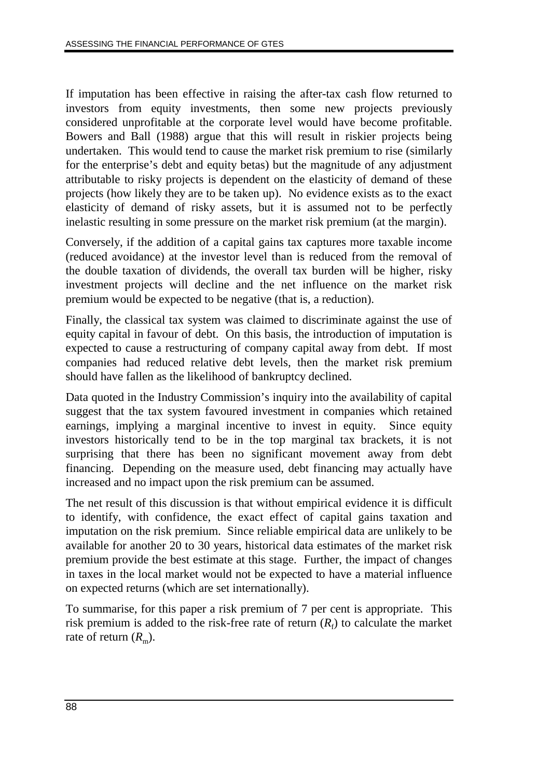If imputation has been effective in raising the after-tax cash flow returned to investors from equity investments, then some new projects previously considered unprofitable at the corporate level would have become profitable. Bowers and Ball (1988) argue that this will result in riskier projects being undertaken. This would tend to cause the market risk premium to rise (similarly for the enterprise's debt and equity betas) but the magnitude of any adjustment attributable to risky projects is dependent on the elasticity of demand of these projects (how likely they are to be taken up). No evidence exists as to the exact elasticity of demand of risky assets, but it is assumed not to be perfectly inelastic resulting in some pressure on the market risk premium (at the margin).

Conversely, if the addition of a capital gains tax captures more taxable income (reduced avoidance) at the investor level than is reduced from the removal of the double taxation of dividends, the overall tax burden will be higher, risky investment projects will decline and the net influence on the market risk premium would be expected to be negative (that is, a reduction).

Finally, the classical tax system was claimed to discriminate against the use of equity capital in favour of debt. On this basis, the introduction of imputation is expected to cause a restructuring of company capital away from debt. If most companies had reduced relative debt levels, then the market risk premium should have fallen as the likelihood of bankruptcy declined.

Data quoted in the Industry Commission's inquiry into the availability of capital suggest that the tax system favoured investment in companies which retained earnings, implying a marginal incentive to invest in equity. Since equity investors historically tend to be in the top marginal tax brackets, it is not surprising that there has been no significant movement away from debt financing. Depending on the measure used, debt financing may actually have increased and no impact upon the risk premium can be assumed.

The net result of this discussion is that without empirical evidence it is difficult to identify, with confidence, the exact effect of capital gains taxation and imputation on the risk premium. Since reliable empirical data are unlikely to be available for another 20 to 30 years, historical data estimates of the market risk premium provide the best estimate at this stage. Further, the impact of changes in taxes in the local market would not be expected to have a material influence on expected returns (which are set internationally).

To summarise, for this paper a risk premium of 7 per cent is appropriate. This risk premium is added to the risk-free rate of return  $(R_f)$  to calculate the market rate of return  $(R<sub>m</sub>)$ .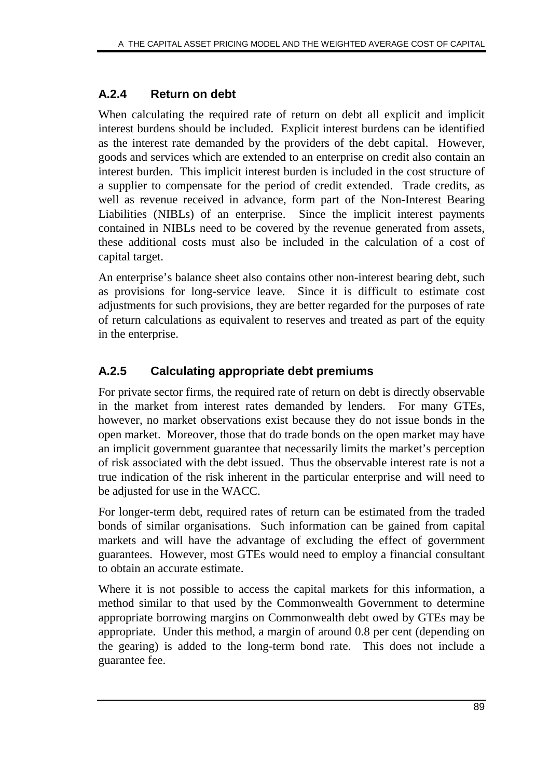# **A.2.4 Return on debt**

When calculating the required rate of return on debt all explicit and implicit interest burdens should be included. Explicit interest burdens can be identified as the interest rate demanded by the providers of the debt capital. However, goods and services which are extended to an enterprise on credit also contain an interest burden. This implicit interest burden is included in the cost structure of a supplier to compensate for the period of credit extended. Trade credits, as well as revenue received in advance, form part of the Non-Interest Bearing Liabilities (NIBLs) of an enterprise. Since the implicit interest payments contained in NIBLs need to be covered by the revenue generated from assets, these additional costs must also be included in the calculation of a cost of capital target.

An enterprise's balance sheet also contains other non-interest bearing debt, such as provisions for long-service leave. Since it is difficult to estimate cost adjustments for such provisions, they are better regarded for the purposes of rate of return calculations as equivalent to reserves and treated as part of the equity in the enterprise.

# **A.2.5 Calculating appropriate debt premiums**

For private sector firms, the required rate of return on debt is directly observable in the market from interest rates demanded by lenders. For many GTEs, however, no market observations exist because they do not issue bonds in the open market. Moreover, those that do trade bonds on the open market may have an implicit government guarantee that necessarily limits the market's perception of risk associated with the debt issued. Thus the observable interest rate is not a true indication of the risk inherent in the particular enterprise and will need to be adjusted for use in the WACC.

For longer-term debt, required rates of return can be estimated from the traded bonds of similar organisations. Such information can be gained from capital markets and will have the advantage of excluding the effect of government guarantees. However, most GTEs would need to employ a financial consultant to obtain an accurate estimate.

Where it is not possible to access the capital markets for this information, a method similar to that used by the Commonwealth Government to determine appropriate borrowing margins on Commonwealth debt owed by GTEs may be appropriate. Under this method, a margin of around 0.8 per cent (depending on the gearing) is added to the long-term bond rate. This does not include a guarantee fee.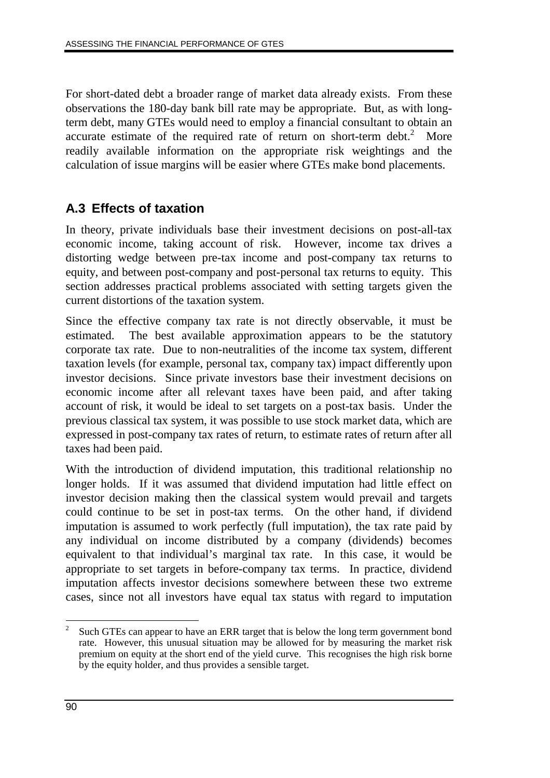For short-dated debt a broader range of market data already exists. From these observations the 180-day bank bill rate may be appropriate. But, as with longterm debt, many GTEs would need to employ a financial consultant to obtain an accurate estimate of the required rate of return on short-term debt. $2$  More readily available information on the appropriate risk weightings and the calculation of issue margins will be easier where GTEs make bond placements.

# **A.3 Effects of taxation**

In theory, private individuals base their investment decisions on post-all-tax economic income, taking account of risk. However, income tax drives a distorting wedge between pre-tax income and post-company tax returns to equity, and between post-company and post-personal tax returns to equity. This section addresses practical problems associated with setting targets given the current distortions of the taxation system.

Since the effective company tax rate is not directly observable, it must be estimated. The best available approximation appears to be the statutory corporate tax rate. Due to non-neutralities of the income tax system, different taxation levels (for example, personal tax, company tax) impact differently upon investor decisions. Since private investors base their investment decisions on economic income after all relevant taxes have been paid, and after taking account of risk, it would be ideal to set targets on a post-tax basis. Under the previous classical tax system, it was possible to use stock market data, which are expressed in post-company tax rates of return, to estimate rates of return after all taxes had been paid.

With the introduction of dividend imputation, this traditional relationship no longer holds. If it was assumed that dividend imputation had little effect on investor decision making then the classical system would prevail and targets could continue to be set in post-tax terms. On the other hand, if dividend imputation is assumed to work perfectly (full imputation), the tax rate paid by any individual on income distributed by a company (dividends) becomes equivalent to that individual's marginal tax rate. In this case, it would be appropriate to set targets in before-company tax terms. In practice, dividend imputation affects investor decisions somewhere between these two extreme cases, since not all investors have equal tax status with regard to imputation

 $\overline{a}$ <sup>2</sup> Such GTEs can appear to have an ERR target that is below the long term government bond rate. However, this unusual situation may be allowed for by measuring the market risk premium on equity at the short end of the yield curve. This recognises the high risk borne by the equity holder, and thus provides a sensible target.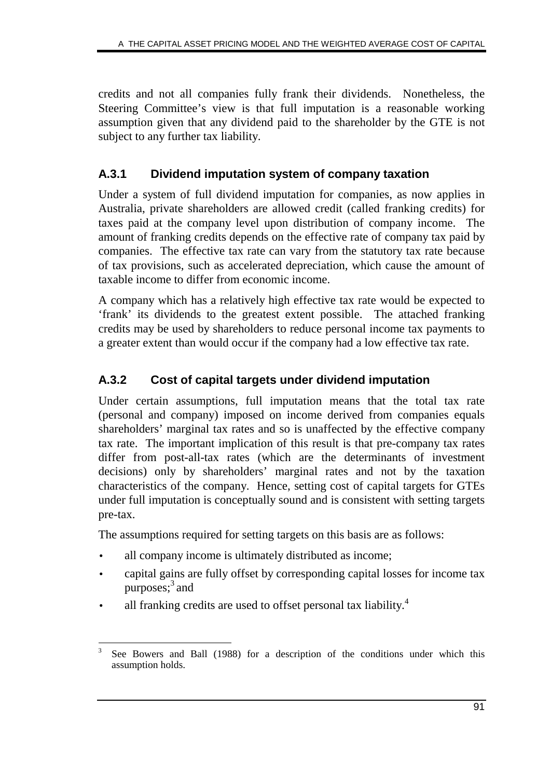credits and not all companies fully frank their dividends. Nonetheless, the Steering Committee's view is that full imputation is a reasonable working assumption given that any dividend paid to the shareholder by the GTE is not subject to any further tax liability.

## **A.3.1 Dividend imputation system of company taxation**

Under a system of full dividend imputation for companies, as now applies in Australia, private shareholders are allowed credit (called franking credits) for taxes paid at the company level upon distribution of company income. The amount of franking credits depends on the effective rate of company tax paid by companies. The effective tax rate can vary from the statutory tax rate because of tax provisions, such as accelerated depreciation, which cause the amount of taxable income to differ from economic income.

A company which has a relatively high effective tax rate would be expected to 'frank' its dividends to the greatest extent possible. The attached franking credits may be used by shareholders to reduce personal income tax payments to a greater extent than would occur if the company had a low effective tax rate.

## **A.3.2 Cost of capital targets under dividend imputation**

Under certain assumptions, full imputation means that the total tax rate (personal and company) imposed on income derived from companies equals shareholders' marginal tax rates and so is unaffected by the effective company tax rate. The important implication of this result is that pre-company tax rates differ from post-all-tax rates (which are the determinants of investment decisions) only by shareholders' marginal rates and not by the taxation characteristics of the company. Hence, setting cost of capital targets for GTEs under full imputation is conceptually sound and is consistent with setting targets pre-tax.

The assumptions required for setting targets on this basis are as follows:

- all company income is ultimately distributed as income;
- capital gains are fully offset by corresponding capital losses for income tax purposes; $3$  and
- all franking credits are used to offset personal tax liability.<sup>4</sup>

 $\overline{3}$ See Bowers and Ball (1988) for a description of the conditions under which this assumption holds.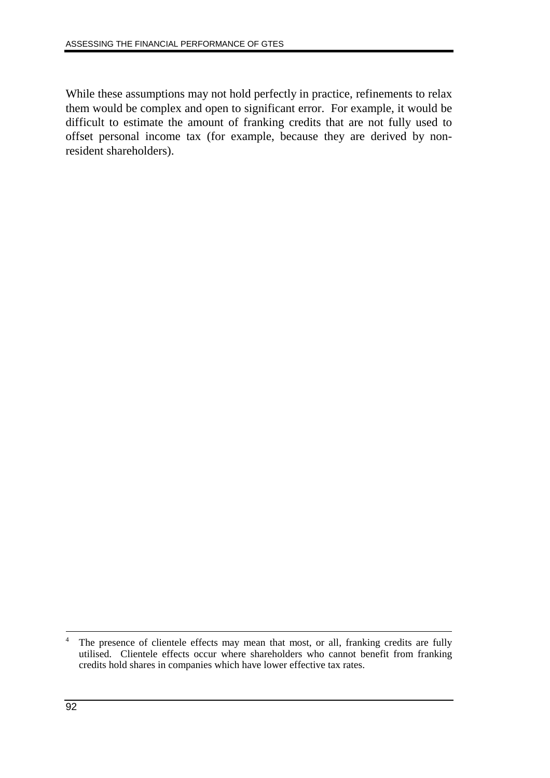While these assumptions may not hold perfectly in practice, refinements to relax them would be complex and open to significant error. For example, it would be difficult to estimate the amount of franking credits that are not fully used to offset personal income tax (for example, because they are derived by nonresident shareholders).

<sup>&</sup>lt;sup>4</sup> The presence of clientele effects may mean that most, or all, franking credits are fully utilised. Clientele effects occur where shareholders who cannot benefit from franking credits hold shares in companies which have lower effective tax rates.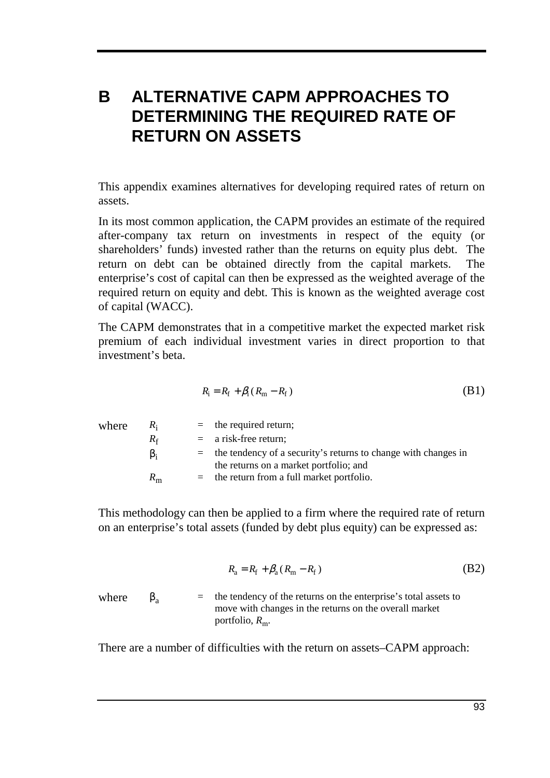# **B ALTERNATIVE CAPM APPROACHES TO DETERMINING THE REQUIRED RATE OF RETURN ON ASSETS**

This appendix examines alternatives for developing required rates of return on assets.

In its most common application, the CAPM provides an estimate of the required after-company tax return on investments in respect of the equity (or shareholders' funds) invested rather than the returns on equity plus debt. The return on debt can be obtained directly from the capital markets. The enterprise's cost of capital can then be expressed as the weighted average of the required return on equity and debt. This is known as the weighted average cost of capital (WACC).

The CAPM demonstrates that in a competitive market the expected market risk premium of each individual investment varies in direct proportion to that investment's beta.

$$
R_{\rm i} = R_{\rm f} + \beta_{\rm i} (R_{\rm m} - R_{\rm f}) \tag{B1}
$$

| where | $R_i$       | $=$ the required return;                                                                                     |
|-------|-------------|--------------------------------------------------------------------------------------------------------------|
|       | $R_f$       | $=$ a risk-free return;                                                                                      |
|       | $\beta_i$   | $=$ the tendency of a security's returns to change with changes in<br>the returns on a market portfolio; and |
|       | $R_{\rm m}$ | $=$ the return from a full market portfolio.                                                                 |

This methodology can then be applied to a firm where the required rate of return on an enterprise's total assets (funded by debt plus equity) can be expressed as:

$$
R_{\rm a} = R_{\rm f} + \beta_{\rm a} (R_{\rm m} - R_{\rm f}) \tag{B2}
$$

where  $\beta_a$  = the tendency of the returns on the enterprise's total assets to move with changes in the returns on the overall market portfolio,  $R_{\text{m}}$ .

There are a number of difficulties with the return on assets–CAPM approach: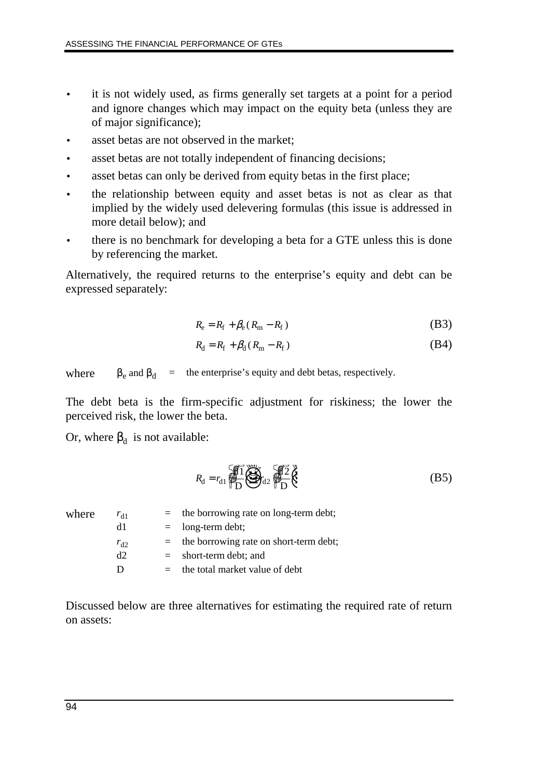- it is not widely used, as firms generally set targets at a point for a period and ignore changes which may impact on the equity beta (unless they are of major significance);
- asset betas are not observed in the market;
- asset betas are not totally independent of financing decisions;
- asset betas can only be derived from equity betas in the first place;
- the relationship between equity and asset betas is not as clear as that implied by the widely used delevering formulas (this issue is addressed in more detail below); and
- there is no benchmark for developing a beta for a GTE unless this is done by referencing the market.

Alternatively, the required returns to the enterprise's equity and debt can be expressed separately:

$$
R_{\rm e} = R_{\rm f} + \beta_{\rm e} (R_{\rm m} - R_{\rm f})
$$
 (B3)

$$
R_{\rm d} = R_{\rm f} + \beta_{\rm d} \left( R_{\rm m} - R_{\rm f} \right) \tag{B4}
$$

where  $\beta_e$  and  $\beta_d$  = the enterprise's equity and debt betas, respectively.

The debt beta is the firm-specific adjustment for riskiness; the lower the perceived risk, the lower the beta.

Or, where  $β_d$  is not available:

$$
R_{\rm d} = r_{\rm d1} \underbrace{\sqrt{11}}_{\rm D} \underbrace{\sqrt{12}}_{\rm d2} \underbrace{\sqrt{12}}_{\rm D} \underbrace{\sqrt{12}}_{\rm C} \tag{B5}
$$

| $r_{d1}$ | $=$ the borrowing rate on long-term debt;  |
|----------|--------------------------------------------|
| d1       | $=$ long-term debt;                        |
| $r_{d2}$ | $=$ the borrowing rate on short-term debt; |
| d2       | $=$ short-term debt; and                   |
| D        | the total market value of debt             |
|          |                                            |

Discussed below are three alternatives for estimating the required rate of return on assets: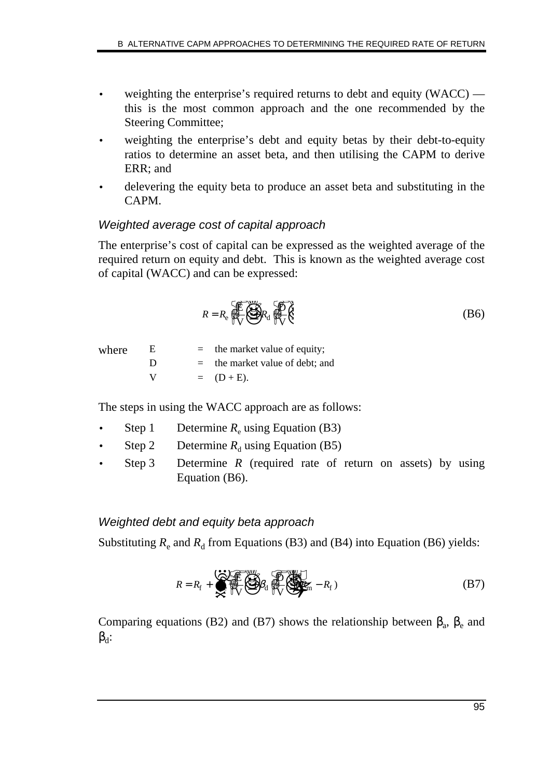- weighting the enterprise's required returns to debt and equity (WACC) this is the most common approach and the one recommended by the Steering Committee;
- weighting the enterprise's debt and equity betas by their debt-to-equity ratios to determine an asset beta, and then utilising the CAPM to derive ERR; and
- delevering the equity beta to produce an asset beta and substituting in the CAPM.

### Weighted average cost of capital approach

The enterprise's cost of capital can be expressed as the weighted average of the required return on equity and debt. This is known as the weighted average cost of capital (WACC) and can be expressed:

$$
R = R_{\rm e} \underbrace{\sqrt{\frac{1}{N_{\rm v}}}}_{\sqrt{\rm v}} \underbrace{\sqrt{\frac{1}{N_{\rm v}}}}_{\sqrt{\rm v}} \tag{B6}
$$

where  $E =$  the market value of equity;  $D =$  the market value of debt; and V  $= (D + E).$ 

The steps in using the WACC approach are as follows:

- **Step 1** Determine  $R_e$  using Equation (B3)
- Step 2 Determine  $R_d$  using Equation (B5)
- Step 3 Determine *R* (required rate of return on assets) by using Equation (B6).

#### Weighted debt and equity beta approach

Substituting  $R_e$  and  $R_d$  from Equations (B3) and (B4) into Equation (B6) yields:

$$
R = R_{\rm f} + \sum_{\alpha=1}^{N} \left( \sum_{i=1}^{N} \beta_{i} \right) \left( \sum_{i=1}^{N} \beta_{i} \right) \left( \sum_{i=1}^{N} \beta_{i} \right) \tag{B7}
$$

Comparing equations (B2) and (B7) shows the relationship between  $\beta_a$ ,  $\beta_e$  and  $\beta_d$ :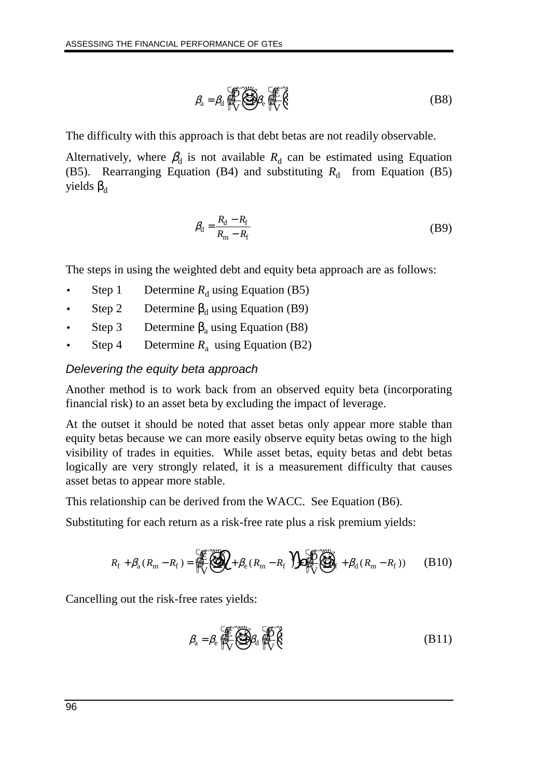$$
\beta_{a} = \beta_{d} \underbrace{\bigoplus_{n=1}^{n} \bigoplus_{k=1}^{n} \beta_{k}}_{\text{UV}} \underbrace{\bigoplus_{n=1}^{n} \bigoplus_{k=1}^{n} \bigoplus_{k=1}^{n} \bigoplus_{k=1}^{n} \bigoplus_{k=1}^{n} \bigoplus_{k=1}^{n} \bigoplus_{k=1}^{n} \bigoplus_{k=1}^{n} \bigoplus_{k=1}^{n} \bigoplus_{k=1}^{n} \bigoplus_{k=1}^{n} \bigoplus_{k=1}^{n} \bigoplus_{k=1}^{n} \bigoplus_{k=1}^{n} \bigoplus_{k=1}^{n} \bigoplus_{k=1}^{n} \bigoplus_{k=1}^{n} \bigoplus_{k=1}^{n} \bigoplus_{k=1}^{n} \bigoplus_{k=1}^{n} \bigoplus_{k=1}^{n} \bigoplus_{k=1}^{n} \bigoplus_{k=1}^{n} \bigoplus_{k=1}^{n} \bigoplus_{k=1}^{n} \bigoplus_{k=1}^{n} \bigoplus_{k=1}^{n} \bigoplus_{k=1}^{n} \bigoplus_{k=1}^{n} \bigoplus_{k=1}^{n} \bigoplus_{k=1}^{n} \bigoplus_{k=1}^{n} \bigoplus_{k=1}^{n} \bigoplus_{k=1}^{n} \bigoplus_{k=1}^{n} \bigoplus_{k=1}^{n} \bigoplus_{k=1}^{n} \bigoplus_{k=1}^{n} \bigoplus_{k=1}^{n} \bigoplus_{k=1}^{n} \bigoplus_{k=1}^{n} \bigoplus_{k=1}^{n} \bigoplus_{k=1}^{n} \bigoplus_{k=1}^{n} \bigoplus_{k=1}^{n} \bigoplus_{k=1}^{n} \bigoplus_{k=1}^{n} \bigoplus_{k=1}^{n} \bigoplus_{k=1}^{n} \bigoplus_{k=1}^{n} \bigoplus_{k=1}^{n} \bigoplus_{k=1}^{n} \bigoplus_{k=1}^{n} \bigoplus_{k=1}^{n} \bigoplus_{k=1}^{n} \bigoplus_{k=1}^{n} \bigoplus_{k=1}^{n} \bigoplus_{k=1}^{n} \bigoplus_{k=1}^{n}
$$

The difficulty with this approach is that debt betas are not readily observable.

Alternatively, where  $\beta_d$  is not available  $R_d$  can be estimated using Equation (B5). Rearranging Equation (B4) and substituting  $R_d$  from Equation (B5) yields  $β_d$ 

$$
\beta_{\rm d} = \frac{R_{\rm d} - R_{\rm f}}{R_{\rm m} - R_{\rm f}}\tag{B9}
$$

The steps in using the weighted debt and equity beta approach are as follows:

- **Step 1** Determine  $R_d$  using Equation (B5)
- Step 2 Determine  $\beta_d$  using Equation (B9)
- Step 3 Determine  $\beta_a$  using Equation (B8)
- Step 4 Determine  $R_a$  using Equation (B2)

#### Delevering the equity beta approach

Another method is to work back from an observed equity beta (incorporating financial risk) to an asset beta by excluding the impact of leverage.

At the outset it should be noted that asset betas only appear more stable than equity betas because we can more easily observe equity betas owing to the high visibility of trades in equities. While asset betas, equity betas and debt betas logically are very strongly related, it is a measurement difficulty that causes asset betas to appear more stable.

This relationship can be derived from the WACC. See Equation (B6).

Substituting for each return as a risk-free rate plus a risk premium yields:

$$
R_{\rm f} + \beta_{\rm a}(R_{\rm m} - R_{\rm f}) = \underbrace{\mathcal{F}_{\rm f} \mathcal{F}_{\rm f}}_{\rm V} \mathcal{F}_{\rm f} + \beta_{\rm e}(R_{\rm m} - R_{\rm f}) \mathcal{F}_{\rm f} \mathcal{F}_{\rm f} \mathcal{F}_{\rm f} + \beta_{\rm d}(R_{\rm m} - R_{\rm f})) \qquad (B10)
$$

Cancelling out the risk-free rates yields:

$$
\beta_{a} = \beta_{e} \underbrace{\bigoplus_{n=1}^{n} \bigoplus_{i=1}^{n} \beta_{i}}_{\text{W}} \underbrace{\bigoplus_{n=1}^{n} \bigoplus_{i=1}^{n} \beta_{i}}_{\text{(B11)}}
$$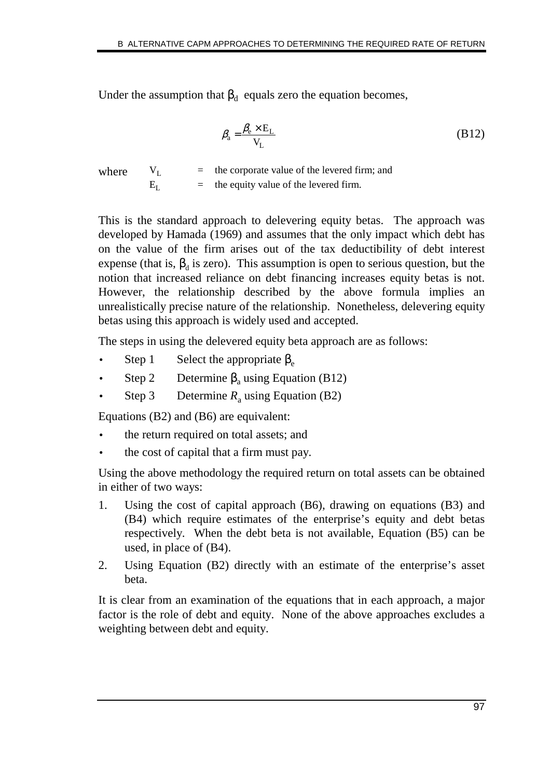Under the assumption that  $\beta_d$  equals zero the equation becomes,

$$
\beta_{\rm a} = \frac{\beta_{\rm e} \times E_{\rm L}}{V_{\rm L}} \tag{B12}
$$

where  $V_1$  = the corporate value of the levered firm; and  $E_L$  = the equity value of the levered firm.

This is the standard approach to delevering equity betas. The approach was developed by Hamada (1969) and assumes that the only impact which debt has on the value of the firm arises out of the tax deductibility of debt interest expense (that is,  $\beta_d$  is zero). This assumption is open to serious question, but the notion that increased reliance on debt financing increases equity betas is not. However, the relationship described by the above formula implies an unrealistically precise nature of the relationship. Nonetheless, delevering equity betas using this approach is widely used and accepted.

The steps in using the delevered equity beta approach are as follows:

- Step 1 Select the appropriate  $\beta_e$
- Step 2 Determine  $\beta_a$  using Equation (B12)
- Step 3 Determine  $R_a$  using Equation (B2)

Equations (B2) and (B6) are equivalent:

- the return required on total assets; and
- the cost of capital that a firm must pay.

Using the above methodology the required return on total assets can be obtained in either of two ways:

- 1. Using the cost of capital approach (B6), drawing on equations (B3) and (B4) which require estimates of the enterprise's equity and debt betas respectively. When the debt beta is not available, Equation (B5) can be used, in place of (B4).
- 2. Using Equation (B2) directly with an estimate of the enterprise's asset beta.

It is clear from an examination of the equations that in each approach, a major factor is the role of debt and equity. None of the above approaches excludes a weighting between debt and equity.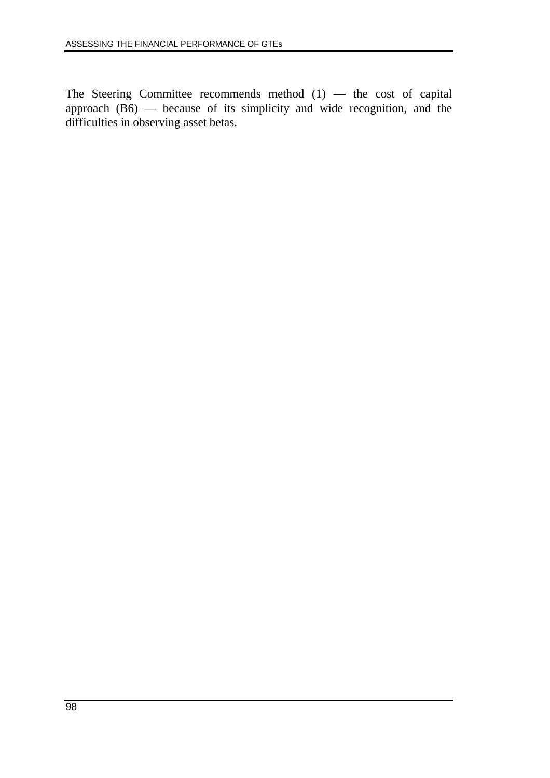The Steering Committee recommends method (1) — the cost of capital approach (B6) — because of its simplicity and wide recognition, and the difficulties in observing asset betas.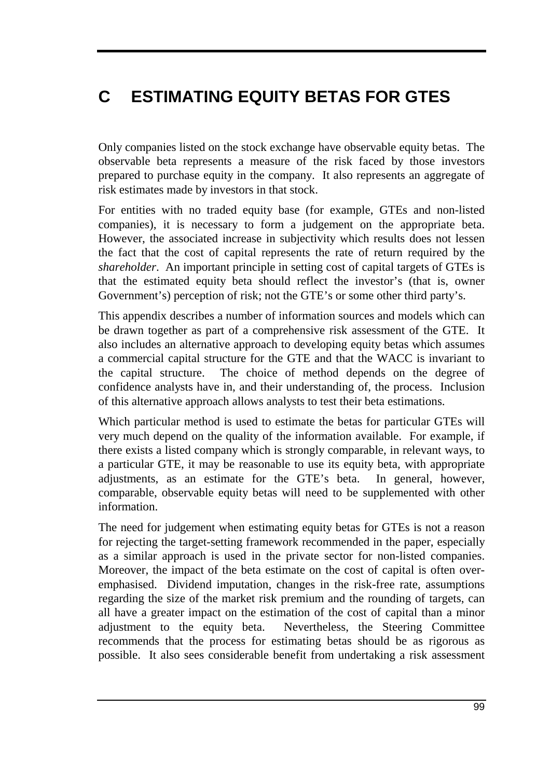# **C ESTIMATING EQUITY BETAS FOR GTES**

Only companies listed on the stock exchange have observable equity betas. The observable beta represents a measure of the risk faced by those investors prepared to purchase equity in the company. It also represents an aggregate of risk estimates made by investors in that stock.

For entities with no traded equity base (for example, GTEs and non-listed companies), it is necessary to form a judgement on the appropriate beta. However, the associated increase in subjectivity which results does not lessen the fact that the cost of capital represents the rate of return required by the *shareholder*. An important principle in setting cost of capital targets of GTEs is that the estimated equity beta should reflect the investor's (that is, owner Government's) perception of risk; not the GTE's or some other third party's.

This appendix describes a number of information sources and models which can be drawn together as part of a comprehensive risk assessment of the GTE. It also includes an alternative approach to developing equity betas which assumes a commercial capital structure for the GTE and that the WACC is invariant to the capital structure. The choice of method depends on the degree of confidence analysts have in, and their understanding of, the process. Inclusion of this alternative approach allows analysts to test their beta estimations.

Which particular method is used to estimate the betas for particular GTEs will very much depend on the quality of the information available. For example, if there exists a listed company which is strongly comparable, in relevant ways, to a particular GTE, it may be reasonable to use its equity beta, with appropriate adjustments, as an estimate for the GTE's beta. In general, however, comparable, observable equity betas will need to be supplemented with other information.

The need for judgement when estimating equity betas for GTEs is not a reason for rejecting the target-setting framework recommended in the paper, especially as a similar approach is used in the private sector for non-listed companies. Moreover, the impact of the beta estimate on the cost of capital is often overemphasised. Dividend imputation, changes in the risk-free rate, assumptions regarding the size of the market risk premium and the rounding of targets, can all have a greater impact on the estimation of the cost of capital than a minor adjustment to the equity beta. Nevertheless, the Steering Committee recommends that the process for estimating betas should be as rigorous as possible. It also sees considerable benefit from undertaking a risk assessment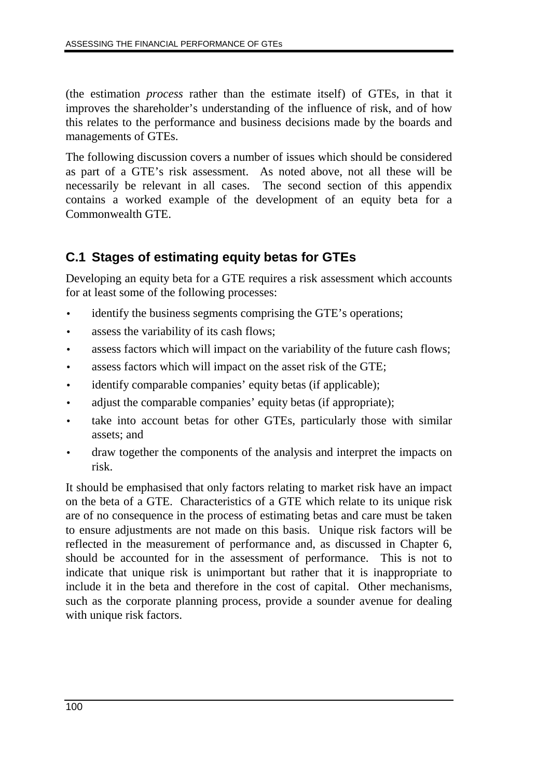(the estimation *process* rather than the estimate itself) of GTEs, in that it improves the shareholder's understanding of the influence of risk, and of how this relates to the performance and business decisions made by the boards and managements of GTEs.

The following discussion covers a number of issues which should be considered as part of a GTE's risk assessment. As noted above, not all these will be necessarily be relevant in all cases. The second section of this appendix contains a worked example of the development of an equity beta for a Commonwealth GTE.

## **C.1 Stages of estimating equity betas for GTEs**

Developing an equity beta for a GTE requires a risk assessment which accounts for at least some of the following processes:

- identify the business segments comprising the GTE's operations;
- assess the variability of its cash flows;
- assess factors which will impact on the variability of the future cash flows;
- assess factors which will impact on the asset risk of the GTE;
- identify comparable companies' equity betas (if applicable);
- adjust the comparable companies' equity betas (if appropriate);
- take into account betas for other GTEs, particularly those with similar assets; and
- draw together the components of the analysis and interpret the impacts on risk.

It should be emphasised that only factors relating to market risk have an impact on the beta of a GTE. Characteristics of a GTE which relate to its unique risk are of no consequence in the process of estimating betas and care must be taken to ensure adjustments are not made on this basis. Unique risk factors will be reflected in the measurement of performance and, as discussed in Chapter 6, should be accounted for in the assessment of performance. This is not to indicate that unique risk is unimportant but rather that it is inappropriate to include it in the beta and therefore in the cost of capital. Other mechanisms, such as the corporate planning process, provide a sounder avenue for dealing with unique risk factors.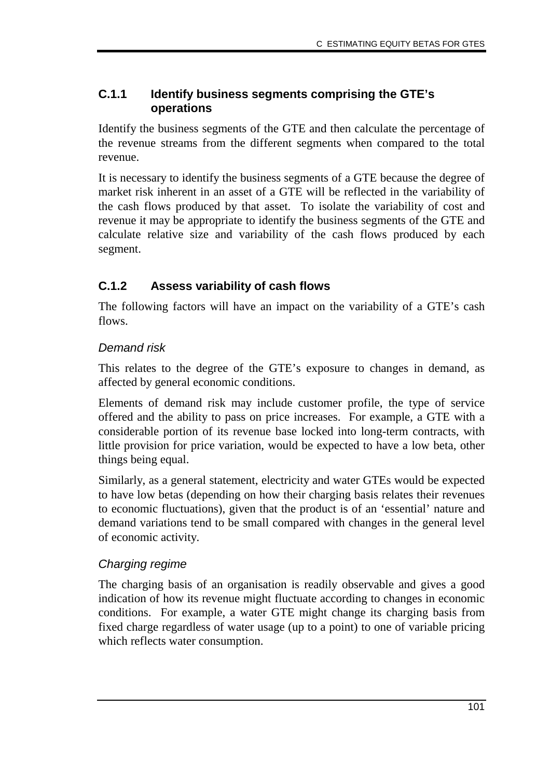### **C.1.1 Identify business segments comprising the GTE's operations**

Identify the business segments of the GTE and then calculate the percentage of the revenue streams from the different segments when compared to the total revenue.

It is necessary to identify the business segments of a GTE because the degree of market risk inherent in an asset of a GTE will be reflected in the variability of the cash flows produced by that asset. To isolate the variability of cost and revenue it may be appropriate to identify the business segments of the GTE and calculate relative size and variability of the cash flows produced by each segment.

## **C.1.2 Assess variability of cash flows**

The following factors will have an impact on the variability of a GTE's cash flows.

## Demand risk

This relates to the degree of the GTE's exposure to changes in demand, as affected by general economic conditions.

Elements of demand risk may include customer profile, the type of service offered and the ability to pass on price increases. For example, a GTE with a considerable portion of its revenue base locked into long-term contracts, with little provision for price variation, would be expected to have a low beta, other things being equal.

Similarly, as a general statement, electricity and water GTEs would be expected to have low betas (depending on how their charging basis relates their revenues to economic fluctuations), given that the product is of an 'essential' nature and demand variations tend to be small compared with changes in the general level of economic activity.

## Charging regime

The charging basis of an organisation is readily observable and gives a good indication of how its revenue might fluctuate according to changes in economic conditions. For example, a water GTE might change its charging basis from fixed charge regardless of water usage (up to a point) to one of variable pricing which reflects water consumption.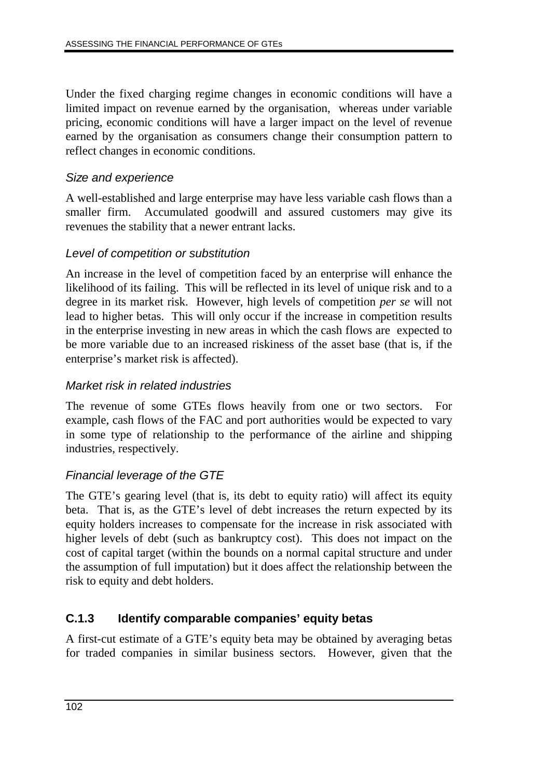Under the fixed charging regime changes in economic conditions will have a limited impact on revenue earned by the organisation, whereas under variable pricing, economic conditions will have a larger impact on the level of revenue earned by the organisation as consumers change their consumption pattern to reflect changes in economic conditions.

#### Size and experience

A well-established and large enterprise may have less variable cash flows than a smaller firm. Accumulated goodwill and assured customers may give its revenues the stability that a newer entrant lacks.

### Level of competition or substitution

An increase in the level of competition faced by an enterprise will enhance the likelihood of its failing. This will be reflected in its level of unique risk and to a degree in its market risk. However, high levels of competition *per se* will not lead to higher betas. This will only occur if the increase in competition results in the enterprise investing in new areas in which the cash flows are expected to be more variable due to an increased riskiness of the asset base (that is, if the enterprise's market risk is affected).

#### Market risk in related industries

The revenue of some GTEs flows heavily from one or two sectors. For example, cash flows of the FAC and port authorities would be expected to vary in some type of relationship to the performance of the airline and shipping industries, respectively.

## Financial leverage of the GTE

The GTE's gearing level (that is, its debt to equity ratio) will affect its equity beta. That is, as the GTE's level of debt increases the return expected by its equity holders increases to compensate for the increase in risk associated with higher levels of debt (such as bankruptcy cost). This does not impact on the cost of capital target (within the bounds on a normal capital structure and under the assumption of full imputation) but it does affect the relationship between the risk to equity and debt holders.

## **C.1.3 Identify comparable companies' equity betas**

A first-cut estimate of a GTE's equity beta may be obtained by averaging betas for traded companies in similar business sectors. However, given that the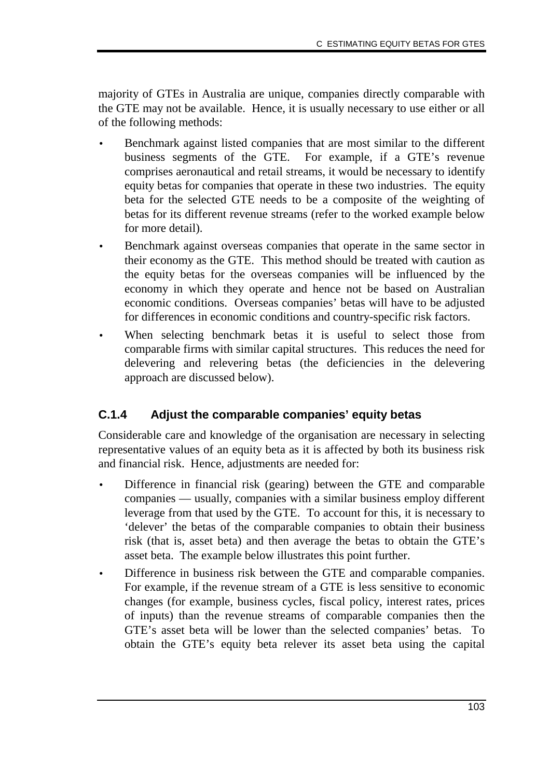majority of GTEs in Australia are unique, companies directly comparable with the GTE may not be available. Hence, it is usually necessary to use either or all of the following methods:

- Benchmark against listed companies that are most similar to the different business segments of the GTE. For example, if a GTE's revenue comprises aeronautical and retail streams, it would be necessary to identify equity betas for companies that operate in these two industries. The equity beta for the selected GTE needs to be a composite of the weighting of betas for its different revenue streams (refer to the worked example below for more detail).
- Benchmark against overseas companies that operate in the same sector in their economy as the GTE. This method should be treated with caution as the equity betas for the overseas companies will be influenced by the economy in which they operate and hence not be based on Australian economic conditions. Overseas companies' betas will have to be adjusted for differences in economic conditions and country-specific risk factors.
- When selecting benchmark betas it is useful to select those from comparable firms with similar capital structures. This reduces the need for delevering and relevering betas (the deficiencies in the delevering approach are discussed below).

## **C.1.4 Adjust the comparable companies' equity betas**

Considerable care and knowledge of the organisation are necessary in selecting representative values of an equity beta as it is affected by both its business risk and financial risk. Hence, adjustments are needed for:

- Difference in financial risk (gearing) between the GTE and comparable companies — usually, companies with a similar business employ different leverage from that used by the GTE. To account for this, it is necessary to 'delever' the betas of the comparable companies to obtain their business risk (that is, asset beta) and then average the betas to obtain the GTE's asset beta. The example below illustrates this point further.
- Difference in business risk between the GTE and comparable companies. For example, if the revenue stream of a GTE is less sensitive to economic changes (for example, business cycles, fiscal policy, interest rates, prices of inputs) than the revenue streams of comparable companies then the GTE's asset beta will be lower than the selected companies' betas. To obtain the GTE's equity beta relever its asset beta using the capital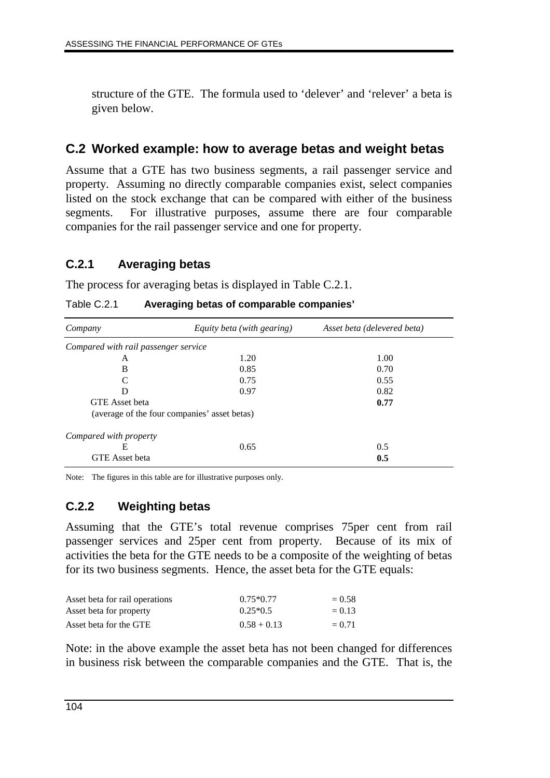structure of the GTE. The formula used to 'delever' and 'relever' a beta is given below.

## **C.2 Worked example: how to average betas and weight betas**

Assume that a GTE has two business segments, a rail passenger service and property. Assuming no directly comparable companies exist, select companies listed on the stock exchange that can be compared with either of the business segments. For illustrative purposes, assume there are four comparable companies for the rail passenger service and one for property.

### **C.2.1 Averaging betas**

The process for averaging betas is displayed in Table C.2.1.

Table C.2.1 **Averaging betas of comparable companies'**

| Company                                      | Equity beta (with gearing) | Asset beta (delevered beta) |  |  |  |  |
|----------------------------------------------|----------------------------|-----------------------------|--|--|--|--|
| Compared with rail passenger service         |                            |                             |  |  |  |  |
| A                                            | 1.20                       | 1.00                        |  |  |  |  |
| B                                            | 0.85                       | 0.70                        |  |  |  |  |
| $\mathcal{C}_{\mathcal{C}}$                  | 0.75                       | 0.55                        |  |  |  |  |
| D                                            | 0.97                       | 0.82                        |  |  |  |  |
| <b>GTE</b> Asset beta                        |                            | 0.77                        |  |  |  |  |
| (average of the four companies' asset betas) |                            |                             |  |  |  |  |
| Compared with property                       |                            |                             |  |  |  |  |
| Е                                            | 0.65                       | 0.5                         |  |  |  |  |
| <b>GTE</b> Asset beta                        |                            | 0.5                         |  |  |  |  |

Note: The figures in this table are for illustrative purposes only.

## **C.2.2 Weighting betas**

Assuming that the GTE's total revenue comprises 75per cent from rail passenger services and 25per cent from property. Because of its mix of activities the beta for the GTE needs to be a composite of the weighting of betas for its two business segments. Hence, the asset beta for the GTE equals:

| Asset beta for rail operations | $0.75*0.77$   | $= 0.58$ |
|--------------------------------|---------------|----------|
| Asset beta for property        | $0.25*0.5$    | $= 0.13$ |
| Asset beta for the GTE         | $0.58 + 0.13$ | $= 0.71$ |

Note: in the above example the asset beta has not been changed for differences in business risk between the comparable companies and the GTE. That is, the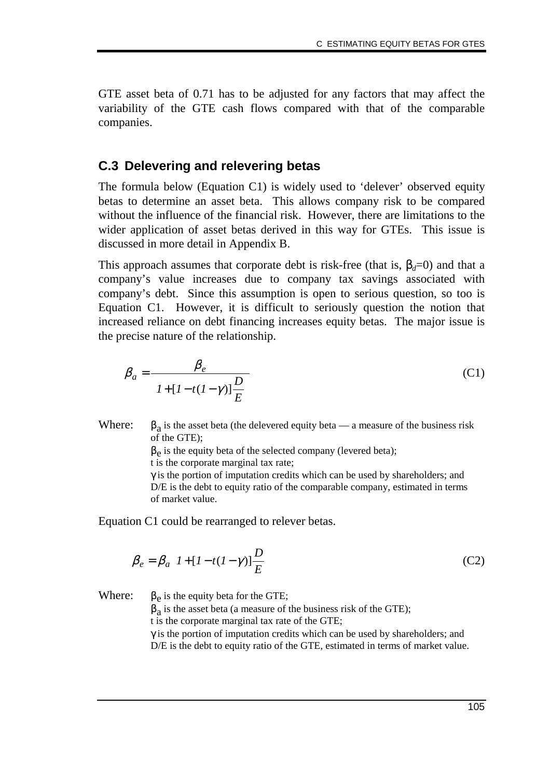GTE asset beta of 0.71 has to be adjusted for any factors that may affect the variability of the GTE cash flows compared with that of the comparable companies.

#### **C.3 Delevering and relevering betas**

The formula below (Equation C1) is widely used to 'delever' observed equity betas to determine an asset beta. This allows company risk to be compared without the influence of the financial risk. However, there are limitations to the wider application of asset betas derived in this way for GTEs. This issue is discussed in more detail in Appendix B.

This approach assumes that corporate debt is risk-free (that is,  $\beta_d=0$ ) and that a company's value increases due to company tax savings associated with company's debt. Since this assumption is open to serious question, so too is Equation C1. However, it is difficult to seriously question the notion that increased reliance on debt financing increases equity betas. The major issue is the precise nature of the relationship.

$$
\beta_a = \frac{\beta_e}{\left[1 + \left[1 - t(1 - \gamma)\right]\frac{D}{E}\right]}
$$
\n(C1)

Where:  $\beta_a$  is the asset beta (the delevered equity beta — a measure of the business risk of the GTE);

 $\beta_e$  is the equity beta of the selected company (levered beta);

t is the corporate marginal tax rate;

 $\gamma$  is the portion of imputation credits which can be used by shareholders; and D/E is the debt to equity ratio of the comparable company, estimated in terms of market value.

Equation C1 could be rearranged to relever betas.

$$
\beta_e = \beta_a \left[ I + [I - t(I - \gamma)] \frac{D}{E} \right]
$$
 (C2)

Where:  $\beta_e$  is the equity beta for the GTE;

 $\beta_a$  is the asset beta (a measure of the business risk of the GTE); t is the corporate marginal tax rate of the GTE;

 $\gamma$  is the portion of imputation credits which can be used by shareholders; and D/E is the debt to equity ratio of the GTE, estimated in terms of market value.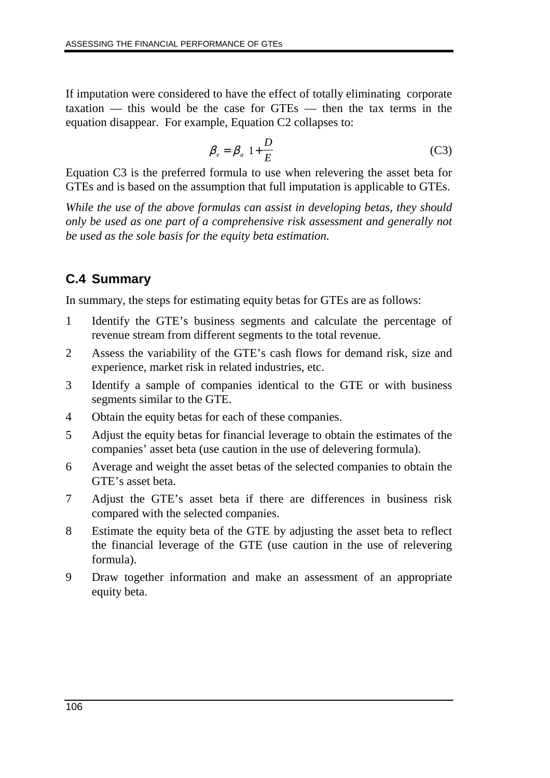If imputation were considered to have the effect of totally eliminating corporate taxation — this would be the case for GTEs — then the tax terms in the equation disappear. For example, Equation C2 collapses to:

$$
\beta_e = \beta_a \left( 1 + \frac{D}{E} \right) \tag{C3}
$$

Equation C3 is the preferred formula to use when relevering the asset beta for GTEs and is based on the assumption that full imputation is applicable to GTEs.

*While the use of the above formulas can assist in developing betas, they should only be used as one part of a comprehensive risk assessment and generally not be used as the sole basis for the equity beta estimation.*

## **C.4 Summary**

In summary, the steps for estimating equity betas for GTEs are as follows:

- 1 Identify the GTE's business segments and calculate the percentage of revenue stream from different segments to the total revenue.
- 2 Assess the variability of the GTE's cash flows for demand risk, size and experience, market risk in related industries, etc.
- 3 Identify a sample of companies identical to the GTE or with business segments similar to the GTE.
- 4 Obtain the equity betas for each of these companies.
- 5 Adjust the equity betas for financial leverage to obtain the estimates of the companies' asset beta (use caution in the use of delevering formula).
- 6 Average and weight the asset betas of the selected companies to obtain the GTE's asset beta.
- 7 Adjust the GTE's asset beta if there are differences in business risk compared with the selected companies.
- 8 Estimate the equity beta of the GTE by adjusting the asset beta to reflect the financial leverage of the GTE (use caution in the use of relevering formula).
- 9 Draw together information and make an assessment of an appropriate equity beta.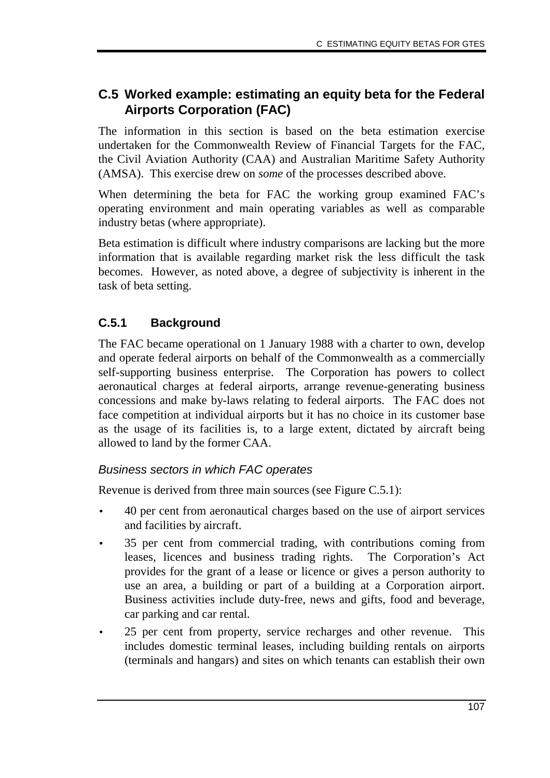## **C.5 Worked example: estimating an equity beta for the Federal Airports Corporation (FAC)**

The information in this section is based on the beta estimation exercise undertaken for the Commonwealth Review of Financial Targets for the FAC, the Civil Aviation Authority (CAA) and Australian Maritime Safety Authority (AMSA). This exercise drew on *some* of the processes described above.

When determining the beta for FAC the working group examined FAC's operating environment and main operating variables as well as comparable industry betas (where appropriate).

Beta estimation is difficult where industry comparisons are lacking but the more information that is available regarding market risk the less difficult the task becomes. However, as noted above, a degree of subjectivity is inherent in the task of beta setting.

## **C.5.1 Background**

The FAC became operational on 1 January 1988 with a charter to own, develop and operate federal airports on behalf of the Commonwealth as a commercially self-supporting business enterprise. The Corporation has powers to collect aeronautical charges at federal airports, arrange revenue-generating business concessions and make by-laws relating to federal airports. The FAC does not face competition at individual airports but it has no choice in its customer base as the usage of its facilities is, to a large extent, dictated by aircraft being allowed to land by the former CAA.

## Business sectors in which FAC operates

Revenue is derived from three main sources (see Figure C.5.1):

- 40 per cent from aeronautical charges based on the use of airport services and facilities by aircraft.
- 35 per cent from commercial trading, with contributions coming from leases, licences and business trading rights. The Corporation's Act provides for the grant of a lease or licence or gives a person authority to use an area, a building or part of a building at a Corporation airport. Business activities include duty-free, news and gifts, food and beverage, car parking and car rental.
- 25 per cent from property, service recharges and other revenue. This includes domestic terminal leases, including building rentals on airports (terminals and hangars) and sites on which tenants can establish their own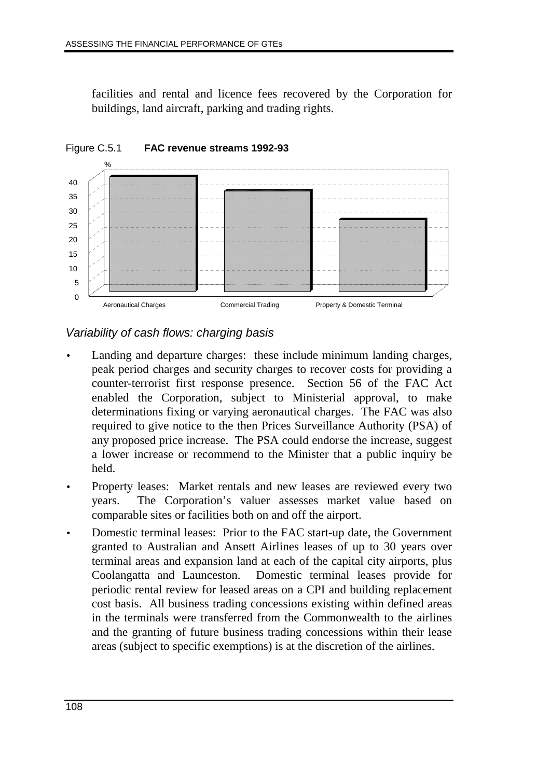facilities and rental and licence fees recovered by the Corporation for buildings, land aircraft, parking and trading rights.



### Variability of cash flows: charging basis

- Landing and departure charges: these include minimum landing charges, peak period charges and security charges to recover costs for providing a counter-terrorist first response presence. Section 56 of the FAC Act enabled the Corporation, subject to Ministerial approval, to make determinations fixing or varying aeronautical charges. The FAC was also required to give notice to the then Prices Surveillance Authority (PSA) of any proposed price increase. The PSA could endorse the increase, suggest a lower increase or recommend to the Minister that a public inquiry be held.
- Property leases: Market rentals and new leases are reviewed every two years. The Corporation's valuer assesses market value based on comparable sites or facilities both on and off the airport.
- Domestic terminal leases: Prior to the FAC start-up date, the Government granted to Australian and Ansett Airlines leases of up to 30 years over terminal areas and expansion land at each of the capital city airports, plus Coolangatta and Launceston. Domestic terminal leases provide for periodic rental review for leased areas on a CPI and building replacement cost basis. All business trading concessions existing within defined areas in the terminals were transferred from the Commonwealth to the airlines and the granting of future business trading concessions within their lease areas (subject to specific exemptions) is at the discretion of the airlines.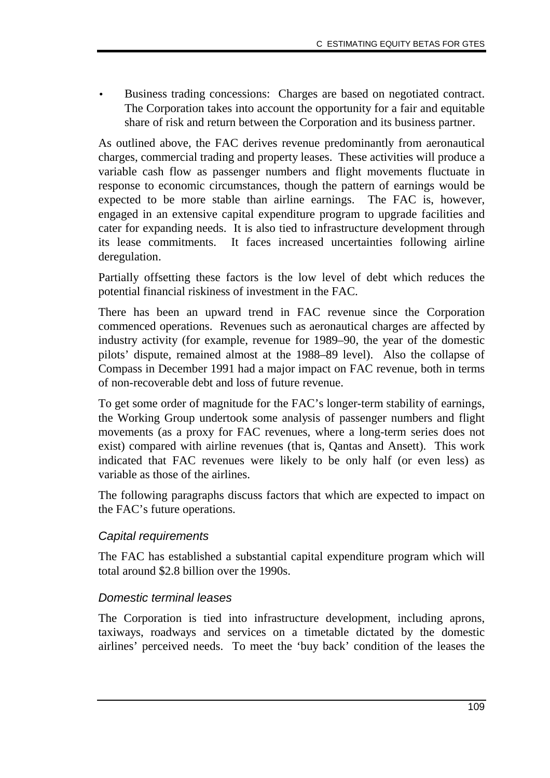• Business trading concessions:Charges are based on negotiated contract. The Corporation takes into account the opportunity for a fair and equitable share of risk and return between the Corporation and its business partner.

As outlined above, the FAC derives revenue predominantly from aeronautical charges, commercial trading and property leases. These activities will produce a variable cash flow as passenger numbers and flight movements fluctuate in response to economic circumstances, though the pattern of earnings would be expected to be more stable than airline earnings. The FAC is, however, engaged in an extensive capital expenditure program to upgrade facilities and cater for expanding needs. It is also tied to infrastructure development through its lease commitments. It faces increased uncertainties following airline deregulation.

Partially offsetting these factors is the low level of debt which reduces the potential financial riskiness of investment in the FAC.

There has been an upward trend in FAC revenue since the Corporation commenced operations. Revenues such as aeronautical charges are affected by industry activity (for example, revenue for 1989–90, the year of the domestic pilots' dispute, remained almost at the 1988–89 level). Also the collapse of Compass in December 1991 had a major impact on FAC revenue, both in terms of non-recoverable debt and loss of future revenue.

To get some order of magnitude for the FAC's longer-term stability of earnings, the Working Group undertook some analysis of passenger numbers and flight movements (as a proxy for FAC revenues, where a long-term series does not exist) compared with airline revenues (that is, Qantas and Ansett). This work indicated that FAC revenues were likely to be only half (or even less) as variable as those of the airlines.

The following paragraphs discuss factors that which are expected to impact on the FAC's future operations.

#### Capital requirements

The FAC has established a substantial capital expenditure program which will total around \$2.8 billion over the 1990s.

#### Domestic terminal leases

The Corporation is tied into infrastructure development, including aprons, taxiways, roadways and services on a timetable dictated by the domestic airlines' perceived needs. To meet the 'buy back' condition of the leases the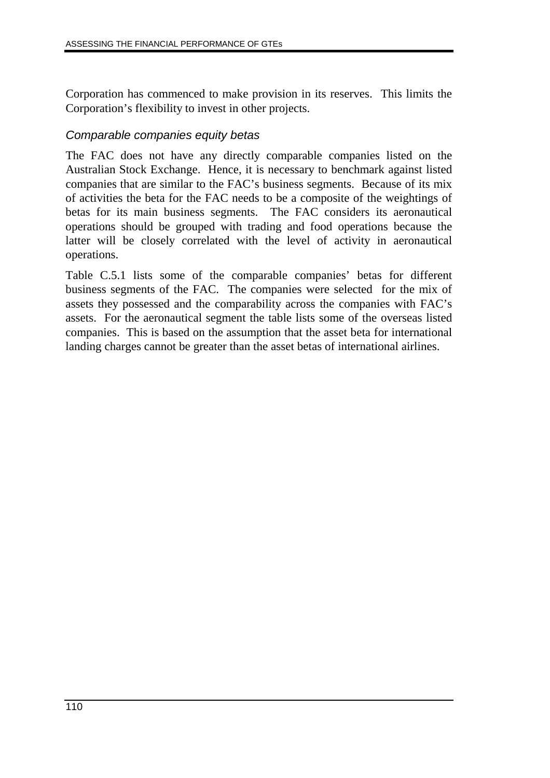Corporation has commenced to make provision in its reserves. This limits the Corporation's flexibility to invest in other projects.

#### Comparable companies equity betas

The FAC does not have any directly comparable companies listed on the Australian Stock Exchange. Hence, it is necessary to benchmark against listed companies that are similar to the FAC's business segments. Because of its mix of activities the beta for the FAC needs to be a composite of the weightings of betas for its main business segments. The FAC considers its aeronautical operations should be grouped with trading and food operations because the latter will be closely correlated with the level of activity in aeronautical operations.

Table C.5.1 lists some of the comparable companies' betas for different business segments of the FAC. The companies were selected for the mix of assets they possessed and the comparability across the companies with FAC's assets. For the aeronautical segment the table lists some of the overseas listed companies. This is based on the assumption that the asset beta for international landing charges cannot be greater than the asset betas of international airlines.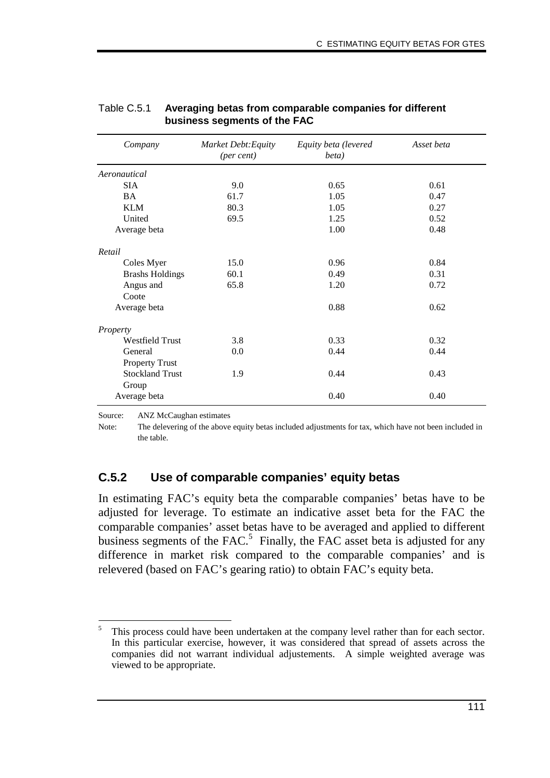| Company                | Market Debt: Equity<br>(per cent) | Equity beta (levered<br>beta) | Asset beta |
|------------------------|-----------------------------------|-------------------------------|------------|
| Aeronautical           |                                   |                               |            |
| <b>SIA</b>             | 9.0                               | 0.65                          | 0.61       |
| <b>BA</b>              | 61.7                              | 1.05                          | 0.47       |
| <b>KLM</b>             | 80.3                              | 1.05                          | 0.27       |
| United                 | 69.5                              | 1.25                          | 0.52       |
| Average beta           |                                   | 1.00                          | 0.48       |
| Retail                 |                                   |                               |            |
| Coles Myer             | 15.0                              | 0.96                          | 0.84       |
| <b>Brashs Holdings</b> | 60.1                              | 0.49                          | 0.31       |
| Angus and              | 65.8                              | 1.20                          | 0.72       |
| Coote                  |                                   |                               |            |
| Average beta           |                                   | 0.88                          | 0.62       |
| Property               |                                   |                               |            |
| <b>Westfield Trust</b> | 3.8                               | 0.33                          | 0.32       |
| General                | 0.0                               | 0.44                          | 0.44       |
| <b>Property Trust</b>  |                                   |                               |            |
| <b>Stockland Trust</b> | 1.9                               | 0.44                          | 0.43       |
| Group                  |                                   |                               |            |
| Average beta           |                                   | 0.40                          | 0.40       |

#### Table C.5.1 **Averaging betas from comparable companies for different business segments of the FAC**

Source: ANZ McCaughan estimates

Note: The delevering of the above equity betas included adjustments for tax, which have not been included in the table.

#### **C.5.2 Use of comparable companies' equity betas**

In estimating FAC's equity beta the comparable companies' betas have to be adjusted for leverage. To estimate an indicative asset beta for the FAC the comparable companies' asset betas have to be averaged and applied to different business segments of the  $FAC$ .<sup>5</sup> Finally, the FAC asset beta is adjusted for any difference in market risk compared to the comparable companies' and is relevered (based on FAC's gearing ratio) to obtain FAC's equity beta.

<sup>-</sup>This process could have been undertaken at the company level rather than for each sector. In this particular exercise, however, it was considered that spread of assets across the companies did not warrant individual adjustements. A simple weighted average was viewed to be appropriate.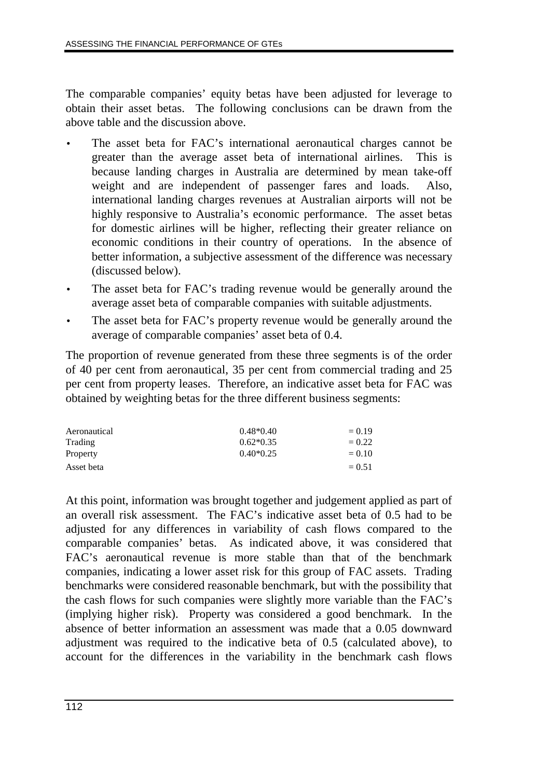The comparable companies' equity betas have been adjusted for leverage to obtain their asset betas. The following conclusions can be drawn from the above table and the discussion above.

- The asset beta for FAC's international aeronautical charges cannot be greater than the average asset beta of international airlines. This is because landing charges in Australia are determined by mean take-off weight and are independent of passenger fares and loads. Also, international landing charges revenues at Australian airports will not be highly responsive to Australia's economic performance. The asset betas for domestic airlines will be higher, reflecting their greater reliance on economic conditions in their country of operations. In the absence of better information, a subjective assessment of the difference was necessary (discussed below).
- The asset beta for FAC's trading revenue would be generally around the average asset beta of comparable companies with suitable adjustments.
- The asset beta for FAC's property revenue would be generally around the average of comparable companies' asset beta of 0.4.

The proportion of revenue generated from these three segments is of the order of 40 per cent from aeronautical, 35 per cent from commercial trading and 25 per cent from property leases. Therefore, an indicative asset beta for FAC was obtained by weighting betas for the three different business segments:

| Aeronautical | $0.48*0.40$ | $= 0.19$ |
|--------------|-------------|----------|
| Trading      | $0.62*0.35$ | $= 0.22$ |
| Property     | $0.40*0.25$ | $= 0.10$ |
| Asset beta   |             | $= 0.51$ |

At this point, information was brought together and judgement applied as part of an overall risk assessment. The FAC's indicative asset beta of 0.5 had to be adjusted for any differences in variability of cash flows compared to the comparable companies' betas. As indicated above, it was considered that FAC's aeronautical revenue is more stable than that of the benchmark companies, indicating a lower asset risk for this group of FAC assets. Trading benchmarks were considered reasonable benchmark, but with the possibility that the cash flows for such companies were slightly more variable than the FAC's (implying higher risk). Property was considered a good benchmark. In the absence of better information an assessment was made that a 0.05 downward adjustment was required to the indicative beta of 0.5 (calculated above), to account for the differences in the variability in the benchmark cash flows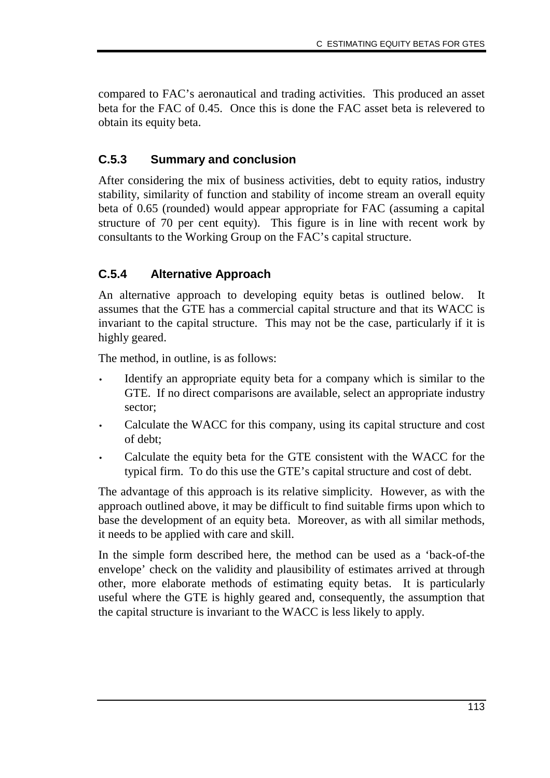compared to FAC's aeronautical and trading activities. This produced an asset beta for the FAC of 0.45. Once this is done the FAC asset beta is relevered to obtain its equity beta.

## **C.5.3 Summary and conclusion**

After considering the mix of business activities, debt to equity ratios, industry stability, similarity of function and stability of income stream an overall equity beta of 0.65 (rounded) would appear appropriate for FAC (assuming a capital structure of 70 per cent equity). This figure is in line with recent work by consultants to the Working Group on the FAC's capital structure.

## **C.5.4 Alternative Approach**

An alternative approach to developing equity betas is outlined below. It assumes that the GTE has a commercial capital structure and that its WACC is invariant to the capital structure. This may not be the case, particularly if it is highly geared.

The method, in outline, is as follows:

- Identify an appropriate equity beta for a company which is similar to the GTE. If no direct comparisons are available, select an appropriate industry sector;
- Calculate the WACC for this company, using its capital structure and cost of debt;
- Calculate the equity beta for the GTE consistent with the WACC for the typical firm. To do this use the GTE's capital structure and cost of debt.

The advantage of this approach is its relative simplicity. However, as with the approach outlined above, it may be difficult to find suitable firms upon which to base the development of an equity beta. Moreover, as with all similar methods, it needs to be applied with care and skill.

In the simple form described here, the method can be used as a 'back-of-the envelope' check on the validity and plausibility of estimates arrived at through other, more elaborate methods of estimating equity betas. It is particularly useful where the GTE is highly geared and, consequently, the assumption that the capital structure is invariant to the WACC is less likely to apply.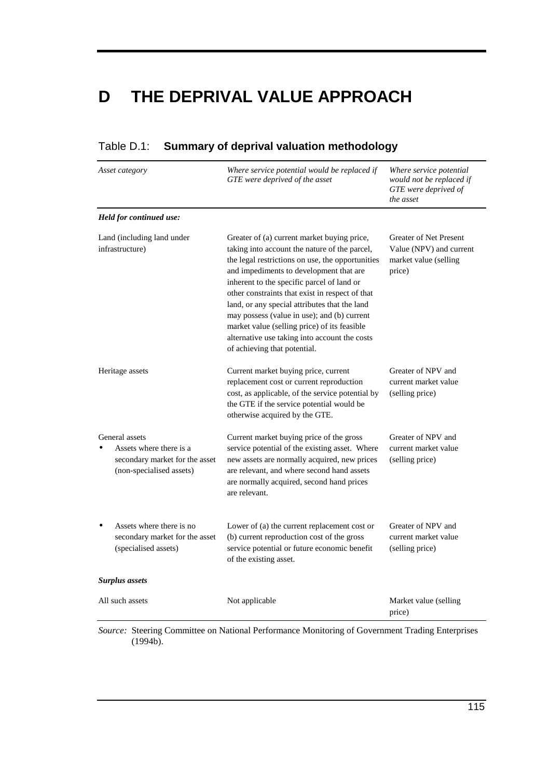# **D THE DEPRIVAL VALUE APPROACH**

| Asset category                                                                                          | Where service potential would be replaced if<br>GTE were deprived of the asset                                                                                                                                                                                                                                                                                                                                                                                                                                                | Where service potential<br>would not be replaced if<br>GTE were deprived of<br>the asset    |
|---------------------------------------------------------------------------------------------------------|-------------------------------------------------------------------------------------------------------------------------------------------------------------------------------------------------------------------------------------------------------------------------------------------------------------------------------------------------------------------------------------------------------------------------------------------------------------------------------------------------------------------------------|---------------------------------------------------------------------------------------------|
| Held for continued use:                                                                                 |                                                                                                                                                                                                                                                                                                                                                                                                                                                                                                                               |                                                                                             |
| Land (including land under<br>infrastructure)                                                           | Greater of (a) current market buying price,<br>taking into account the nature of the parcel,<br>the legal restrictions on use, the opportunities<br>and impediments to development that are<br>inherent to the specific parcel of land or<br>other constraints that exist in respect of that<br>land, or any special attributes that the land<br>may possess (value in use); and (b) current<br>market value (selling price) of its feasible<br>alternative use taking into account the costs<br>of achieving that potential. | <b>Greater of Net Present</b><br>Value (NPV) and current<br>market value (selling<br>price) |
| Heritage assets                                                                                         | Current market buying price, current<br>replacement cost or current reproduction<br>cost, as applicable, of the service potential by<br>the GTE if the service potential would be<br>otherwise acquired by the GTE.                                                                                                                                                                                                                                                                                                           | Greater of NPV and<br>current market value<br>(selling price)                               |
| General assets<br>Assets where there is a<br>secondary market for the asset<br>(non-specialised assets) | Current market buying price of the gross<br>service potential of the existing asset. Where<br>new assets are normally acquired, new prices<br>are relevant, and where second hand assets<br>are normally acquired, second hand prices<br>are relevant.                                                                                                                                                                                                                                                                        | Greater of NPV and<br>current market value<br>(selling price)                               |
| Assets where there is no<br>secondary market for the asset<br>(specialised assets)                      | Lower of (a) the current replacement cost or<br>(b) current reproduction cost of the gross<br>service potential or future economic benefit<br>of the existing asset.                                                                                                                                                                                                                                                                                                                                                          | Greater of NPV and<br>current market value<br>(selling price)                               |
| <b>Surplus</b> assets                                                                                   |                                                                                                                                                                                                                                                                                                                                                                                                                                                                                                                               |                                                                                             |
| All such assets                                                                                         | Not applicable                                                                                                                                                                                                                                                                                                                                                                                                                                                                                                                | Market value (selling<br>price)                                                             |

#### Table D.1: **Summary of deprival valuation methodology**

*Source:* Steering Committee on National Performance Monitoring of Government Trading Enterprises (1994b).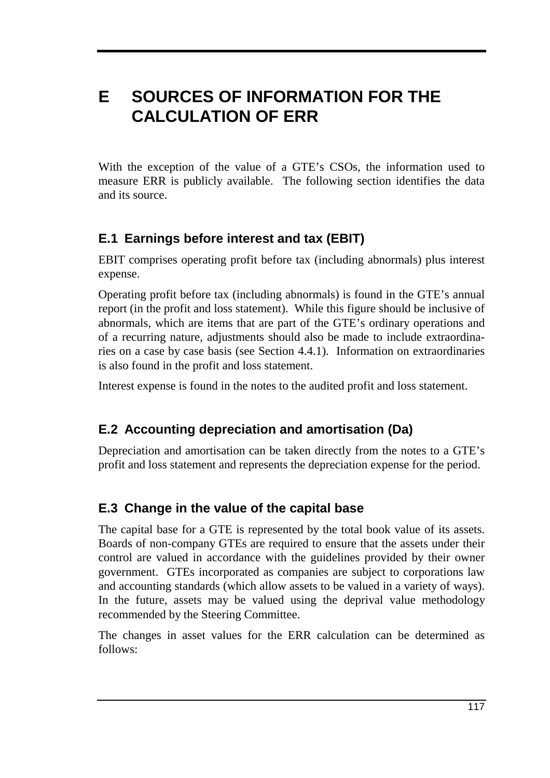# **E SOURCES OF INFORMATION FOR THE CALCULATION OF ERR**

With the exception of the value of a GTE's CSOs, the information used to measure ERR is publicly available. The following section identifies the data and its source.

## **E.1 Earnings before interest and tax (EBIT)**

EBIT comprises operating profit before tax (including abnormals) plus interest expense.

Operating profit before tax (including abnormals) is found in the GTE's annual report (in the profit and loss statement). While this figure should be inclusive of abnormals, which are items that are part of the GTE's ordinary operations and of a recurring nature, adjustments should also be made to include extraordinaries on a case by case basis (see Section 4.4.1). Information on extraordinaries is also found in the profit and loss statement.

Interest expense is found in the notes to the audited profit and loss statement.

## **E.2 Accounting depreciation and amortisation (Da)**

Depreciation and amortisation can be taken directly from the notes to a GTE's profit and loss statement and represents the depreciation expense for the period.

## **E.3 Change in the value of the capital base**

The capital base for a GTE is represented by the total book value of its assets. Boards of non-company GTEs are required to ensure that the assets under their control are valued in accordance with the guidelines provided by their owner government. GTEs incorporated as companies are subject to corporations law and accounting standards (which allow assets to be valued in a variety of ways). In the future, assets may be valued using the deprival value methodology recommended by the Steering Committee.

The changes in asset values for the ERR calculation can be determined as follows: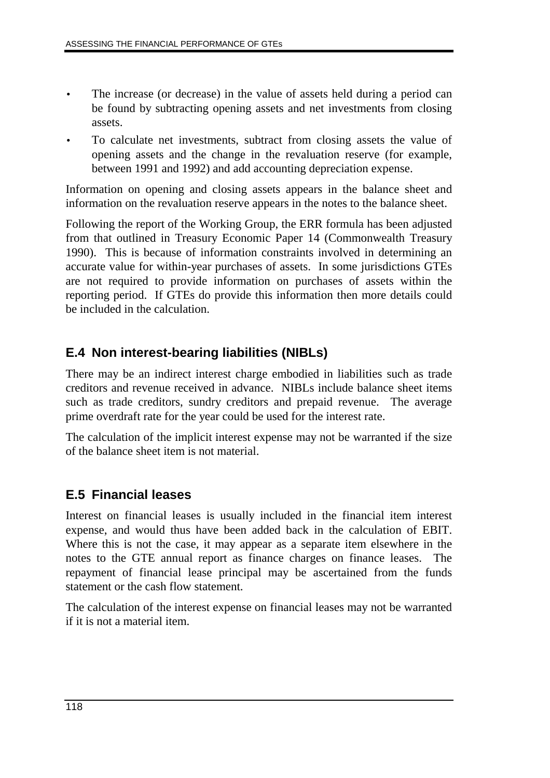- The increase (or decrease) in the value of assets held during a period can be found by subtracting opening assets and net investments from closing assets.
- To calculate net investments, subtract from closing assets the value of opening assets and the change in the revaluation reserve (for example, between 1991 and 1992) and add accounting depreciation expense.

Information on opening and closing assets appears in the balance sheet and information on the revaluation reserve appears in the notes to the balance sheet.

Following the report of the Working Group, the ERR formula has been adjusted from that outlined in Treasury Economic Paper 14 (Commonwealth Treasury 1990). This is because of information constraints involved in determining an accurate value for within-year purchases of assets. In some jurisdictions GTEs are not required to provide information on purchases of assets within the reporting period. If GTEs do provide this information then more details could be included in the calculation.

## **E.4 Non interest-bearing liabilities (NIBLs)**

There may be an indirect interest charge embodied in liabilities such as trade creditors and revenue received in advance. NIBLs include balance sheet items such as trade creditors, sundry creditors and prepaid revenue. The average prime overdraft rate for the year could be used for the interest rate.

The calculation of the implicit interest expense may not be warranted if the size of the balance sheet item is not material.

## **E.5 Financial leases**

Interest on financial leases is usually included in the financial item interest expense, and would thus have been added back in the calculation of EBIT. Where this is not the case, it may appear as a separate item elsewhere in the notes to the GTE annual report as finance charges on finance leases. The repayment of financial lease principal may be ascertained from the funds statement or the cash flow statement.

The calculation of the interest expense on financial leases may not be warranted if it is not a material item.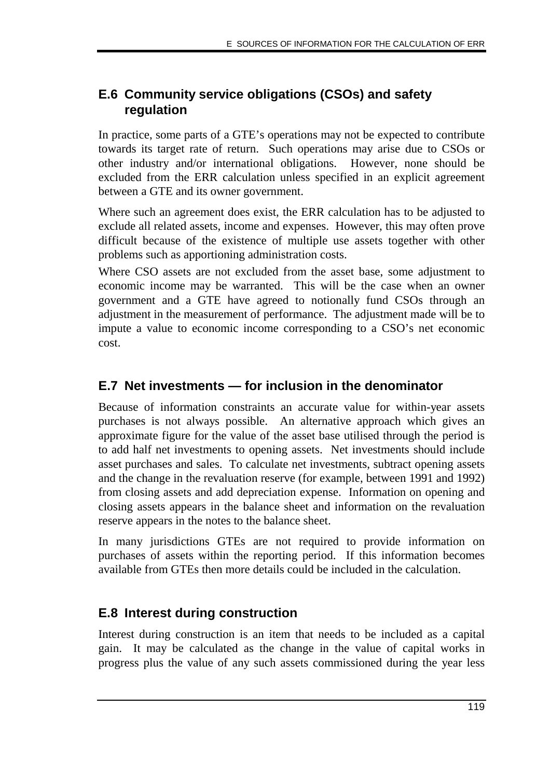## **E.6 Community service obligations (CSOs) and safety regulation**

In practice, some parts of a GTE's operations may not be expected to contribute towards its target rate of return. Such operations may arise due to CSOs or other industry and/or international obligations. However, none should be excluded from the ERR calculation unless specified in an explicit agreement between a GTE and its owner government.

Where such an agreement does exist, the ERR calculation has to be adjusted to exclude all related assets, income and expenses. However, this may often prove difficult because of the existence of multiple use assets together with other problems such as apportioning administration costs.

Where CSO assets are not excluded from the asset base, some adjustment to economic income may be warranted. This will be the case when an owner government and a GTE have agreed to notionally fund CSOs through an adjustment in the measurement of performance. The adjustment made will be to impute a value to economic income corresponding to a CSO's net economic cost.

## **E.7 Net investments — for inclusion in the denominator**

Because of information constraints an accurate value for within-year assets purchases is not always possible. An alternative approach which gives an approximate figure for the value of the asset base utilised through the period is to add half net investments to opening assets. Net investments should include asset purchases and sales. To calculate net investments, subtract opening assets and the change in the revaluation reserve (for example, between 1991 and 1992) from closing assets and add depreciation expense. Information on opening and closing assets appears in the balance sheet and information on the revaluation reserve appears in the notes to the balance sheet.

In many jurisdictions GTEs are not required to provide information on purchases of assets within the reporting period. If this information becomes available from GTEs then more details could be included in the calculation.

## **E.8 Interest during construction**

Interest during construction is an item that needs to be included as a capital gain. It may be calculated as the change in the value of capital works in progress plus the value of any such assets commissioned during the year less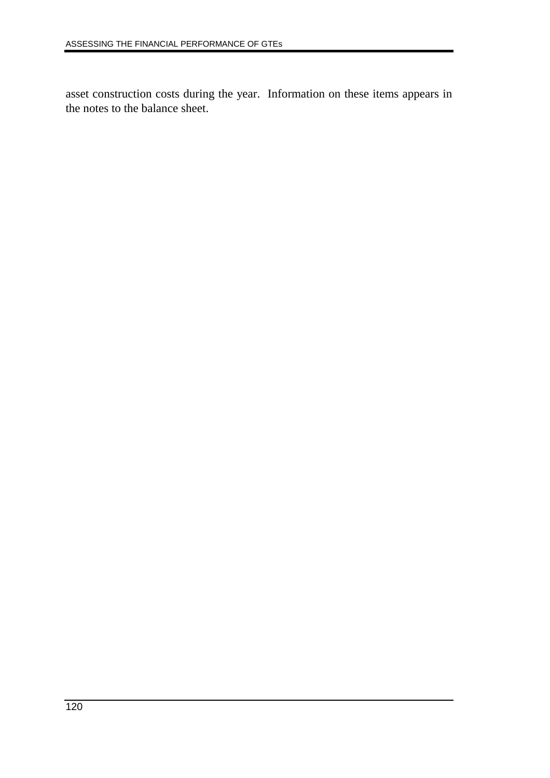asset construction costs during the year. Information on these items appears in the notes to the balance sheet.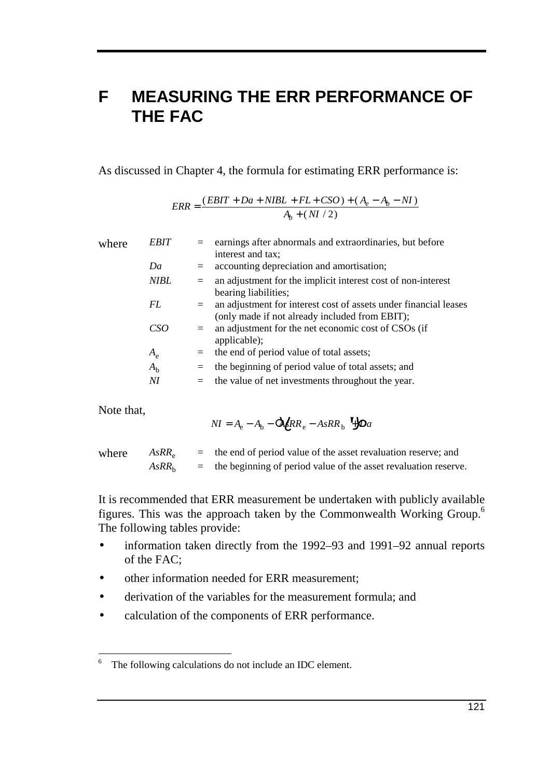## **F MEASURING THE ERR PERFORMANCE OF THE FAC**

As discussed in Chapter 4, the formula for estimating ERR performance is:

$$
ERR = \frac{(EBIT + Da + NIBL + FL + CSO) + (A_e - A_b - NI)}{A_b + (NI / 2)}
$$

| where | <b>EBIT</b> |         | earnings after abnormals and extraordinaries, but before<br>interest and tax;                                      |
|-------|-------------|---------|--------------------------------------------------------------------------------------------------------------------|
|       | Da          | $=$     | accounting depreciation and amortisation;                                                                          |
|       | <b>NIBL</b> | $=$     | an adjustment for the implicit interest cost of non-interest<br>bearing liabilities;                               |
|       | FL          | $=$     | an adjustment for interest cost of assets under financial leases<br>(only made if not already included from EBIT); |
|       | CSO         | $=$     | an adjustment for the net economic cost of CSOs (if<br>applicable);                                                |
|       | $A_{\rm e}$ | $=$ $-$ | the end of period value of total assets;                                                                           |
|       | $A_{h}$     | ÷.      | the beginning of period value of total assets; and                                                                 |
|       | NI          | II.     | the value of net investments throughout the year.                                                                  |
|       |             |         |                                                                                                                    |

Note that,

$$
NI = A_{\rm e} - A_{\rm b} - \Delta \ell RR_{\rm e} - AsRR_{\rm b} \quad \angle \Delta a
$$

| where $AsRR_e$    | $=$ the end of period value of the asset revaluation reserve; and   |
|-------------------|---------------------------------------------------------------------|
| AsRR <sub>b</sub> | $=$ the beginning of period value of the asset revaluation reserve. |

It is recommended that ERR measurement be undertaken with publicly available figures. This was the approach taken by the Commonwealth Working Group.6 The following tables provide:

- information taken directly from the 1992–93 and 1991–92 annual reports of the FAC;
- other information needed for ERR measurement:
- derivation of the variables for the measurement formula; and
- calculation of the components of ERR performance.

 $\sqrt{6}$ The following calculations do not include an IDC element.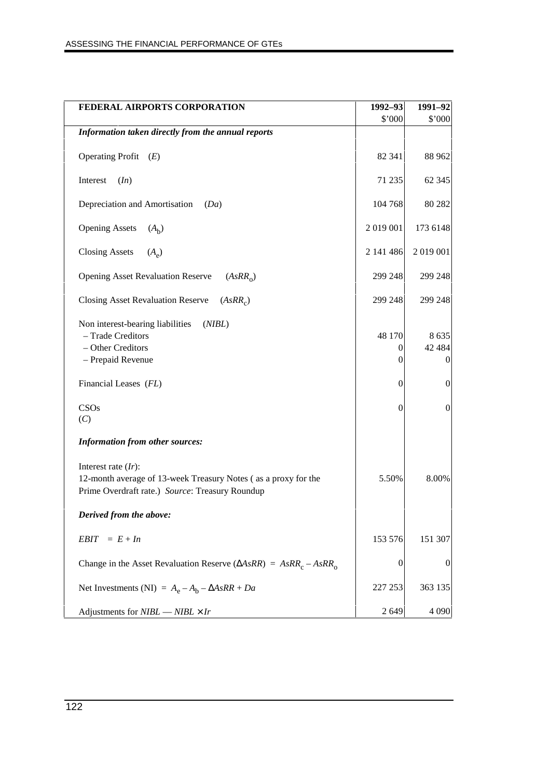| FEDERAL AIRPORTS CORPORATION                                                                                                                | 1992-93          | 1991-92                                 |
|---------------------------------------------------------------------------------------------------------------------------------------------|------------------|-----------------------------------------|
|                                                                                                                                             | \$'000           | \$'000                                  |
| Information taken directly from the annual reports                                                                                          |                  |                                         |
| Operating Profit $(E)$                                                                                                                      | 82 341           | 88 962                                  |
| Interest<br>(In)                                                                                                                            | 71 235           | 62 345                                  |
| Depreciation and Amortisation<br>(Da)                                                                                                       | 104 768          | 80 282                                  |
| <b>Opening Assets</b><br>$(A_h)$                                                                                                            | 2019001          | 173 6148                                |
| <b>Closing Assets</b><br>$(A_{\rho})$                                                                                                       | 2 141 486        | 2 019 001                               |
| <b>Opening Asset Revaluation Reserve</b><br>(AsRR <sub>o</sub> )                                                                            | 299 248          | 299 248                                 |
| <b>Closing Asset Revaluation Reserve</b><br>(AsRR <sub>c</sub> )                                                                            | 299 248          | 299 248                                 |
| Non interest-bearing liabilities<br>(NIBL)<br>- Trade Creditors<br>- Other Creditors<br>- Prepaid Revenue                                   | 48 170<br>0<br>0 | 8 6 3 5<br>42 4 8 4<br>$\boldsymbol{0}$ |
| Financial Leases (FL)                                                                                                                       | $\theta$         | $\boldsymbol{0}$                        |
| CSOs<br>(C)                                                                                                                                 | $\mathbf{0}$     | $\boldsymbol{0}$                        |
| <b>Information from other sources:</b>                                                                                                      |                  |                                         |
| Interest rate $(Ir)$ :<br>12-month average of 13-week Treasury Notes (as a proxy for the<br>Prime Overdraft rate.) Source: Treasury Roundup | 5.50%            | 8.00%                                   |
| Derived from the above:                                                                                                                     |                  |                                         |
| $= E + In$<br><b>EBIT</b>                                                                                                                   | 153 576          | 151 307                                 |
| Change in the Asset Revaluation Reserve ( $\triangle AsRR$ ) = $AsRR_c - AsRR_o$                                                            | $\boldsymbol{0}$ | $\boldsymbol{0}$                        |
| Net Investments (NI) = $A_e - A_b - \Delta AsRR + Da$                                                                                       | 227 253          | 363 135                                 |
| Adjustments for $NIBL \sim NIBL \times Ir$                                                                                                  | 2 6 4 9          | 4 0 9 0                                 |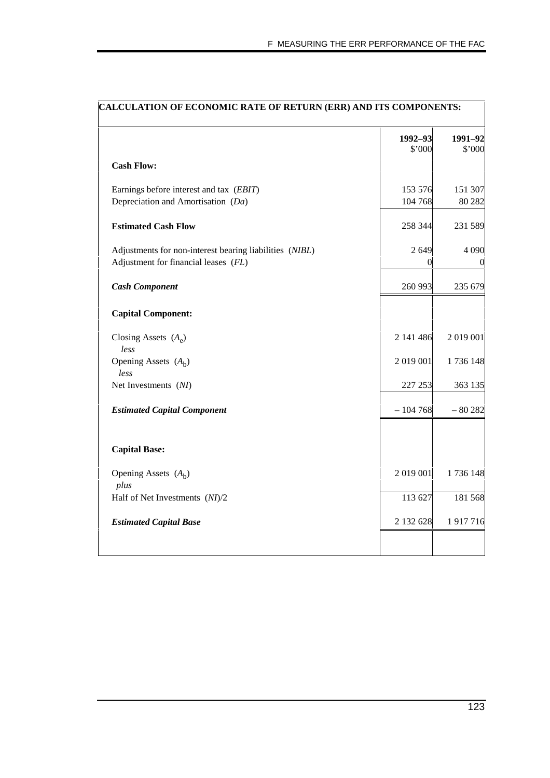| <b>CALCULATION OF ECONOMIC RATE OF RETURN (ERR) AND ITS COMPONENTS:</b> |                  |          |
|-------------------------------------------------------------------------|------------------|----------|
|                                                                         | 1992-93          | 1991-92  |
|                                                                         | \$'000           | \$'000   |
| <b>Cash Flow:</b>                                                       |                  |          |
| Earnings before interest and tax (EBIT)                                 | 153 576          | 151 307  |
| Depreciation and Amortisation (Da)                                      | 104 768          | 80 282   |
| <b>Estimated Cash Flow</b>                                              | 258 344          | 231 589  |
| Adjustments for non-interest bearing liabilities (NIBL)                 | 2649             | 4 0 9 0  |
| Adjustment for financial leases (FL)                                    | $\left( \right)$ | $\theta$ |
| <b>Cash Component</b>                                                   | 260 993          | 235 679  |
| <b>Capital Component:</b>                                               |                  |          |
| Closing Assets $(A_e)$<br>less                                          | 2 141 486        | 2019001  |
| Opening Assets $(A_h)$<br>less                                          | 2 019 001        | 1736 148 |
| Net Investments (NI)                                                    | 227 253          | 363 135  |
| <b>Estimated Capital Component</b>                                      | $-104768$        | $-80282$ |
| <b>Capital Base:</b>                                                    |                  |          |
| Opening Assets $(A_h)$<br>plus                                          | 2 019 001        | 1736 148 |
| Half of Net Investments (NI)/2                                          | 113 627          | 181 568  |
| <b>Estimated Capital Base</b>                                           | 2 132 628        | 1917716  |
|                                                                         |                  |          |

#### **CALCULATION OF ECONOMIC RATE OF RETURN (ERR) AND ITS COMPONENTS:**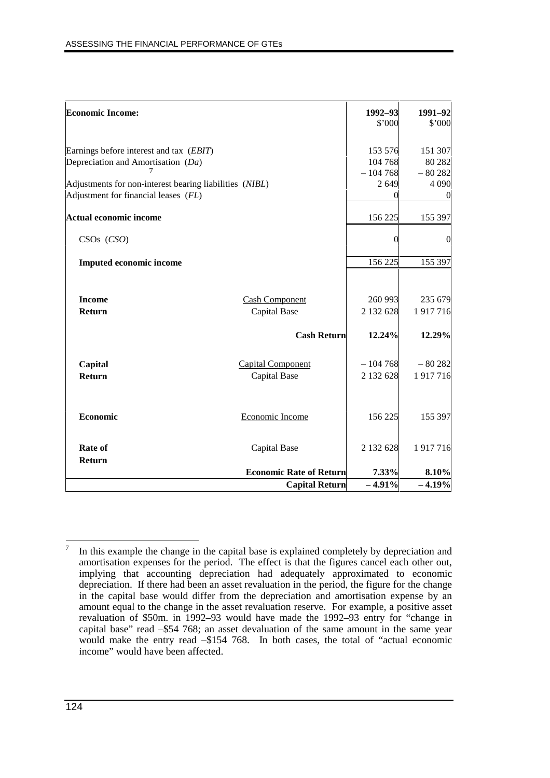| <b>Economic Income:</b>                                                                         |                                |                    | 1991-92           |
|-------------------------------------------------------------------------------------------------|--------------------------------|--------------------|-------------------|
|                                                                                                 |                                | 1992-93<br>\$'000  | \$'000            |
| Earnings before interest and tax (EBIT)<br>Depreciation and Amortisation (Da)                   |                                | 153 576<br>104 768 | 151 307<br>80 282 |
|                                                                                                 |                                | $-104768$          | $-80282$          |
| Adjustments for non-interest bearing liabilities (NIBL)<br>Adjustment for financial leases (FL) |                                | 2649               | 4 0 9 0           |
| <b>Actual economic income</b>                                                                   |                                | 156 225            | 155 397           |
| $CSOs$ $(CSO)$                                                                                  |                                | $\Omega$           | $\Omega$          |
| <b>Imputed economic income</b>                                                                  |                                | 156 225            | 155 397           |
|                                                                                                 |                                |                    |                   |
| <b>Income</b>                                                                                   | <b>Cash Component</b>          | 260 993            | 235 679           |
| <b>Return</b>                                                                                   | Capital Base                   | 2 132 628          | 1917716           |
|                                                                                                 | <b>Cash Return</b>             | 12.24%             | 12.29%            |
| Capital                                                                                         | <b>Capital Component</b>       | $-104768$          | $-80282$          |
| Return                                                                                          | <b>Capital Base</b>            | 2 132 628          | 1917716           |
| Economic                                                                                        | Economic Income                | 156 225            | 155 397           |
| Rate of<br>Return                                                                               | Capital Base                   | 2 132 628          | 1917716           |
|                                                                                                 | <b>Economic Rate of Return</b> | 7.33%              | 8.10%             |
|                                                                                                 | <b>Capital Return</b>          | $-4.91%$           | $-4.19%$          |

 $\overline{7}$ In this example the change in the capital base is explained completely by depreciation and amortisation expenses for the period. The effect is that the figures cancel each other out, implying that accounting depreciation had adequately approximated to economic depreciation. If there had been an asset revaluation in the period, the figure for the change in the capital base would differ from the depreciation and amortisation expense by an amount equal to the change in the asset revaluation reserve. For example, a positive asset revaluation of \$50m. in 1992–93 would have made the 1992–93 entry for "change in capital base" read –\$54 768; an asset devaluation of the same amount in the same year would make the entry read –\$154 768. In both cases, the total of "actual economic income" would have been affected.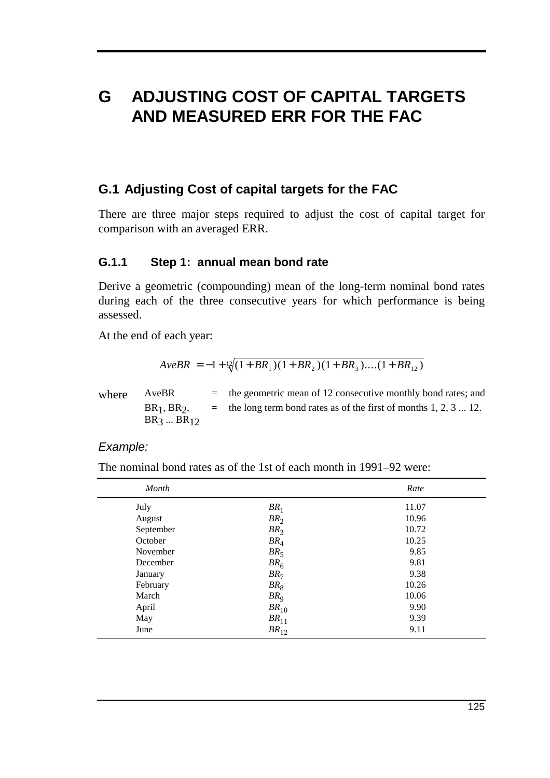# **G ADJUSTING COST OF CAPITAL TARGETS AND MEASURED ERR FOR THE FAC**

### **G.1 Adjusting Cost of capital targets for the FAC**

There are three major steps required to adjust the cost of capital target for comparison with an averaged ERR.

#### **G.1.1 Step 1: annual mean bond rate**

Derive a geometric (compounding) mean of the long-term nominal bond rates during each of the three consecutive years for which performance is being assessed.

At the end of each year:

$$
AveBR = -1 + \sqrt[12]{(1 + BR_1)(1 + BR_2)(1 + BR_3)...(1 + BR_{12})}
$$

| where | AveBR           | $=$ the geometric mean of 12 consecutive monthly bond rates; and    |
|-------|-----------------|---------------------------------------------------------------------|
|       | $BR1$ , $BR2$ , | $=$ the long term bond rates as of the first of months 1, 2, 3  12. |
|       | $BR_3  BR_{12}$ |                                                                     |

#### Example:

The nominal bond rates as of the 1st of each month in 1991–92 were:

| Month     |                 | Rate  |
|-----------|-----------------|-------|
| July      | BR <sub>1</sub> | 11.07 |
| August    | BR <sub>2</sub> | 10.96 |
| September | BR <sub>3</sub> | 10.72 |
| October   | BR <sub>4</sub> | 10.25 |
| November  | BR <sub>5</sub> | 9.85  |
| December  | BR <sub>6</sub> | 9.81  |
| January   | BR <sub>7</sub> | 9.38  |
| February  | BR <sub>8</sub> | 10.26 |
| March     | BR <sub>Q</sub> | 10.06 |
| April     | $BR_{10}$       | 9.90  |
| May       | $BR_{11}$       | 9.39  |
| June      | $BR_{12}$       | 9.11  |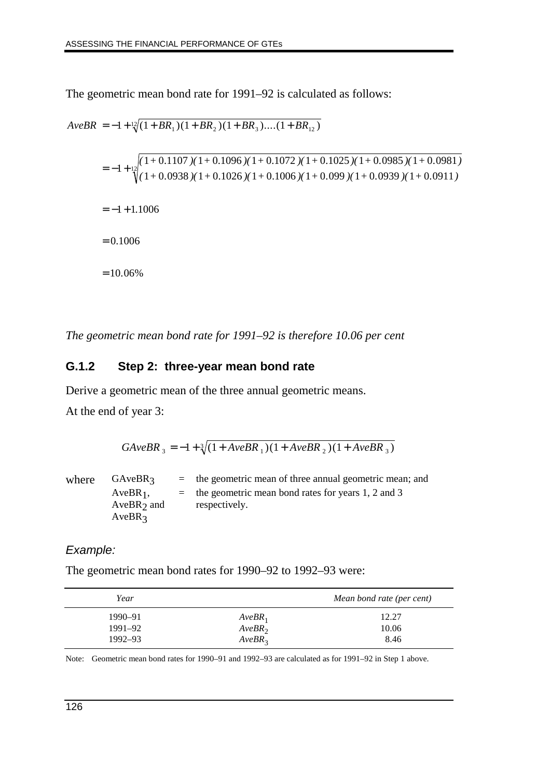The geometric mean bond rate for 1991–92 is calculated as follows:

$$
AveBR = -1 + \frac{1}{2}(1 + BR_1)(1 + BR_2)(1 + BR_3)....(1 + BR_{12})
$$
  
= -1 + \frac{1}{2}(1 + 0.1107)(1 + 0.1096)(1 + 0.1072)(1 + 0.1025)(1 + 0.0985)(1 + 0.0981)  
= -1 + \frac{1}{2}(1 + 0.0938)(1 + 0.1026)(1 + 0.1006)(1 + 0.099)(1 + 0.0939)(1 + 0.0911)

 $=-1 + 1.1006$ 

 $= 0.1006$ 

 $= 10.06\%$ 

*The geometric mean bond rate for 1991–92 is therefore 10.06 per cent*

### **G.1.2 Step 2: three-year mean bond rate**

Derive a geometric mean of the three annual geometric means.

At the end of year 3:

 $GAveBR_{3} = -1 + \sqrt[3]{(1 + AveBR_{1})(1 + AveBR_{2})(1 + AveBR_{3})}$ 

where  $G$ AveBR<sub>3</sub> = the geometric mean of three annual geometric mean; and  $AveBR<sub>1</sub>$ , AveBR $_2$  and  $AveBR<sub>3</sub>$ = the geometric mean bond rates for years 1, 2 and 3 respectively.

#### Example:

The geometric mean bond rates for 1990–92 to 1992–93 were:

| Year        |                    | Mean bond rate (per cent) |
|-------------|--------------------|---------------------------|
| 1990–91     | $AveBR_1$          | 12.27                     |
| 1991–92     | AveBR <sub>2</sub> | 10.06                     |
| $1992 - 93$ | AveBR <sub>3</sub> | 8.46                      |

Note: Geometric mean bond rates for 1990–91 and 1992–93 are calculated as for 1991–92 in Step 1 above.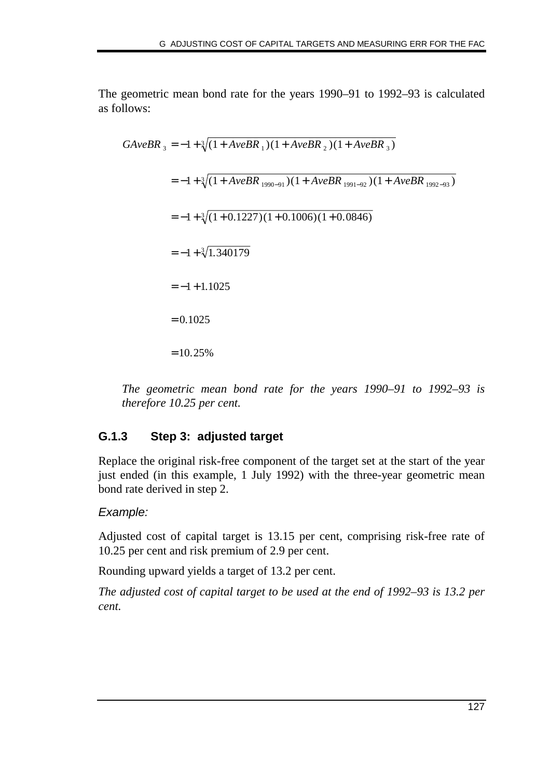The geometric mean bond rate for the years 1990–91 to 1992–93 is calculated as follows:

$$
GAveBR_{3} = -1 + \sqrt[3]{(1 + AveBR_{1})(1 + AveBR_{2})(1 + AveBR_{3})}
$$
\n
$$
= -1 + \sqrt[3]{(1 + AveBR_{1990-91})(1 + AveBR_{1991-92})(1 + AveBR_{1992-93})}
$$
\n
$$
= -1 + \sqrt[3]{(1 + 0.1227)(1 + 0.1006)(1 + 0.0846)}
$$
\n
$$
= -1 + \sqrt[3]{1.340179}
$$
\n
$$
= -1 + 1.1025
$$
\n
$$
= 0.1025
$$
\n
$$
= 10.25\%
$$

*The geometric mean bond rate for the years 1990–91 to 1992–93 is therefore 10.25 per cent.*

#### **G.1.3 Step 3: adjusted target**

Replace the original risk-free component of the target set at the start of the year just ended (in this example, 1 July 1992) with the three-year geometric mean bond rate derived in step 2.

#### Example:

Adjusted cost of capital target is 13.15 per cent, comprising risk-free rate of 10.25 per cent and risk premium of 2.9 per cent.

Rounding upward yields a target of 13.2 per cent.

*The adjusted cost of capital target to be used at the end of 1992–93 is 13.2 per cent.*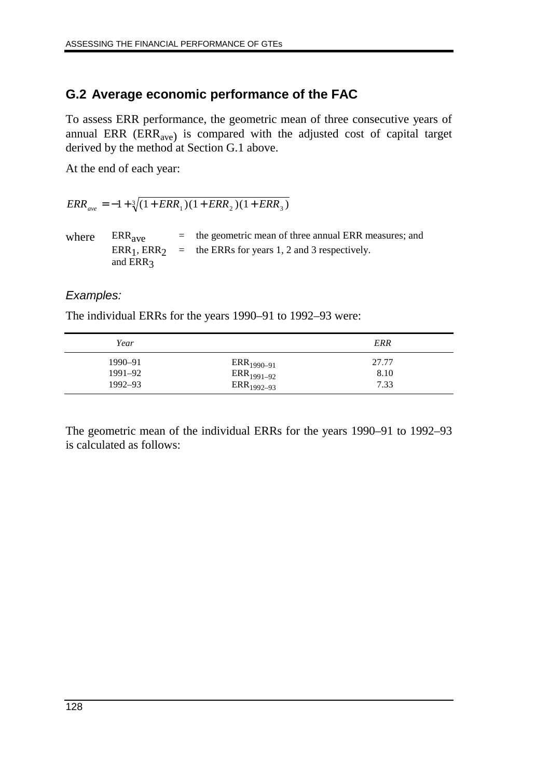# **G.2 Average economic performance of the FAC**

To assess ERR performance, the geometric mean of three consecutive years of annual ERR  $(ERR<sub>ave</sub>)$  is compared with the adjusted cost of capital target derived by the method at Section G.1 above.

At the end of each year:

 $ERR_{ave} = -1 + \sqrt[3]{(1 + ERR_1)(1 + ERR_2)(1 + ERR_3)}$ 

where  $ERR_{ave}$  = the geometric mean of three annual ERR measures; and  $ERR_1, ERR_2 =$  the ERRs for years 1, 2 and 3 respectively. and ERR<sub>3</sub>

#### Examples:

The individual ERRs for the years 1990–91 to 1992–93 were:

| Year        |                 | <b>ERR</b> |
|-------------|-----------------|------------|
| 1990–91     | $ERR_{1990-91}$ | 27.77      |
| 1991-92     | $ERR_{1991-92}$ | 8.10       |
| $1992 - 93$ | $ERR_{1992-93}$ | 7.33       |
|             |                 |            |

The geometric mean of the individual ERRs for the years 1990–91 to 1992–93 is calculated as follows: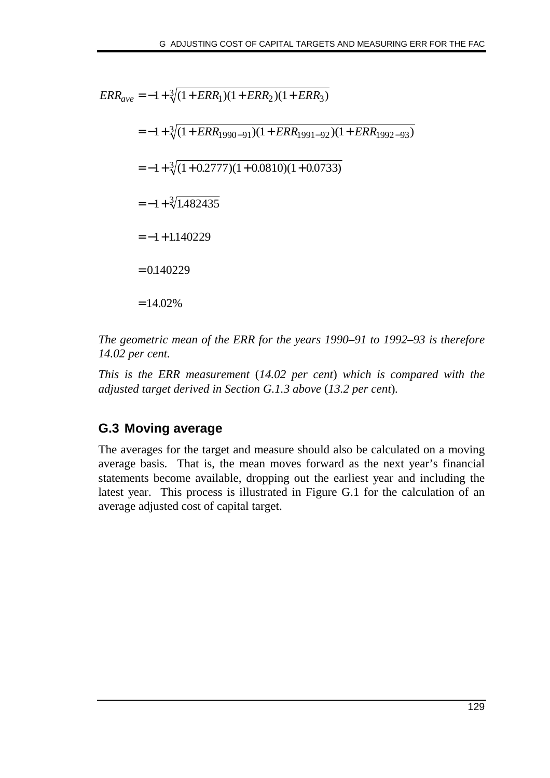$ERR_{ave} = -1 + \sqrt[3]{(1 + ERR_1)(1 + ERR_2)(1 + ERR_3)}$  $=-1+ \sqrt[3]{(1+ERR_{1990-91})(1+ERR_{1991-92})(1+ERR_{1992-93})}$  $=-1+\sqrt[3]{(1+0.2777)(1+0.0810)(1+0.0733)}$  $=-1 + \sqrt[3]{1.482435}$  $=-1+1.140229$  $= 0.140229$  $= 14.02\%$ 

*The geometric mean of the ERR for the years 1990–91 to 1992–93 is therefore 14.02 per cent.*

*This is the ERR measurement* (*14.02 per cent*) *which is compared with the adjusted target derived in Section G.1.3 above* (*13.2 per cent*)*.*

# **G.3 Moving average**

The averages for the target and measure should also be calculated on a moving average basis. That is, the mean moves forward as the next year's financial statements become available, dropping out the earliest year and including the latest year. This process is illustrated in Figure G.1 for the calculation of an average adjusted cost of capital target.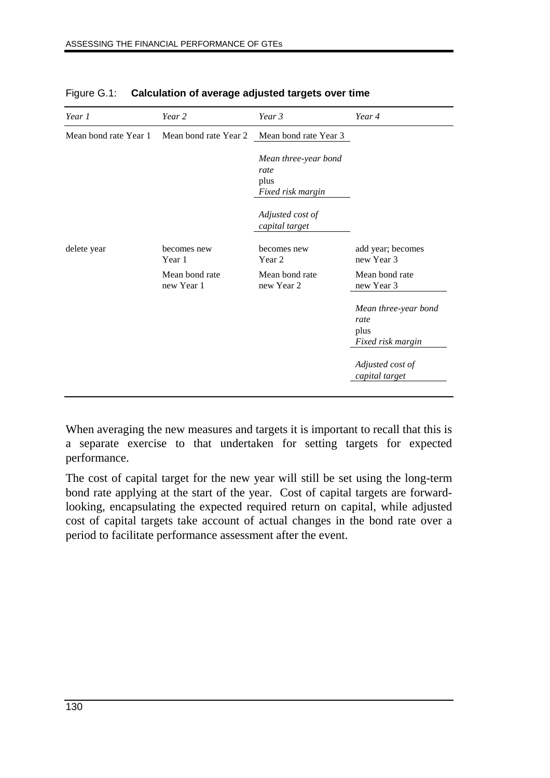| Year 1                | Year 2                                      | Year 3                                                    | Year 4                                                    |
|-----------------------|---------------------------------------------|-----------------------------------------------------------|-----------------------------------------------------------|
| Mean bond rate Year 1 | Mean bond rate Year 2 Mean bond rate Year 3 |                                                           |                                                           |
|                       |                                             | Mean three-year bond<br>rate<br>plus<br>Fixed risk margin |                                                           |
|                       |                                             | Adjusted cost of<br>capital target                        |                                                           |
| delete year           | becomes new<br>Year 1                       | becomes new<br>Year 2                                     | add year; becomes<br>new Year 3                           |
|                       | Mean bond rate<br>new Year 1                | Mean bond rate<br>new Year 2                              | Mean bond rate<br>new Year 3                              |
|                       |                                             |                                                           | Mean three-year bond<br>rate<br>plus<br>Fixed risk margin |
|                       |                                             |                                                           | Adjusted cost of<br>capital target                        |

| Figure G.1: Calculation of average adjusted targets over time |
|---------------------------------------------------------------|
|                                                               |

When averaging the new measures and targets it is important to recall that this is a separate exercise to that undertaken for setting targets for expected performance.

The cost of capital target for the new year will still be set using the long-term bond rate applying at the start of the year. Cost of capital targets are forwardlooking, encapsulating the expected required return on capital, while adjusted cost of capital targets take account of actual changes in the bond rate over a period to facilitate performance assessment after the event.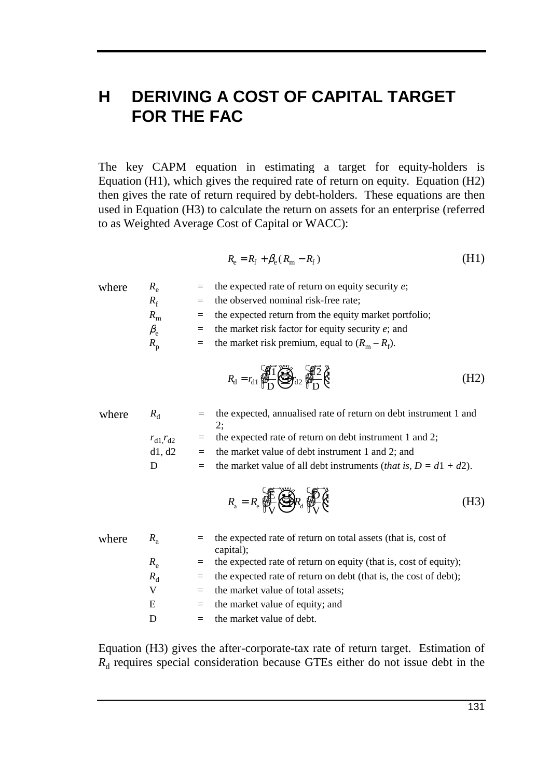# **H DERIVING A COST OF CAPITAL TARGET FOR THE FAC**

The key CAPM equation in estimating a target for equity-holders is Equation (H1), which gives the required rate of return on equity. Equation (H2) then gives the rate of return required by debt-holders. These equations are then used in Equation (H3) to calculate the return on assets for an enterprise (referred to as Weighted Average Cost of Capital or WACC):

$$
R_{\rm e} = R_{\rm f} + \beta_{\rm e} (R_{\rm m} - R_{\rm f}) \tag{H1}
$$

| where | $R_{\rm e}$     |         | the expected rate of return on equity security $e$ ;                                                                         |      |
|-------|-----------------|---------|------------------------------------------------------------------------------------------------------------------------------|------|
|       | $R_{\rm f}$     |         | the observed nominal risk-free rate;                                                                                         |      |
|       | $R_{\rm m}$     | $=$     | the expected return from the equity market portfolio;                                                                        |      |
|       | $\beta_{\rm e}$ | $=$ $-$ | the market risk factor for equity security $e$ ; and                                                                         |      |
|       | $R_{p}$         |         | = the market risk premium, equal to $(R_m - R_f)$ .                                                                          |      |
|       |                 |         | $R_{\rm d} = r_{\rm d1} \sqrt{\frac{4}{N_{\rm L}}} \left( \sum_{i=1}^{N_{\rm L}} \sum_{i=1}^{N_{\rm L}} \frac{1}{i} \right)$ | (H2) |

| where | $R_{\rm d}$    |     | the expected, annualised rate of return on debt instrument 1 and<br>2:                                                                                                                               |      |
|-------|----------------|-----|------------------------------------------------------------------------------------------------------------------------------------------------------------------------------------------------------|------|
|       | $r_{d1}r_{d2}$ |     | the expected rate of return on debt instrument 1 and 2;                                                                                                                                              |      |
|       | d1, d2         |     | the market value of debt instrument 1 and 2; and                                                                                                                                                     |      |
|       | D              | $=$ | the market value of all debt instruments ( <i>that is</i> , $D = d1 + d2$ ).                                                                                                                         |      |
|       |                |     | $R_{\scriptscriptstyle{\rm a}} = R_{\scriptscriptstyle{\rm e}} \bigoplus_{\scriptscriptstyle{\rm e}}^{\scriptscriptstyle{\rm e}} \bigotimes_{\scriptscriptstyle{\rm e}}^{\scriptscriptstyle{\rm e}}$ | (H3) |

| where | $R_{\rm a}$ | $=$ the expected rate of return on total assets (that is, cost of<br>capital); |
|-------|-------------|--------------------------------------------------------------------------------|
|       | $R_{\rm e}$ | $=$ the expected rate of return on equity (that is, cost of equity);           |
|       | $R_{\rm d}$ | $=$ the expected rate of return on debt (that is, the cost of debt);           |
|       | V           | $=$ the market value of total assets;                                          |
|       | Ε           | $=$ the market value of equity; and                                            |
|       | D           | $=$ the market value of debt.                                                  |

Equation (H3) gives the after-corporate-tax rate of return target. Estimation of  $R_d$  requires special consideration because GTEs either do not issue debt in the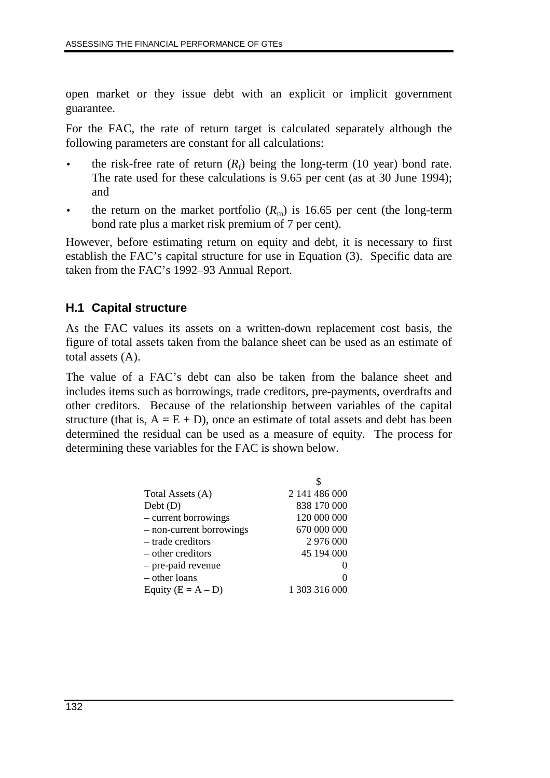open market or they issue debt with an explicit or implicit government guarantee.

For the FAC, the rate of return target is calculated separately although the following parameters are constant for all calculations:

- the risk-free rate of return  $(R_f)$  being the long-term (10 year) bond rate. The rate used for these calculations is 9.65 per cent (as at 30 June 1994); and
- the return on the market portfolio  $(R<sub>m</sub>)$  is 16.65 per cent (the long-term bond rate plus a market risk premium of 7 per cent).

However, before estimating return on equity and debt, it is necessary to first establish the FAC's capital structure for use in Equation (3). Specific data are taken from the FAC's 1992–93 Annual Report.

### **H.1 Capital structure**

As the FAC values its assets on a written-down replacement cost basis, the figure of total assets taken from the balance sheet can be used as an estimate of total assets (A).

The value of a FAC's debt can also be taken from the balance sheet and includes items such as borrowings, trade creditors, pre-payments, overdrafts and other creditors. Because of the relationship between variables of the capital structure (that is,  $A = E + D$ ), once an estimate of total assets and debt has been determined the residual can be used as a measure of equity. The process for determining these variables for the FAC is shown below.

| Total Assets (A)         | 2 141 486 000 |
|--------------------------|---------------|
| Debt(D)                  | 838 170 000   |
| - current borrowings     | 120 000 000   |
| - non-current borrowings | 670 000 000   |
| - trade creditors        | 2 976 000     |
| – other creditors        | 45 194 000    |
| - pre-paid revenue       |               |
| - other loans            |               |
| Equity $(E = A - D)$     | 1 303 316 000 |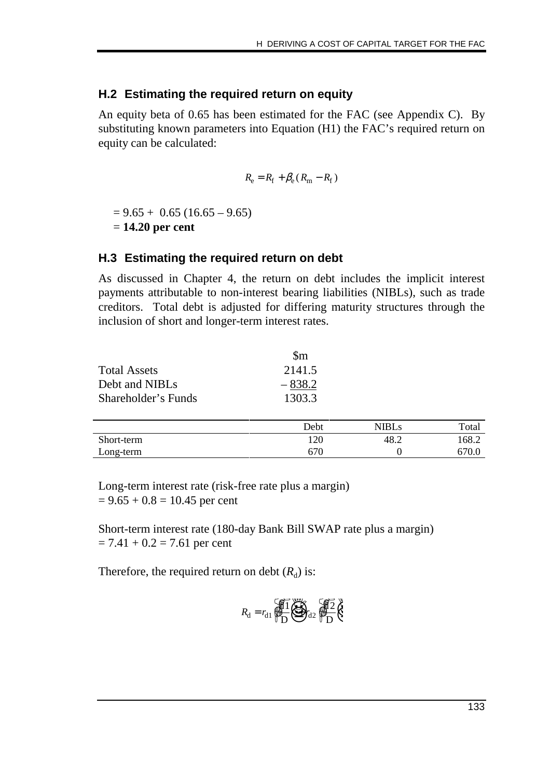#### **H.2 Estimating the required return on equity**

An equity beta of 0.65 has been estimated for the FAC (see Appendix C). By substituting known parameters into Equation (H1) the FAC's required return on equity can be calculated:

$$
R_{\rm e} = R_{\rm f} + \beta_{\rm e} (R_{\rm m} - R_{\rm f})
$$

 $= 9.65 + 0.65 (16.65 - 9.65)$ = **14.20 per cent**

#### **H.3 Estimating the required return on debt**

As discussed in Chapter 4, the return on debt includes the implicit interest payments attributable to non-interest bearing liabilities (NIBLs), such as trade creditors. Total debt is adjusted for differing maturity structures through the inclusion of short and longer-term interest rates.

|                     | $\mathbb{S}_{m}$ |
|---------------------|------------------|
| <b>Total Assets</b> | 2141.5           |
| Debt and NIBLs      | $-838.2$         |
| Shareholder's Funds | 1303.3           |

|            | Debt | NIBLs | Total |
|------------|------|-------|-------|
| Short-term | 120  | 48.2  | 168.2 |
| Long-term  | 670  |       |       |

Long-term interest rate (risk-free rate plus a margin)  $= 9.65 + 0.8 = 10.45$  per cent

Short-term interest rate (180-day Bank Bill SWAP rate plus a margin)  $= 7.41 + 0.2 = 7.61$  per cent

Therefore, the required return on debt  $(R_d)$  is:

$$
R_{\rm d} = r_{\rm d1} \underbrace{\sqrt{11} \underbrace{\sqrt{31}}_{D} \underbrace{\sqrt{31}}_{d2} \underbrace{\sqrt{12}}_{PD} \underbrace{\sqrt{12}}_{C}
$$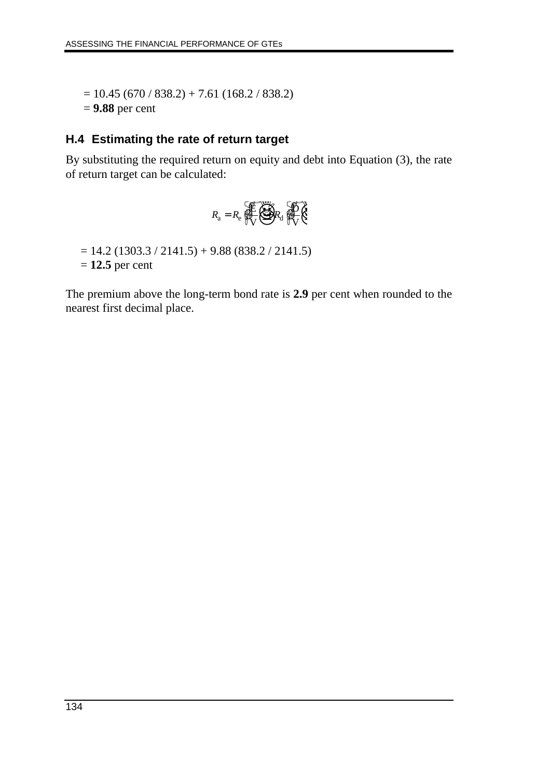$= 10.45 (670 / 838.2) + 7.61 (168.2 / 838.2)$ = **9.88** per cent

### **H.4 Estimating the rate of return target**

By substituting the required return on equity and debt into Equation (3), the rate of return target can be calculated:

$$
R_{\rm a}=R_{\rm e}\bigoplus_{\rm V}^{\rm V}\bigoplus_{\rm A}^{\rm V}R_{\rm d}\bigoplus_{\rm V}^{\rm V}\bigotimes_{\rm V}
$$

 $= 14.2 (1303.3 / 2141.5) + 9.88 (838.2 / 2141.5)$ 

= **12.5** per cent

The premium above the long-term bond rate is **2.9** per cent when rounded to the nearest first decimal place.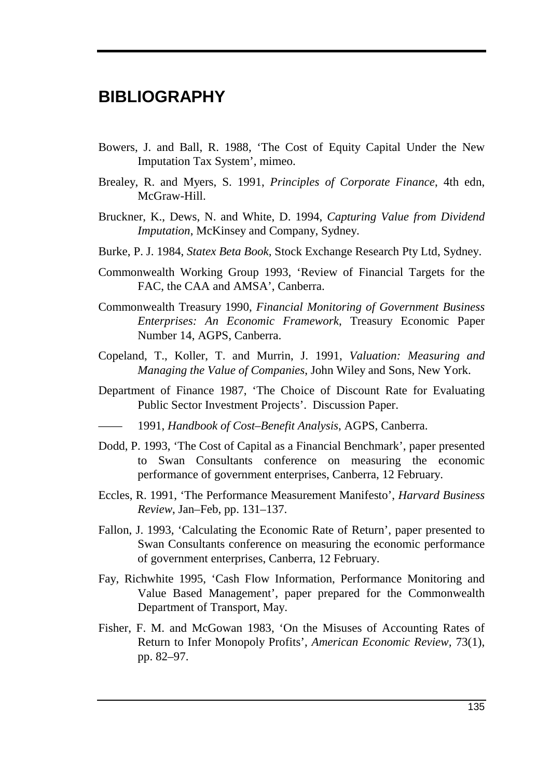# **BIBLIOGRAPHY**

- Bowers, J. and Ball, R. 1988, 'The Cost of Equity Capital Under the New Imputation Tax System', mimeo.
- Brealey, R. and Myers, S. 1991, *Principles of Corporate Finance*, 4th edn, McGraw-Hill.
- Bruckner, K., Dews, N. and White, D. 1994, *Capturing Value from Dividend Imputation*, McKinsey and Company, Sydney.
- Burke, P. J. 1984, *Statex Beta Book,* Stock Exchange Research Pty Ltd, Sydney.
- Commonwealth Working Group 1993, 'Review of Financial Targets for the FAC, the CAA and AMSA', Canberra.
- Commonwealth Treasury 1990, *Financial Monitoring of Government Business Enterprises: An Economic Framework*, Treasury Economic Paper Number 14, AGPS, Canberra.
- Copeland, T., Koller, T. and Murrin, J. 1991, *Valuation: Measuring and Managing the Value of Companies*, John Wiley and Sons, New York.
- Department of Finance 1987, 'The Choice of Discount Rate for Evaluating Public Sector Investment Projects'. Discussion Paper.
- —— 1991, *Handbook of Cost–Benefit Analysis*, AGPS, Canberra.
- Dodd, P. 1993, 'The Cost of Capital as a Financial Benchmark', paper presented to Swan Consultants conference on measuring the economic performance of government enterprises, Canberra, 12 February.
- Eccles, R. 1991, 'The Performance Measurement Manifesto', *Harvard Business Review*, Jan–Feb, pp. 131–137.
- Fallon, J. 1993, 'Calculating the Economic Rate of Return', paper presented to Swan Consultants conference on measuring the economic performance of government enterprises, Canberra, 12 February.
- Fay, Richwhite 1995, 'Cash Flow Information, Performance Monitoring and Value Based Management', paper prepared for the Commonwealth Department of Transport, May.
- Fisher, F. M. and McGowan 1983, 'On the Misuses of Accounting Rates of Return to Infer Monopoly Profits', *American Economic Review,* 73(1), pp. 82–97.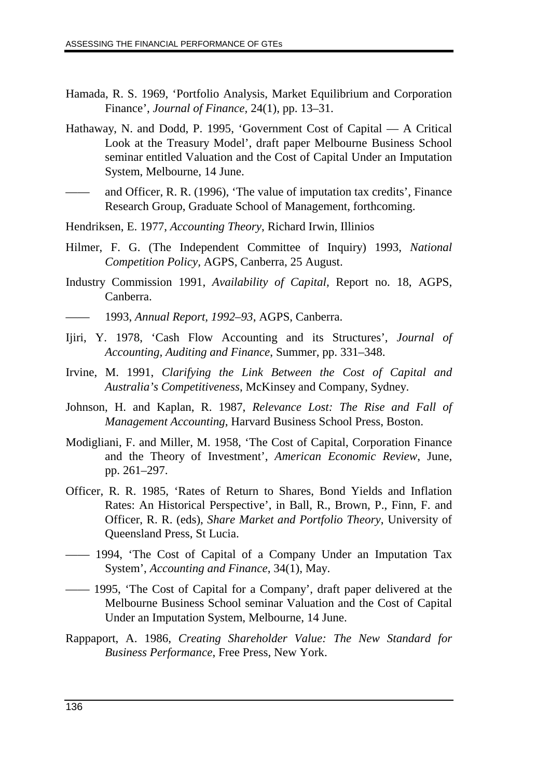- Hamada, R. S. 1969, 'Portfolio Analysis, Market Equilibrium and Corporation Finance', *Journal of Finance,* 24(1), pp. 13–31.
- Hathaway, N. and Dodd, P. 1995, 'Government Cost of Capital A Critical Look at the Treasury Model', draft paper Melbourne Business School seminar entitled Valuation and the Cost of Capital Under an Imputation System, Melbourne, 14 June.
- and Officer, R. R. (1996), 'The value of imputation tax credits', Finance Research Group, Graduate School of Management, forthcoming.
- Hendriksen, E. 1977, *Accounting Theory*, Richard Irwin, Illinios
- Hilmer, F. G. (The Independent Committee of Inquiry) 1993, *National Competition Policy,* AGPS, Canberra, 25 August.
- Industry Commission 1991, *Availability of Capital,* Report no. 18, AGPS, Canberra.
	- —— 1993, *Annual Report, 1992–93*, AGPS, Canberra.
- Ijiri, Y. 1978, 'Cash Flow Accounting and its Structures', *Journal of Accounting, Auditing and Finance*, Summer, pp. 331–348.
- Irvine, M. 1991, *Clarifying the Link Between the Cost of Capital and Australia's Competitiveness*, McKinsey and Company, Sydney.
- Johnson, H. and Kaplan, R. 1987, *Relevance Lost: The Rise and Fall of Management Accounting*, Harvard Business School Press, Boston.
- Modigliani, F. and Miller, M. 1958, 'The Cost of Capital, Corporation Finance and the Theory of Investment', *American Economic Review*, June, pp. 261–297.
- Officer, R. R. 1985, 'Rates of Return to Shares, Bond Yields and Inflation Rates: An Historical Perspective', in Ball, R., Brown, P., Finn, F. and Officer, R. R. (eds), *Share Market and Portfolio Theory*, University of Queensland Press, St Lucia.
- —— 1994, 'The Cost of Capital of a Company Under an Imputation Tax System', *Accounting and Finance*, 34(1), May.
- —— 1995, 'The Cost of Capital for a Company', draft paper delivered at the Melbourne Business School seminar Valuation and the Cost of Capital Under an Imputation System, Melbourne, 14 June.
- Rappaport, A. 1986, *Creating Shareholder Value: The New Standard for Business Performance*, Free Press, New York.